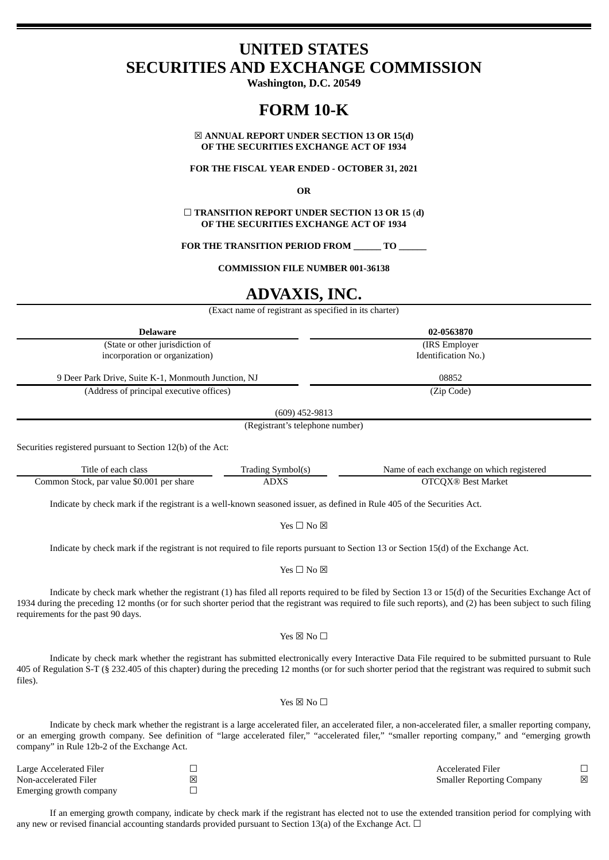# **UNITED STATES SECURITIES AND EXCHANGE COMMISSION**

**Washington, D.C. 20549**

# **FORM 10-K**

☒ **ANNUAL REPORT UNDER SECTION 13 OR 15(d) OF THE SECURITIES EXCHANGE ACT OF 1934**

**FOR THE FISCAL YEAR ENDED - OCTOBER 31, 2021**

**OR**

☐ **TRANSITION REPORT UNDER SECTION 13 OR 15** (**d) OF THE SECURITIES EXCHANGE ACT OF 1934**

**FOR THE TRANSITION PERIOD FROM \_\_\_\_\_\_ TO \_\_\_\_\_\_**

**COMMISSION FILE NUMBER 001-36138**

## **ADVAXIS, INC.**

(Exact name of registrant as specified in its charter)

| <b>Delaware</b>                                                                                                         |                                 | 02-0563870                                |  |  |
|-------------------------------------------------------------------------------------------------------------------------|---------------------------------|-------------------------------------------|--|--|
| (State or other jurisdiction of                                                                                         | (IRS Employer)                  |                                           |  |  |
| incorporation or organization)                                                                                          |                                 | Identification No.)                       |  |  |
| 9 Deer Park Drive, Suite K-1, Monmouth Junction, NJ                                                                     |                                 | 08852                                     |  |  |
| (Address of principal executive offices)                                                                                |                                 | (Zip Code)                                |  |  |
| (609) 452-9813                                                                                                          |                                 |                                           |  |  |
|                                                                                                                         | (Registrant's telephone number) |                                           |  |  |
| Securities registered pursuant to Section 12(b) of the Act:                                                             |                                 |                                           |  |  |
| Title of each class                                                                                                     | Trading Symbol(s)               | Name of each exchange on which registered |  |  |
| Common Stock, par value \$0.001 per share                                                                               | <b>ADXS</b>                     | <b>OTCOX®</b> Best Market                 |  |  |
| Indicate by check mark if the registrant is a well-known seasoned issuer, as defined in Rule 405 of the Securities Act. |                                 |                                           |  |  |

Yes  $\Box$  No  $\boxtimes$ 

Indicate by check mark if the registrant is not required to file reports pursuant to Section 13 or Section 15(d) of the Exchange Act.

## Yes □ No ⊠

Indicate by check mark whether the registrant (1) has filed all reports required to be filed by Section 13 or 15(d) of the Securities Exchange Act of 1934 during the preceding 12 months (or for such shorter period that the registrant was required to file such reports), and (2) has been subject to such filing requirements for the past 90 days.

### Yes  $\boxtimes$  No  $\square$

Indicate by check mark whether the registrant has submitted electronically every Interactive Data File required to be submitted pursuant to Rule 405 of Regulation S-T (§ 232.405 of this chapter) during the preceding 12 months (or for such shorter period that the registrant was required to submit such files).

## Yes  $\boxtimes$  No  $\square$

Indicate by check mark whether the registrant is a large accelerated filer, an accelerated filer, a non-accelerated filer, a smaller reporting company, or an emerging growth company. See definition of "large accelerated filer," "accelerated filer," "smaller reporting company," and "emerging growth company" in Rule 12b-2 of the Exchange Act.

| Large Accelerated Filer |   | Accelerated Filer                |   |
|-------------------------|---|----------------------------------|---|
| Non-accelerated Filer   | ⊠ | <b>Smaller Reporting Company</b> | ⊠ |
| Emerging growth company |   |                                  |   |

If an emerging growth company, indicate by check mark if the registrant has elected not to use the extended transition period for complying with any new or revised financial accounting standards provided pursuant to Section 13(a) of the Exchange Act.  $\Box$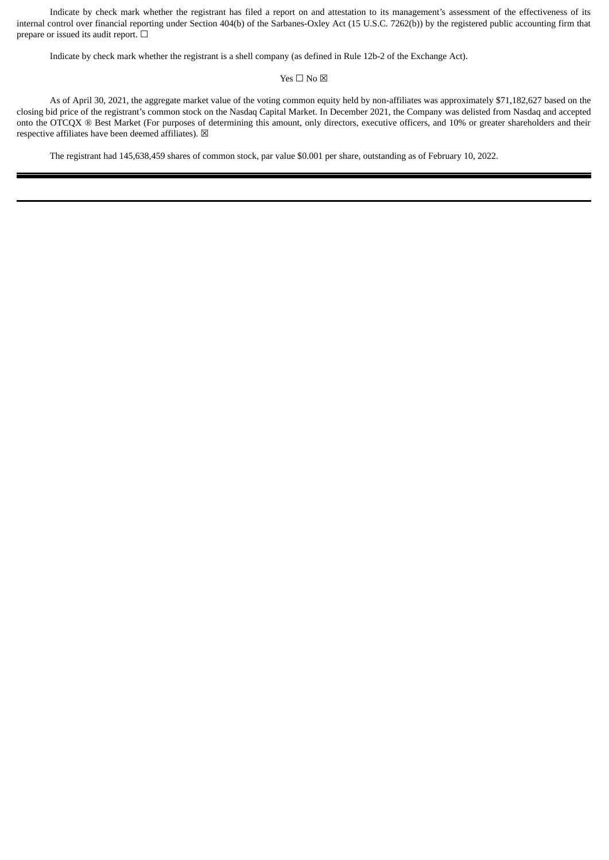Indicate by check mark whether the registrant has filed a report on and attestation to its management's assessment of the effectiveness of its internal control over financial reporting under Section 404(b) of the Sarbanes-Oxley Act (15 U.S.C. 7262(b)) by the registered public accounting firm that prepare or issued its audit report. □

Indicate by check mark whether the registrant is a shell company (as defined in Rule 12b-2 of the Exchange Act).

## Yes □ No ⊠

As of April 30, 2021, the aggregate market value of the voting common equity held by non-affiliates was approximately \$71,182,627 based on the closing bid price of the registrant's common stock on the Nasdaq Capital Market. In December 2021, the Company was delisted from Nasdaq and accepted onto the OTCQX ® Best Market (For purposes of determining this amount, only directors, executive officers, and 10% or greater shareholders and their respective affiliates have been deemed affiliates).  $\boxtimes$ 

The registrant had 145,638,459 shares of common stock, par value \$0.001 per share, outstanding as of February 10, 2022.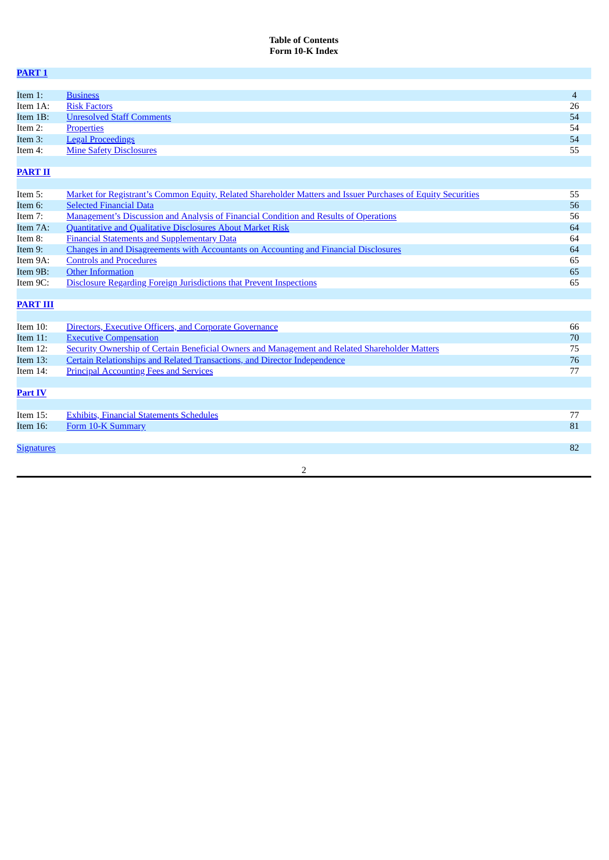## **Table of Contents Form 10-K Index**

| <b>PART 1</b> |                                  |    |
|---------------|----------------------------------|----|
|               |                                  |    |
| Item 1:       | <b>Business</b>                  | 4  |
| Item 1A:      | <b>Risk Factors</b>              | 26 |
| Item 1B:      | <b>Unresolved Staff Comments</b> | 54 |
| Item 2:       | <b>Properties</b>                | 54 |
| Item $3$ :    | <b>Legal Proceedings</b>         | 54 |
| Item 4:       | <b>Mine Safety Disclosures</b>   | 55 |
|               |                                  |    |

## **[PART](#page-55-1) II**

| Item 5:           | Market for Registrant's Common Equity, Related Shareholder Matters and Issuer Purchases of Equity Securities | 55 |
|-------------------|--------------------------------------------------------------------------------------------------------------|----|
| Item 6:           | <b>Selected Financial Data</b>                                                                               | 56 |
| Item 7:           | <b>Management's Discussion and Analysis of Financial Condition and Results of Operations</b>                 | 56 |
| Item 7A:          | <b>Quantitative and Qualitative Disclosures About Market Risk</b>                                            | 64 |
| Item 8:           | <b>Financial Statements and Supplementary Data</b>                                                           | 64 |
| Item 9:           | <b>Changes in and Disagreements with Accountants on Accounting and Financial Disclosures</b>                 | 64 |
| Item 9A:          | <b>Controls and Procedures</b>                                                                               | 65 |
| Item 9B:          | <b>Other Information</b>                                                                                     | 65 |
| Item 9C:          | <b>Disclosure Regarding Foreign Jurisdictions that Prevent Inspections</b>                                   | 65 |
|                   |                                                                                                              |    |
| <b>PART III</b>   |                                                                                                              |    |
|                   |                                                                                                              |    |
| Item $10$ :       | Directors, Executive Officers, and Corporate Governance                                                      | 66 |
| Item $11$ :       | <b>Executive Compensation</b>                                                                                | 70 |
| Item 12:          | <b>Security Ownership of Certain Beneficial Owners and Management and Related Shareholder Matters</b>        | 75 |
| Item $13$ :       | Certain Relationships and Related Transactions, and Director Independence                                    | 76 |
| Item $14$ :       | <b>Principal Accounting Fees and Services</b>                                                                | 77 |
|                   |                                                                                                              |    |
| <b>Part IV</b>    |                                                                                                              |    |
|                   |                                                                                                              |    |
| Item $15$ :       | <b>Exhibits, Financial Statements Schedules</b>                                                              | 77 |
| Item $16$ :       | Form 10-K Summary                                                                                            | 81 |
|                   |                                                                                                              |    |
| <b>Signatures</b> |                                                                                                              | 82 |
|                   |                                                                                                              |    |
|                   |                                                                                                              |    |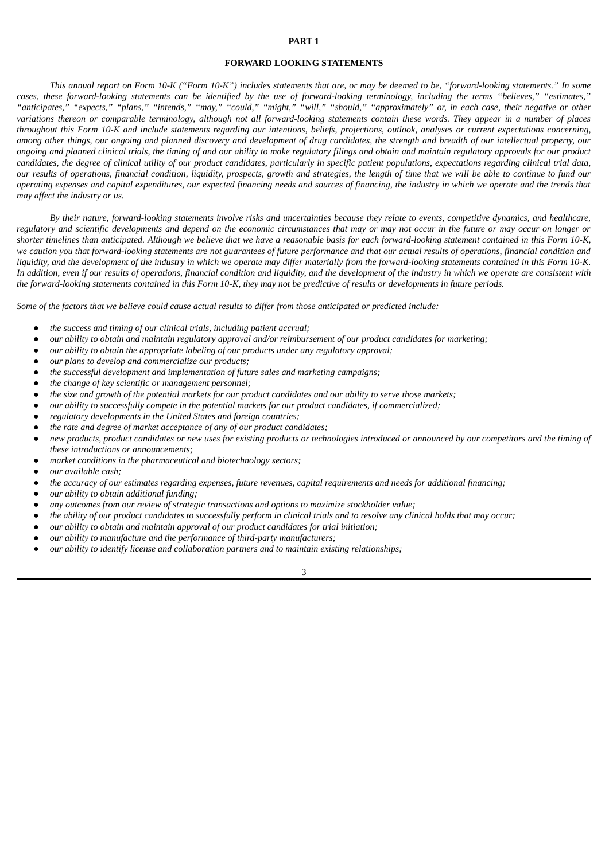## **PART 1**

## **FORWARD LOOKING STATEMENTS**

<span id="page-3-0"></span>This annual report on Form 10-K ("Form 10-K") includes statements that are, or may be deemed to be, "forward-looking statements." In some cases, these forward-looking statements can be identified by the use of forward-looking terminology, including the terms "believes," "estimates," "anticipates," "expects," "plans," "intends," "may," "could," "might," "will," "should," "approximately" or, in each case, their negative or other variations thereon or comparable terminology, although not all forward-looking statements contain these words. They appear in a number of places throughout this Form 10-K and include statements regarding our intentions, beliefs, projections, outlook, analyses or current expectations concerning, among other things, our ongoing and planned discovery and development of drug candidates, the strength and breadth of our intellectual property, our ongoing and planned clinical trials, the timing of and our ability to make regulatory filings and obtain and maintain regulatory approvals for our product candidates, the degree of clinical utility of our product candidates, particularly in specific patient populations, expectations regarding clinical trial data, our results of operations, financial condition, liquidity, prospects, growth and strategies, the length of time that we will be able to continue to fund our operating expenses and capital expenditures, our expected financing needs and sources of financing, the industry in which we operate and the trends that *may affect the industry or us.*

By their nature, forward-looking statements involve risks and uncertainties because they relate to events, competitive dynamics, and healthcare, regulatory and scientific developments and depend on the economic circumstances that may or may not occur in the future or may occur on longer or shorter timelines than anticipated. Although we believe that we have a reasonable basis for each forward-looking statement contained in this Form 10-K, we caution you that forward-looking statements are not guarantees of future performance and that our actual results of operations, financial condition and liquidity, and the development of the industry in which we operate may differ materially from the forward-looking statements contained in this Form 10-K. In addition, even if our results of operations, financial condition and liquidity, and the development of the industry in which we operate are consistent with the forward-looking statements contained in this Form 10-K, they may not be predictive of results or developments in future periods.

Some of the factors that we believe could cause actual results to differ from those anticipated or predicted include:

- *the success and timing of our clinical trials, including patient accrual;*
- our ability to obtain and maintain regulatory approval and/or reimbursement of our product candidates for marketing;
- *our ability to obtain the appropriate labeling of our products under any regulatory approval;*
- *our plans to develop and commercialize our products;*
- *the successful development and implementation of future sales and marketing campaigns;*
- *the change of key scientific or management personnel;*
- the size and growth of the potential markets for our product candidates and our ability to serve those markets;
- *our ability to successfully compete in the potential markets for our product candidates, if commercialized;*
- *regulatory developments in the United States and foreign countries;*
- *the rate and degree of market acceptance of any of our product candidates;*
- new products, product candidates or new uses for existing products or technologies introduced or announced by our competitors and the timing of *these introductions or announcements;*
- *market conditions in the pharmaceutical and biotechnology sectors;*
- *our available cash;*
- the accuracy of our estimates regarding expenses, future revenues, capital requirements and needs for additional financing;
- *our ability to obtain additional funding;*
- *any outcomes from our review of strategic transactions and options to maximize stockholder value;*
- the ability of our product candidates to successfully perform in clinical trials and to resolve any clinical holds that may occur;
- *our ability to obtain and maintain approval of our product candidates for trial initiation;*
- *our ability to manufacture and the performance of third-party manufacturers;*
- *our ability to identify license and collaboration partners and to maintain existing relationships;*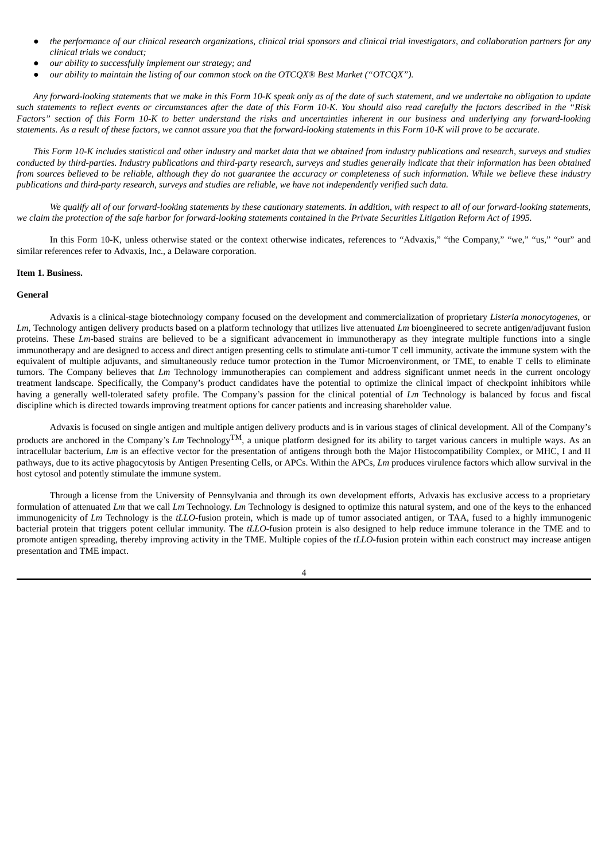- the performance of our clinical research organizations, clinical trial sponsors and clinical trial investigators, and collaboration partners for any *clinical trials we conduct;*
- *our ability to successfully implement our strategy; and*
- *our ability to maintain the listing of our common stock on the OTCQX® Best Market ("OTCQX").*

Any forward-looking statements that we make in this Form 10-K speak only as of the date of such statement, and we undertake no obligation to update such statements to reflect events or circumstances after the date of this Form 10-K. You should also read carefully the factors described in the "Risk Factors" section of this Form 10-K to better understand the risks and uncertainties inherent in our business and underlying any forward-looking statements. As a result of these factors, we cannot assure you that the forward-looking statements in this Form 10-K will prove to be accurate.

This Form 10-K includes statistical and other industry and market data that we obtained from industry publications and research, surveys and studies conducted by third-parties. Industry publications and third-party research, surveys and studies generally indicate that their information has been obtained from sources believed to be reliable, although they do not guarantee the accuracy or completeness of such information. While we believe these industry publications and third-party research, surveys and studies are reliable, we have not independently verified such data.

We qualify all of our forward-looking statements by these cautionary statements. In addition, with respect to all of our forward-looking statements, we claim the protection of the safe harbor for forward-looking statements contained in the Private Securities Litigation Reform Act of 1995.

In this Form 10-K, unless otherwise stated or the context otherwise indicates, references to "Advaxis," "the Company," "we," "us," "our" and similar references refer to Advaxis, Inc., a Delaware corporation.

## <span id="page-4-0"></span>**Item 1. Business.**

#### **General**

Advaxis is a clinical-stage biotechnology company focused on the development and commercialization of proprietary *Listeria monocytogenes*, or *Lm*, Technology antigen delivery products based on a platform technology that utilizes live attenuated *Lm* bioengineered to secrete antigen/adjuvant fusion proteins. These *Lm*-based strains are believed to be a significant advancement in immunotherapy as they integrate multiple functions into a single immunotherapy and are designed to access and direct antigen presenting cells to stimulate anti-tumor T cell immunity, activate the immune system with the equivalent of multiple adjuvants, and simultaneously reduce tumor protection in the Tumor Microenvironment, or TME, to enable T cells to eliminate tumors. The Company believes that *Lm* Technology immunotherapies can complement and address significant unmet needs in the current oncology treatment landscape. Specifically, the Company's product candidates have the potential to optimize the clinical impact of checkpoint inhibitors while having a generally well-tolerated safety profile. The Company's passion for the clinical potential of *Lm* Technology is balanced by focus and fiscal discipline which is directed towards improving treatment options for cancer patients and increasing shareholder value.

Advaxis is focused on single antigen and multiple antigen delivery products and is in various stages of clinical development. All of the Company's products are anchored in the Company's *Lm* Technology<sup>TM</sup>, a unique platform designed for its ability to target various cancers in multiple ways. As an intracellular bacterium, *Lm* is an effective vector for the presentation of antigens through both the Major Histocompatibility Complex, or MHC, I and II pathways, due to its active phagocytosis by Antigen Presenting Cells, or APCs. Within the APCs, *Lm* produces virulence factors which allow survival in the host cytosol and potently stimulate the immune system.

Through a license from the University of Pennsylvania and through its own development efforts, Advaxis has exclusive access to a proprietary formulation of attenuated *Lm* that we call *Lm* Technology. *Lm* Technology is designed to optimize this natural system, and one of the keys to the enhanced immunogenicity of *Lm* Technology is the *tLLO*-fusion protein, which is made up of tumor associated antigen, or TAA, fused to a highly immunogenic bacterial protein that triggers potent cellular immunity. The *tLLO*-fusion protein is also designed to help reduce immune tolerance in the TME and to promote antigen spreading, thereby improving activity in the TME. Multiple copies of the *tLLO*-fusion protein within each construct may increase antigen presentation and TME impact.

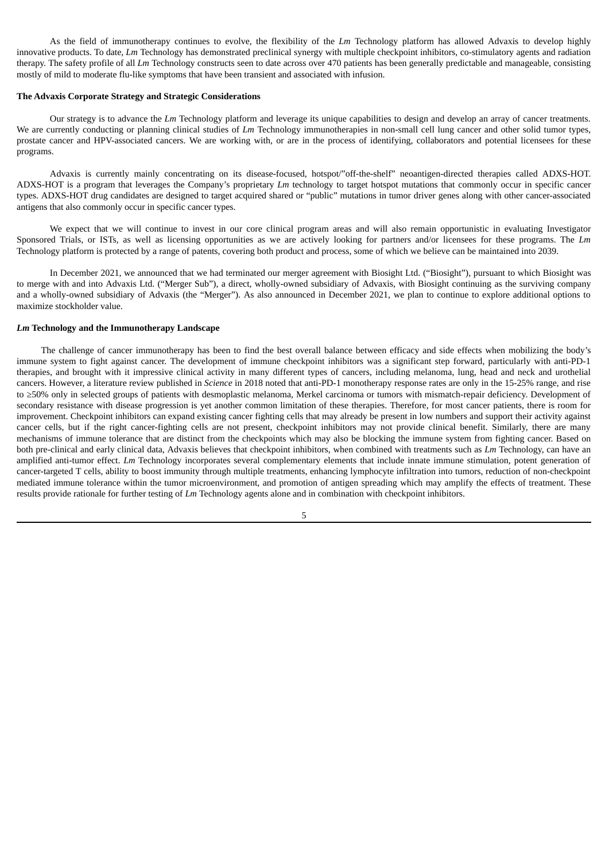As the field of immunotherapy continues to evolve, the flexibility of the *Lm* Technology platform has allowed Advaxis to develop highly innovative products. To date, *Lm* Technology has demonstrated preclinical synergy with multiple checkpoint inhibitors, co-stimulatory agents and radiation therapy. The safety profile of all *Lm* Technology constructs seen to date across over 470 patients has been generally predictable and manageable, consisting mostly of mild to moderate flu-like symptoms that have been transient and associated with infusion.

#### **The Advaxis Corporate Strategy and Strategic Considerations**

Our strategy is to advance the *Lm* Technology platform and leverage its unique capabilities to design and develop an array of cancer treatments. We are currently conducting or planning clinical studies of *Lm* Technology immunotherapies in non-small cell lung cancer and other solid tumor types, prostate cancer and HPV-associated cancers. We are working with, or are in the process of identifying, collaborators and potential licensees for these programs.

Advaxis is currently mainly concentrating on its disease-focused, hotspot/"off-the-shelf" neoantigen-directed therapies called ADXS-HOT. ADXS-HOT is a program that leverages the Company's proprietary *Lm* technology to target hotspot mutations that commonly occur in specific cancer types. ADXS-HOT drug candidates are designed to target acquired shared or "public" mutations in tumor driver genes along with other cancer-associated antigens that also commonly occur in specific cancer types.

We expect that we will continue to invest in our core clinical program areas and will also remain opportunistic in evaluating Investigator Sponsored Trials, or ISTs, as well as licensing opportunities as we are actively looking for partners and/or licensees for these programs. The *Lm* Technology platform is protected by a range of patents, covering both product and process, some of which we believe can be maintained into 2039.

In December 2021, we announced that we had terminated our merger agreement with Biosight Ltd. ("Biosight"), pursuant to which Biosight was to merge with and into Advaxis Ltd. ("Merger Sub"), a direct, wholly-owned subsidiary of Advaxis, with Biosight continuing as the surviving company and a wholly-owned subsidiary of Advaxis (the "Merger"). As also announced in December 2021, we plan to continue to explore additional options to maximize stockholder value.

### *Lm* **Technology and the Immunotherapy Landscape**

The challenge of cancer immunotherapy has been to find the best overall balance between efficacy and side effects when mobilizing the body's immune system to fight against cancer. The development of immune checkpoint inhibitors was a significant step forward, particularly with anti-PD-1 therapies, and brought with it impressive clinical activity in many different types of cancers, including melanoma, lung, head and neck and urothelial cancers. However, a literature review published in *Science* in 2018 noted that anti-PD-1 monotherapy response rates are only in the 15-25% range, and rise to ≥50% only in selected groups of patients with desmoplastic melanoma, Merkel carcinoma or tumors with mismatch-repair deficiency. Development of secondary resistance with disease progression is yet another common limitation of these therapies. Therefore, for most cancer patients, there is room for improvement. Checkpoint inhibitors can expand existing cancer fighting cells that may already be present in low numbers and support their activity against cancer cells, but if the right cancer-fighting cells are not present, checkpoint inhibitors may not provide clinical benefit. Similarly, there are many mechanisms of immune tolerance that are distinct from the checkpoints which may also be blocking the immune system from fighting cancer. Based on both pre-clinical and early clinical data, Advaxis believes that checkpoint inhibitors, when combined with treatments such as *Lm* Technology, can have an amplified anti-tumor effect. *Lm* Technology incorporates several complementary elements that include innate immune stimulation, potent generation of cancer-targeted T cells, ability to boost immunity through multiple treatments, enhancing lymphocyte infiltration into tumors, reduction of non-checkpoint mediated immune tolerance within the tumor microenvironment, and promotion of antigen spreading which may amplify the effects of treatment. These results provide rationale for further testing of *Lm* Technology agents alone and in combination with checkpoint inhibitors.

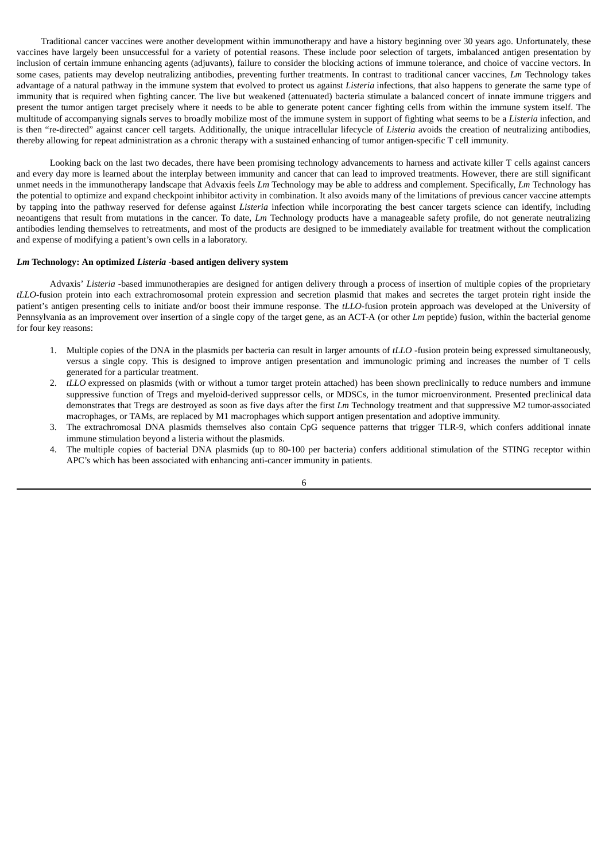Traditional cancer vaccines were another development within immunotherapy and have a history beginning over 30 years ago. Unfortunately, these vaccines have largely been unsuccessful for a variety of potential reasons. These include poor selection of targets, imbalanced antigen presentation by inclusion of certain immune enhancing agents (adjuvants), failure to consider the blocking actions of immune tolerance, and choice of vaccine vectors. In some cases, patients may develop neutralizing antibodies, preventing further treatments. In contrast to traditional cancer vaccines, *Lm* Technology takes advantage of a natural pathway in the immune system that evolved to protect us against *Listeria* infections, that also happens to generate the same type of immunity that is required when fighting cancer. The live but weakened (attenuated) bacteria stimulate a balanced concert of innate immune triggers and present the tumor antigen target precisely where it needs to be able to generate potent cancer fighting cells from within the immune system itself. The multitude of accompanying signals serves to broadly mobilize most of the immune system in support of fighting what seems to be a *Listeria* infection, and is then "re-directed" against cancer cell targets. Additionally, the unique intracellular lifecycle of *Listeria* avoids the creation of neutralizing antibodies, thereby allowing for repeat administration as a chronic therapy with a sustained enhancing of tumor antigen-specific T cell immunity.

Looking back on the last two decades, there have been promising technology advancements to harness and activate killer T cells against cancers and every day more is learned about the interplay between immunity and cancer that can lead to improved treatments. However, there are still significant unmet needs in the immunotherapy landscape that Advaxis feels *Lm* Technology may be able to address and complement. Specifically, *Lm* Technology has the potential to optimize and expand checkpoint inhibitor activity in combination. It also avoids many of the limitations of previous cancer vaccine attempts by tapping into the pathway reserved for defense against *Listeria* infection while incorporating the best cancer targets science can identify, including neoantigens that result from mutations in the cancer. To date, *Lm* Technology products have a manageable safety profile, do not generate neutralizing antibodies lending themselves to retreatments, and most of the products are designed to be immediately available for treatment without the complication and expense of modifying a patient's own cells in a laboratory.

## *Lm* **Technology: An optimized** *Listeria* **-based antigen delivery system**

Advaxis' *Listeria* -based immunotherapies are designed for antigen delivery through a process of insertion of multiple copies of the proprietary *tLLO*-fusion protein into each extrachromosomal protein expression and secretion plasmid that makes and secretes the target protein right inside the patient's antigen presenting cells to initiate and/or boost their immune response. The *tLLO*-fusion protein approach was developed at the University of Pennsylvania as an improvement over insertion of a single copy of the target gene, as an ACT-A (or other *Lm* peptide) fusion, within the bacterial genome for four key reasons:

- 1. Multiple copies of the DNA in the plasmids per bacteria can result in larger amounts of *tLLO* -fusion protein being expressed simultaneously, versus a single copy. This is designed to improve antigen presentation and immunologic priming and increases the number of T cells generated for a particular treatment.
- 2. *tLLO* expressed on plasmids (with or without a tumor target protein attached) has been shown preclinically to reduce numbers and immune suppressive function of Tregs and myeloid-derived suppressor cells, or MDSCs, in the tumor microenvironment. Presented preclinical data demonstrates that Tregs are destroyed as soon as five days after the first *Lm* Technology treatment and that suppressive M2 tumor-associated macrophages, or TAMs, are replaced by M1 macrophages which support antigen presentation and adoptive immunity.
- 3. The extrachromosal DNA plasmids themselves also contain CpG sequence patterns that trigger TLR-9, which confers additional innate immune stimulation beyond a listeria without the plasmids.
- 4. The multiple copies of bacterial DNA plasmids (up to 80-100 per bacteria) confers additional stimulation of the STING receptor within APC's which has been associated with enhancing anti-cancer immunity in patients.

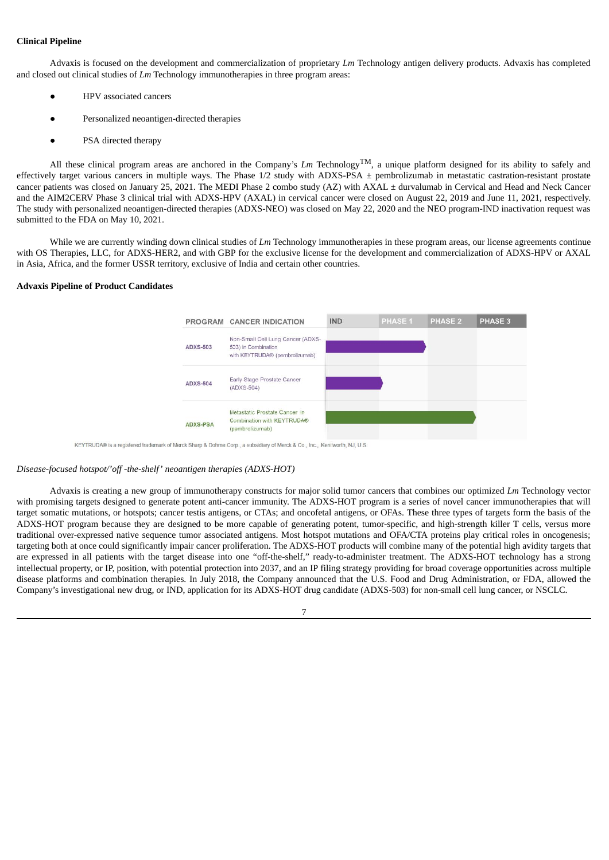## **Clinical Pipeline**

Advaxis is focused on the development and commercialization of proprietary *Lm* Technology antigen delivery products. Advaxis has completed and closed out clinical studies of *Lm* Technology immunotherapies in three program areas:

- HPV associated cancers
- Personalized neoantigen-directed therapies
- PSA directed therapy

All these clinical program areas are anchored in the Company's *Lm* Technology<sup>TM</sup>, a unique platform designed for its ability to safely and effectively target various cancers in multiple ways. The Phase  $1/2$  study with ADXS-PSA  $\pm$  pembrolizumab in metastatic castration-resistant prostate cancer patients was closed on January 25, 2021. The MEDI Phase 2 combo study (AZ) with AXAL ± durvalumab in Cervical and Head and Neck Cancer and the AIM2CERV Phase 3 clinical trial with ADXS-HPV (AXAL) in cervical cancer were closed on August 22, 2019 and June 11, 2021, respectively. The study with personalized neoantigen-directed therapies (ADXS-NEO) was closed on May 22, 2020 and the NEO program-IND inactivation request was submitted to the FDA on May 10, 2021.

While we are currently winding down clinical studies of *Lm* Technology immunotherapies in these program areas, our license agreements continue with OS Therapies, LLC, for ADXS-HER2, and with GBP for the exclusive license for the development and commercialization of ADXS-HPV or AXAL in Asia, Africa, and the former USSR territory, exclusive of India and certain other countries.

## **Advaxis Pipeline of Product Candidates**



KEYTRUDA® is a registered trademark of Merck Sharp & Dohme Corp., a subsidiary of Merck & Co., Inc., Kenilworth, NJ, U.S.

#### *Disease-focused hotspot/'off -the-shelf' neoantigen therapies (ADXS-HOT)*

Advaxis is creating a new group of immunotherapy constructs for major solid tumor cancers that combines our optimized *Lm* Technology vector with promising targets designed to generate potent anti-cancer immunity. The ADXS-HOT program is a series of novel cancer immunotherapies that will target somatic mutations, or hotspots; cancer testis antigens, or CTAs; and oncofetal antigens, or OFAs. These three types of targets form the basis of the ADXS-HOT program because they are designed to be more capable of generating potent, tumor-specific, and high-strength killer T cells, versus more traditional over-expressed native sequence tumor associated antigens. Most hotspot mutations and OFA/CTA proteins play critical roles in oncogenesis; targeting both at once could significantly impair cancer proliferation. The ADXS-HOT products will combine many of the potential high avidity targets that are expressed in all patients with the target disease into one "off-the-shelf," ready-to-administer treatment. The ADXS-HOT technology has a strong intellectual property, or IP, position, with potential protection into 2037, and an IP filing strategy providing for broad coverage opportunities across multiple disease platforms and combination therapies. In July 2018, the Company announced that the U.S. Food and Drug Administration, or FDA, allowed the Company's investigational new drug, or IND, application for its ADXS-HOT drug candidate (ADXS-503) for non-small cell lung cancer, or NSCLC.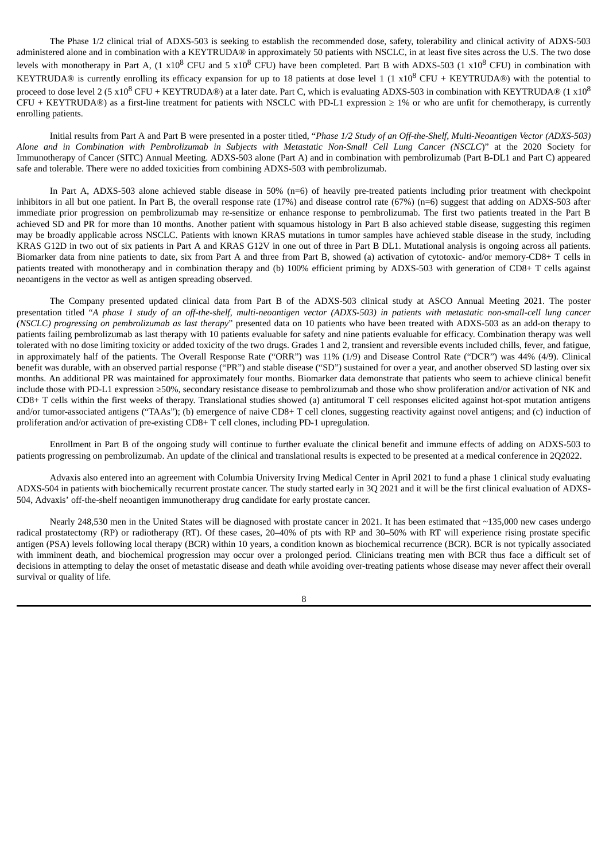The Phase 1/2 clinical trial of ADXS-503 is seeking to establish the recommended dose, safety, tolerability and clinical activity of ADXS-503 administered alone and in combination with a KEYTRUDA® in approximately 50 patients with NSCLC, in at least five sites across the U.S. The two dose levels with monotherapy in Part A, (1 x10<sup>8</sup> CFU and 5 x10<sup>8</sup> CFU) have been completed. Part B with ADXS-503 (1 x10<sup>8</sup> CFU) in combination with KEYTRUDA® is currently enrolling its efficacy expansion for up to 18 patients at dose level 1 (1  $x10^8$  CFU + KEYTRUDA®) with the potential to proceed to dose level 2 (5 x10<sup>8</sup> CFU + KEYTRUDA®) at a later date. Part C, which is evaluating ADXS-503 in combination with KEYTRUDA® (1 x10<sup>8</sup>  $CFU + KEYTRUDA@$ ) as a first-line treatment for patients with NSCLC with PD-L1 expression  $\geq 1\%$  or who are unfit for chemotherapy, is currently enrolling patients.

Initial results from Part A and Part B were presented in a poster titled, "*Phase 1/2 Study of an Off-the-Shelf, Multi-Neoantigen Vector (ADXS-503)* Alone and in Combination with Pembrolizumab in Subjects with Metastatic Non-Small Cell Lung Cancer (NSCLC)" at the 2020 Society for Immunotherapy of Cancer (SITC) Annual Meeting. ADXS-503 alone (Part A) and in combination with pembrolizumab (Part B-DL1 and Part C) appeared safe and tolerable. There were no added toxicities from combining ADXS-503 with pembrolizumab.

In Part A, ADXS-503 alone achieved stable disease in 50% (n=6) of heavily pre-treated patients including prior treatment with checkpoint inhibitors in all but one patient. In Part B, the overall response rate (17%) and disease control rate (67%) (n=6) suggest that adding on ADXS-503 after immediate prior progression on pembrolizumab may re-sensitize or enhance response to pembrolizumab. The first two patients treated in the Part B achieved SD and PR for more than 10 months. Another patient with squamous histology in Part B also achieved stable disease, suggesting this regimen may be broadly applicable across NSCLC. Patients with known KRAS mutations in tumor samples have achieved stable disease in the study, including KRAS G12D in two out of six patients in Part A and KRAS G12V in one out of three in Part B DL1. Mutational analysis is ongoing across all patients. Biomarker data from nine patients to date, six from Part A and three from Part B, showed (a) activation of cytotoxic- and/or memory-CD8+ T cells in patients treated with monotherapy and in combination therapy and (b) 100% efficient priming by ADXS-503 with generation of CD8+ T cells against neoantigens in the vector as well as antigen spreading observed.

The Company presented updated clinical data from Part B of the ADXS-503 clinical study at ASCO Annual Meeting 2021. The poster presentation titled "A phase 1 study of an off-the-shelf, multi-neoantigen vector (ADXS-503) in patients with metastatic non-small-cell lung cancer *(NSCLC) progressing on pembrolizumab as last therapy*" presented data on 10 patients who have been treated with ADXS-503 as an add-on therapy to patients failing pembrolizumab as last therapy with 10 patients evaluable for safety and nine patients evaluable for efficacy. Combination therapy was well tolerated with no dose limiting toxicity or added toxicity of the two drugs. Grades 1 and 2, transient and reversible events included chills, fever, and fatigue, in approximately half of the patients. The Overall Response Rate ("ORR") was 11% (1/9) and Disease Control Rate ("DCR") was 44% (4/9). Clinical benefit was durable, with an observed partial response ("PR") and stable disease ("SD") sustained for over a year, and another observed SD lasting over six months. An additional PR was maintained for approximately four months. Biomarker data demonstrate that patients who seem to achieve clinical benefit include those with PD-L1 expression ≥50%, secondary resistance disease to pembrolizumab and those who show proliferation and/or activation of NK and CD8+ T cells within the first weeks of therapy. Translational studies showed (a) antitumoral T cell responses elicited against hot-spot mutation antigens and/or tumor-associated antigens ("TAAs"); (b) emergence of naive CD8+ T cell clones, suggesting reactivity against novel antigens; and (c) induction of proliferation and/or activation of pre-existing CD8+ T cell clones, including PD-1 upregulation.

Enrollment in Part B of the ongoing study will continue to further evaluate the clinical benefit and immune effects of adding on ADXS-503 to patients progressing on pembrolizumab. An update of the clinical and translational results is expected to be presented at a medical conference in 2Q2022.

Advaxis also entered into an agreement with Columbia University Irving Medical Center in April 2021 to fund a phase 1 clinical study evaluating ADXS-504 in patients with biochemically recurrent prostate cancer. The study started early in 3Q 2021 and it will be the first clinical evaluation of ADXS-504, Advaxis' off-the-shelf neoantigen immunotherapy drug candidate for early prostate cancer.

Nearly 248,530 men in the United States will be diagnosed with prostate cancer in 2021. It has been estimated that ~135,000 new cases undergo radical prostatectomy (RP) or radiotherapy (RT). Of these cases, 20–40% of pts with RP and 30–50% with RT will experience rising prostate specific antigen (PSA) levels following local therapy (BCR) within 10 years, a condition known as biochemical recurrence (BCR). BCR is not typically associated with imminent death, and biochemical progression may occur over a prolonged period. Clinicians treating men with BCR thus face a difficult set of decisions in attempting to delay the onset of metastatic disease and death while avoiding over-treating patients whose disease may never affect their overall survival or quality of life.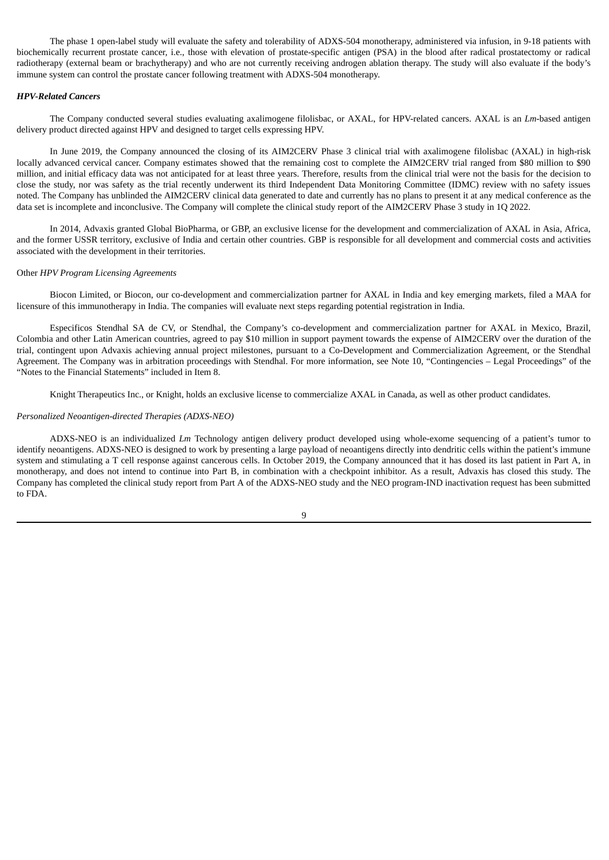The phase 1 open-label study will evaluate the safety and tolerability of ADXS-504 monotherapy, administered via infusion, in 9-18 patients with biochemically recurrent prostate cancer, i.e., those with elevation of prostate-specific antigen (PSA) in the blood after radical prostatectomy or radical radiotherapy (external beam or brachytherapy) and who are not currently receiving androgen ablation therapy. The study will also evaluate if the body's immune system can control the prostate cancer following treatment with ADXS-504 monotherapy.

#### *HPV-Related Cancers*

The Company conducted several studies evaluating axalimogene filolisbac, or AXAL, for HPV-related cancers. AXAL is an *Lm*-based antigen delivery product directed against HPV and designed to target cells expressing HPV.

In June 2019, the Company announced the closing of its AIM2CERV Phase 3 clinical trial with axalimogene filolisbac (AXAL) in high-risk locally advanced cervical cancer. Company estimates showed that the remaining cost to complete the AIM2CERV trial ranged from \$80 million to \$90 million, and initial efficacy data was not anticipated for at least three years. Therefore, results from the clinical trial were not the basis for the decision to close the study, nor was safety as the trial recently underwent its third Independent Data Monitoring Committee (IDMC) review with no safety issues noted. The Company has unblinded the AIM2CERV clinical data generated to date and currently has no plans to present it at any medical conference as the data set is incomplete and inconclusive. The Company will complete the clinical study report of the AIM2CERV Phase 3 study in 1Q 2022.

In 2014, Advaxis granted Global BioPharma, or GBP, an exclusive license for the development and commercialization of AXAL in Asia, Africa, and the former USSR territory, exclusive of India and certain other countries. GBP is responsible for all development and commercial costs and activities associated with the development in their territories.

## Other *HPV Program Licensing Agreements*

Biocon Limited, or Biocon, our co-development and commercialization partner for AXAL in India and key emerging markets, filed a MAA for licensure of this immunotherapy in India. The companies will evaluate next steps regarding potential registration in India.

Especificos Stendhal SA de CV, or Stendhal, the Company's co-development and commercialization partner for AXAL in Mexico, Brazil, Colombia and other Latin American countries, agreed to pay \$10 million in support payment towards the expense of AIM2CERV over the duration of the trial, contingent upon Advaxis achieving annual project milestones, pursuant to a Co-Development and Commercialization Agreement, or the Stendhal Agreement. The Company was in arbitration proceedings with Stendhal. For more information, see Note 10, "Contingencies – Legal Proceedings" of the "Notes to the Financial Statements" included in Item 8.

Knight Therapeutics Inc., or Knight, holds an exclusive license to commercialize AXAL in Canada, as well as other product candidates.

#### *Personalized Neoantigen-directed Therapies (ADXS-NEO)*

ADXS-NEO is an individualized *Lm* Technology antigen delivery product developed using whole-exome sequencing of a patient's tumor to identify neoantigens. ADXS-NEO is designed to work by presenting a large payload of neoantigens directly into dendritic cells within the patient's immune system and stimulating a T cell response against cancerous cells. In October 2019, the Company announced that it has dosed its last patient in Part A, in monotherapy, and does not intend to continue into Part B, in combination with a checkpoint inhibitor. As a result, Advaxis has closed this study. The Company has completed the clinical study report from Part A of the ADXS-NEO study and the NEO program-IND inactivation request has been submitted to FDA.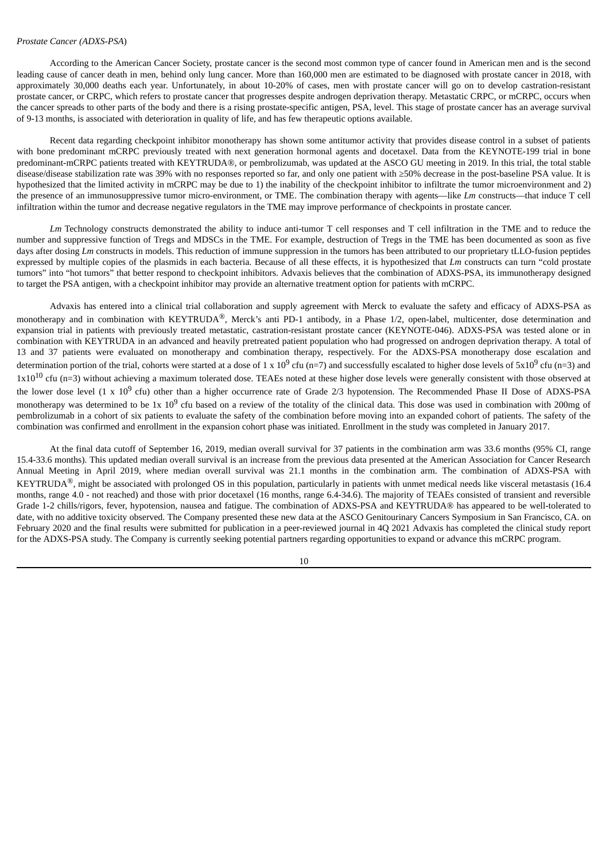## *Prostate Cancer (ADXS-PSA*)

According to the American Cancer Society, prostate cancer is the second most common type of cancer found in American men and is the second leading cause of cancer death in men, behind only lung cancer. More than 160,000 men are estimated to be diagnosed with prostate cancer in 2018, with approximately 30,000 deaths each year. Unfortunately, in about 10-20% of cases, men with prostate cancer will go on to develop castration-resistant prostate cancer, or CRPC, which refers to prostate cancer that progresses despite androgen deprivation therapy. Metastatic CRPC, or mCRPC, occurs when the cancer spreads to other parts of the body and there is a rising prostate-specific antigen, PSA, level. This stage of prostate cancer has an average survival of 9-13 months, is associated with deterioration in quality of life, and has few therapeutic options available.

Recent data regarding checkpoint inhibitor monotherapy has shown some antitumor activity that provides disease control in a subset of patients with bone predominant mCRPC previously treated with next generation hormonal agents and docetaxel. Data from the KEYNOTE-199 trial in bone predominant-mCRPC patients treated with KEYTRUDA®, or pembrolizumab, was updated at the ASCO GU meeting in 2019. In this trial, the total stable disease/disease stabilization rate was 39% with no responses reported so far, and only one patient with ≥50% decrease in the post-baseline PSA value. It is hypothesized that the limited activity in mCRPC may be due to 1) the inability of the checkpoint inhibitor to infiltrate the tumor microenvironment and 2) the presence of an immunosuppressive tumor micro-environment, or TME. The combination therapy with agents—like *Lm* constructs—that induce T cell infiltration within the tumor and decrease negative regulators in the TME may improve performance of checkpoints in prostate cancer.

*Lm* Technology constructs demonstrated the ability to induce anti-tumor T cell responses and T cell infiltration in the TME and to reduce the number and suppressive function of Tregs and MDSCs in the TME. For example, destruction of Tregs in the TME has been documented as soon as five days after dosing *Lm* constructs in models. This reduction of immune suppression in the tumors has been attributed to our proprietary tLLO-fusion peptides expressed by multiple copies of the plasmids in each bacteria. Because of all these effects, it is hypothesized that *Lm* constructs can turn "cold prostate tumors" into "hot tumors" that better respond to checkpoint inhibitors. Advaxis believes that the combination of ADXS-PSA, its immunotherapy designed to target the PSA antigen, with a checkpoint inhibitor may provide an alternative treatment option for patients with mCRPC.

Advaxis has entered into a clinical trial collaboration and supply agreement with Merck to evaluate the safety and efficacy of ADXS-PSA as monotherapy and in combination with KEYTRUDA®, Merck's anti PD-1 antibody, in a Phase 1/2, open-label, multicenter, dose determination and expansion trial in patients with previously treated metastatic, castration-resistant prostate cancer (KEYNOTE-046). ADXS-PSA was tested alone or in combination with KEYTRUDA in an advanced and heavily pretreated patient population who had progressed on androgen deprivation therapy. A total of 13 and 37 patients were evaluated on monotherapy and combination therapy, respectively. For the ADXS-PSA monotherapy dose escalation and determination portion of the trial, cohorts were started at a dose of 1 x 10<sup>9</sup> cfu (n=7) and successfully escalated to higher dose levels of 5x10<sup>9</sup> cfu (n=3) and  $1x10^{10}$  cfu (n=3) without achieving a maximum tolerated dose. TEAEs noted at these higher dose levels were generally consistent with those observed at the lower dose level (1 x 10<sup>9</sup> cfu) other than a higher occurrence rate of Grade 2/3 hypotension. The Recommended Phase II Dose of ADXS-PSA monotherapy was determined to be 1x  $10^9$  cfu based on a review of the totality of the clinical data. This dose was used in combination with 200mg of pembrolizumab in a cohort of six patients to evaluate the safety of the combination before moving into an expanded cohort of patients. The safety of the combination was confirmed and enrollment in the expansion cohort phase was initiated. Enrollment in the study was completed in January 2017.

At the final data cutoff of September 16, 2019, median overall survival for 37 patients in the combination arm was 33.6 months (95% CI, range 15.4-33.6 months). This updated median overall survival is an increase from the previous data presented at the American Association for Cancer Research Annual Meeting in April 2019, where median overall survival was 21.1 months in the combination arm. The combination of ADXS-PSA with KEYTRUDA®, might be associated with prolonged OS in this population, particularly in patients with unmet medical needs like visceral metastasis (16.4 months, range 4.0 - not reached) and those with prior docetaxel (16 months, range 6.4-34.6). The majority of TEAEs consisted of transient and reversible Grade 1-2 chills/rigors, fever, hypotension, nausea and fatigue. The combination of ADXS-PSA and KEYTRUDA® has appeared to be well-tolerated to date, with no additive toxicity observed. The Company presented these new data at the ASCO Genitourinary Cancers Symposium in San Francisco, CA. on February 2020 and the final results were submitted for publication in a peer-reviewed journal in 4Q 2021 Advaxis has completed the clinical study report for the ADXS-PSA study. The Company is currently seeking potential partners regarding opportunities to expand or advance this mCRPC program.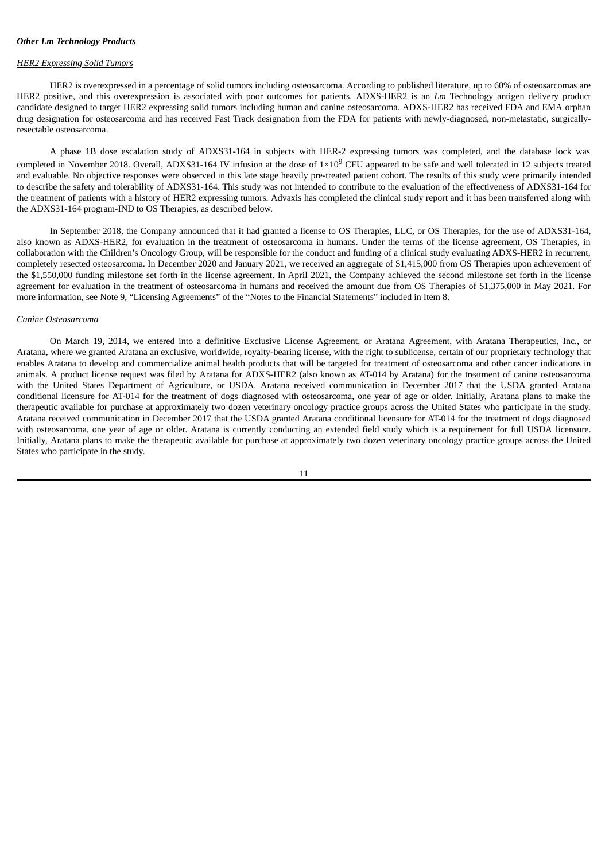## *HER2 Expressing Solid Tumors*

HER2 is overexpressed in a percentage of solid tumors including osteosarcoma. According to published literature, up to 60% of osteosarcomas are HER2 positive, and this overexpression is associated with poor outcomes for patients. ADXS-HER2 is an *Lm* Technology antigen delivery product candidate designed to target HER2 expressing solid tumors including human and canine osteosarcoma. ADXS-HER2 has received FDA and EMA orphan drug designation for osteosarcoma and has received Fast Track designation from the FDA for patients with newly-diagnosed, non-metastatic, surgicallyresectable osteosarcoma.

A phase 1B dose escalation study of ADXS31-164 in subjects with HER-2 expressing tumors was completed, and the database lock was completed in November 2018. Overall, ADXS31-164 IV infusion at the dose of  $1\times10^9$  CFU appeared to be safe and well tolerated in 12 subjects treated and evaluable. No objective responses were observed in this late stage heavily pre-treated patient cohort. The results of this study were primarily intended to describe the safety and tolerability of ADXS31-164. This study was not intended to contribute to the evaluation of the effectiveness of ADXS31-164 for the treatment of patients with a history of HER2 expressing tumors. Advaxis has completed the clinical study report and it has been transferred along with the ADXS31-164 program-IND to OS Therapies, as described below.

In September 2018, the Company announced that it had granted a license to OS Therapies, LLC, or OS Therapies, for the use of ADXS31-164, also known as ADXS-HER2, for evaluation in the treatment of osteosarcoma in humans. Under the terms of the license agreement, OS Therapies, in collaboration with the Children's Oncology Group, will be responsible for the conduct and funding of a clinical study evaluating ADXS-HER2 in recurrent, completely resected osteosarcoma. In December 2020 and January 2021, we received an aggregate of \$1,415,000 from OS Therapies upon achievement of the \$1,550,000 funding milestone set forth in the license agreement. In April 2021, the Company achieved the second milestone set forth in the license agreement for evaluation in the treatment of osteosarcoma in humans and received the amount due from OS Therapies of \$1,375,000 in May 2021. For more information, see Note 9, "Licensing Agreements" of the "Notes to the Financial Statements" included in Item 8.

#### *Canine Osteosarcoma*

On March 19, 2014, we entered into a definitive Exclusive License Agreement, or Aratana Agreement, with Aratana Therapeutics, Inc., or Aratana, where we granted Aratana an exclusive, worldwide, royalty-bearing license, with the right to sublicense, certain of our proprietary technology that enables Aratana to develop and commercialize animal health products that will be targeted for treatment of osteosarcoma and other cancer indications in animals. A product license request was filed by Aratana for ADXS-HER2 (also known as AT-014 by Aratana) for the treatment of canine osteosarcoma with the United States Department of Agriculture, or USDA. Aratana received communication in December 2017 that the USDA granted Aratana conditional licensure for AT-014 for the treatment of dogs diagnosed with osteosarcoma, one year of age or older. Initially, Aratana plans to make the therapeutic available for purchase at approximately two dozen veterinary oncology practice groups across the United States who participate in the study. Aratana received communication in December 2017 that the USDA granted Aratana conditional licensure for AT-014 for the treatment of dogs diagnosed with osteosarcoma, one year of age or older. Aratana is currently conducting an extended field study which is a requirement for full USDA licensure. Initially, Aratana plans to make the therapeutic available for purchase at approximately two dozen veterinary oncology practice groups across the United States who participate in the study.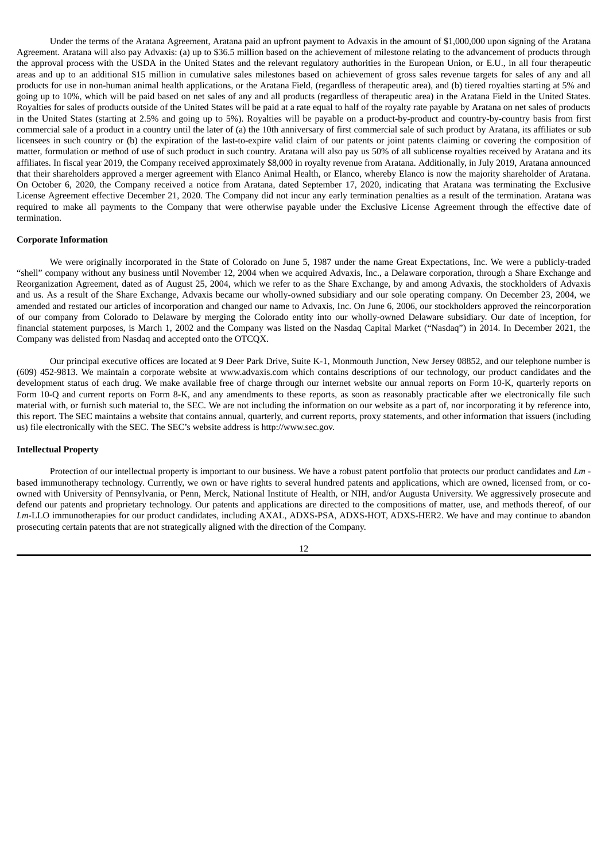Under the terms of the Aratana Agreement, Aratana paid an upfront payment to Advaxis in the amount of \$1,000,000 upon signing of the Aratana Agreement. Aratana will also pay Advaxis: (a) up to \$36.5 million based on the achievement of milestone relating to the advancement of products through the approval process with the USDA in the United States and the relevant regulatory authorities in the European Union, or E.U., in all four therapeutic areas and up to an additional \$15 million in cumulative sales milestones based on achievement of gross sales revenue targets for sales of any and all products for use in non-human animal health applications, or the Aratana Field, (regardless of therapeutic area), and (b) tiered royalties starting at 5% and going up to 10%, which will be paid based on net sales of any and all products (regardless of therapeutic area) in the Aratana Field in the United States. Royalties for sales of products outside of the United States will be paid at a rate equal to half of the royalty rate payable by Aratana on net sales of products in the United States (starting at 2.5% and going up to 5%). Royalties will be payable on a product-by-product and country-by-country basis from first commercial sale of a product in a country until the later of (a) the 10th anniversary of first commercial sale of such product by Aratana, its affiliates or sub licensees in such country or (b) the expiration of the last-to-expire valid claim of our patents or joint patents claiming or covering the composition of matter, formulation or method of use of such product in such country. Aratana will also pay us 50% of all sublicense royalties received by Aratana and its affiliates. In fiscal year 2019, the Company received approximately \$8,000 in royalty revenue from Aratana. Additionally, in July 2019, Aratana announced that their shareholders approved a merger agreement with Elanco Animal Health, or Elanco, whereby Elanco is now the majority shareholder of Aratana. On October 6, 2020, the Company received a notice from Aratana, dated September 17, 2020, indicating that Aratana was terminating the Exclusive License Agreement effective December 21, 2020. The Company did not incur any early termination penalties as a result of the termination. Aratana was required to make all payments to the Company that were otherwise payable under the Exclusive License Agreement through the effective date of termination.

#### **Corporate Information**

We were originally incorporated in the State of Colorado on June 5, 1987 under the name Great Expectations, Inc. We were a publicly-traded "shell" company without any business until November 12, 2004 when we acquired Advaxis, Inc., a Delaware corporation, through a Share Exchange and Reorganization Agreement, dated as of August 25, 2004, which we refer to as the Share Exchange, by and among Advaxis, the stockholders of Advaxis and us. As a result of the Share Exchange, Advaxis became our wholly-owned subsidiary and our sole operating company. On December 23, 2004, we amended and restated our articles of incorporation and changed our name to Advaxis, Inc. On June 6, 2006, our stockholders approved the reincorporation of our company from Colorado to Delaware by merging the Colorado entity into our wholly-owned Delaware subsidiary. Our date of inception, for financial statement purposes, is March 1, 2002 and the Company was listed on the Nasdaq Capital Market ("Nasdaq") in 2014. In December 2021, the Company was delisted from Nasdaq and accepted onto the OTCQX.

Our principal executive offices are located at 9 Deer Park Drive, Suite K-1, Monmouth Junction, New Jersey 08852, and our telephone number is (609) 452-9813. We maintain a corporate website at www.advaxis.com which contains descriptions of our technology, our product candidates and the development status of each drug. We make available free of charge through our internet website our annual reports on Form 10-K, quarterly reports on Form 10-Q and current reports on Form 8-K, and any amendments to these reports, as soon as reasonably practicable after we electronically file such material with, or furnish such material to, the SEC. We are not including the information on our website as a part of, nor incorporating it by reference into, this report. The SEC maintains a website that contains annual, quarterly, and current reports, proxy statements, and other information that issuers (including us) file electronically with the SEC. The SEC's website address is http://www.sec.gov.

#### **Intellectual Property**

Protection of our intellectual property is important to our business. We have a robust patent portfolio that protects our product candidates and *Lm* based immunotherapy technology. Currently, we own or have rights to several hundred patents and applications, which are owned, licensed from, or coowned with University of Pennsylvania, or Penn, Merck, National Institute of Health, or NIH, and/or Augusta University. We aggressively prosecute and defend our patents and proprietary technology. Our patents and applications are directed to the compositions of matter, use, and methods thereof, of our *Lm*-LLO immunotherapies for our product candidates, including AXAL, ADXS-PSA, ADXS-HOT, ADXS-HER2. We have and may continue to abandon prosecuting certain patents that are not strategically aligned with the direction of the Company.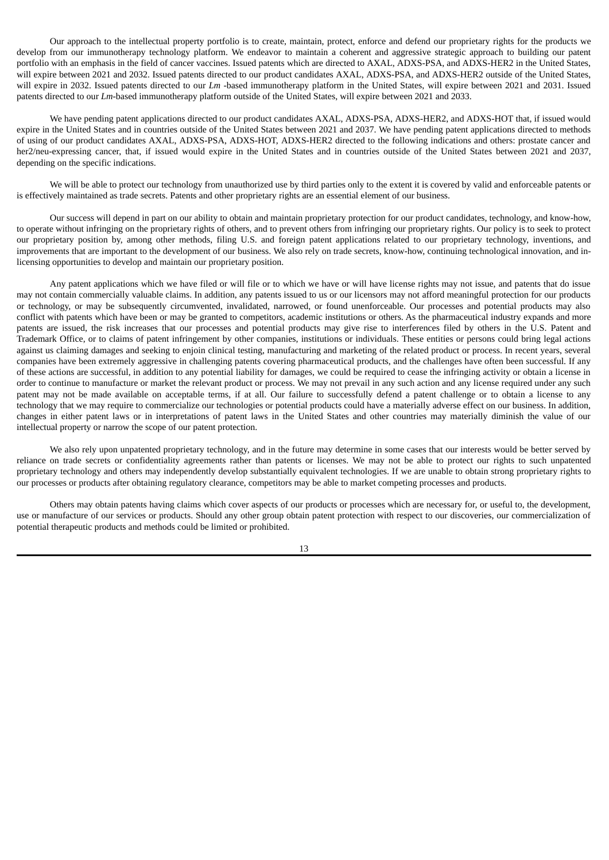Our approach to the intellectual property portfolio is to create, maintain, protect, enforce and defend our proprietary rights for the products we develop from our immunotherapy technology platform. We endeavor to maintain a coherent and aggressive strategic approach to building our patent portfolio with an emphasis in the field of cancer vaccines. Issued patents which are directed to AXAL, ADXS-PSA, and ADXS-HER2 in the United States, will expire between 2021 and 2032. Issued patents directed to our product candidates AXAL, ADXS-PSA, and ADXS-HER2 outside of the United States, will expire in 2032. Issued patents directed to our *Lm* -based immunotherapy platform in the United States, will expire between 2021 and 2031. Issued patents directed to our *Lm*-based immunotherapy platform outside of the United States, will expire between 2021 and 2033.

We have pending patent applications directed to our product candidates AXAL, ADXS-PSA, ADXS-HER2, and ADXS-HOT that, if issued would expire in the United States and in countries outside of the United States between 2021 and 2037. We have pending patent applications directed to methods of using of our product candidates AXAL, ADXS-PSA, ADXS-HOT, ADXS-HER2 directed to the following indications and others: prostate cancer and her2/neu-expressing cancer, that, if issued would expire in the United States and in countries outside of the United States between 2021 and 2037, depending on the specific indications.

We will be able to protect our technology from unauthorized use by third parties only to the extent it is covered by valid and enforceable patents or is effectively maintained as trade secrets. Patents and other proprietary rights are an essential element of our business.

Our success will depend in part on our ability to obtain and maintain proprietary protection for our product candidates, technology, and know-how, to operate without infringing on the proprietary rights of others, and to prevent others from infringing our proprietary rights. Our policy is to seek to protect our proprietary position by, among other methods, filing U.S. and foreign patent applications related to our proprietary technology, inventions, and improvements that are important to the development of our business. We also rely on trade secrets, know-how, continuing technological innovation, and inlicensing opportunities to develop and maintain our proprietary position.

Any patent applications which we have filed or will file or to which we have or will have license rights may not issue, and patents that do issue may not contain commercially valuable claims. In addition, any patents issued to us or our licensors may not afford meaningful protection for our products or technology, or may be subsequently circumvented, invalidated, narrowed, or found unenforceable. Our processes and potential products may also conflict with patents which have been or may be granted to competitors, academic institutions or others. As the pharmaceutical industry expands and more patents are issued, the risk increases that our processes and potential products may give rise to interferences filed by others in the U.S. Patent and Trademark Office, or to claims of patent infringement by other companies, institutions or individuals. These entities or persons could bring legal actions against us claiming damages and seeking to enjoin clinical testing, manufacturing and marketing of the related product or process. In recent years, several companies have been extremely aggressive in challenging patents covering pharmaceutical products, and the challenges have often been successful. If any of these actions are successful, in addition to any potential liability for damages, we could be required to cease the infringing activity or obtain a license in order to continue to manufacture or market the relevant product or process. We may not prevail in any such action and any license required under any such patent may not be made available on acceptable terms, if at all. Our failure to successfully defend a patent challenge or to obtain a license to any technology that we may require to commercialize our technologies or potential products could have a materially adverse effect on our business. In addition, changes in either patent laws or in interpretations of patent laws in the United States and other countries may materially diminish the value of our intellectual property or narrow the scope of our patent protection.

We also rely upon unpatented proprietary technology, and in the future may determine in some cases that our interests would be better served by reliance on trade secrets or confidentiality agreements rather than patents or licenses. We may not be able to protect our rights to such unpatented proprietary technology and others may independently develop substantially equivalent technologies. If we are unable to obtain strong proprietary rights to our processes or products after obtaining regulatory clearance, competitors may be able to market competing processes and products.

Others may obtain patents having claims which cover aspects of our products or processes which are necessary for, or useful to, the development, use or manufacture of our services or products. Should any other group obtain patent protection with respect to our discoveries, our commercialization of potential therapeutic products and methods could be limited or prohibited.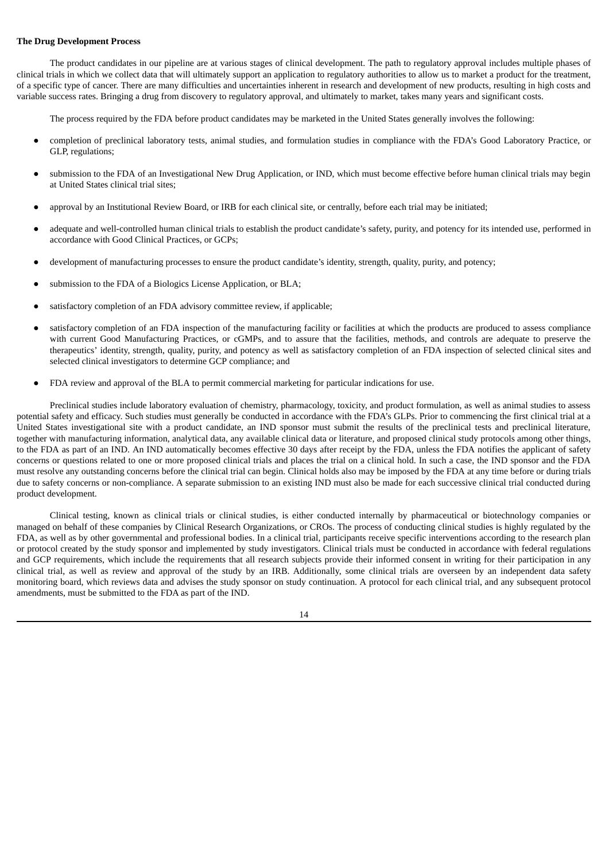## **The Drug Development Process**

The product candidates in our pipeline are at various stages of clinical development. The path to regulatory approval includes multiple phases of clinical trials in which we collect data that will ultimately support an application to regulatory authorities to allow us to market a product for the treatment, of a specific type of cancer. There are many difficulties and uncertainties inherent in research and development of new products, resulting in high costs and variable success rates. Bringing a drug from discovery to regulatory approval, and ultimately to market, takes many years and significant costs.

The process required by the FDA before product candidates may be marketed in the United States generally involves the following:

- completion of preclinical laboratory tests, animal studies, and formulation studies in compliance with the FDA's Good Laboratory Practice, or GLP, regulations;
- submission to the FDA of an Investigational New Drug Application, or IND, which must become effective before human clinical trials may begin at United States clinical trial sites;
- approval by an Institutional Review Board, or IRB for each clinical site, or centrally, before each trial may be initiated;
- adequate and well-controlled human clinical trials to establish the product candidate's safety, purity, and potency for its intended use, performed in accordance with Good Clinical Practices, or GCPs;
- development of manufacturing processes to ensure the product candidate's identity, strength, quality, purity, and potency;
- submission to the FDA of a Biologics License Application, or BLA;
- satisfactory completion of an FDA advisory committee review, if applicable;
- satisfactory completion of an FDA inspection of the manufacturing facility or facilities at which the products are produced to assess compliance with current Good Manufacturing Practices, or cGMPs, and to assure that the facilities, methods, and controls are adequate to preserve the therapeutics' identity, strength, quality, purity, and potency as well as satisfactory completion of an FDA inspection of selected clinical sites and selected clinical investigators to determine GCP compliance; and
- FDA review and approval of the BLA to permit commercial marketing for particular indications for use.

Preclinical studies include laboratory evaluation of chemistry, pharmacology, toxicity, and product formulation, as well as animal studies to assess potential safety and efficacy. Such studies must generally be conducted in accordance with the FDA's GLPs. Prior to commencing the first clinical trial at a United States investigational site with a product candidate, an IND sponsor must submit the results of the preclinical tests and preclinical literature, together with manufacturing information, analytical data, any available clinical data or literature, and proposed clinical study protocols among other things, to the FDA as part of an IND. An IND automatically becomes effective 30 days after receipt by the FDA, unless the FDA notifies the applicant of safety concerns or questions related to one or more proposed clinical trials and places the trial on a clinical hold. In such a case, the IND sponsor and the FDA must resolve any outstanding concerns before the clinical trial can begin. Clinical holds also may be imposed by the FDA at any time before or during trials due to safety concerns or non-compliance. A separate submission to an existing IND must also be made for each successive clinical trial conducted during product development.

Clinical testing, known as clinical trials or clinical studies, is either conducted internally by pharmaceutical or biotechnology companies or managed on behalf of these companies by Clinical Research Organizations, or CROs. The process of conducting clinical studies is highly regulated by the FDA, as well as by other governmental and professional bodies. In a clinical trial, participants receive specific interventions according to the research plan or protocol created by the study sponsor and implemented by study investigators. Clinical trials must be conducted in accordance with federal regulations and GCP requirements, which include the requirements that all research subjects provide their informed consent in writing for their participation in any clinical trial, as well as review and approval of the study by an IRB. Additionally, some clinical trials are overseen by an independent data safety monitoring board, which reviews data and advises the study sponsor on study continuation. A protocol for each clinical trial, and any subsequent protocol amendments, must be submitted to the FDA as part of the IND.

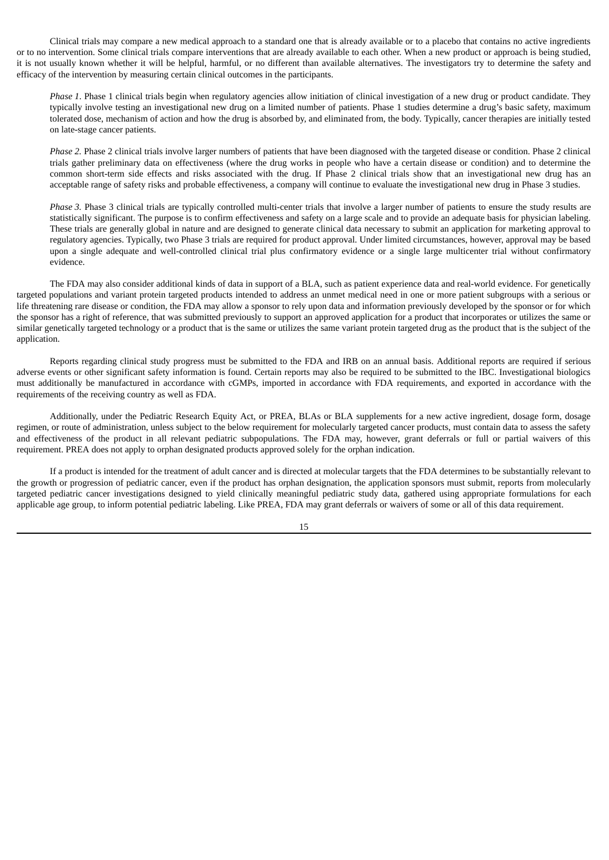Clinical trials may compare a new medical approach to a standard one that is already available or to a placebo that contains no active ingredients or to no intervention. Some clinical trials compare interventions that are already available to each other. When a new product or approach is being studied, it is not usually known whether it will be helpful, harmful, or no different than available alternatives. The investigators try to determine the safety and efficacy of the intervention by measuring certain clinical outcomes in the participants.

*Phase 1*. Phase 1 clinical trials begin when regulatory agencies allow initiation of clinical investigation of a new drug or product candidate. They typically involve testing an investigational new drug on a limited number of patients. Phase 1 studies determine a drug's basic safety, maximum tolerated dose, mechanism of action and how the drug is absorbed by, and eliminated from, the body. Typically, cancer therapies are initially tested on late-stage cancer patients.

*Phase 2.* Phase 2 clinical trials involve larger numbers of patients that have been diagnosed with the targeted disease or condition. Phase 2 clinical trials gather preliminary data on effectiveness (where the drug works in people who have a certain disease or condition) and to determine the common short-term side effects and risks associated with the drug. If Phase 2 clinical trials show that an investigational new drug has an acceptable range of safety risks and probable effectiveness, a company will continue to evaluate the investigational new drug in Phase 3 studies.

*Phase 3.* Phase 3 clinical trials are typically controlled multi-center trials that involve a larger number of patients to ensure the study results are statistically significant. The purpose is to confirm effectiveness and safety on a large scale and to provide an adequate basis for physician labeling. These trials are generally global in nature and are designed to generate clinical data necessary to submit an application for marketing approval to regulatory agencies. Typically, two Phase 3 trials are required for product approval. Under limited circumstances, however, approval may be based upon a single adequate and well-controlled clinical trial plus confirmatory evidence or a single large multicenter trial without confirmatory evidence.

The FDA may also consider additional kinds of data in support of a BLA, such as patient experience data and real-world evidence. For genetically targeted populations and variant protein targeted products intended to address an unmet medical need in one or more patient subgroups with a serious or life threatening rare disease or condition, the FDA may allow a sponsor to rely upon data and information previously developed by the sponsor or for which the sponsor has a right of reference, that was submitted previously to support an approved application for a product that incorporates or utilizes the same or similar genetically targeted technology or a product that is the same or utilizes the same variant protein targeted drug as the product that is the subject of the application.

Reports regarding clinical study progress must be submitted to the FDA and IRB on an annual basis. Additional reports are required if serious adverse events or other significant safety information is found. Certain reports may also be required to be submitted to the IBC. Investigational biologics must additionally be manufactured in accordance with cGMPs, imported in accordance with FDA requirements, and exported in accordance with the requirements of the receiving country as well as FDA.

Additionally, under the Pediatric Research Equity Act, or PREA, BLAs or BLA supplements for a new active ingredient, dosage form, dosage regimen, or route of administration, unless subject to the below requirement for molecularly targeted cancer products, must contain data to assess the safety and effectiveness of the product in all relevant pediatric subpopulations. The FDA may, however, grant deferrals or full or partial waivers of this requirement. PREA does not apply to orphan designated products approved solely for the orphan indication.

If a product is intended for the treatment of adult cancer and is directed at molecular targets that the FDA determines to be substantially relevant to the growth or progression of pediatric cancer, even if the product has orphan designation, the application sponsors must submit, reports from molecularly targeted pediatric cancer investigations designed to yield clinically meaningful pediatric study data, gathered using appropriate formulations for each applicable age group, to inform potential pediatric labeling. Like PREA, FDA may grant deferrals or waivers of some or all of this data requirement.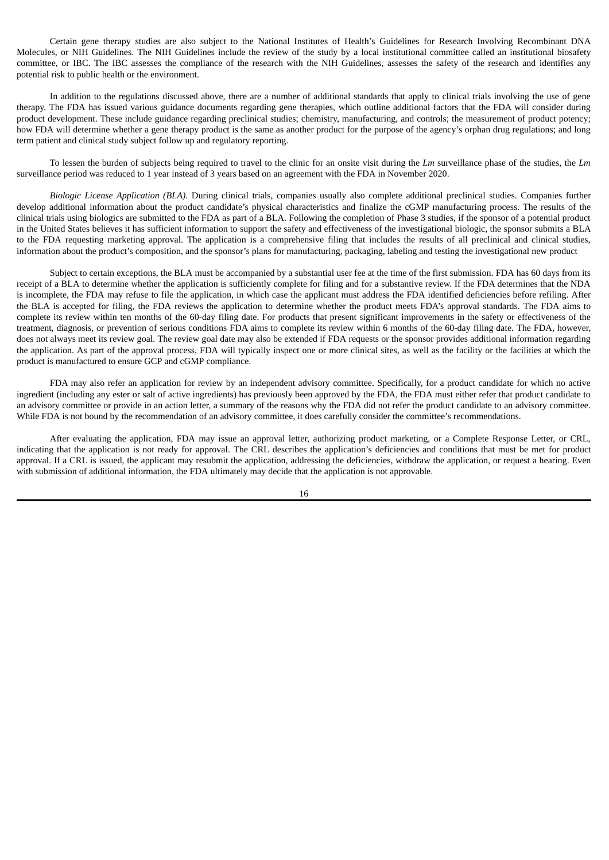Certain gene therapy studies are also subject to the National Institutes of Health's Guidelines for Research Involving Recombinant DNA Molecules, or NIH Guidelines. The NIH Guidelines include the review of the study by a local institutional committee called an institutional biosafety committee, or IBC. The IBC assesses the compliance of the research with the NIH Guidelines, assesses the safety of the research and identifies any potential risk to public health or the environment.

In addition to the regulations discussed above, there are a number of additional standards that apply to clinical trials involving the use of gene therapy. The FDA has issued various guidance documents regarding gene therapies, which outline additional factors that the FDA will consider during product development. These include guidance regarding preclinical studies; chemistry, manufacturing, and controls; the measurement of product potency; how FDA will determine whether a gene therapy product is the same as another product for the purpose of the agency's orphan drug regulations; and long term patient and clinical study subject follow up and regulatory reporting.

To lessen the burden of subjects being required to travel to the clinic for an onsite visit during the *Lm* surveillance phase of the studies, the *Lm* surveillance period was reduced to 1 year instead of 3 years based on an agreement with the FDA in November 2020.

*Biologic License Application (BLA)*. During clinical trials, companies usually also complete additional preclinical studies. Companies further develop additional information about the product candidate's physical characteristics and finalize the cGMP manufacturing process. The results of the clinical trials using biologics are submitted to the FDA as part of a BLA. Following the completion of Phase 3 studies, if the sponsor of a potential product in the United States believes it has sufficient information to support the safety and effectiveness of the investigational biologic, the sponsor submits a BLA to the FDA requesting marketing approval. The application is a comprehensive filing that includes the results of all preclinical and clinical studies, information about the product's composition, and the sponsor's plans for manufacturing, packaging, labeling and testing the investigational new product

Subject to certain exceptions, the BLA must be accompanied by a substantial user fee at the time of the first submission. FDA has 60 days from its receipt of a BLA to determine whether the application is sufficiently complete for filing and for a substantive review. If the FDA determines that the NDA is incomplete, the FDA may refuse to file the application, in which case the applicant must address the FDA identified deficiencies before refiling. After the BLA is accepted for filing, the FDA reviews the application to determine whether the product meets FDA's approval standards. The FDA aims to complete its review within ten months of the 60-day filing date. For products that present significant improvements in the safety or effectiveness of the treatment, diagnosis, or prevention of serious conditions FDA aims to complete its review within 6 months of the 60-day filing date. The FDA, however, does not always meet its review goal. The review goal date may also be extended if FDA requests or the sponsor provides additional information regarding the application. As part of the approval process, FDA will typically inspect one or more clinical sites, as well as the facility or the facilities at which the product is manufactured to ensure GCP and cGMP compliance.

FDA may also refer an application for review by an independent advisory committee. Specifically, for a product candidate for which no active ingredient (including any ester or salt of active ingredients) has previously been approved by the FDA, the FDA must either refer that product candidate to an advisory committee or provide in an action letter, a summary of the reasons why the FDA did not refer the product candidate to an advisory committee. While FDA is not bound by the recommendation of an advisory committee, it does carefully consider the committee's recommendations.

After evaluating the application, FDA may issue an approval letter, authorizing product marketing, or a Complete Response Letter, or CRL, indicating that the application is not ready for approval. The CRL describes the application's deficiencies and conditions that must be met for product approval. If a CRL is issued, the applicant may resubmit the application, addressing the deficiencies, withdraw the application, or request a hearing. Even with submission of additional information, the FDA ultimately may decide that the application is not approvable.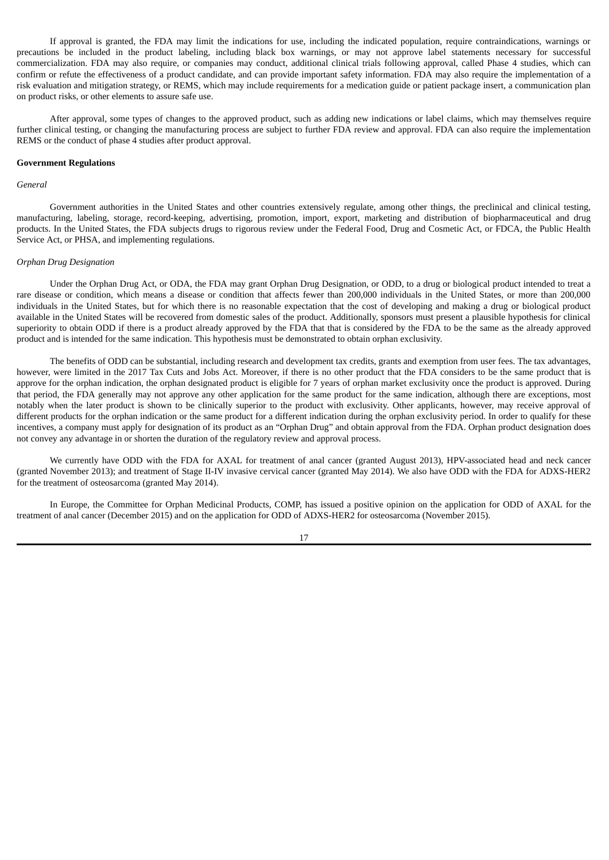If approval is granted, the FDA may limit the indications for use, including the indicated population, require contraindications, warnings or precautions be included in the product labeling, including black box warnings, or may not approve label statements necessary for successful commercialization. FDA may also require, or companies may conduct, additional clinical trials following approval, called Phase 4 studies, which can confirm or refute the effectiveness of a product candidate, and can provide important safety information. FDA may also require the implementation of a risk evaluation and mitigation strategy, or REMS, which may include requirements for a medication guide or patient package insert, a communication plan on product risks, or other elements to assure safe use.

After approval, some types of changes to the approved product, such as adding new indications or label claims, which may themselves require further clinical testing, or changing the manufacturing process are subject to further FDA review and approval. FDA can also require the implementation REMS or the conduct of phase 4 studies after product approval.

#### **Government Regulations**

## *General*

Government authorities in the United States and other countries extensively regulate, among other things, the preclinical and clinical testing, manufacturing, labeling, storage, record-keeping, advertising, promotion, import, export, marketing and distribution of biopharmaceutical and drug products. In the United States, the FDA subjects drugs to rigorous review under the Federal Food, Drug and Cosmetic Act, or FDCA, the Public Health Service Act, or PHSA, and implementing regulations.

#### *Orphan Drug Designation*

Under the Orphan Drug Act, or ODA, the FDA may grant Orphan Drug Designation, or ODD, to a drug or biological product intended to treat a rare disease or condition, which means a disease or condition that affects fewer than 200,000 individuals in the United States, or more than 200,000 individuals in the United States, but for which there is no reasonable expectation that the cost of developing and making a drug or biological product available in the United States will be recovered from domestic sales of the product. Additionally, sponsors must present a plausible hypothesis for clinical superiority to obtain ODD if there is a product already approved by the FDA that that is considered by the FDA to be the same as the already approved product and is intended for the same indication. This hypothesis must be demonstrated to obtain orphan exclusivity.

The benefits of ODD can be substantial, including research and development tax credits, grants and exemption from user fees. The tax advantages, however, were limited in the 2017 Tax Cuts and Jobs Act. Moreover, if there is no other product that the FDA considers to be the same product that is approve for the orphan indication, the orphan designated product is eligible for 7 years of orphan market exclusivity once the product is approved. During that period, the FDA generally may not approve any other application for the same product for the same indication, although there are exceptions, most notably when the later product is shown to be clinically superior to the product with exclusivity. Other applicants, however, may receive approval of different products for the orphan indication or the same product for a different indication during the orphan exclusivity period. In order to qualify for these incentives, a company must apply for designation of its product as an "Orphan Drug" and obtain approval from the FDA. Orphan product designation does not convey any advantage in or shorten the duration of the regulatory review and approval process.

We currently have ODD with the FDA for AXAL for treatment of anal cancer (granted August 2013), HPV-associated head and neck cancer (granted November 2013); and treatment of Stage II-IV invasive cervical cancer (granted May 2014). We also have ODD with the FDA for ADXS-HER2 for the treatment of osteosarcoma (granted May 2014).

In Europe, the Committee for Orphan Medicinal Products, COMP, has issued a positive opinion on the application for ODD of AXAL for the treatment of anal cancer (December 2015) and on the application for ODD of ADXS-HER2 for osteosarcoma (November 2015).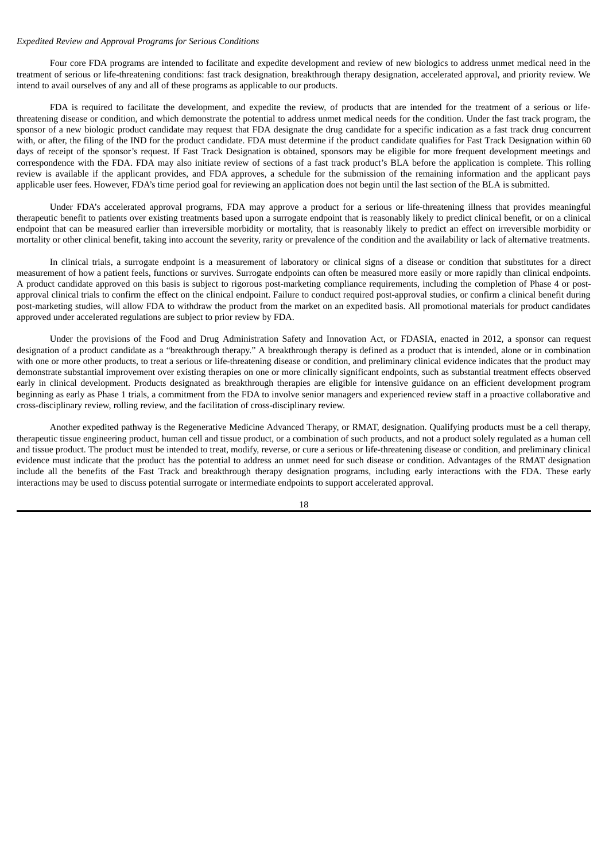## *Expedited Review and Approval Programs for Serious Conditions*

Four core FDA programs are intended to facilitate and expedite development and review of new biologics to address unmet medical need in the treatment of serious or life-threatening conditions: fast track designation, breakthrough therapy designation, accelerated approval, and priority review. We intend to avail ourselves of any and all of these programs as applicable to our products.

FDA is required to facilitate the development, and expedite the review, of products that are intended for the treatment of a serious or lifethreatening disease or condition, and which demonstrate the potential to address unmet medical needs for the condition. Under the fast track program, the sponsor of a new biologic product candidate may request that FDA designate the drug candidate for a specific indication as a fast track drug concurrent with, or after, the filing of the IND for the product candidate. FDA must determine if the product candidate qualifies for Fast Track Designation within 60 days of receipt of the sponsor's request. If Fast Track Designation is obtained, sponsors may be eligible for more frequent development meetings and correspondence with the FDA. FDA may also initiate review of sections of a fast track product's BLA before the application is complete. This rolling review is available if the applicant provides, and FDA approves, a schedule for the submission of the remaining information and the applicant pays applicable user fees. However, FDA's time period goal for reviewing an application does not begin until the last section of the BLA is submitted.

Under FDA's accelerated approval programs, FDA may approve a product for a serious or life-threatening illness that provides meaningful therapeutic benefit to patients over existing treatments based upon a surrogate endpoint that is reasonably likely to predict clinical benefit, or on a clinical endpoint that can be measured earlier than irreversible morbidity or mortality, that is reasonably likely to predict an effect on irreversible morbidity or mortality or other clinical benefit, taking into account the severity, rarity or prevalence of the condition and the availability or lack of alternative treatments.

In clinical trials, a surrogate endpoint is a measurement of laboratory or clinical signs of a disease or condition that substitutes for a direct measurement of how a patient feels, functions or survives. Surrogate endpoints can often be measured more easily or more rapidly than clinical endpoints. A product candidate approved on this basis is subject to rigorous post-marketing compliance requirements, including the completion of Phase 4 or postapproval clinical trials to confirm the effect on the clinical endpoint. Failure to conduct required post-approval studies, or confirm a clinical benefit during post-marketing studies, will allow FDA to withdraw the product from the market on an expedited basis. All promotional materials for product candidates approved under accelerated regulations are subject to prior review by FDA.

Under the provisions of the Food and Drug Administration Safety and Innovation Act, or FDASIA, enacted in 2012, a sponsor can request designation of a product candidate as a "breakthrough therapy." A breakthrough therapy is defined as a product that is intended, alone or in combination with one or more other products, to treat a serious or life-threatening disease or condition, and preliminary clinical evidence indicates that the product may demonstrate substantial improvement over existing therapies on one or more clinically significant endpoints, such as substantial treatment effects observed early in clinical development. Products designated as breakthrough therapies are eligible for intensive guidance on an efficient development program beginning as early as Phase 1 trials, a commitment from the FDA to involve senior managers and experienced review staff in a proactive collaborative and cross-disciplinary review, rolling review, and the facilitation of cross-disciplinary review.

Another expedited pathway is the Regenerative Medicine Advanced Therapy, or RMAT, designation. Qualifying products must be a cell therapy, therapeutic tissue engineering product, human cell and tissue product, or a combination of such products, and not a product solely regulated as a human cell and tissue product. The product must be intended to treat, modify, reverse, or cure a serious or life-threatening disease or condition, and preliminary clinical evidence must indicate that the product has the potential to address an unmet need for such disease or condition. Advantages of the RMAT designation include all the benefits of the Fast Track and breakthrough therapy designation programs, including early interactions with the FDA. These early interactions may be used to discuss potential surrogate or intermediate endpoints to support accelerated approval.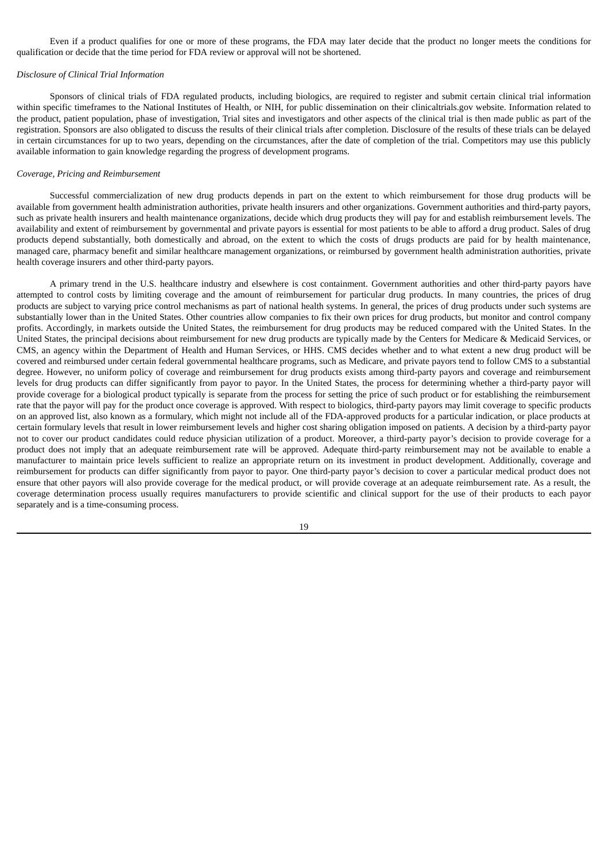Even if a product qualifies for one or more of these programs, the FDA may later decide that the product no longer meets the conditions for qualification or decide that the time period for FDA review or approval will not be shortened.

### *Disclosure of Clinical Trial Information*

Sponsors of clinical trials of FDA regulated products, including biologics, are required to register and submit certain clinical trial information within specific timeframes to the National Institutes of Health, or NIH, for public dissemination on their clinicaltrials.gov website. Information related to the product, patient population, phase of investigation, Trial sites and investigators and other aspects of the clinical trial is then made public as part of the registration. Sponsors are also obligated to discuss the results of their clinical trials after completion. Disclosure of the results of these trials can be delayed in certain circumstances for up to two years, depending on the circumstances, after the date of completion of the trial. Competitors may use this publicly available information to gain knowledge regarding the progress of development programs.

#### *Coverage, Pricing and Reimbursement*

Successful commercialization of new drug products depends in part on the extent to which reimbursement for those drug products will be available from government health administration authorities, private health insurers and other organizations. Government authorities and third-party payors, such as private health insurers and health maintenance organizations, decide which drug products they will pay for and establish reimbursement levels. The availability and extent of reimbursement by governmental and private payors is essential for most patients to be able to afford a drug product. Sales of drug products depend substantially, both domestically and abroad, on the extent to which the costs of drugs products are paid for by health maintenance, managed care, pharmacy benefit and similar healthcare management organizations, or reimbursed by government health administration authorities, private health coverage insurers and other third-party payors.

A primary trend in the U.S. healthcare industry and elsewhere is cost containment. Government authorities and other third-party payors have attempted to control costs by limiting coverage and the amount of reimbursement for particular drug products. In many countries, the prices of drug products are subject to varying price control mechanisms as part of national health systems. In general, the prices of drug products under such systems are substantially lower than in the United States. Other countries allow companies to fix their own prices for drug products, but monitor and control company profits. Accordingly, in markets outside the United States, the reimbursement for drug products may be reduced compared with the United States. In the United States, the principal decisions about reimbursement for new drug products are typically made by the Centers for Medicare & Medicaid Services, or CMS, an agency within the Department of Health and Human Services, or HHS. CMS decides whether and to what extent a new drug product will be covered and reimbursed under certain federal governmental healthcare programs, such as Medicare, and private payors tend to follow CMS to a substantial degree. However, no uniform policy of coverage and reimbursement for drug products exists among third-party payors and coverage and reimbursement levels for drug products can differ significantly from payor to payor. In the United States, the process for determining whether a third-party payor will provide coverage for a biological product typically is separate from the process for setting the price of such product or for establishing the reimbursement rate that the payor will pay for the product once coverage is approved. With respect to biologics, third-party payors may limit coverage to specific products on an approved list, also known as a formulary, which might not include all of the FDA-approved products for a particular indication, or place products at certain formulary levels that result in lower reimbursement levels and higher cost sharing obligation imposed on patients. A decision by a third-party payor not to cover our product candidates could reduce physician utilization of a product. Moreover, a third-party payor's decision to provide coverage for a product does not imply that an adequate reimbursement rate will be approved. Adequate third-party reimbursement may not be available to enable a manufacturer to maintain price levels sufficient to realize an appropriate return on its investment in product development. Additionally, coverage and reimbursement for products can differ significantly from payor to payor. One third-party payor's decision to cover a particular medical product does not ensure that other payors will also provide coverage for the medical product, or will provide coverage at an adequate reimbursement rate. As a result, the coverage determination process usually requires manufacturers to provide scientific and clinical support for the use of their products to each payor separately and is a time-consuming process.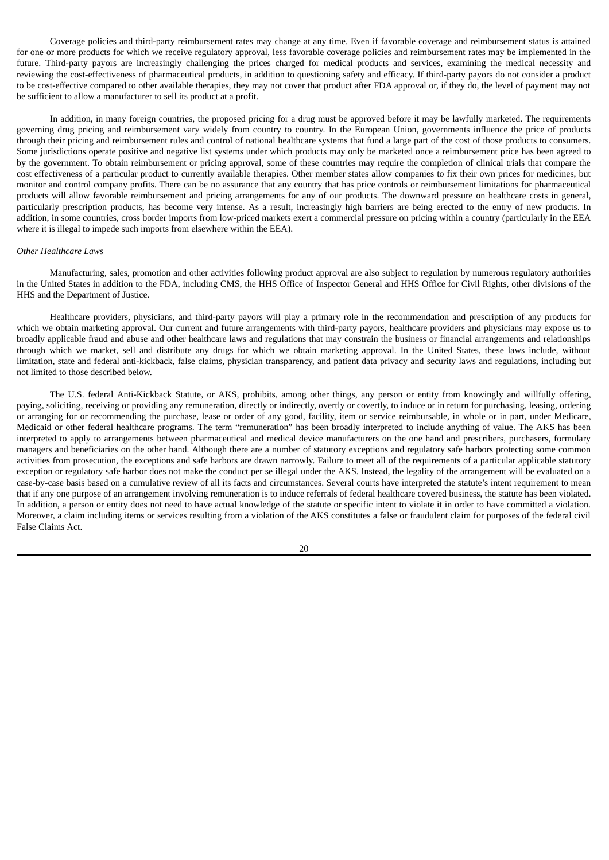Coverage policies and third-party reimbursement rates may change at any time. Even if favorable coverage and reimbursement status is attained for one or more products for which we receive regulatory approval, less favorable coverage policies and reimbursement rates may be implemented in the future. Third-party payors are increasingly challenging the prices charged for medical products and services, examining the medical necessity and reviewing the cost-effectiveness of pharmaceutical products, in addition to questioning safety and efficacy. If third-party payors do not consider a product to be cost-effective compared to other available therapies, they may not cover that product after FDA approval or, if they do, the level of payment may not be sufficient to allow a manufacturer to sell its product at a profit.

In addition, in many foreign countries, the proposed pricing for a drug must be approved before it may be lawfully marketed. The requirements governing drug pricing and reimbursement vary widely from country to country. In the European Union, governments influence the price of products through their pricing and reimbursement rules and control of national healthcare systems that fund a large part of the cost of those products to consumers. Some jurisdictions operate positive and negative list systems under which products may only be marketed once a reimbursement price has been agreed to by the government. To obtain reimbursement or pricing approval, some of these countries may require the completion of clinical trials that compare the cost effectiveness of a particular product to currently available therapies. Other member states allow companies to fix their own prices for medicines, but monitor and control company profits. There can be no assurance that any country that has price controls or reimbursement limitations for pharmaceutical products will allow favorable reimbursement and pricing arrangements for any of our products. The downward pressure on healthcare costs in general, particularly prescription products, has become very intense. As a result, increasingly high barriers are being erected to the entry of new products. In addition, in some countries, cross border imports from low-priced markets exert a commercial pressure on pricing within a country (particularly in the EEA where it is illegal to impede such imports from elsewhere within the EEA).

#### *Other Healthcare Laws*

Manufacturing, sales, promotion and other activities following product approval are also subject to regulation by numerous regulatory authorities in the United States in addition to the FDA, including CMS, the HHS Office of Inspector General and HHS Office for Civil Rights, other divisions of the HHS and the Department of Justice.

Healthcare providers, physicians, and third-party payors will play a primary role in the recommendation and prescription of any products for which we obtain marketing approval. Our current and future arrangements with third-party payors, healthcare providers and physicians may expose us to broadly applicable fraud and abuse and other healthcare laws and regulations that may constrain the business or financial arrangements and relationships through which we market, sell and distribute any drugs for which we obtain marketing approval. In the United States, these laws include, without limitation, state and federal anti-kickback, false claims, physician transparency, and patient data privacy and security laws and regulations, including but not limited to those described below.

The U.S. federal Anti-Kickback Statute, or AKS, prohibits, among other things, any person or entity from knowingly and willfully offering, paying, soliciting, receiving or providing any remuneration, directly or indirectly, overtly or covertly, to induce or in return for purchasing, leasing, ordering or arranging for or recommending the purchase, lease or order of any good, facility, item or service reimbursable, in whole or in part, under Medicare, Medicaid or other federal healthcare programs. The term "remuneration" has been broadly interpreted to include anything of value. The AKS has been interpreted to apply to arrangements between pharmaceutical and medical device manufacturers on the one hand and prescribers, purchasers, formulary managers and beneficiaries on the other hand. Although there are a number of statutory exceptions and regulatory safe harbors protecting some common activities from prosecution, the exceptions and safe harbors are drawn narrowly. Failure to meet all of the requirements of a particular applicable statutory exception or regulatory safe harbor does not make the conduct per se illegal under the AKS. Instead, the legality of the arrangement will be evaluated on a case-by-case basis based on a cumulative review of all its facts and circumstances. Several courts have interpreted the statute's intent requirement to mean that if any one purpose of an arrangement involving remuneration is to induce referrals of federal healthcare covered business, the statute has been violated. In addition, a person or entity does not need to have actual knowledge of the statute or specific intent to violate it in order to have committed a violation. Moreover, a claim including items or services resulting from a violation of the AKS constitutes a false or fraudulent claim for purposes of the federal civil False Claims Act.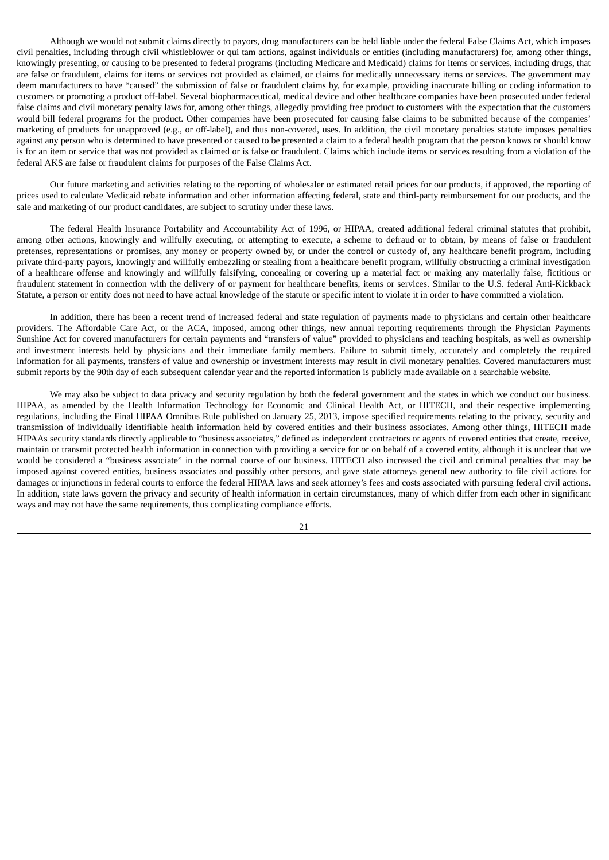Although we would not submit claims directly to payors, drug manufacturers can be held liable under the federal False Claims Act, which imposes civil penalties, including through civil whistleblower or qui tam actions, against individuals or entities (including manufacturers) for, among other things, knowingly presenting, or causing to be presented to federal programs (including Medicare and Medicaid) claims for items or services, including drugs, that are false or fraudulent, claims for items or services not provided as claimed, or claims for medically unnecessary items or services. The government may deem manufacturers to have "caused" the submission of false or fraudulent claims by, for example, providing inaccurate billing or coding information to customers or promoting a product off-label. Several biopharmaceutical, medical device and other healthcare companies have been prosecuted under federal false claims and civil monetary penalty laws for, among other things, allegedly providing free product to customers with the expectation that the customers would bill federal programs for the product. Other companies have been prosecuted for causing false claims to be submitted because of the companies' marketing of products for unapproved (e.g., or off-label), and thus non-covered, uses. In addition, the civil monetary penalties statute imposes penalties against any person who is determined to have presented or caused to be presented a claim to a federal health program that the person knows or should know is for an item or service that was not provided as claimed or is false or fraudulent. Claims which include items or services resulting from a violation of the federal AKS are false or fraudulent claims for purposes of the False Claims Act.

Our future marketing and activities relating to the reporting of wholesaler or estimated retail prices for our products, if approved, the reporting of prices used to calculate Medicaid rebate information and other information affecting federal, state and third-party reimbursement for our products, and the sale and marketing of our product candidates, are subject to scrutiny under these laws.

The federal Health Insurance Portability and Accountability Act of 1996, or HIPAA, created additional federal criminal statutes that prohibit, among other actions, knowingly and willfully executing, or attempting to execute, a scheme to defraud or to obtain, by means of false or fraudulent pretenses, representations or promises, any money or property owned by, or under the control or custody of, any healthcare benefit program, including private third-party payors, knowingly and willfully embezzling or stealing from a healthcare benefit program, willfully obstructing a criminal investigation of a healthcare offense and knowingly and willfully falsifying, concealing or covering up a material fact or making any materially false, fictitious or fraudulent statement in connection with the delivery of or payment for healthcare benefits, items or services. Similar to the U.S. federal Anti-Kickback Statute, a person or entity does not need to have actual knowledge of the statute or specific intent to violate it in order to have committed a violation.

In addition, there has been a recent trend of increased federal and state regulation of payments made to physicians and certain other healthcare providers. The Affordable Care Act, or the ACA, imposed, among other things, new annual reporting requirements through the Physician Payments Sunshine Act for covered manufacturers for certain payments and "transfers of value" provided to physicians and teaching hospitals, as well as ownership and investment interests held by physicians and their immediate family members. Failure to submit timely, accurately and completely the required information for all payments, transfers of value and ownership or investment interests may result in civil monetary penalties. Covered manufacturers must submit reports by the 90th day of each subsequent calendar year and the reported information is publicly made available on a searchable website.

We may also be subject to data privacy and security regulation by both the federal government and the states in which we conduct our business. HIPAA, as amended by the Health Information Technology for Economic and Clinical Health Act, or HITECH, and their respective implementing regulations, including the Final HIPAA Omnibus Rule published on January 25, 2013, impose specified requirements relating to the privacy, security and transmission of individually identifiable health information held by covered entities and their business associates. Among other things, HITECH made HIPAAs security standards directly applicable to "business associates," defined as independent contractors or agents of covered entities that create, receive, maintain or transmit protected health information in connection with providing a service for or on behalf of a covered entity, although it is unclear that we would be considered a "business associate" in the normal course of our business. HITECH also increased the civil and criminal penalties that may be imposed against covered entities, business associates and possibly other persons, and gave state attorneys general new authority to file civil actions for damages or injunctions in federal courts to enforce the federal HIPAA laws and seek attorney's fees and costs associated with pursuing federal civil actions. In addition, state laws govern the privacy and security of health information in certain circumstances, many of which differ from each other in significant ways and may not have the same requirements, thus complicating compliance efforts.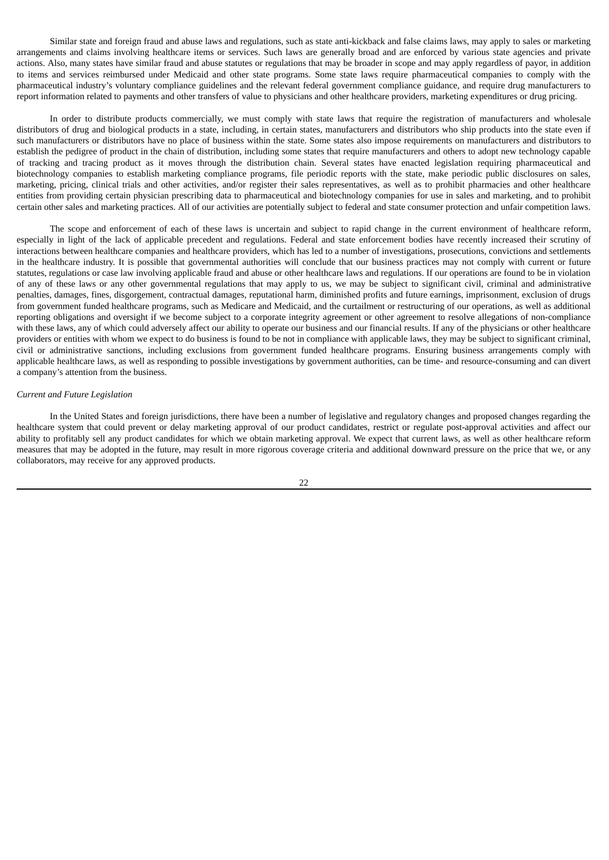Similar state and foreign fraud and abuse laws and regulations, such as state anti-kickback and false claims laws, may apply to sales or marketing arrangements and claims involving healthcare items or services. Such laws are generally broad and are enforced by various state agencies and private actions. Also, many states have similar fraud and abuse statutes or regulations that may be broader in scope and may apply regardless of payor, in addition to items and services reimbursed under Medicaid and other state programs. Some state laws require pharmaceutical companies to comply with the pharmaceutical industry's voluntary compliance guidelines and the relevant federal government compliance guidance, and require drug manufacturers to report information related to payments and other transfers of value to physicians and other healthcare providers, marketing expenditures or drug pricing.

In order to distribute products commercially, we must comply with state laws that require the registration of manufacturers and wholesale distributors of drug and biological products in a state, including, in certain states, manufacturers and distributors who ship products into the state even if such manufacturers or distributors have no place of business within the state. Some states also impose requirements on manufacturers and distributors to establish the pedigree of product in the chain of distribution, including some states that require manufacturers and others to adopt new technology capable of tracking and tracing product as it moves through the distribution chain. Several states have enacted legislation requiring pharmaceutical and biotechnology companies to establish marketing compliance programs, file periodic reports with the state, make periodic public disclosures on sales, marketing, pricing, clinical trials and other activities, and/or register their sales representatives, as well as to prohibit pharmacies and other healthcare entities from providing certain physician prescribing data to pharmaceutical and biotechnology companies for use in sales and marketing, and to prohibit certain other sales and marketing practices. All of our activities are potentially subject to federal and state consumer protection and unfair competition laws.

The scope and enforcement of each of these laws is uncertain and subject to rapid change in the current environment of healthcare reform, especially in light of the lack of applicable precedent and regulations. Federal and state enforcement bodies have recently increased their scrutiny of interactions between healthcare companies and healthcare providers, which has led to a number of investigations, prosecutions, convictions and settlements in the healthcare industry. It is possible that governmental authorities will conclude that our business practices may not comply with current or future statutes, regulations or case law involving applicable fraud and abuse or other healthcare laws and regulations. If our operations are found to be in violation of any of these laws or any other governmental regulations that may apply to us, we may be subject to significant civil, criminal and administrative penalties, damages, fines, disgorgement, contractual damages, reputational harm, diminished profits and future earnings, imprisonment, exclusion of drugs from government funded healthcare programs, such as Medicare and Medicaid, and the curtailment or restructuring of our operations, as well as additional reporting obligations and oversight if we become subject to a corporate integrity agreement or other agreement to resolve allegations of non-compliance with these laws, any of which could adversely affect our ability to operate our business and our financial results. If any of the physicians or other healthcare providers or entities with whom we expect to do business is found to be not in compliance with applicable laws, they may be subject to significant criminal, civil or administrative sanctions, including exclusions from government funded healthcare programs. Ensuring business arrangements comply with applicable healthcare laws, as well as responding to possible investigations by government authorities, can be time- and resource-consuming and can divert a company's attention from the business.

#### *Current and Future Legislation*

In the United States and foreign jurisdictions, there have been a number of legislative and regulatory changes and proposed changes regarding the healthcare system that could prevent or delay marketing approval of our product candidates, restrict or regulate post-approval activities and affect our ability to profitably sell any product candidates for which we obtain marketing approval. We expect that current laws, as well as other healthcare reform measures that may be adopted in the future, may result in more rigorous coverage criteria and additional downward pressure on the price that we, or any collaborators, may receive for any approved products.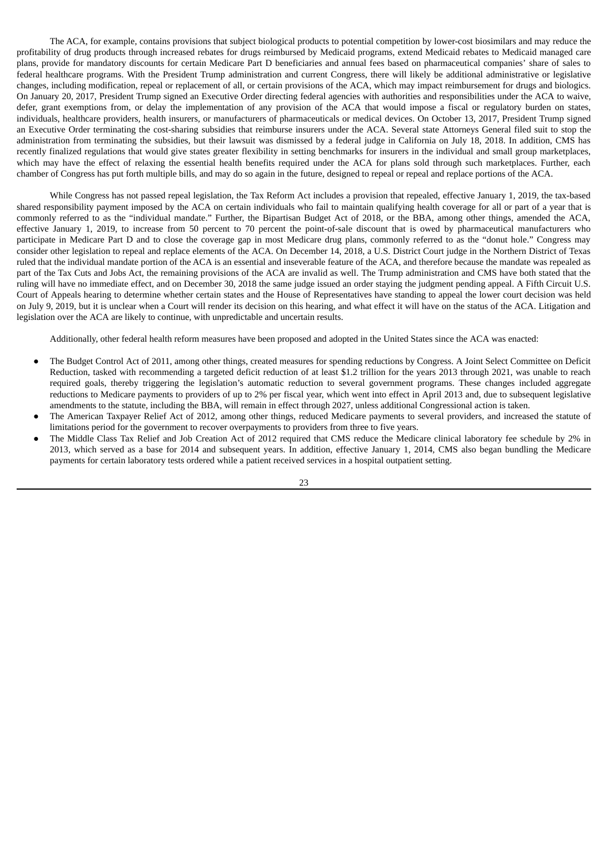The ACA, for example, contains provisions that subject biological products to potential competition by lower-cost biosimilars and may reduce the profitability of drug products through increased rebates for drugs reimbursed by Medicaid programs, extend Medicaid rebates to Medicaid managed care plans, provide for mandatory discounts for certain Medicare Part D beneficiaries and annual fees based on pharmaceutical companies' share of sales to federal healthcare programs. With the President Trump administration and current Congress, there will likely be additional administrative or legislative changes, including modification, repeal or replacement of all, or certain provisions of the ACA, which may impact reimbursement for drugs and biologics. On January 20, 2017, President Trump signed an Executive Order directing federal agencies with authorities and responsibilities under the ACA to waive, defer, grant exemptions from, or delay the implementation of any provision of the ACA that would impose a fiscal or regulatory burden on states, individuals, healthcare providers, health insurers, or manufacturers of pharmaceuticals or medical devices. On October 13, 2017, President Trump signed an Executive Order terminating the cost-sharing subsidies that reimburse insurers under the ACA. Several state Attorneys General filed suit to stop the administration from terminating the subsidies, but their lawsuit was dismissed by a federal judge in California on July 18, 2018. In addition, CMS has recently finalized regulations that would give states greater flexibility in setting benchmarks for insurers in the individual and small group marketplaces, which may have the effect of relaxing the essential health benefits required under the ACA for plans sold through such marketplaces. Further, each chamber of Congress has put forth multiple bills, and may do so again in the future, designed to repeal or repeal and replace portions of the ACA.

While Congress has not passed repeal legislation, the Tax Reform Act includes a provision that repealed, effective January 1, 2019, the tax-based shared responsibility payment imposed by the ACA on certain individuals who fail to maintain qualifying health coverage for all or part of a year that is commonly referred to as the "individual mandate." Further, the Bipartisan Budget Act of 2018, or the BBA, among other things, amended the ACA, effective January 1, 2019, to increase from 50 percent to 70 percent the point-of-sale discount that is owed by pharmaceutical manufacturers who participate in Medicare Part D and to close the coverage gap in most Medicare drug plans, commonly referred to as the "donut hole." Congress may consider other legislation to repeal and replace elements of the ACA. On December 14, 2018, a U.S. District Court judge in the Northern District of Texas ruled that the individual mandate portion of the ACA is an essential and inseverable feature of the ACA, and therefore because the mandate was repealed as part of the Tax Cuts and Jobs Act, the remaining provisions of the ACA are invalid as well. The Trump administration and CMS have both stated that the ruling will have no immediate effect, and on December 30, 2018 the same judge issued an order staying the judgment pending appeal. A Fifth Circuit U.S. Court of Appeals hearing to determine whether certain states and the House of Representatives have standing to appeal the lower court decision was held on July 9, 2019, but it is unclear when a Court will render its decision on this hearing, and what effect it will have on the status of the ACA. Litigation and legislation over the ACA are likely to continue, with unpredictable and uncertain results.

Additionally, other federal health reform measures have been proposed and adopted in the United States since the ACA was enacted:

- The Budget Control Act of 2011, among other things, created measures for spending reductions by Congress. A Joint Select Committee on Deficit Reduction, tasked with recommending a targeted deficit reduction of at least \$1.2 trillion for the years 2013 through 2021, was unable to reach required goals, thereby triggering the legislation's automatic reduction to several government programs. These changes included aggregate reductions to Medicare payments to providers of up to 2% per fiscal year, which went into effect in April 2013 and, due to subsequent legislative amendments to the statute, including the BBA, will remain in effect through 2027, unless additional Congressional action is taken.
- The American Taxpayer Relief Act of 2012, among other things, reduced Medicare payments to several providers, and increased the statute of limitations period for the government to recover overpayments to providers from three to five years.
- The Middle Class Tax Relief and Job Creation Act of 2012 required that CMS reduce the Medicare clinical laboratory fee schedule by 2% in 2013, which served as a base for 2014 and subsequent years. In addition, effective January 1, 2014, CMS also began bundling the Medicare payments for certain laboratory tests ordered while a patient received services in a hospital outpatient setting.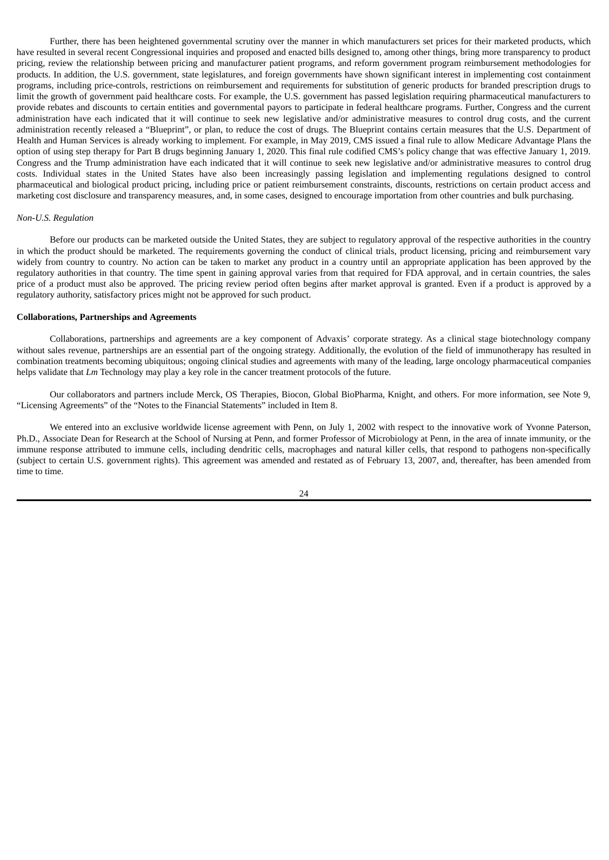Further, there has been heightened governmental scrutiny over the manner in which manufacturers set prices for their marketed products, which have resulted in several recent Congressional inquiries and proposed and enacted bills designed to, among other things, bring more transparency to product pricing, review the relationship between pricing and manufacturer patient programs, and reform government program reimbursement methodologies for products. In addition, the U.S. government, state legislatures, and foreign governments have shown significant interest in implementing cost containment programs, including price-controls, restrictions on reimbursement and requirements for substitution of generic products for branded prescription drugs to limit the growth of government paid healthcare costs. For example, the U.S. government has passed legislation requiring pharmaceutical manufacturers to provide rebates and discounts to certain entities and governmental payors to participate in federal healthcare programs. Further, Congress and the current administration have each indicated that it will continue to seek new legislative and/or administrative measures to control drug costs, and the current administration recently released a "Blueprint", or plan, to reduce the cost of drugs. The Blueprint contains certain measures that the U.S. Department of Health and Human Services is already working to implement. For example, in May 2019, CMS issued a final rule to allow Medicare Advantage Plans the option of using step therapy for Part B drugs beginning January 1, 2020. This final rule codified CMS's policy change that was effective January 1, 2019. Congress and the Trump administration have each indicated that it will continue to seek new legislative and/or administrative measures to control drug costs. Individual states in the United States have also been increasingly passing legislation and implementing regulations designed to control pharmaceutical and biological product pricing, including price or patient reimbursement constraints, discounts, restrictions on certain product access and marketing cost disclosure and transparency measures, and, in some cases, designed to encourage importation from other countries and bulk purchasing.

## *Non-U.S. Regulation*

Before our products can be marketed outside the United States, they are subject to regulatory approval of the respective authorities in the country in which the product should be marketed. The requirements governing the conduct of clinical trials, product licensing, pricing and reimbursement vary widely from country to country. No action can be taken to market any product in a country until an appropriate application has been approved by the regulatory authorities in that country. The time spent in gaining approval varies from that required for FDA approval, and in certain countries, the sales price of a product must also be approved. The pricing review period often begins after market approval is granted. Even if a product is approved by a regulatory authority, satisfactory prices might not be approved for such product.

## **Collaborations, Partnerships and Agreements**

Collaborations, partnerships and agreements are a key component of Advaxis' corporate strategy. As a clinical stage biotechnology company without sales revenue, partnerships are an essential part of the ongoing strategy. Additionally, the evolution of the field of immunotherapy has resulted in combination treatments becoming ubiquitous; ongoing clinical studies and agreements with many of the leading, large oncology pharmaceutical companies helps validate that *Lm* Technology may play a key role in the cancer treatment protocols of the future.

Our collaborators and partners include Merck, OS Therapies, Biocon, Global BioPharma, Knight, and others. For more information, see Note 9, "Licensing Agreements" of the "Notes to the Financial Statements" included in Item 8.

We entered into an exclusive worldwide license agreement with Penn, on July 1, 2002 with respect to the innovative work of Yvonne Paterson, Ph.D., Associate Dean for Research at the School of Nursing at Penn, and former Professor of Microbiology at Penn, in the area of innate immunity, or the immune response attributed to immune cells, including dendritic cells, macrophages and natural killer cells, that respond to pathogens non-specifically (subject to certain U.S. government rights). This agreement was amended and restated as of February 13, 2007, and, thereafter, has been amended from time to time.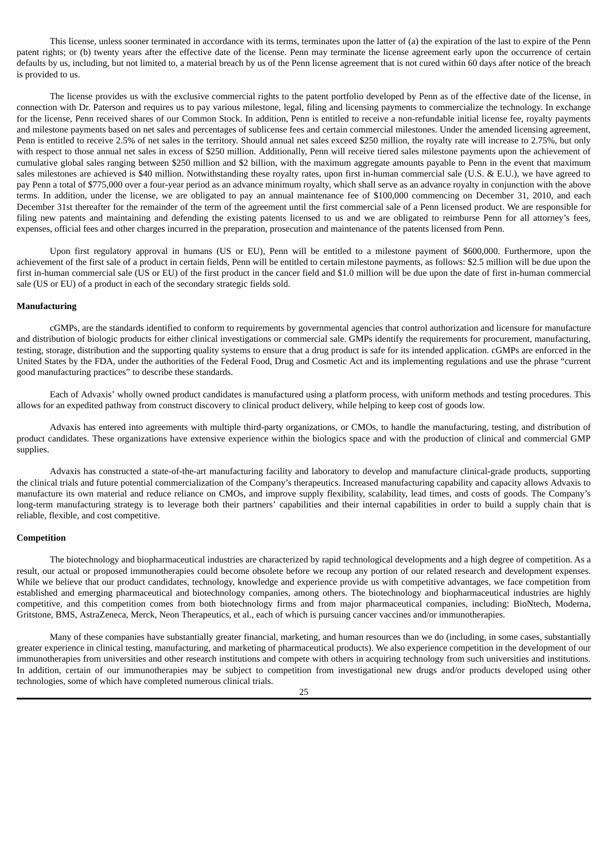This license, unless sooner terminated in accordance with its terms, terminates upon the latter of (a) the expiration of the last to expire of the Penn patent rights; or (b) twenty years after the effective date of the license. Penn may terminate the license agreement early upon the occurrence of certain defaults by us, including, but not limited to, a material breach by us of the Penn license agreement that is not cured within 60 days after notice of the breach is provided to us.

The license provides us with the exclusive commercial rights to the patent portfolio developed by Penn as of the effective date of the license, in connection with Dr. Paterson and requires us to pay various milestone, legal, filing and licensing payments to commercialize the technology. In exchange for the license, Penn received shares of our Common Stock. In addition, Penn is entitled to receive a non-refundable initial license fee, royalty payments and milestone payments based on net sales and percentages of sublicense fees and certain commercial milestones. Under the amended licensing agreement, Penn is entitled to receive 2.5% of net sales in the territory. Should annual net sales exceed \$250 million, the royalty rate will increase to 2.75%, but only with respect to those annual net sales in excess of \$250 million. Additionally, Penn will receive tiered sales milestone payments upon the achievement of cumulative global sales ranging between \$250 million and \$2 billion, with the maximum aggregate amounts payable to Penn in the event that maximum sales milestones are achieved is \$40 million. Notwithstanding these royalty rates, upon first in-human commercial sale (U.S. & E.U.), we have agreed to pay Penn a total of \$775,000 over a four-year period as an advance minimum royalty, which shall serve as an advance royalty in conjunction with the above terms. In addition, under the license, we are obligated to pay an annual maintenance fee of \$100,000 commencing on December 31, 2010, and each December 31st thereafter for the remainder of the term of the agreement until the first commercial sale of a Penn licensed product. We are responsible for filing new patents and maintaining and defending the existing patents licensed to us and we are obligated to reimburse Penn for all attorney's fees, expenses, official fees and other charges incurred in the preparation, prosecution and maintenance of the patents licensed from Penn.

Upon first regulatory approval in humans (US or EU), Penn will be entitled to a milestone payment of \$600,000. Furthermore, upon the achievement of the first sale of a product in certain fields, Penn will be entitled to certain milestone payments, as follows: \$2.5 million will be due upon the first in-human commercial sale (US or EU) of the first product in the cancer field and \$1.0 million will be due upon the date of first in-human commercial sale (US or EU) of a product in each of the secondary strategic fields sold.

## **Manufacturing**

cGMPs, are the standards identified to conform to requirements by governmental agencies that control authorization and licensure for manufacture and distribution of biologic products for either clinical investigations or commercial sale. GMPs identify the requirements for procurement, manufacturing, testing, storage, distribution and the supporting quality systems to ensure that a drug product is safe for its intended application. cGMPs are enforced in the United States by the FDA, under the authorities of the Federal Food, Drug and Cosmetic Act and its implementing regulations and use the phrase "current good manufacturing practices" to describe these standards.

Each of Advaxis' wholly owned product candidates is manufactured using a platform process, with uniform methods and testing procedures. This allows for an expedited pathway from construct discovery to clinical product delivery, while helping to keep cost of goods low.

Advaxis has entered into agreements with multiple third-party organizations, or CMOs, to handle the manufacturing, testing, and distribution of product candidates. These organizations have extensive experience within the biologics space and with the production of clinical and commercial GMP supplies.

Advaxis has constructed a state-of-the-art manufacturing facility and laboratory to develop and manufacture clinical-grade products, supporting the clinical trials and future potential commercialization of the Company's therapeutics. Increased manufacturing capability and capacity allows Advaxis to manufacture its own material and reduce reliance on CMOs, and improve supply flexibility, scalability, lead times, and costs of goods. The Company's long-term manufacturing strategy is to leverage both their partners' capabilities and their internal capabilities in order to build a supply chain that is reliable, flexible, and cost competitive.

#### **Competition**

The biotechnology and biopharmaceutical industries are characterized by rapid technological developments and a high degree of competition. As a result, our actual or proposed immunotherapies could become obsolete before we recoup any portion of our related research and development expenses. While we believe that our product candidates, technology, knowledge and experience provide us with competitive advantages, we face competition from established and emerging pharmaceutical and biotechnology companies, among others. The biotechnology and biopharmaceutical industries are highly competitive, and this competition comes from both biotechnology firms and from major pharmaceutical companies, including: BioNtech, Moderna, Gritstone, BMS, AstraZeneca, Merck, Neon Therapeutics, et al., each of which is pursuing cancer vaccines and/or immunotherapies.

Many of these companies have substantially greater financial, marketing, and human resources than we do (including, in some cases, substantially greater experience in clinical testing, manufacturing, and marketing of pharmaceutical products). We also experience competition in the development of our immunotherapies from universities and other research institutions and compete with others in acquiring technology from such universities and institutions. In addition, certain of our immunotherapies may be subject to competition from investigational new drugs and/or products developed using other technologies, some of which have completed numerous clinical trials.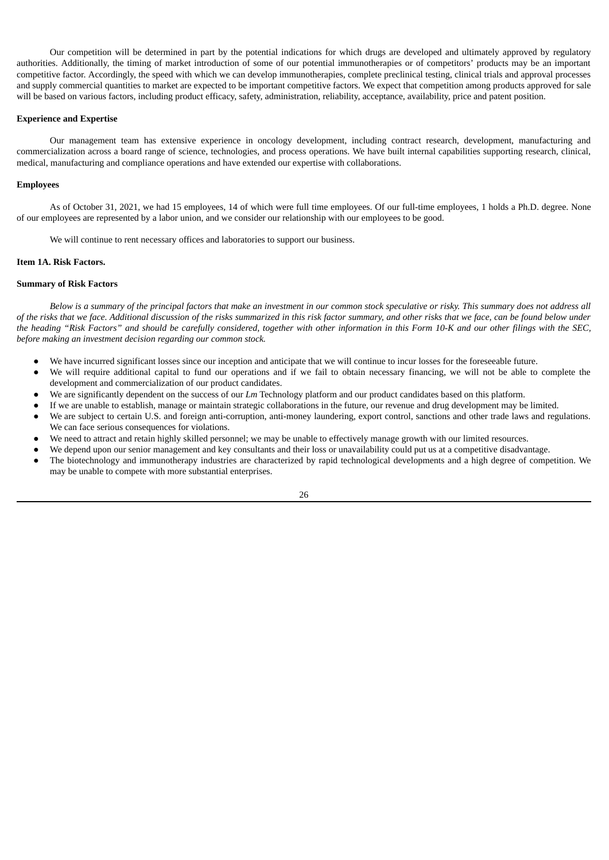Our competition will be determined in part by the potential indications for which drugs are developed and ultimately approved by regulatory authorities. Additionally, the timing of market introduction of some of our potential immunotherapies or of competitors' products may be an important competitive factor. Accordingly, the speed with which we can develop immunotherapies, complete preclinical testing, clinical trials and approval processes and supply commercial quantities to market are expected to be important competitive factors. We expect that competition among products approved for sale will be based on various factors, including product efficacy, safety, administration, reliability, acceptance, availability, price and patent position.

## **Experience and Expertise**

Our management team has extensive experience in oncology development, including contract research, development, manufacturing and commercialization across a board range of science, technologies, and process operations. We have built internal capabilities supporting research, clinical, medical, manufacturing and compliance operations and have extended our expertise with collaborations.

## **Employees**

As of October 31, 2021, we had 15 employees, 14 of which were full time employees. Of our full-time employees, 1 holds a Ph.D. degree. None of our employees are represented by a labor union, and we consider our relationship with our employees to be good.

We will continue to rent necessary offices and laboratories to support our business.

#### <span id="page-26-0"></span>**Item 1A. Risk Factors.**

## **Summary of Risk Factors**

Below is a summary of the principal factors that make an investment in our common stock speculative or risky. This summary does not address all of the risks that we face. Additional discussion of the risks summarized in this risk factor summary, and other risks that we face, can be found below under the heading "Risk Factors" and should be carefully considered, together with other information in this Form 10-K and our other filings with the SEC, *before making an investment decision regarding our common stock.*

- We have incurred significant losses since our inception and anticipate that we will continue to incur losses for the foreseeable future.
- We will require additional capital to fund our operations and if we fail to obtain necessary financing, we will not be able to complete the development and commercialization of our product candidates.
- We are significantly dependent on the success of our *Lm* Technology platform and our product candidates based on this platform.
- If we are unable to establish, manage or maintain strategic collaborations in the future, our revenue and drug development may be limited.
- We are subject to certain U.S. and foreign anti-corruption, anti-money laundering, export control, sanctions and other trade laws and regulations. We can face serious consequences for violations.
- We need to attract and retain highly skilled personnel; we may be unable to effectively manage growth with our limited resources.
- We depend upon our senior management and key consultants and their loss or unavailability could put us at a competitive disadvantage.
- The biotechnology and immunotherapy industries are characterized by rapid technological developments and a high degree of competition. We may be unable to compete with more substantial enterprises.

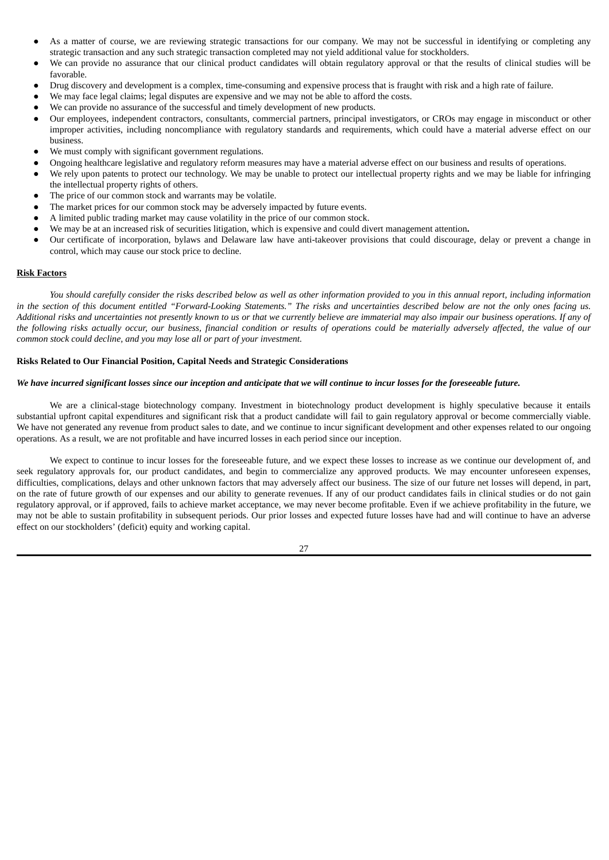- As a matter of course, we are reviewing strategic transactions for our company. We may not be successful in identifying or completing any strategic transaction and any such strategic transaction completed may not yield additional value for stockholders.
- We can provide no assurance that our clinical product candidates will obtain regulatory approval or that the results of clinical studies will be favorable.
- Drug discovery and development is a complex, time-consuming and expensive process that is fraught with risk and a high rate of failure.
- We may face legal claims; legal disputes are expensive and we may not be able to afford the costs.
- We can provide no assurance of the successful and timely development of new products.
- Our employees, independent contractors, consultants, commercial partners, principal investigators, or CROs may engage in misconduct or other improper activities, including noncompliance with regulatory standards and requirements, which could have a material adverse effect on our business.
- We must comply with significant government regulations.
- Ongoing healthcare legislative and regulatory reform measures may have a material adverse effect on our business and results of operations.
- We rely upon patents to protect our technology. We may be unable to protect our intellectual property rights and we may be liable for infringing the intellectual property rights of others.
- The price of our common stock and warrants may be volatile.
- The market prices for our common stock may be adversely impacted by future events.
- A limited public trading market may cause volatility in the price of our common stock.
- We may be at an increased risk of securities litigation, which is expensive and could divert management attention.
- Our certificate of incorporation, bylaws and Delaware law have anti-takeover provisions that could discourage, delay or prevent a change in control, which may cause our stock price to decline.

## **Risk Factors**

You should carefully consider the risks described below as well as other information provided to you in this annual report, including information in the section of this document entitled "Forward-Looking Statements." The risks and uncertainties described below are not the only ones facing us. Additional risks and uncertainties not presently known to us or that we currently believe are immaterial may also impair our business operations. If any of the following risks actually occur, our business, financial condition or results of operations could be materially adversely affected, the value of our *common stock could decline, and you may lose all or part of your investment.*

## **Risks Related to Our Financial Position, Capital Needs and Strategic Considerations**

## We have incurred significant losses since our inception and anticipate that we will continue to incur losses for the foreseeable future.

We are a clinical-stage biotechnology company. Investment in biotechnology product development is highly speculative because it entails substantial upfront capital expenditures and significant risk that a product candidate will fail to gain regulatory approval or become commercially viable. We have not generated any revenue from product sales to date, and we continue to incur significant development and other expenses related to our ongoing operations. As a result, we are not profitable and have incurred losses in each period since our inception.

We expect to continue to incur losses for the foreseeable future, and we expect these losses to increase as we continue our development of, and seek regulatory approvals for, our product candidates, and begin to commercialize any approved products. We may encounter unforeseen expenses, difficulties, complications, delays and other unknown factors that may adversely affect our business. The size of our future net losses will depend, in part, on the rate of future growth of our expenses and our ability to generate revenues. If any of our product candidates fails in clinical studies or do not gain regulatory approval, or if approved, fails to achieve market acceptance, we may never become profitable. Even if we achieve profitability in the future, we may not be able to sustain profitability in subsequent periods. Our prior losses and expected future losses have had and will continue to have an adverse effect on our stockholders' (deficit) equity and working capital.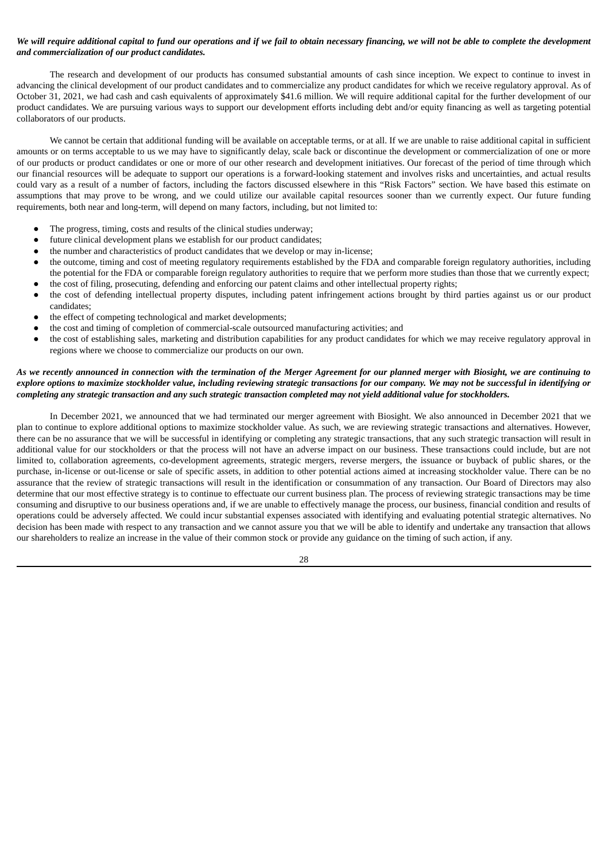## We will require additional capital to fund our operations and if we fail to obtain necessary financing, we will not be able to complete the development *and commercialization of our product candidates.*

The research and development of our products has consumed substantial amounts of cash since inception. We expect to continue to invest in advancing the clinical development of our product candidates and to commercialize any product candidates for which we receive regulatory approval. As of October 31, 2021, we had cash and cash equivalents of approximately \$41.6 million. We will require additional capital for the further development of our product candidates. We are pursuing various ways to support our development efforts including debt and/or equity financing as well as targeting potential collaborators of our products.

We cannot be certain that additional funding will be available on acceptable terms, or at all. If we are unable to raise additional capital in sufficient amounts or on terms acceptable to us we may have to significantly delay, scale back or discontinue the development or commercialization of one or more of our products or product candidates or one or more of our other research and development initiatives. Our forecast of the period of time through which our financial resources will be adequate to support our operations is a forward-looking statement and involves risks and uncertainties, and actual results could vary as a result of a number of factors, including the factors discussed elsewhere in this "Risk Factors" section. We have based this estimate on assumptions that may prove to be wrong, and we could utilize our available capital resources sooner than we currently expect. Our future funding requirements, both near and long-term, will depend on many factors, including, but not limited to:

- The progress, timing, costs and results of the clinical studies underway;
- future clinical development plans we establish for our product candidates;
- the number and characteristics of product candidates that we develop or may in-license;
- the outcome, timing and cost of meeting regulatory requirements established by the FDA and comparable foreign regulatory authorities, including the potential for the FDA or comparable foreign regulatory authorities to require that we perform more studies than those that we currently expect; the cost of filing, prosecuting, defending and enforcing our patent claims and other intellectual property rights;
- the cost of defending intellectual property disputes, including patent infringement actions brought by third parties against us or our product candidates;
- the effect of competing technological and market developments;
- the cost and timing of completion of commercial-scale outsourced manufacturing activities; and
- the cost of establishing sales, marketing and distribution capabilities for any product candidates for which we may receive regulatory approval in regions where we choose to commercialize our products on our own.

## As we recently announced in connection with the termination of the Merger Agreement for our planned merger with Biosight, we are continuing to explore options to maximize stockholder value, including reviewing strategic transactions for our company. We may not be successful in identifying or completing any strategic transaction and any such strategic transaction completed may not yield additional value for stockholders.

In December 2021, we announced that we had terminated our merger agreement with Biosight. We also announced in December 2021 that we plan to continue to explore additional options to maximize stockholder value. As such, we are reviewing strategic transactions and alternatives. However, there can be no assurance that we will be successful in identifying or completing any strategic transactions, that any such strategic transaction will result in additional value for our stockholders or that the process will not have an adverse impact on our business. These transactions could include, but are not limited to, collaboration agreements, co-development agreements, strategic mergers, reverse mergers, the issuance or buyback of public shares, or the purchase, in-license or out-license or sale of specific assets, in addition to other potential actions aimed at increasing stockholder value. There can be no assurance that the review of strategic transactions will result in the identification or consummation of any transaction. Our Board of Directors may also determine that our most effective strategy is to continue to effectuate our current business plan. The process of reviewing strategic transactions may be time consuming and disruptive to our business operations and, if we are unable to effectively manage the process, our business, financial condition and results of operations could be adversely affected. We could incur substantial expenses associated with identifying and evaluating potential strategic alternatives. No decision has been made with respect to any transaction and we cannot assure you that we will be able to identify and undertake any transaction that allows our shareholders to realize an increase in the value of their common stock or provide any guidance on the timing of such action, if any.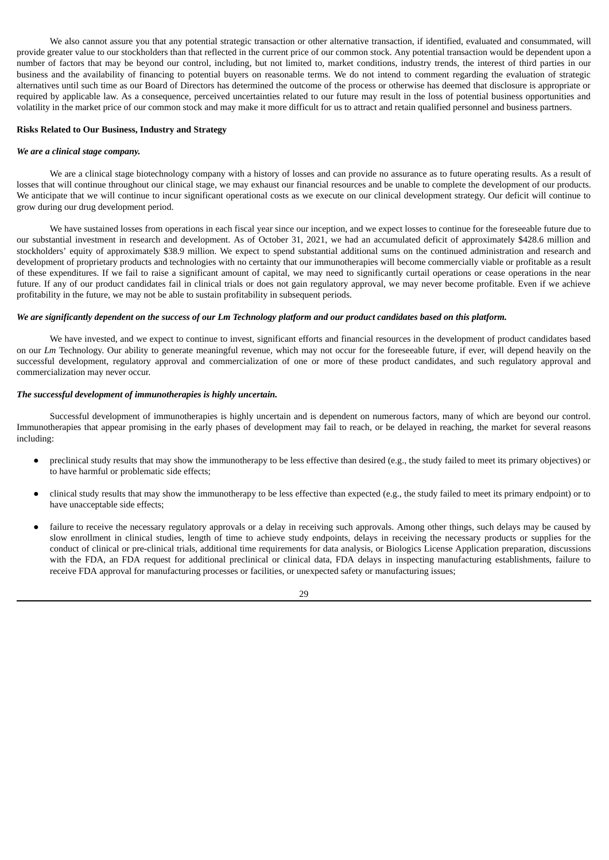We also cannot assure you that any potential strategic transaction or other alternative transaction, if identified, evaluated and consummated, will provide greater value to our stockholders than that reflected in the current price of our common stock. Any potential transaction would be dependent upon a number of factors that may be beyond our control, including, but not limited to, market conditions, industry trends, the interest of third parties in our business and the availability of financing to potential buyers on reasonable terms. We do not intend to comment regarding the evaluation of strategic alternatives until such time as our Board of Directors has determined the outcome of the process or otherwise has deemed that disclosure is appropriate or required by applicable law. As a consequence, perceived uncertainties related to our future may result in the loss of potential business opportunities and volatility in the market price of our common stock and may make it more difficult for us to attract and retain qualified personnel and business partners.

## **Risks Related to Our Business, Industry and Strategy**

#### *We are a clinical stage company.*

We are a clinical stage biotechnology company with a history of losses and can provide no assurance as to future operating results. As a result of losses that will continue throughout our clinical stage, we may exhaust our financial resources and be unable to complete the development of our products. We anticipate that we will continue to incur significant operational costs as we execute on our clinical development strategy. Our deficit will continue to grow during our drug development period.

We have sustained losses from operations in each fiscal year since our inception, and we expect losses to continue for the foreseeable future due to our substantial investment in research and development. As of October 31, 2021, we had an accumulated deficit of approximately \$428.6 million and stockholders' equity of approximately \$38.9 million. We expect to spend substantial additional sums on the continued administration and research and development of proprietary products and technologies with no certainty that our immunotherapies will become commercially viable or profitable as a result of these expenditures. If we fail to raise a significant amount of capital, we may need to significantly curtail operations or cease operations in the near future. If any of our product candidates fail in clinical trials or does not gain regulatory approval, we may never become profitable. Even if we achieve profitability in the future, we may not be able to sustain profitability in subsequent periods.

#### We are significantly dependent on the success of our Lm Technology platform and our product candidates based on this platform.

We have invested, and we expect to continue to invest, significant efforts and financial resources in the development of product candidates based on our *Lm* Technology. Our ability to generate meaningful revenue, which may not occur for the foreseeable future, if ever, will depend heavily on the successful development, regulatory approval and commercialization of one or more of these product candidates, and such regulatory approval and commercialization may never occur.

#### *The successful development of immunotherapies is highly uncertain.*

Successful development of immunotherapies is highly uncertain and is dependent on numerous factors, many of which are beyond our control. Immunotherapies that appear promising in the early phases of development may fail to reach, or be delayed in reaching, the market for several reasons including:

- preclinical study results that may show the immunotherapy to be less effective than desired (e.g., the study failed to meet its primary objectives) or to have harmful or problematic side effects;
- clinical study results that may show the immunotherapy to be less effective than expected (e.g., the study failed to meet its primary endpoint) or to have unacceptable side effects;
- failure to receive the necessary regulatory approvals or a delay in receiving such approvals. Among other things, such delays may be caused by slow enrollment in clinical studies, length of time to achieve study endpoints, delays in receiving the necessary products or supplies for the conduct of clinical or pre-clinical trials, additional time requirements for data analysis, or Biologics License Application preparation, discussions with the FDA, an FDA request for additional preclinical or clinical data, FDA delays in inspecting manufacturing establishments, failure to receive FDA approval for manufacturing processes or facilities, or unexpected safety or manufacturing issues;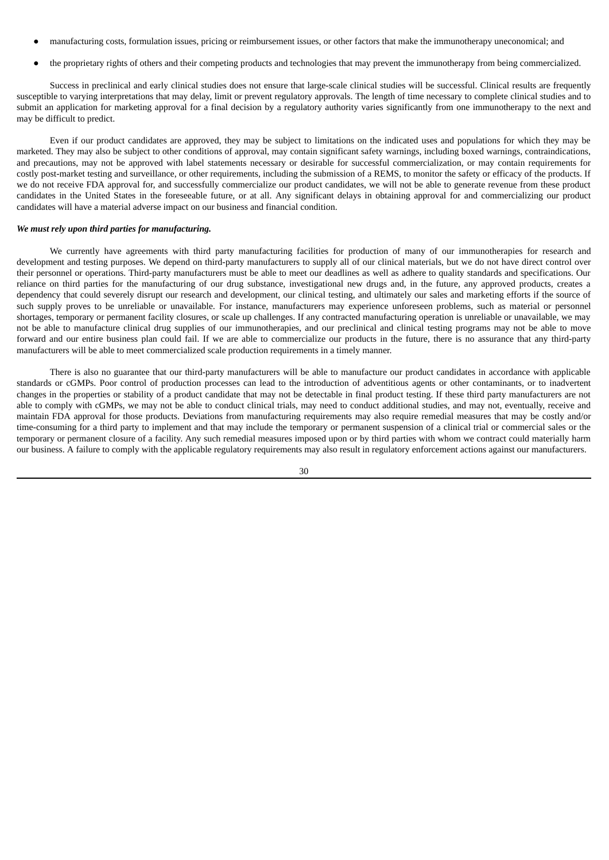- manufacturing costs, formulation issues, pricing or reimbursement issues, or other factors that make the immunotherapy uneconomical; and
- the proprietary rights of others and their competing products and technologies that may prevent the immunotherapy from being commercialized.

Success in preclinical and early clinical studies does not ensure that large-scale clinical studies will be successful. Clinical results are frequently susceptible to varying interpretations that may delay, limit or prevent regulatory approvals. The length of time necessary to complete clinical studies and to submit an application for marketing approval for a final decision by a regulatory authority varies significantly from one immunotherapy to the next and may be difficult to predict.

Even if our product candidates are approved, they may be subject to limitations on the indicated uses and populations for which they may be marketed. They may also be subject to other conditions of approval, may contain significant safety warnings, including boxed warnings, contraindications, and precautions, may not be approved with label statements necessary or desirable for successful commercialization, or may contain requirements for costly post-market testing and surveillance, or other requirements, including the submission of a REMS, to monitor the safety or efficacy of the products. If we do not receive FDA approval for, and successfully commercialize our product candidates, we will not be able to generate revenue from these product candidates in the United States in the foreseeable future, or at all. Any significant delays in obtaining approval for and commercializing our product candidates will have a material adverse impact on our business and financial condition.

#### *We must rely upon third parties for manufacturing.*

We currently have agreements with third party manufacturing facilities for production of many of our immunotherapies for research and development and testing purposes. We depend on third-party manufacturers to supply all of our clinical materials, but we do not have direct control over their personnel or operations. Third-party manufacturers must be able to meet our deadlines as well as adhere to quality standards and specifications. Our reliance on third parties for the manufacturing of our drug substance, investigational new drugs and, in the future, any approved products, creates a dependency that could severely disrupt our research and development, our clinical testing, and ultimately our sales and marketing efforts if the source of such supply proves to be unreliable or unavailable. For instance, manufacturers may experience unforeseen problems, such as material or personnel shortages, temporary or permanent facility closures, or scale up challenges. If any contracted manufacturing operation is unreliable or unavailable, we may not be able to manufacture clinical drug supplies of our immunotherapies, and our preclinical and clinical testing programs may not be able to move forward and our entire business plan could fail. If we are able to commercialize our products in the future, there is no assurance that any third-party manufacturers will be able to meet commercialized scale production requirements in a timely manner.

There is also no guarantee that our third-party manufacturers will be able to manufacture our product candidates in accordance with applicable standards or cGMPs. Poor control of production processes can lead to the introduction of adventitious agents or other contaminants, or to inadvertent changes in the properties or stability of a product candidate that may not be detectable in final product testing. If these third party manufacturers are not able to comply with cGMPs, we may not be able to conduct clinical trials, may need to conduct additional studies, and may not, eventually, receive and maintain FDA approval for those products. Deviations from manufacturing requirements may also require remedial measures that may be costly and/or time-consuming for a third party to implement and that may include the temporary or permanent suspension of a clinical trial or commercial sales or the temporary or permanent closure of a facility. Any such remedial measures imposed upon or by third parties with whom we contract could materially harm our business. A failure to comply with the applicable regulatory requirements may also result in regulatory enforcement actions against our manufacturers.

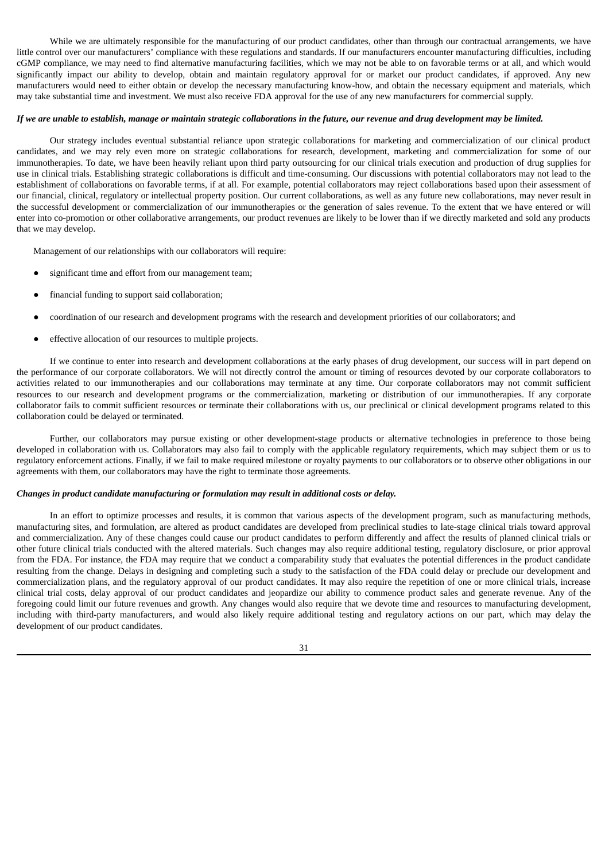While we are ultimately responsible for the manufacturing of our product candidates, other than through our contractual arrangements, we have little control over our manufacturers' compliance with these regulations and standards. If our manufacturers encounter manufacturing difficulties, including cGMP compliance, we may need to find alternative manufacturing facilities, which we may not be able to on favorable terms or at all, and which would significantly impact our ability to develop, obtain and maintain regulatory approval for or market our product candidates, if approved. Any new manufacturers would need to either obtain or develop the necessary manufacturing know-how, and obtain the necessary equipment and materials, which may take substantial time and investment. We must also receive FDA approval for the use of any new manufacturers for commercial supply.

## If we are unable to establish, manage or maintain strategic collaborations in the future, our revenue and drug development may be limited.

Our strategy includes eventual substantial reliance upon strategic collaborations for marketing and commercialization of our clinical product candidates, and we may rely even more on strategic collaborations for research, development, marketing and commercialization for some of our immunotherapies. To date, we have been heavily reliant upon third party outsourcing for our clinical trials execution and production of drug supplies for use in clinical trials. Establishing strategic collaborations is difficult and time-consuming. Our discussions with potential collaborators may not lead to the establishment of collaborations on favorable terms, if at all. For example, potential collaborators may reject collaborations based upon their assessment of our financial, clinical, regulatory or intellectual property position. Our current collaborations, as well as any future new collaborations, may never result in the successful development or commercialization of our immunotherapies or the generation of sales revenue. To the extent that we have entered or will enter into co-promotion or other collaborative arrangements, our product revenues are likely to be lower than if we directly marketed and sold any products that we may develop.

Management of our relationships with our collaborators will require:

- significant time and effort from our management team;
- financial funding to support said collaboration;
- coordination of our research and development programs with the research and development priorities of our collaborators; and
- effective allocation of our resources to multiple projects.

If we continue to enter into research and development collaborations at the early phases of drug development, our success will in part depend on the performance of our corporate collaborators. We will not directly control the amount or timing of resources devoted by our corporate collaborators to activities related to our immunotherapies and our collaborations may terminate at any time. Our corporate collaborators may not commit sufficient resources to our research and development programs or the commercialization, marketing or distribution of our immunotherapies. If any corporate collaborator fails to commit sufficient resources or terminate their collaborations with us, our preclinical or clinical development programs related to this collaboration could be delayed or terminated.

Further, our collaborators may pursue existing or other development-stage products or alternative technologies in preference to those being developed in collaboration with us. Collaborators may also fail to comply with the applicable regulatory requirements, which may subject them or us to regulatory enforcement actions. Finally, if we fail to make required milestone or royalty payments to our collaborators or to observe other obligations in our agreements with them, our collaborators may have the right to terminate those agreements.

## *Changes in product candidate manufacturing or formulation may result in additional costs or delay.*

In an effort to optimize processes and results, it is common that various aspects of the development program, such as manufacturing methods, manufacturing sites, and formulation, are altered as product candidates are developed from preclinical studies to late-stage clinical trials toward approval and commercialization. Any of these changes could cause our product candidates to perform differently and affect the results of planned clinical trials or other future clinical trials conducted with the altered materials. Such changes may also require additional testing, regulatory disclosure, or prior approval from the FDA. For instance, the FDA may require that we conduct a comparability study that evaluates the potential differences in the product candidate resulting from the change. Delays in designing and completing such a study to the satisfaction of the FDA could delay or preclude our development and commercialization plans, and the regulatory approval of our product candidates. It may also require the repetition of one or more clinical trials, increase clinical trial costs, delay approval of our product candidates and jeopardize our ability to commence product sales and generate revenue. Any of the foregoing could limit our future revenues and growth. Any changes would also require that we devote time and resources to manufacturing development, including with third-party manufacturers, and would also likely require additional testing and regulatory actions on our part, which may delay the development of our product candidates.

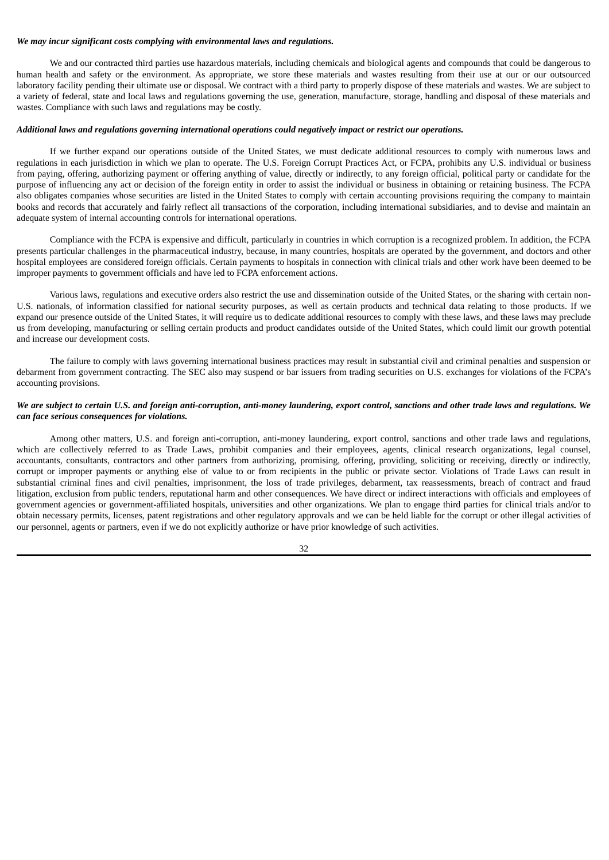## *We may incur significant costs complying with environmental laws and regulations.*

We and our contracted third parties use hazardous materials, including chemicals and biological agents and compounds that could be dangerous to human health and safety or the environment. As appropriate, we store these materials and wastes resulting from their use at our or our outsourced laboratory facility pending their ultimate use or disposal. We contract with a third party to properly dispose of these materials and wastes. We are subject to a variety of federal, state and local laws and regulations governing the use, generation, manufacture, storage, handling and disposal of these materials and wastes. Compliance with such laws and regulations may be costly.

### *Additional laws and regulations governing international operations could negatively impact or restrict our operations.*

If we further expand our operations outside of the United States, we must dedicate additional resources to comply with numerous laws and regulations in each jurisdiction in which we plan to operate. The U.S. Foreign Corrupt Practices Act, or FCPA, prohibits any U.S. individual or business from paying, offering, authorizing payment or offering anything of value, directly or indirectly, to any foreign official, political party or candidate for the purpose of influencing any act or decision of the foreign entity in order to assist the individual or business in obtaining or retaining business. The FCPA also obligates companies whose securities are listed in the United States to comply with certain accounting provisions requiring the company to maintain books and records that accurately and fairly reflect all transactions of the corporation, including international subsidiaries, and to devise and maintain an adequate system of internal accounting controls for international operations.

Compliance with the FCPA is expensive and difficult, particularly in countries in which corruption is a recognized problem. In addition, the FCPA presents particular challenges in the pharmaceutical industry, because, in many countries, hospitals are operated by the government, and doctors and other hospital employees are considered foreign officials. Certain payments to hospitals in connection with clinical trials and other work have been deemed to be improper payments to government officials and have led to FCPA enforcement actions.

Various laws, regulations and executive orders also restrict the use and dissemination outside of the United States, or the sharing with certain non-U.S. nationals, of information classified for national security purposes, as well as certain products and technical data relating to those products. If we expand our presence outside of the United States, it will require us to dedicate additional resources to comply with these laws, and these laws may preclude us from developing, manufacturing or selling certain products and product candidates outside of the United States, which could limit our growth potential and increase our development costs.

The failure to comply with laws governing international business practices may result in substantial civil and criminal penalties and suspension or debarment from government contracting. The SEC also may suspend or bar issuers from trading securities on U.S. exchanges for violations of the FCPA's accounting provisions.

## We are subject to certain U.S. and foreign anti-corruption, anti-money laundering, export control, sanctions and other trade laws and regulations. We *can face serious consequences for violations.*

Among other matters, U.S. and foreign anti-corruption, anti-money laundering, export control, sanctions and other trade laws and regulations, which are collectively referred to as Trade Laws, prohibit companies and their employees, agents, clinical research organizations, legal counsel, accountants, consultants, contractors and other partners from authorizing, promising, offering, providing, soliciting or receiving, directly or indirectly, corrupt or improper payments or anything else of value to or from recipients in the public or private sector. Violations of Trade Laws can result in substantial criminal fines and civil penalties, imprisonment, the loss of trade privileges, debarment, tax reassessments, breach of contract and fraud litigation, exclusion from public tenders, reputational harm and other consequences. We have direct or indirect interactions with officials and employees of government agencies or government-affiliated hospitals, universities and other organizations. We plan to engage third parties for clinical trials and/or to obtain necessary permits, licenses, patent registrations and other regulatory approvals and we can be held liable for the corrupt or other illegal activities of our personnel, agents or partners, even if we do not explicitly authorize or have prior knowledge of such activities.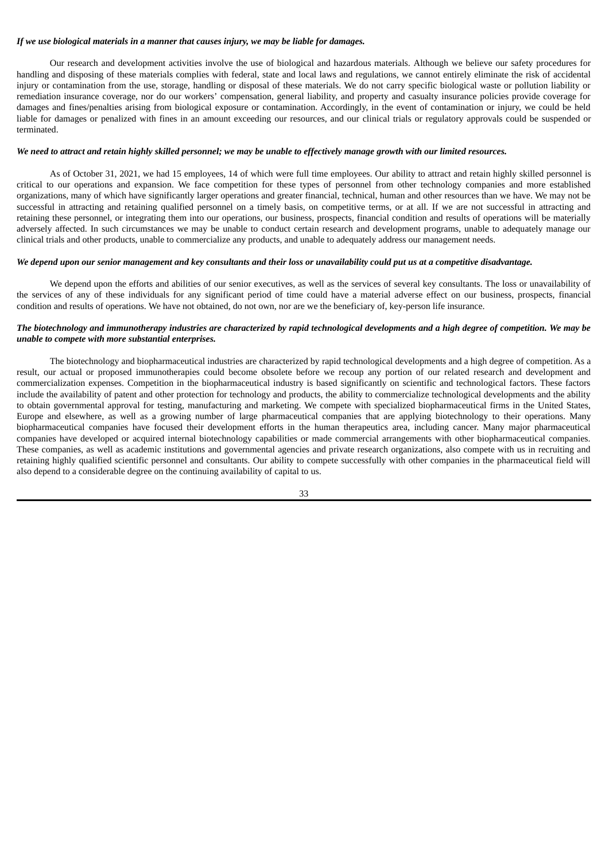## *If we use biological materials in a manner that causes injury, we may be liable for damages.*

Our research and development activities involve the use of biological and hazardous materials. Although we believe our safety procedures for handling and disposing of these materials complies with federal, state and local laws and regulations, we cannot entirely eliminate the risk of accidental injury or contamination from the use, storage, handling or disposal of these materials. We do not carry specific biological waste or pollution liability or remediation insurance coverage, nor do our workers' compensation, general liability, and property and casualty insurance policies provide coverage for damages and fines/penalties arising from biological exposure or contamination. Accordingly, in the event of contamination or injury, we could be held liable for damages or penalized with fines in an amount exceeding our resources, and our clinical trials or regulatory approvals could be suspended or terminated.

#### We need to attract and retain highly skilled personnel; we may be unable to effectively manage growth with our limited resources.

As of October 31, 2021, we had 15 employees, 14 of which were full time employees. Our ability to attract and retain highly skilled personnel is critical to our operations and expansion. We face competition for these types of personnel from other technology companies and more established organizations, many of which have significantly larger operations and greater financial, technical, human and other resources than we have. We may not be successful in attracting and retaining qualified personnel on a timely basis, on competitive terms, or at all. If we are not successful in attracting and retaining these personnel, or integrating them into our operations, our business, prospects, financial condition and results of operations will be materially adversely affected. In such circumstances we may be unable to conduct certain research and development programs, unable to adequately manage our clinical trials and other products, unable to commercialize any products, and unable to adequately address our management needs.

## We depend upon our senior management and key consultants and their loss or unavailability could put us at a competitive disadvantage.

We depend upon the efforts and abilities of our senior executives, as well as the services of several key consultants. The loss or unavailability of the services of any of these individuals for any significant period of time could have a material adverse effect on our business, prospects, financial condition and results of operations. We have not obtained, do not own, nor are we the beneficiary of, key-person life insurance.

## The biotechnology and immunotherapy industries are characterized by rapid technological developments and a high degree of competition. We may be *unable to compete with more substantial enterprises.*

The biotechnology and biopharmaceutical industries are characterized by rapid technological developments and a high degree of competition. As a result, our actual or proposed immunotherapies could become obsolete before we recoup any portion of our related research and development and commercialization expenses. Competition in the biopharmaceutical industry is based significantly on scientific and technological factors. These factors include the availability of patent and other protection for technology and products, the ability to commercialize technological developments and the ability to obtain governmental approval for testing, manufacturing and marketing. We compete with specialized biopharmaceutical firms in the United States, Europe and elsewhere, as well as a growing number of large pharmaceutical companies that are applying biotechnology to their operations. Many biopharmaceutical companies have focused their development efforts in the human therapeutics area, including cancer. Many major pharmaceutical companies have developed or acquired internal biotechnology capabilities or made commercial arrangements with other biopharmaceutical companies. These companies, as well as academic institutions and governmental agencies and private research organizations, also compete with us in recruiting and retaining highly qualified scientific personnel and consultants. Our ability to compete successfully with other companies in the pharmaceutical field will also depend to a considerable degree on the continuing availability of capital to us.

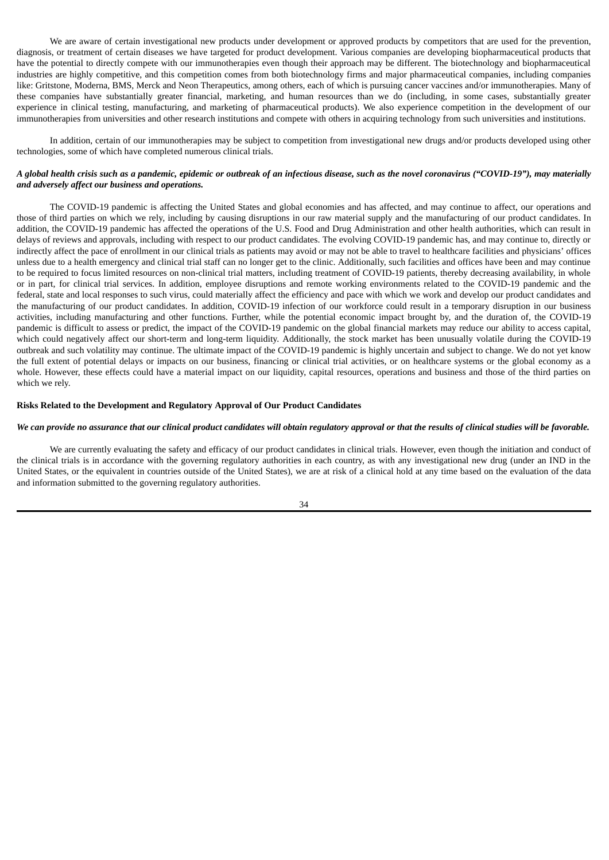We are aware of certain investigational new products under development or approved products by competitors that are used for the prevention, diagnosis, or treatment of certain diseases we have targeted for product development. Various companies are developing biopharmaceutical products that have the potential to directly compete with our immunotherapies even though their approach may be different. The biotechnology and biopharmaceutical industries are highly competitive, and this competition comes from both biotechnology firms and major pharmaceutical companies, including companies like: Gritstone, Moderna, BMS, Merck and Neon Therapeutics, among others, each of which is pursuing cancer vaccines and/or immunotherapies. Many of these companies have substantially greater financial, marketing, and human resources than we do (including, in some cases, substantially greater experience in clinical testing, manufacturing, and marketing of pharmaceutical products). We also experience competition in the development of our immunotherapies from universities and other research institutions and compete with others in acquiring technology from such universities and institutions.

In addition, certain of our immunotherapies may be subject to competition from investigational new drugs and/or products developed using other technologies, some of which have completed numerous clinical trials.

## A global health crisis such as a pandemic, epidemic or outbreak of an infectious disease, such as the novel coronavirus ("COVID-19"), may materially *and adversely affect our business and operations.*

The COVID-19 pandemic is affecting the United States and global economies and has affected, and may continue to affect, our operations and those of third parties on which we rely, including by causing disruptions in our raw material supply and the manufacturing of our product candidates. In addition, the COVID-19 pandemic has affected the operations of the U.S. Food and Drug Administration and other health authorities, which can result in delays of reviews and approvals, including with respect to our product candidates. The evolving COVID-19 pandemic has, and may continue to, directly or indirectly affect the pace of enrollment in our clinical trials as patients may avoid or may not be able to travel to healthcare facilities and physicians' offices unless due to a health emergency and clinical trial staff can no longer get to the clinic. Additionally, such facilities and offices have been and may continue to be required to focus limited resources on non-clinical trial matters, including treatment of COVID-19 patients, thereby decreasing availability, in whole or in part, for clinical trial services. In addition, employee disruptions and remote working environments related to the COVID-19 pandemic and the federal, state and local responses to such virus, could materially affect the efficiency and pace with which we work and develop our product candidates and the manufacturing of our product candidates. In addition, COVID-19 infection of our workforce could result in a temporary disruption in our business activities, including manufacturing and other functions. Further, while the potential economic impact brought by, and the duration of, the COVID-19 pandemic is difficult to assess or predict, the impact of the COVID-19 pandemic on the global financial markets may reduce our ability to access capital, which could negatively affect our short-term and long-term liquidity. Additionally, the stock market has been unusually volatile during the COVID-19 outbreak and such volatility may continue. The ultimate impact of the COVID-19 pandemic is highly uncertain and subject to change. We do not yet know the full extent of potential delays or impacts on our business, financing or clinical trial activities, or on healthcare systems or the global economy as a whole. However, these effects could have a material impact on our liquidity, capital resources, operations and business and those of the third parties on which we rely.

#### **Risks Related to the Development and Regulatory Approval of Our Product Candidates**

#### We can provide no assurance that our clinical product candidates will obtain regulatory approval or that the results of clinical studies will be favorable.

We are currently evaluating the safety and efficacy of our product candidates in clinical trials. However, even though the initiation and conduct of the clinical trials is in accordance with the governing regulatory authorities in each country, as with any investigational new drug (under an IND in the United States, or the equivalent in countries outside of the United States), we are at risk of a clinical hold at any time based on the evaluation of the data and information submitted to the governing regulatory authorities.

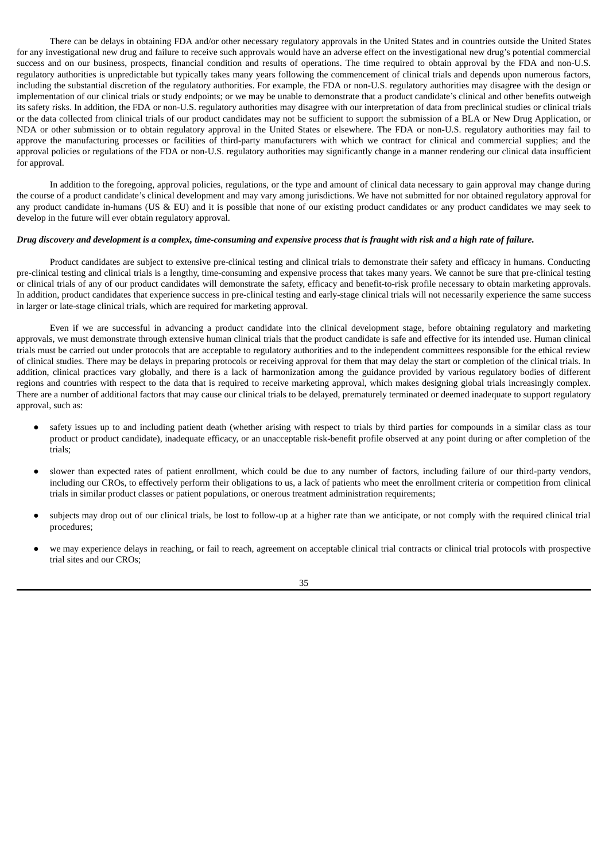There can be delays in obtaining FDA and/or other necessary regulatory approvals in the United States and in countries outside the United States for any investigational new drug and failure to receive such approvals would have an adverse effect on the investigational new drug's potential commercial success and on our business, prospects, financial condition and results of operations. The time required to obtain approval by the FDA and non-U.S. regulatory authorities is unpredictable but typically takes many years following the commencement of clinical trials and depends upon numerous factors, including the substantial discretion of the regulatory authorities. For example, the FDA or non-U.S. regulatory authorities may disagree with the design or implementation of our clinical trials or study endpoints; or we may be unable to demonstrate that a product candidate's clinical and other benefits outweigh its safety risks. In addition, the FDA or non-U.S. regulatory authorities may disagree with our interpretation of data from preclinical studies or clinical trials or the data collected from clinical trials of our product candidates may not be sufficient to support the submission of a BLA or New Drug Application, or NDA or other submission or to obtain regulatory approval in the United States or elsewhere. The FDA or non-U.S. regulatory authorities may fail to approve the manufacturing processes or facilities of third-party manufacturers with which we contract for clinical and commercial supplies; and the approval policies or regulations of the FDA or non-U.S. regulatory authorities may significantly change in a manner rendering our clinical data insufficient for approval.

In addition to the foregoing, approval policies, regulations, or the type and amount of clinical data necessary to gain approval may change during the course of a product candidate's clinical development and may vary among jurisdictions. We have not submitted for nor obtained regulatory approval for any product candidate in-humans (US & EU) and it is possible that none of our existing product candidates or any product candidates we may seek to develop in the future will ever obtain regulatory approval.

#### Drug discovery and development is a complex, time-consuming and expensive process that is fraught with risk and a high rate of failure.

Product candidates are subject to extensive pre-clinical testing and clinical trials to demonstrate their safety and efficacy in humans. Conducting pre-clinical testing and clinical trials is a lengthy, time-consuming and expensive process that takes many years. We cannot be sure that pre-clinical testing or clinical trials of any of our product candidates will demonstrate the safety, efficacy and benefit-to-risk profile necessary to obtain marketing approvals. In addition, product candidates that experience success in pre-clinical testing and early-stage clinical trials will not necessarily experience the same success in larger or late-stage clinical trials, which are required for marketing approval.

Even if we are successful in advancing a product candidate into the clinical development stage, before obtaining regulatory and marketing approvals, we must demonstrate through extensive human clinical trials that the product candidate is safe and effective for its intended use. Human clinical trials must be carried out under protocols that are acceptable to regulatory authorities and to the independent committees responsible for the ethical review of clinical studies. There may be delays in preparing protocols or receiving approval for them that may delay the start or completion of the clinical trials. In addition, clinical practices vary globally, and there is a lack of harmonization among the guidance provided by various regulatory bodies of different regions and countries with respect to the data that is required to receive marketing approval, which makes designing global trials increasingly complex. There are a number of additional factors that may cause our clinical trials to be delayed, prematurely terminated or deemed inadequate to support regulatory approval, such as:

- safety issues up to and including patient death (whether arising with respect to trials by third parties for compounds in a similar class as tour product or product candidate), inadequate efficacy, or an unacceptable risk-benefit profile observed at any point during or after completion of the trials;
- slower than expected rates of patient enrollment, which could be due to any number of factors, including failure of our third-party vendors, including our CROs, to effectively perform their obligations to us, a lack of patients who meet the enrollment criteria or competition from clinical trials in similar product classes or patient populations, or onerous treatment administration requirements;
- subjects may drop out of our clinical trials, be lost to follow-up at a higher rate than we anticipate, or not comply with the required clinical trial procedures;
- we may experience delays in reaching, or fail to reach, agreement on acceptable clinical trial contracts or clinical trial protocols with prospective trial sites and our CROs;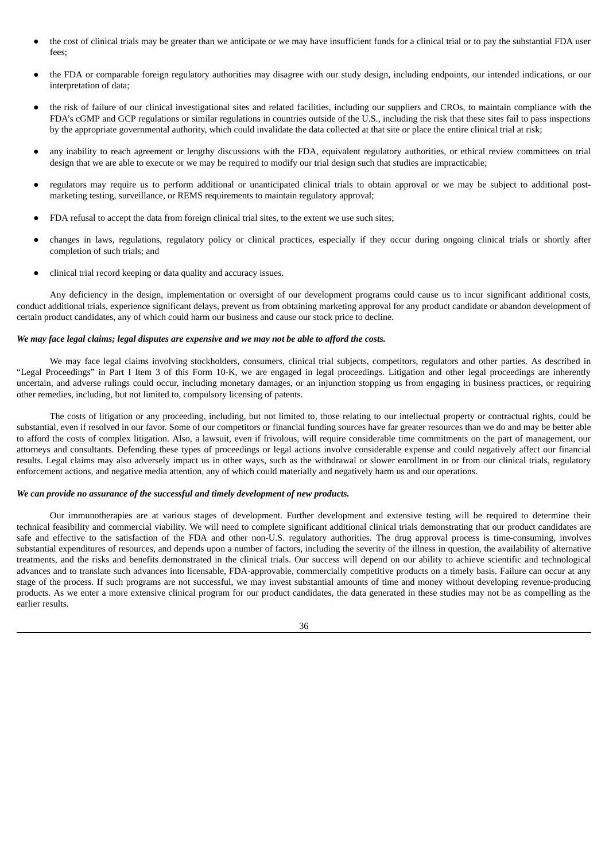- the cost of clinical trials may be greater than we anticipate or we may have insufficient funds for a clinical trial or to pay the substantial FDA user fees;
- the FDA or comparable foreign regulatory authorities may disagree with our study design, including endpoints, our intended indications, or our interpretation of data;
- the risk of failure of our clinical investigational sites and related facilities, including our suppliers and CROs, to maintain compliance with the FDA's cGMP and GCP regulations or similar regulations in countries outside of the U.S., including the risk that these sites fail to pass inspections by the appropriate governmental authority, which could invalidate the data collected at that site or place the entire clinical trial at risk;
- any inability to reach agreement or lengthy discussions with the FDA, equivalent regulatory authorities, or ethical review committees on trial design that we are able to execute or we may be required to modify our trial design such that studies are impracticable;
- regulators may require us to perform additional or unanticipated clinical trials to obtain approval or we may be subject to additional postmarketing testing, surveillance, or REMS requirements to maintain regulatory approval;
- FDA refusal to accept the data from foreign clinical trial sites, to the extent we use such sites;
- changes in laws, regulations, regulatory policy or clinical practices, especially if they occur during ongoing clinical trials or shortly after completion of such trials; and
- clinical trial record keeping or data quality and accuracy issues.

Any deficiency in the design, implementation or oversight of our development programs could cause us to incur significant additional costs, conduct additional trials, experience significant delays, prevent us from obtaining marketing approval for any product candidate or abandon development of certain product candidates, any of which could harm our business and cause our stock price to decline.

## We may face legal claims; legal disputes are expensive and we may not be able to afford the costs.

We may face legal claims involving stockholders, consumers, clinical trial subjects, competitors, regulators and other parties. As described in "Legal Proceedings" in Part I Item 3 of this Form 10-K, we are engaged in legal proceedings. Litigation and other legal proceedings are inherently uncertain, and adverse rulings could occur, including monetary damages, or an injunction stopping us from engaging in business practices, or requiring other remedies, including, but not limited to, compulsory licensing of patents.

The costs of litigation or any proceeding, including, but not limited to, those relating to our intellectual property or contractual rights, could be substantial, even if resolved in our favor. Some of our competitors or financial funding sources have far greater resources than we do and may be better able to afford the costs of complex litigation. Also, a lawsuit, even if frivolous, will require considerable time commitments on the part of management, our attorneys and consultants. Defending these types of proceedings or legal actions involve considerable expense and could negatively affect our financial results. Legal claims may also adversely impact us in other ways, such as the withdrawal or slower enrollment in or from our clinical trials, regulatory enforcement actions, and negative media attention, any of which could materially and negatively harm us and our operations.

### *We can provide no assurance of the successful and timely development of new products.*

Our immunotherapies are at various stages of development. Further development and extensive testing will be required to determine their technical feasibility and commercial viability. We will need to complete significant additional clinical trials demonstrating that our product candidates are safe and effective to the satisfaction of the FDA and other non-U.S. regulatory authorities. The drug approval process is time-consuming, involves substantial expenditures of resources, and depends upon a number of factors, including the severity of the illness in question, the availability of alternative treatments, and the risks and benefits demonstrated in the clinical trials. Our success will depend on our ability to achieve scientific and technological advances and to translate such advances into licensable, FDA-approvable, commercially competitive products on a timely basis. Failure can occur at any stage of the process. If such programs are not successful, we may invest substantial amounts of time and money without developing revenue-producing products. As we enter a more extensive clinical program for our product candidates, the data generated in these studies may not be as compelling as the earlier results.

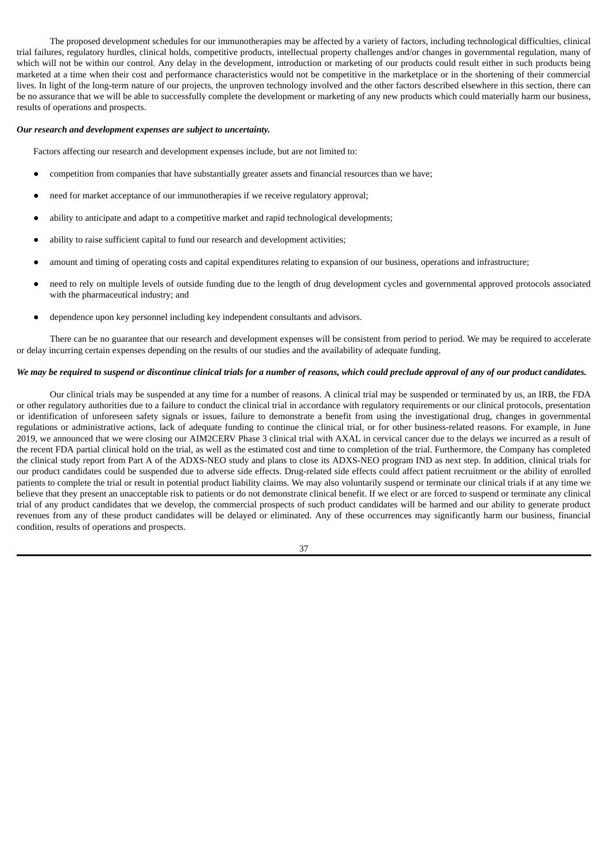The proposed development schedules for our immunotherapies may be affected by a variety of factors, including technological difficulties, clinical trial failures, regulatory hurdles, clinical holds, competitive products, intellectual property challenges and/or changes in governmental regulation, many of which will not be within our control. Any delay in the development, introduction or marketing of our products could result either in such products being marketed at a time when their cost and performance characteristics would not be competitive in the marketplace or in the shortening of their commercial lives. In light of the long-term nature of our projects, the unproven technology involved and the other factors described elsewhere in this section, there can be no assurance that we will be able to successfully complete the development or marketing of any new products which could materially harm our business, results of operations and prospects.

### *Our research and development expenses are subject to uncertainty.*

Factors affecting our research and development expenses include, but are not limited to:

- competition from companies that have substantially greater assets and financial resources than we have;
- need for market acceptance of our immunotherapies if we receive regulatory approval;
- ability to anticipate and adapt to a competitive market and rapid technological developments;
- ability to raise sufficient capital to fund our research and development activities;
- amount and timing of operating costs and capital expenditures relating to expansion of our business, operations and infrastructure;
- need to rely on multiple levels of outside funding due to the length of drug development cycles and governmental approved protocols associated with the pharmaceutical industry; and
- dependence upon key personnel including key independent consultants and advisors.

There can be no guarantee that our research and development expenses will be consistent from period to period. We may be required to accelerate or delay incurring certain expenses depending on the results of our studies and the availability of adequate funding.

#### We may be required to suspend or discontinue clinical trials for a number of reasons, which could preclude approval of any of our product candidates.

Our clinical trials may be suspended at any time for a number of reasons. A clinical trial may be suspended or terminated by us, an IRB, the FDA or other regulatory authorities due to a failure to conduct the clinical trial in accordance with regulatory requirements or our clinical protocols, presentation or identification of unforeseen safety signals or issues, failure to demonstrate a benefit from using the investigational drug, changes in governmental regulations or administrative actions, lack of adequate funding to continue the clinical trial, or for other business-related reasons. For example, in June 2019, we announced that we were closing our AIM2CERV Phase 3 clinical trial with AXAL in cervical cancer due to the delays we incurred as a result of the recent FDA partial clinical hold on the trial, as well as the estimated cost and time to completion of the trial. Furthermore, the Company has completed the clinical study report from Part A of the ADXS-NEO study and plans to close its ADXS-NEO program IND as next step. In addition, clinical trials for our product candidates could be suspended due to adverse side effects. Drug-related side effects could affect patient recruitment or the ability of enrolled patients to complete the trial or result in potential product liability claims. We may also voluntarily suspend or terminate our clinical trials if at any time we believe that they present an unacceptable risk to patients or do not demonstrate clinical benefit. If we elect or are forced to suspend or terminate any clinical trial of any product candidates that we develop, the commercial prospects of such product candidates will be harmed and our ability to generate product revenues from any of these product candidates will be delayed or eliminated. Any of these occurrences may significantly harm our business, financial condition, results of operations and prospects.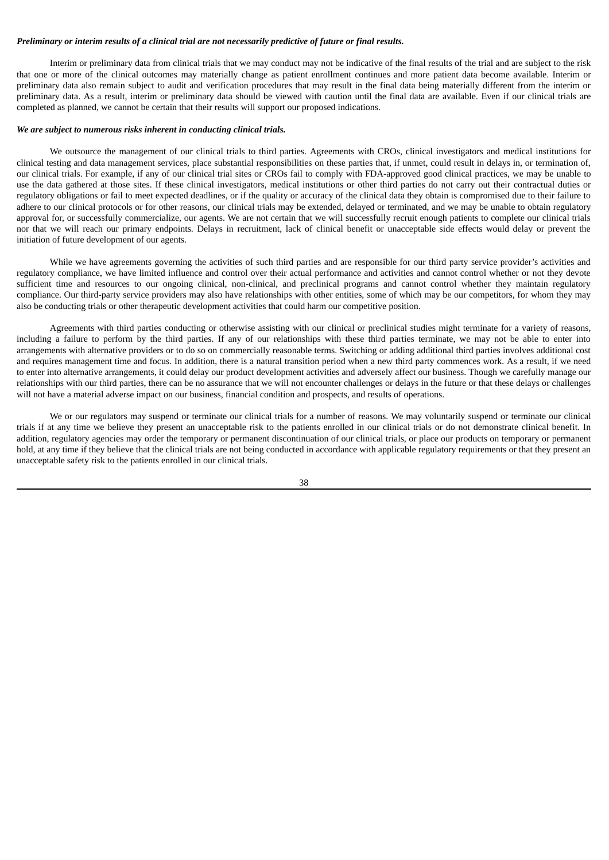### Preliminary or interim results of a clinical trial are not necessarily predictive of future or final results.

Interim or preliminary data from clinical trials that we may conduct may not be indicative of the final results of the trial and are subject to the risk that one or more of the clinical outcomes may materially change as patient enrollment continues and more patient data become available. Interim or preliminary data also remain subject to audit and verification procedures that may result in the final data being materially different from the interim or preliminary data. As a result, interim or preliminary data should be viewed with caution until the final data are available. Even if our clinical trials are completed as planned, we cannot be certain that their results will support our proposed indications.

#### *We are subject to numerous risks inherent in conducting clinical trials.*

We outsource the management of our clinical trials to third parties. Agreements with CROs, clinical investigators and medical institutions for clinical testing and data management services, place substantial responsibilities on these parties that, if unmet, could result in delays in, or termination of, our clinical trials. For example, if any of our clinical trial sites or CROs fail to comply with FDA-approved good clinical practices, we may be unable to use the data gathered at those sites. If these clinical investigators, medical institutions or other third parties do not carry out their contractual duties or regulatory obligations or fail to meet expected deadlines, or if the quality or accuracy of the clinical data they obtain is compromised due to their failure to adhere to our clinical protocols or for other reasons, our clinical trials may be extended, delayed or terminated, and we may be unable to obtain regulatory approval for, or successfully commercialize, our agents. We are not certain that we will successfully recruit enough patients to complete our clinical trials nor that we will reach our primary endpoints. Delays in recruitment, lack of clinical benefit or unacceptable side effects would delay or prevent the initiation of future development of our agents.

While we have agreements governing the activities of such third parties and are responsible for our third party service provider's activities and regulatory compliance, we have limited influence and control over their actual performance and activities and cannot control whether or not they devote sufficient time and resources to our ongoing clinical, non-clinical, and preclinical programs and cannot control whether they maintain regulatory compliance. Our third-party service providers may also have relationships with other entities, some of which may be our competitors, for whom they may also be conducting trials or other therapeutic development activities that could harm our competitive position.

Agreements with third parties conducting or otherwise assisting with our clinical or preclinical studies might terminate for a variety of reasons, including a failure to perform by the third parties. If any of our relationships with these third parties terminate, we may not be able to enter into arrangements with alternative providers or to do so on commercially reasonable terms. Switching or adding additional third parties involves additional cost and requires management time and focus. In addition, there is a natural transition period when a new third party commences work. As a result, if we need to enter into alternative arrangements, it could delay our product development activities and adversely affect our business. Though we carefully manage our relationships with our third parties, there can be no assurance that we will not encounter challenges or delays in the future or that these delays or challenges will not have a material adverse impact on our business, financial condition and prospects, and results of operations.

We or our regulators may suspend or terminate our clinical trials for a number of reasons. We may voluntarily suspend or terminate our clinical trials if at any time we believe they present an unacceptable risk to the patients enrolled in our clinical trials or do not demonstrate clinical benefit. In addition, regulatory agencies may order the temporary or permanent discontinuation of our clinical trials, or place our products on temporary or permanent hold, at any time if they believe that the clinical trials are not being conducted in accordance with applicable regulatory requirements or that they present an unacceptable safety risk to the patients enrolled in our clinical trials.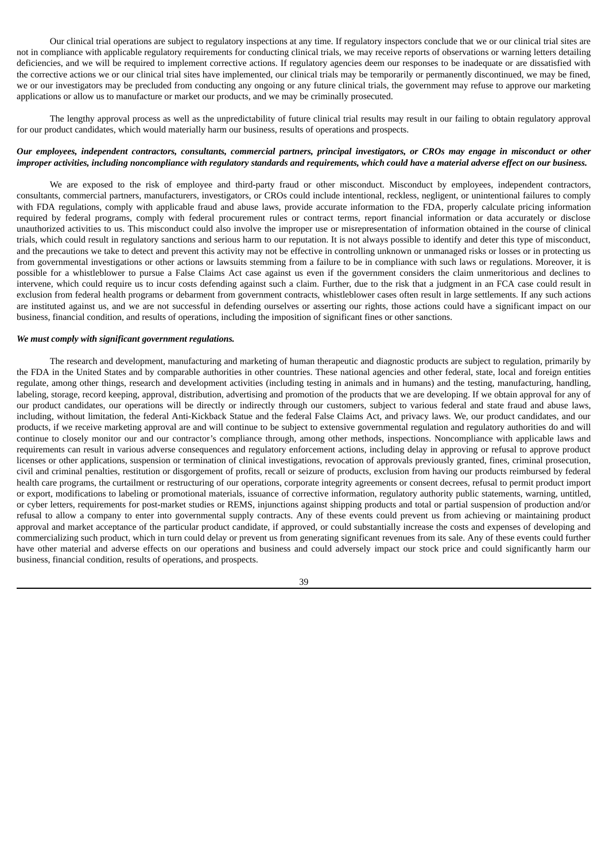Our clinical trial operations are subject to regulatory inspections at any time. If regulatory inspectors conclude that we or our clinical trial sites are not in compliance with applicable regulatory requirements for conducting clinical trials, we may receive reports of observations or warning letters detailing deficiencies, and we will be required to implement corrective actions. If regulatory agencies deem our responses to be inadequate or are dissatisfied with the corrective actions we or our clinical trial sites have implemented, our clinical trials may be temporarily or permanently discontinued, we may be fined, we or our investigators may be precluded from conducting any ongoing or any future clinical trials, the government may refuse to approve our marketing applications or allow us to manufacture or market our products, and we may be criminally prosecuted.

The lengthy approval process as well as the unpredictability of future clinical trial results may result in our failing to obtain regulatory approval for our product candidates, which would materially harm our business, results of operations and prospects.

## Our employees, independent contractors, consultants, commercial partners, principal investigators, or CROs may engage in misconduct or other improper activities, including noncompliance with regulatory standards and requirements, which could have a material adverse effect on our business.

We are exposed to the risk of employee and third-party fraud or other misconduct. Misconduct by employees, independent contractors, consultants, commercial partners, manufacturers, investigators, or CROs could include intentional, reckless, negligent, or unintentional failures to comply with FDA regulations, comply with applicable fraud and abuse laws, provide accurate information to the FDA, properly calculate pricing information required by federal programs, comply with federal procurement rules or contract terms, report financial information or data accurately or disclose unauthorized activities to us. This misconduct could also involve the improper use or misrepresentation of information obtained in the course of clinical trials, which could result in regulatory sanctions and serious harm to our reputation. It is not always possible to identify and deter this type of misconduct, and the precautions we take to detect and prevent this activity may not be effective in controlling unknown or unmanaged risks or losses or in protecting us from governmental investigations or other actions or lawsuits stemming from a failure to be in compliance with such laws or regulations. Moreover, it is possible for a whistleblower to pursue a False Claims Act case against us even if the government considers the claim unmeritorious and declines to intervene, which could require us to incur costs defending against such a claim. Further, due to the risk that a judgment in an FCA case could result in exclusion from federal health programs or debarment from government contracts, whistleblower cases often result in large settlements. If any such actions are instituted against us, and we are not successful in defending ourselves or asserting our rights, those actions could have a significant impact on our business, financial condition, and results of operations, including the imposition of significant fines or other sanctions.

### *We must comply with significant government regulations.*

The research and development, manufacturing and marketing of human therapeutic and diagnostic products are subject to regulation, primarily by the FDA in the United States and by comparable authorities in other countries. These national agencies and other federal, state, local and foreign entities regulate, among other things, research and development activities (including testing in animals and in humans) and the testing, manufacturing, handling, labeling, storage, record keeping, approval, distribution, advertising and promotion of the products that we are developing. If we obtain approval for any of our product candidates, our operations will be directly or indirectly through our customers, subject to various federal and state fraud and abuse laws, including, without limitation, the federal Anti-Kickback Statue and the federal False Claims Act, and privacy laws. We, our product candidates, and our products, if we receive marketing approval are and will continue to be subject to extensive governmental regulation and regulatory authorities do and will continue to closely monitor our and our contractor's compliance through, among other methods, inspections. Noncompliance with applicable laws and requirements can result in various adverse consequences and regulatory enforcement actions, including delay in approving or refusal to approve product licenses or other applications, suspension or termination of clinical investigations, revocation of approvals previously granted, fines, criminal prosecution, civil and criminal penalties, restitution or disgorgement of profits, recall or seizure of products, exclusion from having our products reimbursed by federal health care programs, the curtailment or restructuring of our operations, corporate integrity agreements or consent decrees, refusal to permit product import or export, modifications to labeling or promotional materials, issuance of corrective information, regulatory authority public statements, warning, untitled, or cyber letters, requirements for post-market studies or REMS, injunctions against shipping products and total or partial suspension of production and/or refusal to allow a company to enter into governmental supply contracts. Any of these events could prevent us from achieving or maintaining product approval and market acceptance of the particular product candidate, if approved, or could substantially increase the costs and expenses of developing and commercializing such product, which in turn could delay or prevent us from generating significant revenues from its sale. Any of these events could further have other material and adverse effects on our operations and business and could adversely impact our stock price and could significantly harm our business, financial condition, results of operations, and prospects.

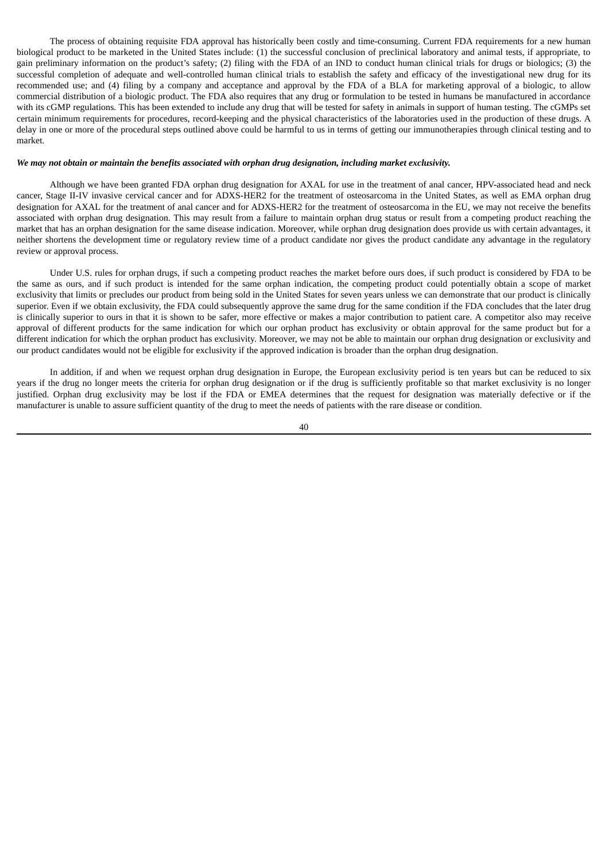The process of obtaining requisite FDA approval has historically been costly and time-consuming. Current FDA requirements for a new human biological product to be marketed in the United States include: (1) the successful conclusion of preclinical laboratory and animal tests, if appropriate, to gain preliminary information on the product's safety; (2) filing with the FDA of an IND to conduct human clinical trials for drugs or biologics; (3) the successful completion of adequate and well-controlled human clinical trials to establish the safety and efficacy of the investigational new drug for its recommended use; and (4) filing by a company and acceptance and approval by the FDA of a BLA for marketing approval of a biologic, to allow commercial distribution of a biologic product. The FDA also requires that any drug or formulation to be tested in humans be manufactured in accordance with its cGMP regulations. This has been extended to include any drug that will be tested for safety in animals in support of human testing. The cGMPs set certain minimum requirements for procedures, record-keeping and the physical characteristics of the laboratories used in the production of these drugs. A delay in one or more of the procedural steps outlined above could be harmful to us in terms of getting our immunotherapies through clinical testing and to market.

#### We may not obtain or maintain the benefits associated with orphan drug designation, including market exclusivity.

Although we have been granted FDA orphan drug designation for AXAL for use in the treatment of anal cancer, HPV-associated head and neck cancer, Stage II-IV invasive cervical cancer and for ADXS-HER2 for the treatment of osteosarcoma in the United States, as well as EMA orphan drug designation for AXAL for the treatment of anal cancer and for ADXS-HER2 for the treatment of osteosarcoma in the EU, we may not receive the benefits associated with orphan drug designation. This may result from a failure to maintain orphan drug status or result from a competing product reaching the market that has an orphan designation for the same disease indication. Moreover, while orphan drug designation does provide us with certain advantages, it neither shortens the development time or regulatory review time of a product candidate nor gives the product candidate any advantage in the regulatory review or approval process.

Under U.S. rules for orphan drugs, if such a competing product reaches the market before ours does, if such product is considered by FDA to be the same as ours, and if such product is intended for the same orphan indication, the competing product could potentially obtain a scope of market exclusivity that limits or precludes our product from being sold in the United States for seven years unless we can demonstrate that our product is clinically superior. Even if we obtain exclusivity, the FDA could subsequently approve the same drug for the same condition if the FDA concludes that the later drug is clinically superior to ours in that it is shown to be safer, more effective or makes a major contribution to patient care. A competitor also may receive approval of different products for the same indication for which our orphan product has exclusivity or obtain approval for the same product but for a different indication for which the orphan product has exclusivity. Moreover, we may not be able to maintain our orphan drug designation or exclusivity and our product candidates would not be eligible for exclusivity if the approved indication is broader than the orphan drug designation.

In addition, if and when we request orphan drug designation in Europe, the European exclusivity period is ten years but can be reduced to six years if the drug no longer meets the criteria for orphan drug designation or if the drug is sufficiently profitable so that market exclusivity is no longer justified. Orphan drug exclusivity may be lost if the FDA or EMEA determines that the request for designation was materially defective or if the manufacturer is unable to assure sufficient quantity of the drug to meet the needs of patients with the rare disease or condition.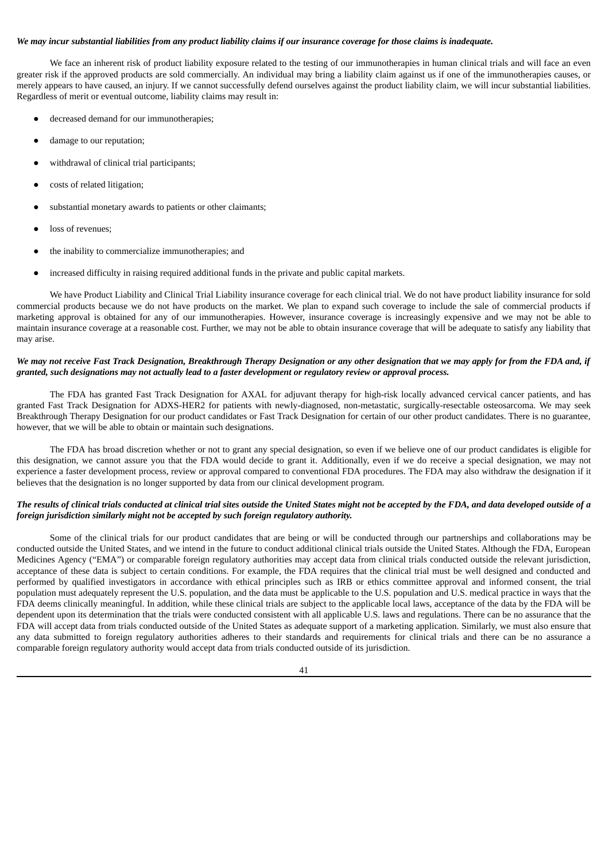# We may incur substantial liabilities from any product liability claims if our insurance coverage for those claims is inadequate.

We face an inherent risk of product liability exposure related to the testing of our immunotherapies in human clinical trials and will face an even greater risk if the approved products are sold commercially. An individual may bring a liability claim against us if one of the immunotherapies causes, or merely appears to have caused, an injury. If we cannot successfully defend ourselves against the product liability claim, we will incur substantial liabilities. Regardless of merit or eventual outcome, liability claims may result in:

- decreased demand for our immunotherapies;
- damage to our reputation;
- withdrawal of clinical trial participants;
- costs of related litigation;
- substantial monetary awards to patients or other claimants;
- loss of revenues;
- the inability to commercialize immunotherapies; and
- increased difficulty in raising required additional funds in the private and public capital markets.

We have Product Liability and Clinical Trial Liability insurance coverage for each clinical trial. We do not have product liability insurance for sold commercial products because we do not have products on the market. We plan to expand such coverage to include the sale of commercial products if marketing approval is obtained for any of our immunotherapies. However, insurance coverage is increasingly expensive and we may not be able to maintain insurance coverage at a reasonable cost. Further, we may not be able to obtain insurance coverage that will be adequate to satisfy any liability that may arise.

### We may not receive Fast Track Designation, Breakthrough Therapy Designation or any other designation that we may apply for from the FDA and, if granted, such designations may not actually lead to a faster development or regulatory review or approval process.

The FDA has granted Fast Track Designation for AXAL for adjuvant therapy for high-risk locally advanced cervical cancer patients, and has granted Fast Track Designation for ADXS-HER2 for patients with newly-diagnosed, non-metastatic, surgically-resectable osteosarcoma. We may seek Breakthrough Therapy Designation for our product candidates or Fast Track Designation for certain of our other product candidates. There is no guarantee, however, that we will be able to obtain or maintain such designations.

The FDA has broad discretion whether or not to grant any special designation, so even if we believe one of our product candidates is eligible for this designation, we cannot assure you that the FDA would decide to grant it. Additionally, even if we do receive a special designation, we may not experience a faster development process, review or approval compared to conventional FDA procedures. The FDA may also withdraw the designation if it believes that the designation is no longer supported by data from our clinical development program.

## The results of clinical trials conducted at clinical trial sites outside the United States might not be accepted by the FDA, and data developed outside of a *foreign jurisdiction similarly might not be accepted by such foreign regulatory authority.*

Some of the clinical trials for our product candidates that are being or will be conducted through our partnerships and collaborations may be conducted outside the United States, and we intend in the future to conduct additional clinical trials outside the United States. Although the FDA, European Medicines Agency ("EMA") or comparable foreign regulatory authorities may accept data from clinical trials conducted outside the relevant jurisdiction, acceptance of these data is subject to certain conditions. For example, the FDA requires that the clinical trial must be well designed and conducted and performed by qualified investigators in accordance with ethical principles such as IRB or ethics committee approval and informed consent, the trial population must adequately represent the U.S. population, and the data must be applicable to the U.S. population and U.S. medical practice in ways that the FDA deems clinically meaningful. In addition, while these clinical trials are subject to the applicable local laws, acceptance of the data by the FDA will be dependent upon its determination that the trials were conducted consistent with all applicable U.S. laws and regulations. There can be no assurance that the FDA will accept data from trials conducted outside of the United States as adequate support of a marketing application. Similarly, we must also ensure that any data submitted to foreign regulatory authorities adheres to their standards and requirements for clinical trials and there can be no assurance a comparable foreign regulatory authority would accept data from trials conducted outside of its jurisdiction.

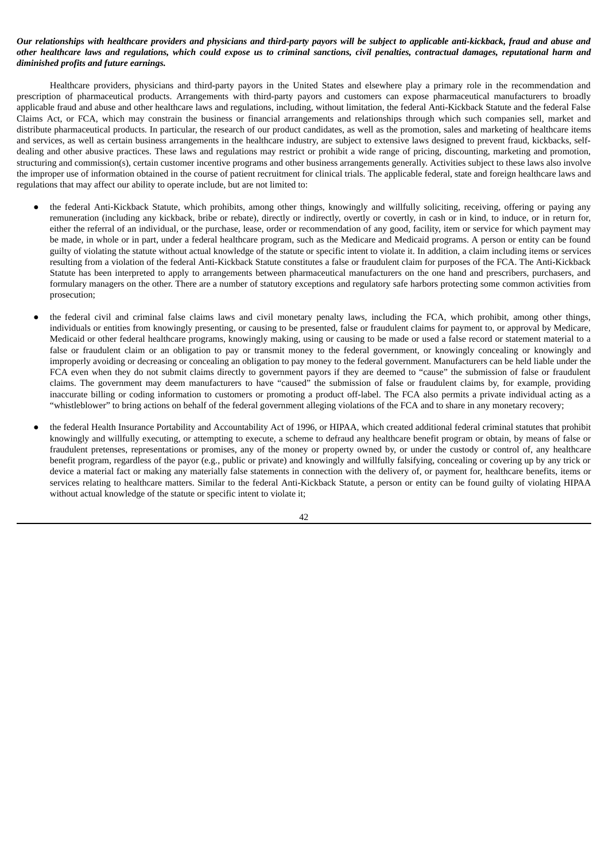## Our relationships with healthcare providers and physicians and third-party payors will be subject to applicable anti-kickback, fraud and abuse and other healthcare laws and reaulations, which could expose us to criminal sanctions, civil penalties, contractual damages, reputational harm and *diminished profits and future earnings.*

Healthcare providers, physicians and third-party payors in the United States and elsewhere play a primary role in the recommendation and prescription of pharmaceutical products. Arrangements with third-party payors and customers can expose pharmaceutical manufacturers to broadly applicable fraud and abuse and other healthcare laws and regulations, including, without limitation, the federal Anti-Kickback Statute and the federal False Claims Act, or FCA, which may constrain the business or financial arrangements and relationships through which such companies sell, market and distribute pharmaceutical products. In particular, the research of our product candidates, as well as the promotion, sales and marketing of healthcare items and services, as well as certain business arrangements in the healthcare industry, are subject to extensive laws designed to prevent fraud, kickbacks, selfdealing and other abusive practices. These laws and regulations may restrict or prohibit a wide range of pricing, discounting, marketing and promotion, structuring and commission(s), certain customer incentive programs and other business arrangements generally. Activities subject to these laws also involve the improper use of information obtained in the course of patient recruitment for clinical trials. The applicable federal, state and foreign healthcare laws and regulations that may affect our ability to operate include, but are not limited to:

- the federal Anti-Kickback Statute, which prohibits, among other things, knowingly and willfully soliciting, receiving, offering or paying any remuneration (including any kickback, bribe or rebate), directly or indirectly, overtly or covertly, in cash or in kind, to induce, or in return for, either the referral of an individual, or the purchase, lease, order or recommendation of any good, facility, item or service for which payment may be made, in whole or in part, under a federal healthcare program, such as the Medicare and Medicaid programs. A person or entity can be found guilty of violating the statute without actual knowledge of the statute or specific intent to violate it. In addition, a claim including items or services resulting from a violation of the federal Anti-Kickback Statute constitutes a false or fraudulent claim for purposes of the FCA. The Anti-Kickback Statute has been interpreted to apply to arrangements between pharmaceutical manufacturers on the one hand and prescribers, purchasers, and formulary managers on the other. There are a number of statutory exceptions and regulatory safe harbors protecting some common activities from prosecution;
- the federal civil and criminal false claims laws and civil monetary penalty laws, including the FCA, which prohibit, among other things, individuals or entities from knowingly presenting, or causing to be presented, false or fraudulent claims for payment to, or approval by Medicare, Medicaid or other federal healthcare programs, knowingly making, using or causing to be made or used a false record or statement material to a false or fraudulent claim or an obligation to pay or transmit money to the federal government, or knowingly concealing or knowingly and improperly avoiding or decreasing or concealing an obligation to pay money to the federal government. Manufacturers can be held liable under the FCA even when they do not submit claims directly to government payors if they are deemed to "cause" the submission of false or fraudulent claims. The government may deem manufacturers to have "caused" the submission of false or fraudulent claims by, for example, providing inaccurate billing or coding information to customers or promoting a product off-label. The FCA also permits a private individual acting as a "whistleblower" to bring actions on behalf of the federal government alleging violations of the FCA and to share in any monetary recovery;
- the federal Health Insurance Portability and Accountability Act of 1996, or HIPAA, which created additional federal criminal statutes that prohibit knowingly and willfully executing, or attempting to execute, a scheme to defraud any healthcare benefit program or obtain, by means of false or fraudulent pretenses, representations or promises, any of the money or property owned by, or under the custody or control of, any healthcare benefit program, regardless of the payor (e.g., public or private) and knowingly and willfully falsifying, concealing or covering up by any trick or device a material fact or making any materially false statements in connection with the delivery of, or payment for, healthcare benefits, items or services relating to healthcare matters. Similar to the federal Anti-Kickback Statute, a person or entity can be found guilty of violating HIPAA without actual knowledge of the statute or specific intent to violate it;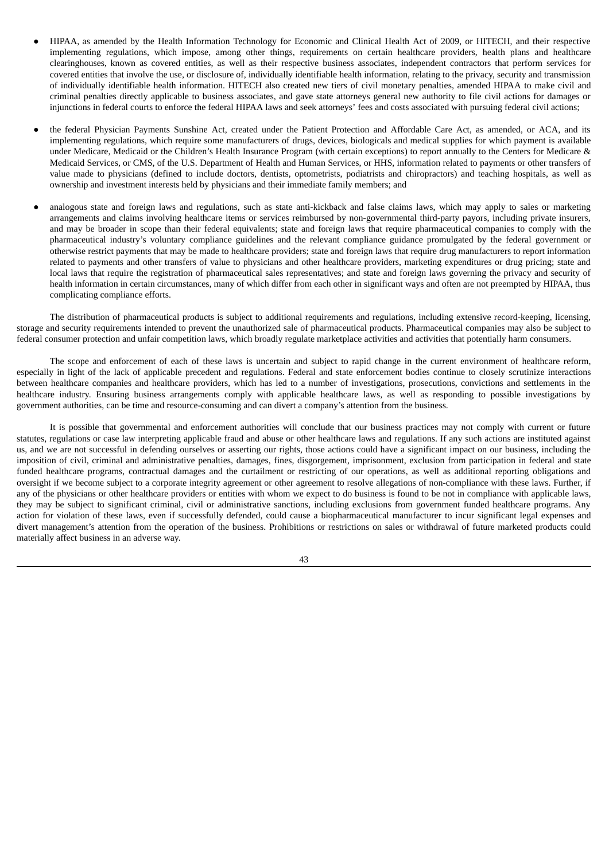- HIPAA, as amended by the Health Information Technology for Economic and Clinical Health Act of 2009, or HITECH, and their respective implementing regulations, which impose, among other things, requirements on certain healthcare providers, health plans and healthcare clearinghouses, known as covered entities, as well as their respective business associates, independent contractors that perform services for covered entities that involve the use, or disclosure of, individually identifiable health information, relating to the privacy, security and transmission of individually identifiable health information. HITECH also created new tiers of civil monetary penalties, amended HIPAA to make civil and criminal penalties directly applicable to business associates, and gave state attorneys general new authority to file civil actions for damages or injunctions in federal courts to enforce the federal HIPAA laws and seek attorneys' fees and costs associated with pursuing federal civil actions;
- the federal Physician Payments Sunshine Act, created under the Patient Protection and Affordable Care Act, as amended, or ACA, and its implementing regulations, which require some manufacturers of drugs, devices, biologicals and medical supplies for which payment is available under Medicare, Medicaid or the Children's Health Insurance Program (with certain exceptions) to report annually to the Centers for Medicare & Medicaid Services, or CMS, of the U.S. Department of Health and Human Services, or HHS, information related to payments or other transfers of value made to physicians (defined to include doctors, dentists, optometrists, podiatrists and chiropractors) and teaching hospitals, as well as ownership and investment interests held by physicians and their immediate family members; and
- analogous state and foreign laws and regulations, such as state anti-kickback and false claims laws, which may apply to sales or marketing arrangements and claims involving healthcare items or services reimbursed by non-governmental third-party payors, including private insurers, and may be broader in scope than their federal equivalents; state and foreign laws that require pharmaceutical companies to comply with the pharmaceutical industry's voluntary compliance guidelines and the relevant compliance guidance promulgated by the federal government or otherwise restrict payments that may be made to healthcare providers; state and foreign laws that require drug manufacturers to report information related to payments and other transfers of value to physicians and other healthcare providers, marketing expenditures or drug pricing; state and local laws that require the registration of pharmaceutical sales representatives; and state and foreign laws governing the privacy and security of health information in certain circumstances, many of which differ from each other in significant ways and often are not preempted by HIPAA, thus complicating compliance efforts.

The distribution of pharmaceutical products is subject to additional requirements and regulations, including extensive record-keeping, licensing, storage and security requirements intended to prevent the unauthorized sale of pharmaceutical products. Pharmaceutical companies may also be subject to federal consumer protection and unfair competition laws, which broadly regulate marketplace activities and activities that potentially harm consumers.

The scope and enforcement of each of these laws is uncertain and subject to rapid change in the current environment of healthcare reform, especially in light of the lack of applicable precedent and regulations. Federal and state enforcement bodies continue to closely scrutinize interactions between healthcare companies and healthcare providers, which has led to a number of investigations, prosecutions, convictions and settlements in the healthcare industry. Ensuring business arrangements comply with applicable healthcare laws, as well as responding to possible investigations by government authorities, can be time and resource-consuming and can divert a company's attention from the business.

It is possible that governmental and enforcement authorities will conclude that our business practices may not comply with current or future statutes, regulations or case law interpreting applicable fraud and abuse or other healthcare laws and regulations. If any such actions are instituted against us, and we are not successful in defending ourselves or asserting our rights, those actions could have a significant impact on our business, including the imposition of civil, criminal and administrative penalties, damages, fines, disgorgement, imprisonment, exclusion from participation in federal and state funded healthcare programs, contractual damages and the curtailment or restricting of our operations, as well as additional reporting obligations and oversight if we become subject to a corporate integrity agreement or other agreement to resolve allegations of non-compliance with these laws. Further, if any of the physicians or other healthcare providers or entities with whom we expect to do business is found to be not in compliance with applicable laws, they may be subject to significant criminal, civil or administrative sanctions, including exclusions from government funded healthcare programs. Any action for violation of these laws, even if successfully defended, could cause a biopharmaceutical manufacturer to incur significant legal expenses and divert management's attention from the operation of the business. Prohibitions or restrictions on sales or withdrawal of future marketed products could materially affect business in an adverse way.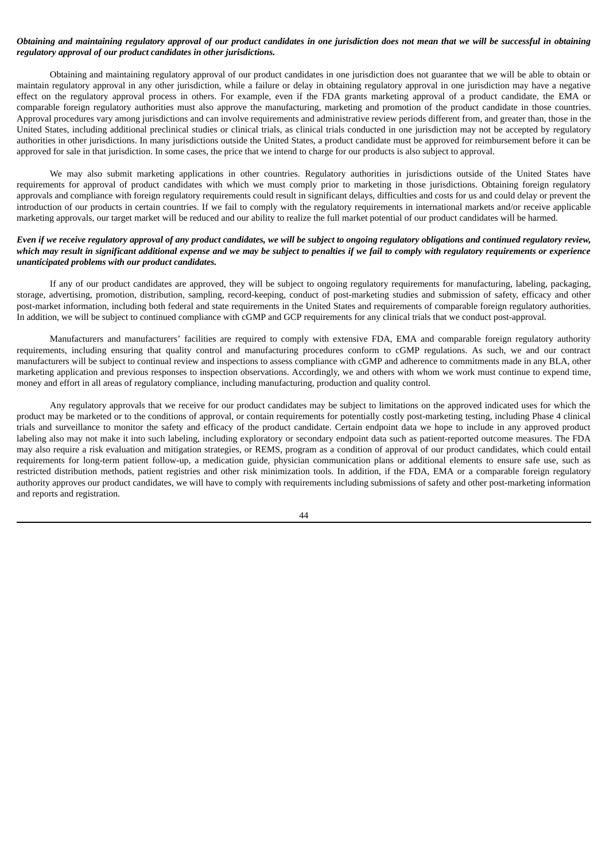## Obtaining and maintaining regulatory approval of our product candidates in one jurisdiction does not mean that we will be successful in obtaining *regulatory approval of our product candidates in other jurisdictions.*

Obtaining and maintaining regulatory approval of our product candidates in one jurisdiction does not guarantee that we will be able to obtain or maintain regulatory approval in any other jurisdiction, while a failure or delay in obtaining regulatory approval in one jurisdiction may have a negative effect on the regulatory approval process in others. For example, even if the FDA grants marketing approval of a product candidate, the EMA or comparable foreign regulatory authorities must also approve the manufacturing, marketing and promotion of the product candidate in those countries. Approval procedures vary among jurisdictions and can involve requirements and administrative review periods different from, and greater than, those in the United States, including additional preclinical studies or clinical trials, as clinical trials conducted in one jurisdiction may not be accepted by regulatory authorities in other jurisdictions. In many jurisdictions outside the United States, a product candidate must be approved for reimbursement before it can be approved for sale in that jurisdiction. In some cases, the price that we intend to charge for our products is also subject to approval.

We may also submit marketing applications in other countries. Regulatory authorities in jurisdictions outside of the United States have requirements for approval of product candidates with which we must comply prior to marketing in those jurisdictions. Obtaining foreign regulatory approvals and compliance with foreign regulatory requirements could result in significant delays, difficulties and costs for us and could delay or prevent the introduction of our products in certain countries. If we fail to comply with the regulatory requirements in international markets and/or receive applicable marketing approvals, our target market will be reduced and our ability to realize the full market potential of our product candidates will be harmed.

## Even if we receive regulatory approval of any product candidates, we will be subject to ongoing regulatory obligations and continued regulatory review, which may result in significant additional expense and we may be subject to penalties if we fail to comply with regulatory requirements or experience *unanticipated problems with our product candidates.*

If any of our product candidates are approved, they will be subject to ongoing regulatory requirements for manufacturing, labeling, packaging, storage, advertising, promotion, distribution, sampling, record-keeping, conduct of post-marketing studies and submission of safety, efficacy and other post-market information, including both federal and state requirements in the United States and requirements of comparable foreign regulatory authorities. In addition, we will be subject to continued compliance with cGMP and GCP requirements for any clinical trials that we conduct post-approval.

Manufacturers and manufacturers' facilities are required to comply with extensive FDA, EMA and comparable foreign regulatory authority requirements, including ensuring that quality control and manufacturing procedures conform to cGMP regulations. As such, we and our contract manufacturers will be subject to continual review and inspections to assess compliance with cGMP and adherence to commitments made in any BLA, other marketing application and previous responses to inspection observations. Accordingly, we and others with whom we work must continue to expend time, money and effort in all areas of regulatory compliance, including manufacturing, production and quality control.

Any regulatory approvals that we receive for our product candidates may be subject to limitations on the approved indicated uses for which the product may be marketed or to the conditions of approval, or contain requirements for potentially costly post-marketing testing, including Phase 4 clinical trials and surveillance to monitor the safety and efficacy of the product candidate. Certain endpoint data we hope to include in any approved product labeling also may not make it into such labeling, including exploratory or secondary endpoint data such as patient-reported outcome measures. The FDA may also require a risk evaluation and mitigation strategies, or REMS, program as a condition of approval of our product candidates, which could entail requirements for long-term patient follow-up, a medication guide, physician communication plans or additional elements to ensure safe use, such as restricted distribution methods, patient registries and other risk minimization tools. In addition, if the FDA, EMA or a comparable foreign regulatory authority approves our product candidates, we will have to comply with requirements including submissions of safety and other post-marketing information and reports and registration.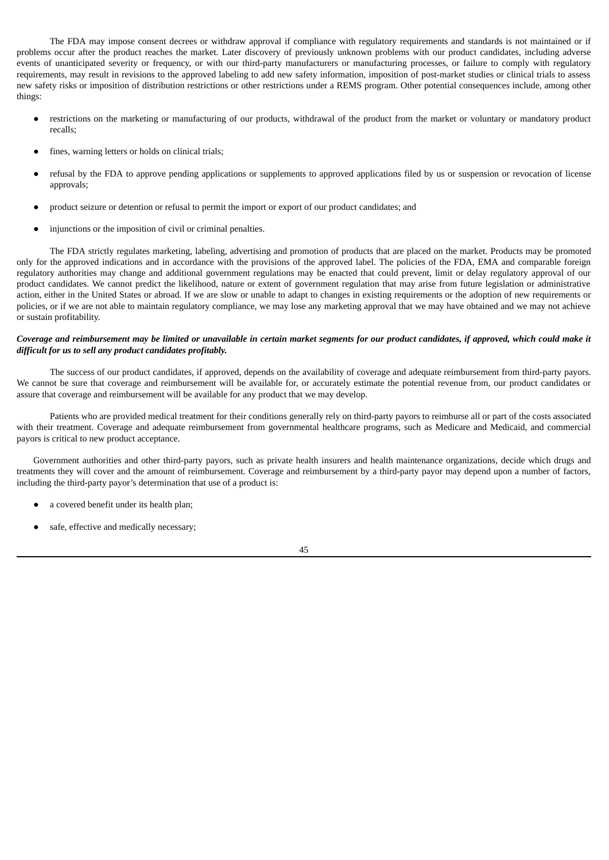The FDA may impose consent decrees or withdraw approval if compliance with regulatory requirements and standards is not maintained or if problems occur after the product reaches the market. Later discovery of previously unknown problems with our product candidates, including adverse events of unanticipated severity or frequency, or with our third-party manufacturers or manufacturing processes, or failure to comply with regulatory requirements, may result in revisions to the approved labeling to add new safety information, imposition of post-market studies or clinical trials to assess new safety risks or imposition of distribution restrictions or other restrictions under a REMS program. Other potential consequences include, among other things:

- restrictions on the marketing or manufacturing of our products, withdrawal of the product from the market or voluntary or mandatory product recalls;
- fines, warning letters or holds on clinical trials;
- refusal by the FDA to approve pending applications or supplements to approved applications filed by us or suspension or revocation of license approvals;
- product seizure or detention or refusal to permit the import or export of our product candidates; and
- injunctions or the imposition of civil or criminal penalties.

The FDA strictly regulates marketing, labeling, advertising and promotion of products that are placed on the market. Products may be promoted only for the approved indications and in accordance with the provisions of the approved label. The policies of the FDA, EMA and comparable foreign regulatory authorities may change and additional government regulations may be enacted that could prevent, limit or delay regulatory approval of our product candidates. We cannot predict the likelihood, nature or extent of government regulation that may arise from future legislation or administrative action, either in the United States or abroad. If we are slow or unable to adapt to changes in existing requirements or the adoption of new requirements or policies, or if we are not able to maintain regulatory compliance, we may lose any marketing approval that we may have obtained and we may not achieve or sustain profitability.

# Coverage and reimbursement may be limited or unavailable in certain market segments for our product candidates, if approved, which could make it *difficult for us to sell any product candidates profitably.*

The success of our product candidates, if approved, depends on the availability of coverage and adequate reimbursement from third-party payors. We cannot be sure that coverage and reimbursement will be available for, or accurately estimate the potential revenue from, our product candidates or assure that coverage and reimbursement will be available for any product that we may develop.

Patients who are provided medical treatment for their conditions generally rely on third-party payors to reimburse all or part of the costs associated with their treatment. Coverage and adequate reimbursement from governmental healthcare programs, such as Medicare and Medicaid, and commercial payors is critical to new product acceptance.

Government authorities and other third-party payors, such as private health insurers and health maintenance organizations, decide which drugs and treatments they will cover and the amount of reimbursement. Coverage and reimbursement by a third-party payor may depend upon a number of factors, including the third-party payor's determination that use of a product is:

- a covered benefit under its health plan;
- safe, effective and medically necessary;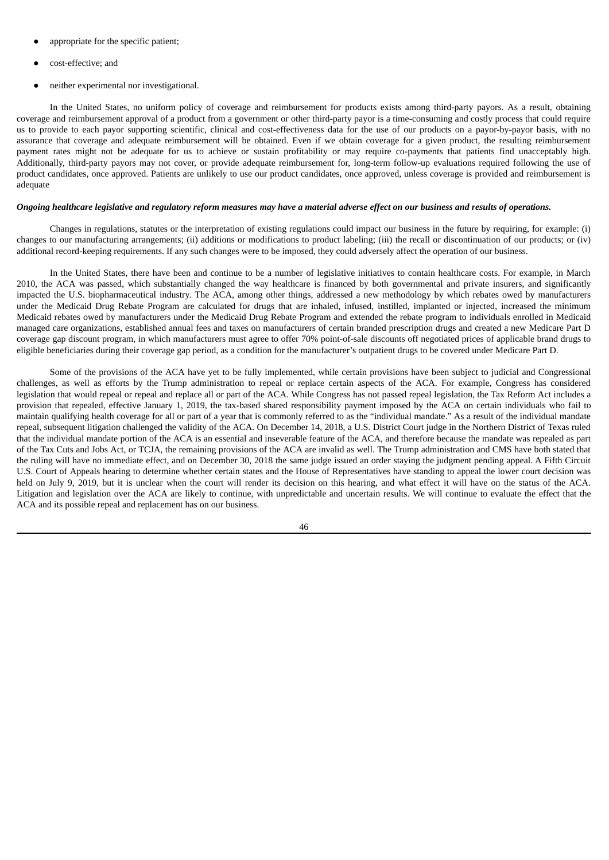- appropriate for the specific patient;
- cost-effective; and
- neither experimental nor investigational.

In the United States, no uniform policy of coverage and reimbursement for products exists among third-party payors. As a result, obtaining coverage and reimbursement approval of a product from a government or other third-party payor is a time-consuming and costly process that could require us to provide to each payor supporting scientific, clinical and cost-effectiveness data for the use of our products on a payor-by-payor basis, with no assurance that coverage and adequate reimbursement will be obtained. Even if we obtain coverage for a given product, the resulting reimbursement payment rates might not be adequate for us to achieve or sustain profitability or may require co-payments that patients find unacceptably high. Additionally, third-party payors may not cover, or provide adequate reimbursement for, long-term follow-up evaluations required following the use of product candidates, once approved. Patients are unlikely to use our product candidates, once approved, unless coverage is provided and reimbursement is adequate

## Ongoing healthcare legislative and regulatory reform measures may have a material adverse effect on our business and results of operations.

Changes in regulations, statutes or the interpretation of existing regulations could impact our business in the future by requiring, for example: (i) changes to our manufacturing arrangements; (ii) additions or modifications to product labeling; (iii) the recall or discontinuation of our products; or (iv) additional record-keeping requirements. If any such changes were to be imposed, they could adversely affect the operation of our business.

In the United States, there have been and continue to be a number of legislative initiatives to contain healthcare costs. For example, in March 2010, the ACA was passed, which substantially changed the way healthcare is financed by both governmental and private insurers, and significantly impacted the U.S. biopharmaceutical industry. The ACA, among other things, addressed a new methodology by which rebates owed by manufacturers under the Medicaid Drug Rebate Program are calculated for drugs that are inhaled, infused, instilled, implanted or injected, increased the minimum Medicaid rebates owed by manufacturers under the Medicaid Drug Rebate Program and extended the rebate program to individuals enrolled in Medicaid managed care organizations, established annual fees and taxes on manufacturers of certain branded prescription drugs and created a new Medicare Part D coverage gap discount program, in which manufacturers must agree to offer 70% point-of-sale discounts off negotiated prices of applicable brand drugs to eligible beneficiaries during their coverage gap period, as a condition for the manufacturer's outpatient drugs to be covered under Medicare Part D.

Some of the provisions of the ACA have yet to be fully implemented, while certain provisions have been subject to judicial and Congressional challenges, as well as efforts by the Trump administration to repeal or replace certain aspects of the ACA. For example, Congress has considered legislation that would repeal or repeal and replace all or part of the ACA. While Congress has not passed repeal legislation, the Tax Reform Act includes a provision that repealed, effective January 1, 2019, the tax-based shared responsibility payment imposed by the ACA on certain individuals who fail to maintain qualifying health coverage for all or part of a year that is commonly referred to as the "individual mandate." As a result of the individual mandate repeal, subsequent litigation challenged the validity of the ACA. On December 14, 2018, a U.S. District Court judge in the Northern District of Texas ruled that the individual mandate portion of the ACA is an essential and inseverable feature of the ACA, and therefore because the mandate was repealed as part of the Tax Cuts and Jobs Act, or TCJA, the remaining provisions of the ACA are invalid as well. The Trump administration and CMS have both stated that the ruling will have no immediate effect, and on December 30, 2018 the same judge issued an order staying the judgment pending appeal. A Fifth Circuit U.S. Court of Appeals hearing to determine whether certain states and the House of Representatives have standing to appeal the lower court decision was held on July 9, 2019, but it is unclear when the court will render its decision on this hearing, and what effect it will have on the status of the ACA. Litigation and legislation over the ACA are likely to continue, with unpredictable and uncertain results. We will continue to evaluate the effect that the ACA and its possible repeal and replacement has on our business.

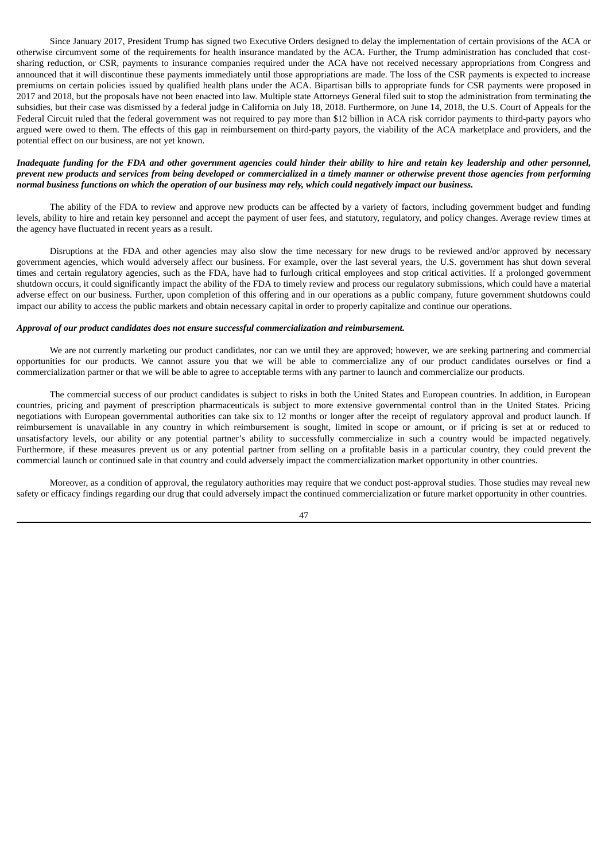Since January 2017, President Trump has signed two Executive Orders designed to delay the implementation of certain provisions of the ACA or otherwise circumvent some of the requirements for health insurance mandated by the ACA. Further, the Trump administration has concluded that costsharing reduction, or CSR, payments to insurance companies required under the ACA have not received necessary appropriations from Congress and announced that it will discontinue these payments immediately until those appropriations are made. The loss of the CSR payments is expected to increase premiums on certain policies issued by qualified health plans under the ACA. Bipartisan bills to appropriate funds for CSR payments were proposed in 2017 and 2018, but the proposals have not been enacted into law. Multiple state Attorneys General filed suit to stop the administration from terminating the subsidies, but their case was dismissed by a federal judge in California on July 18, 2018. Furthermore, on June 14, 2018, the U.S. Court of Appeals for the Federal Circuit ruled that the federal government was not required to pay more than \$12 billion in ACA risk corridor payments to third-party payors who argued were owed to them. The effects of this gap in reimbursement on third-party payors, the viability of the ACA marketplace and providers, and the potential effect on our business, are not yet known.

## Inadequate funding for the FDA and other government agencies could hinder their ability to hire and retain key leadership and other personnel, prevent new products and services from being developed or commercialized in a timely manner or otherwise prevent those agencies from performing normal business functions on which the operation of our business may rely, which could negatively impact our business.

The ability of the FDA to review and approve new products can be affected by a variety of factors, including government budget and funding levels, ability to hire and retain key personnel and accept the payment of user fees, and statutory, regulatory, and policy changes. Average review times at the agency have fluctuated in recent years as a result.

Disruptions at the FDA and other agencies may also slow the time necessary for new drugs to be reviewed and/or approved by necessary government agencies, which would adversely affect our business. For example, over the last several years, the U.S. government has shut down several times and certain regulatory agencies, such as the FDA, have had to furlough critical employees and stop critical activities. If a prolonged government shutdown occurs, it could significantly impact the ability of the FDA to timely review and process our regulatory submissions, which could have a material adverse effect on our business. Further, upon completion of this offering and in our operations as a public company, future government shutdowns could impact our ability to access the public markets and obtain necessary capital in order to properly capitalize and continue our operations.

#### *Approval of our product candidates does not ensure successful commercialization and reimbursement.*

We are not currently marketing our product candidates, nor can we until they are approved; however, we are seeking partnering and commercial opportunities for our products. We cannot assure you that we will be able to commercialize any of our product candidates ourselves or find a commercialization partner or that we will be able to agree to acceptable terms with any partner to launch and commercialize our products.

The commercial success of our product candidates is subject to risks in both the United States and European countries. In addition, in European countries, pricing and payment of prescription pharmaceuticals is subject to more extensive governmental control than in the United States. Pricing negotiations with European governmental authorities can take six to 12 months or longer after the receipt of regulatory approval and product launch. If reimbursement is unavailable in any country in which reimbursement is sought, limited in scope or amount, or if pricing is set at or reduced to unsatisfactory levels, our ability or any potential partner's ability to successfully commercialize in such a country would be impacted negatively. Furthermore, if these measures prevent us or any potential partner from selling on a profitable basis in a particular country, they could prevent the commercial launch or continued sale in that country and could adversely impact the commercialization market opportunity in other countries.

Moreover, as a condition of approval, the regulatory authorities may require that we conduct post-approval studies. Those studies may reveal new safety or efficacy findings regarding our drug that could adversely impact the continued commercialization or future market opportunity in other countries.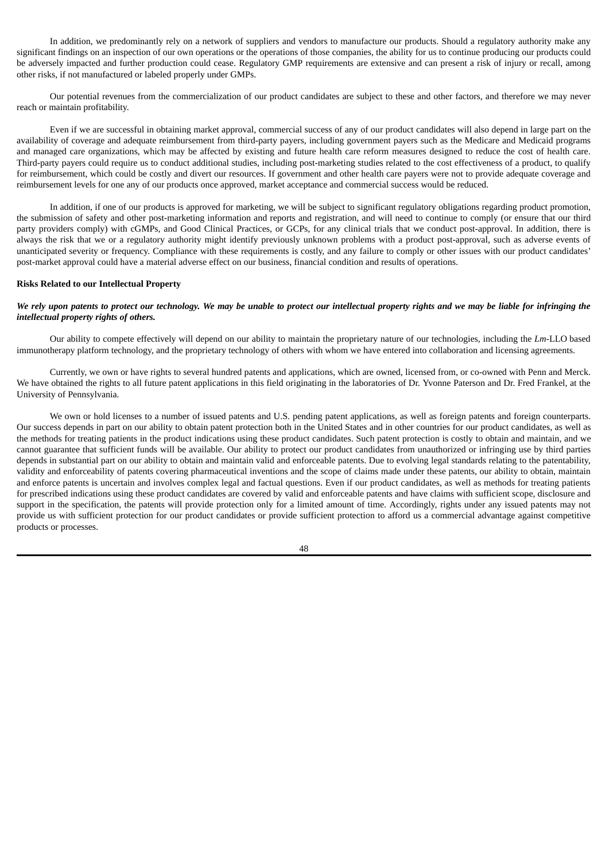In addition, we predominantly rely on a network of suppliers and vendors to manufacture our products. Should a regulatory authority make any significant findings on an inspection of our own operations or the operations of those companies, the ability for us to continue producing our products could be adversely impacted and further production could cease. Regulatory GMP requirements are extensive and can present a risk of injury or recall, among other risks, if not manufactured or labeled properly under GMPs.

Our potential revenues from the commercialization of our product candidates are subject to these and other factors, and therefore we may never reach or maintain profitability.

Even if we are successful in obtaining market approval, commercial success of any of our product candidates will also depend in large part on the availability of coverage and adequate reimbursement from third-party payers, including government payers such as the Medicare and Medicaid programs and managed care organizations, which may be affected by existing and future health care reform measures designed to reduce the cost of health care. Third-party payers could require us to conduct additional studies, including post-marketing studies related to the cost effectiveness of a product, to qualify for reimbursement, which could be costly and divert our resources. If government and other health care payers were not to provide adequate coverage and reimbursement levels for one any of our products once approved, market acceptance and commercial success would be reduced.

In addition, if one of our products is approved for marketing, we will be subject to significant regulatory obligations regarding product promotion, the submission of safety and other post-marketing information and reports and registration, and will need to continue to comply (or ensure that our third party providers comply) with cGMPs, and Good Clinical Practices, or GCPs, for any clinical trials that we conduct post-approval. In addition, there is always the risk that we or a regulatory authority might identify previously unknown problems with a product post-approval, such as adverse events of unanticipated severity or frequency. Compliance with these requirements is costly, and any failure to comply or other issues with our product candidates' post-market approval could have a material adverse effect on our business, financial condition and results of operations.

# **Risks Related to our Intellectual Property**

### We rely upon patents to protect our technology. We may be unable to protect our intellectual property rights and we may be liable for infringing the *intellectual property rights of others.*

Our ability to compete effectively will depend on our ability to maintain the proprietary nature of our technologies, including the *Lm*-LLO based immunotherapy platform technology, and the proprietary technology of others with whom we have entered into collaboration and licensing agreements.

Currently, we own or have rights to several hundred patents and applications, which are owned, licensed from, or co-owned with Penn and Merck. We have obtained the rights to all future patent applications in this field originating in the laboratories of Dr. Yvonne Paterson and Dr. Fred Frankel, at the University of Pennsylvania.

We own or hold licenses to a number of issued patents and U.S. pending patent applications, as well as foreign patents and foreign counterparts. Our success depends in part on our ability to obtain patent protection both in the United States and in other countries for our product candidates, as well as the methods for treating patients in the product indications using these product candidates. Such patent protection is costly to obtain and maintain, and we cannot guarantee that sufficient funds will be available. Our ability to protect our product candidates from unauthorized or infringing use by third parties depends in substantial part on our ability to obtain and maintain valid and enforceable patents. Due to evolving legal standards relating to the patentability, validity and enforceability of patents covering pharmaceutical inventions and the scope of claims made under these patents, our ability to obtain, maintain and enforce patents is uncertain and involves complex legal and factual questions. Even if our product candidates, as well as methods for treating patients for prescribed indications using these product candidates are covered by valid and enforceable patents and have claims with sufficient scope, disclosure and support in the specification, the patents will provide protection only for a limited amount of time. Accordingly, rights under any issued patents may not provide us with sufficient protection for our product candidates or provide sufficient protection to afford us a commercial advantage against competitive products or processes.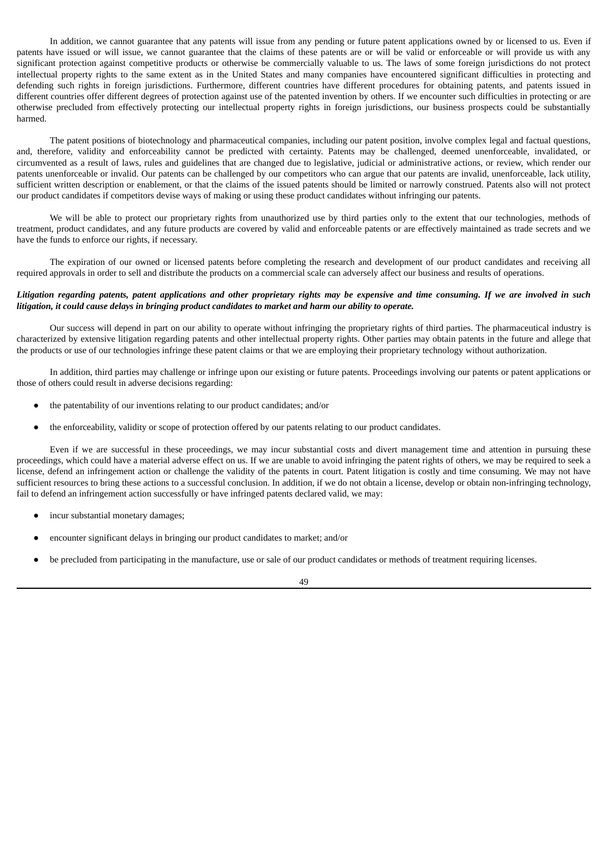In addition, we cannot guarantee that any patents will issue from any pending or future patent applications owned by or licensed to us. Even if patents have issued or will issue, we cannot guarantee that the claims of these patents are or will be valid or enforceable or will provide us with any significant protection against competitive products or otherwise be commercially valuable to us. The laws of some foreign jurisdictions do not protect intellectual property rights to the same extent as in the United States and many companies have encountered significant difficulties in protecting and defending such rights in foreign jurisdictions. Furthermore, different countries have different procedures for obtaining patents, and patents issued in different countries offer different degrees of protection against use of the patented invention by others. If we encounter such difficulties in protecting or are otherwise precluded from effectively protecting our intellectual property rights in foreign jurisdictions, our business prospects could be substantially harmed.

The patent positions of biotechnology and pharmaceutical companies, including our patent position, involve complex legal and factual questions, and, therefore, validity and enforceability cannot be predicted with certainty. Patents may be challenged, deemed unenforceable, invalidated, or circumvented as a result of laws, rules and guidelines that are changed due to legislative, judicial or administrative actions, or review, which render our patents unenforceable or invalid. Our patents can be challenged by our competitors who can argue that our patents are invalid, unenforceable, lack utility, sufficient written description or enablement, or that the claims of the issued patents should be limited or narrowly construed. Patents also will not protect our product candidates if competitors devise ways of making or using these product candidates without infringing our patents.

We will be able to protect our proprietary rights from unauthorized use by third parties only to the extent that our technologies, methods of treatment, product candidates, and any future products are covered by valid and enforceable patents or are effectively maintained as trade secrets and we have the funds to enforce our rights, if necessary.

The expiration of our owned or licensed patents before completing the research and development of our product candidates and receiving all required approvals in order to sell and distribute the products on a commercial scale can adversely affect our business and results of operations.

## Litigation regarding patents, patent applications and other proprietary rights may be expensive and time consuming. If we are involved in such litigation, it could cause delays in bringing product candidates to market and harm our ability to operate.

Our success will depend in part on our ability to operate without infringing the proprietary rights of third parties. The pharmaceutical industry is characterized by extensive litigation regarding patents and other intellectual property rights. Other parties may obtain patents in the future and allege that the products or use of our technologies infringe these patent claims or that we are employing their proprietary technology without authorization.

In addition, third parties may challenge or infringe upon our existing or future patents. Proceedings involving our patents or patent applications or those of others could result in adverse decisions regarding:

- the patentability of our inventions relating to our product candidates; and/or
- the enforceability, validity or scope of protection offered by our patents relating to our product candidates.

Even if we are successful in these proceedings, we may incur substantial costs and divert management time and attention in pursuing these proceedings, which could have a material adverse effect on us. If we are unable to avoid infringing the patent rights of others, we may be required to seek a license, defend an infringement action or challenge the validity of the patents in court. Patent litigation is costly and time consuming. We may not have sufficient resources to bring these actions to a successful conclusion. In addition, if we do not obtain a license, develop or obtain non-infringing technology, fail to defend an infringement action successfully or have infringed patents declared valid, we may:

- incur substantial monetary damages;
- encounter significant delays in bringing our product candidates to market; and/or
- be precluded from participating in the manufacture, use or sale of our product candidates or methods of treatment requiring licenses.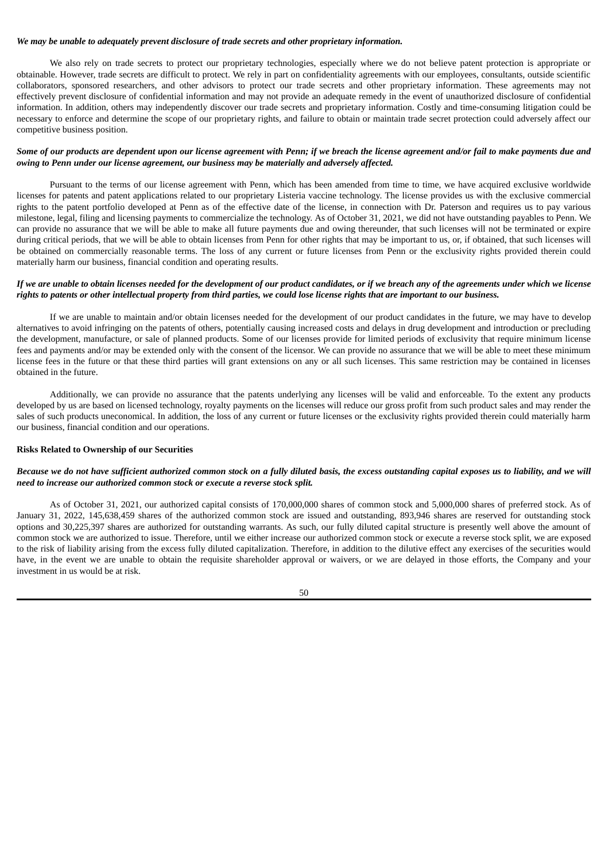### *We may be unable to adequately prevent disclosure of trade secrets and other proprietary information.*

We also rely on trade secrets to protect our proprietary technologies, especially where we do not believe patent protection is appropriate or obtainable. However, trade secrets are difficult to protect. We rely in part on confidentiality agreements with our employees, consultants, outside scientific collaborators, sponsored researchers, and other advisors to protect our trade secrets and other proprietary information. These agreements may not effectively prevent disclosure of confidential information and may not provide an adequate remedy in the event of unauthorized disclosure of confidential information. In addition, others may independently discover our trade secrets and proprietary information. Costly and time-consuming litigation could be necessary to enforce and determine the scope of our proprietary rights, and failure to obtain or maintain trade secret protection could adversely affect our competitive business position.

### Some of our products are dependent upon our license agreement with Penn; if we breach the license agreement and/or fail to make payments due and *owing to Penn under our license agreement, our business may be materially and adversely affected.*

Pursuant to the terms of our license agreement with Penn, which has been amended from time to time, we have acquired exclusive worldwide licenses for patents and patent applications related to our proprietary Listeria vaccine technology. The license provides us with the exclusive commercial rights to the patent portfolio developed at Penn as of the effective date of the license, in connection with Dr. Paterson and requires us to pay various milestone, legal, filing and licensing payments to commercialize the technology. As of October 31, 2021, we did not have outstanding payables to Penn. We can provide no assurance that we will be able to make all future payments due and owing thereunder, that such licenses will not be terminated or expire during critical periods, that we will be able to obtain licenses from Penn for other rights that may be important to us, or, if obtained, that such licenses will be obtained on commercially reasonable terms. The loss of any current or future licenses from Penn or the exclusivity rights provided therein could materially harm our business, financial condition and operating results.

# If we are unable to obtain licenses needed for the development of our product candidates, or if we breach any of the agreements under which we license rights to patents or other intellectual property from third parties, we could lose license rights that are important to our business.

If we are unable to maintain and/or obtain licenses needed for the development of our product candidates in the future, we may have to develop alternatives to avoid infringing on the patents of others, potentially causing increased costs and delays in drug development and introduction or precluding the development, manufacture, or sale of planned products. Some of our licenses provide for limited periods of exclusivity that require minimum license fees and payments and/or may be extended only with the consent of the licensor. We can provide no assurance that we will be able to meet these minimum license fees in the future or that these third parties will grant extensions on any or all such licenses. This same restriction may be contained in licenses obtained in the future.

Additionally, we can provide no assurance that the patents underlying any licenses will be valid and enforceable. To the extent any products developed by us are based on licensed technology, royalty payments on the licenses will reduce our gross profit from such product sales and may render the sales of such products uneconomical. In addition, the loss of any current or future licenses or the exclusivity rights provided therein could materially harm our business, financial condition and our operations.

#### **Risks Related to Ownership of our Securities**

### Because we do not have sufficient authorized common stock on a fully diluted basis, the excess outstanding capital exposes us to liability, and we will *need to increase our authorized common stock or execute a reverse stock split.*

As of October 31, 2021, our authorized capital consists of 170,000,000 shares of common stock and 5,000,000 shares of preferred stock. As of January 31, 2022, 145,638,459 shares of the authorized common stock are issued and outstanding, 893,946 shares are reserved for outstanding stock options and 30,225,397 shares are authorized for outstanding warrants. As such, our fully diluted capital structure is presently well above the amount of common stock we are authorized to issue. Therefore, until we either increase our authorized common stock or execute a reverse stock split, we are exposed to the risk of liability arising from the excess fully diluted capitalization. Therefore, in addition to the dilutive effect any exercises of the securities would have, in the event we are unable to obtain the requisite shareholder approval or waivers, or we are delayed in those efforts, the Company and your investment in us would be at risk.

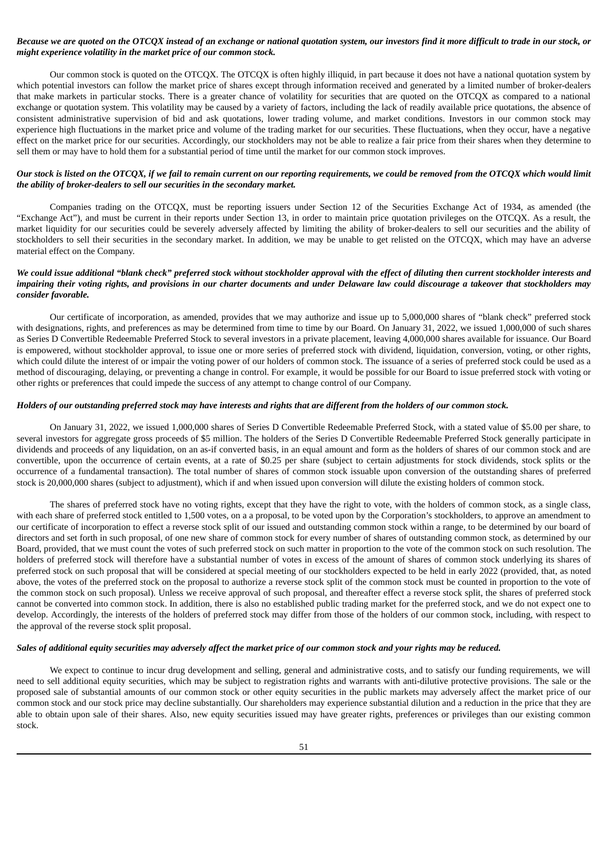## Because we are quoted on the OTCOX instead of an exchange or national quotation system, our investors find it more difficult to trade in our stock, or *might experience volatility in the market price of our common stock.*

Our common stock is quoted on the OTCQX. The OTCQX is often highly illiquid, in part because it does not have a national quotation system by which potential investors can follow the market price of shares except through information received and generated by a limited number of broker-dealers that make markets in particular stocks. There is a greater chance of volatility for securities that are quoted on the OTCQX as compared to a national exchange or quotation system. This volatility may be caused by a variety of factors, including the lack of readily available price quotations, the absence of consistent administrative supervision of bid and ask quotations, lower trading volume, and market conditions. Investors in our common stock may experience high fluctuations in the market price and volume of the trading market for our securities. These fluctuations, when they occur, have a negative effect on the market price for our securities. Accordingly, our stockholders may not be able to realize a fair price from their shares when they determine to sell them or may have to hold them for a substantial period of time until the market for our common stock improves.

## Our stock is listed on the OTCQX, if we fail to remain current on our reporting requirements, we could be removed from the OTCQX which would limit *the ability of broker-dealers to sell our securities in the secondary market.*

Companies trading on the OTCQX, must be reporting issuers under Section 12 of the Securities Exchange Act of 1934, as amended (the "Exchange Act"), and must be current in their reports under Section 13, in order to maintain price quotation privileges on the OTCQX. As a result, the market liquidity for our securities could be severely adversely affected by limiting the ability of broker-dealers to sell our securities and the ability of stockholders to sell their securities in the secondary market. In addition, we may be unable to get relisted on the OTCQX, which may have an adverse material effect on the Company.

# We could issue additional "blank check" preferred stock without stockholder approval with the effect of diluting then current stockholder interests and impairing their voting rights, and provisions in our charter documents and under Delaware law could discourage a takeover that stockholders may *consider favorable.*

Our certificate of incorporation, as amended, provides that we may authorize and issue up to 5,000,000 shares of "blank check" preferred stock with designations, rights, and preferences as may be determined from time to time by our Board. On January 31, 2022, we issued 1,000,000 of such shares as Series D Convertible Redeemable Preferred Stock to several investors in a private placement, leaving 4,000,000 shares available for issuance. Our Board is empowered, without stockholder approval, to issue one or more series of preferred stock with dividend, liquidation, conversion, voting, or other rights, which could dilute the interest of or impair the voting power of our holders of common stock. The issuance of a series of preferred stock could be used as a method of discouraging, delaying, or preventing a change in control. For example, it would be possible for our Board to issue preferred stock with voting or other rights or preferences that could impede the success of any attempt to change control of our Company.

## Holders of our outstanding preferred stock may have interests and rights that are different from the holders of our common stock.

On January 31, 2022, we issued 1,000,000 shares of Series D Convertible Redeemable Preferred Stock, with a stated value of \$5.00 per share, to several investors for aggregate gross proceeds of \$5 million. The holders of the Series D Convertible Redeemable Preferred Stock generally participate in dividends and proceeds of any liquidation, on an as-if converted basis, in an equal amount and form as the holders of shares of our common stock and are convertible, upon the occurrence of certain events, at a rate of \$0.25 per share (subject to certain adjustments for stock dividends, stock splits or the occurrence of a fundamental transaction). The total number of shares of common stock issuable upon conversion of the outstanding shares of preferred stock is 20,000,000 shares (subject to adjustment), which if and when issued upon conversion will dilute the existing holders of common stock.

The shares of preferred stock have no voting rights, except that they have the right to vote, with the holders of common stock, as a single class, with each share of preferred stock entitled to 1,500 votes, on a a proposal, to be voted upon by the Corporation's stockholders, to approve an amendment to our certificate of incorporation to effect a reverse stock split of our issued and outstanding common stock within a range, to be determined by our board of directors and set forth in such proposal, of one new share of common stock for every number of shares of outstanding common stock, as determined by our Board, provided, that we must count the votes of such preferred stock on such matter in proportion to the vote of the common stock on such resolution. The holders of preferred stock will therefore have a substantial number of votes in excess of the amount of shares of common stock underlying its shares of preferred stock on such proposal that will be considered at special meeting of our stockholders expected to be held in early 2022 (provided, that, as noted above, the votes of the preferred stock on the proposal to authorize a reverse stock split of the common stock must be counted in proportion to the vote of the common stock on such proposal). Unless we receive approval of such proposal, and thereafter effect a reverse stock split, the shares of preferred stock cannot be converted into common stock. In addition, there is also no established public trading market for the preferred stock, and we do not expect one to develop. Accordingly, the interests of the holders of preferred stock may differ from those of the holders of our common stock, including, with respect to the approval of the reverse stock split proposal.

### Sales of additional equity securities may adversely affect the market price of our common stock and your rights may be reduced.

We expect to continue to incur drug development and selling, general and administrative costs, and to satisfy our funding requirements, we will need to sell additional equity securities, which may be subject to registration rights and warrants with anti-dilutive protective provisions. The sale or the proposed sale of substantial amounts of our common stock or other equity securities in the public markets may adversely affect the market price of our common stock and our stock price may decline substantially. Our shareholders may experience substantial dilution and a reduction in the price that they are able to obtain upon sale of their shares. Also, new equity securities issued may have greater rights, preferences or privileges than our existing common stock.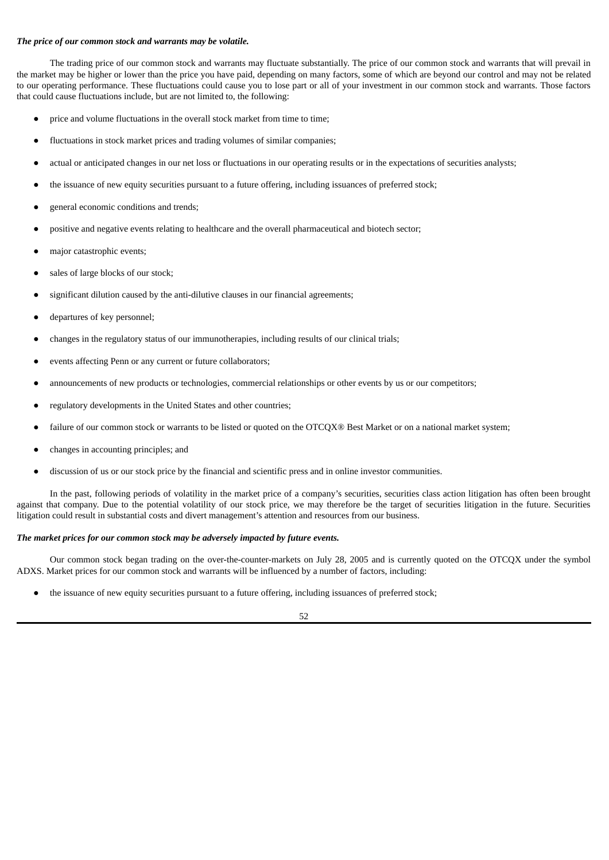### *The price of our common stock and warrants may be volatile.*

The trading price of our common stock and warrants may fluctuate substantially. The price of our common stock and warrants that will prevail in the market may be higher or lower than the price you have paid, depending on many factors, some of which are beyond our control and may not be related to our operating performance. These fluctuations could cause you to lose part or all of your investment in our common stock and warrants. Those factors that could cause fluctuations include, but are not limited to, the following:

- price and volume fluctuations in the overall stock market from time to time;
- fluctuations in stock market prices and trading volumes of similar companies;
- actual or anticipated changes in our net loss or fluctuations in our operating results or in the expectations of securities analysts;
- the issuance of new equity securities pursuant to a future offering, including issuances of preferred stock;
- general economic conditions and trends;
- positive and negative events relating to healthcare and the overall pharmaceutical and biotech sector;
- major catastrophic events;
- sales of large blocks of our stock;
- significant dilution caused by the anti-dilutive clauses in our financial agreements;
- departures of key personnel;
- changes in the regulatory status of our immunotherapies, including results of our clinical trials;
- events affecting Penn or any current or future collaborators;
- announcements of new products or technologies, commercial relationships or other events by us or our competitors;
- regulatory developments in the United States and other countries;
- failure of our common stock or warrants to be listed or quoted on the OTCQX® Best Market or on a national market system;
- changes in accounting principles; and
- discussion of us or our stock price by the financial and scientific press and in online investor communities.

In the past, following periods of volatility in the market price of a company's securities, securities class action litigation has often been brought against that company. Due to the potential volatility of our stock price, we may therefore be the target of securities litigation in the future. Securities litigation could result in substantial costs and divert management's attention and resources from our business.

## *The market prices for our common stock may be adversely impacted by future events.*

Our common stock began trading on the over-the-counter-markets on July 28, 2005 and is currently quoted on the OTCQX under the symbol ADXS. Market prices for our common stock and warrants will be influenced by a number of factors, including:

the issuance of new equity securities pursuant to a future offering, including issuances of preferred stock;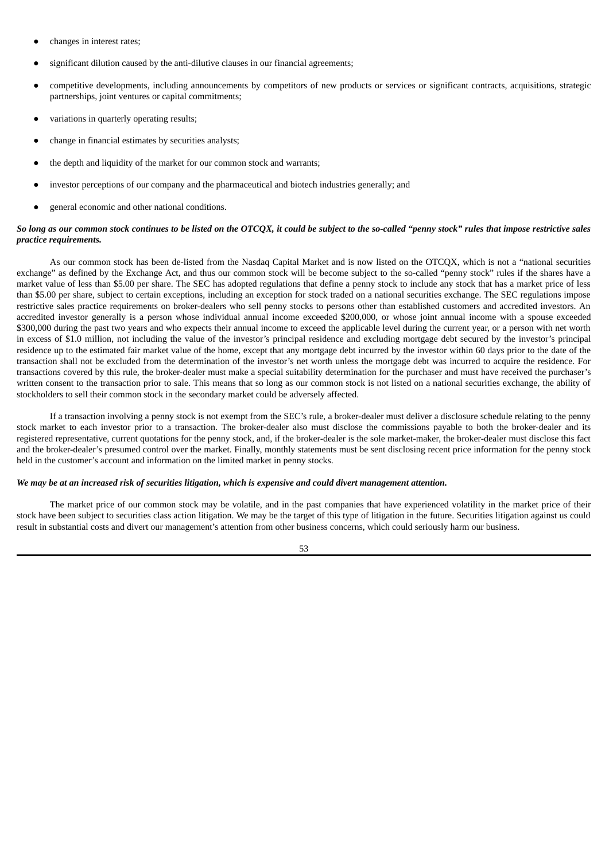- changes in interest rates;
- significant dilution caused by the anti-dilutive clauses in our financial agreements;
- competitive developments, including announcements by competitors of new products or services or significant contracts, acquisitions, strategic partnerships, joint ventures or capital commitments;
- variations in quarterly operating results;
- change in financial estimates by securities analysts;
- the depth and liquidity of the market for our common stock and warrants;
- investor perceptions of our company and the pharmaceutical and biotech industries generally; and
- general economic and other national conditions.

## So long as our common stock continues to be listed on the OTCQX, it could be subject to the so-called "penny stock" rules that impose restrictive sales *practice requirements.*

As our common stock has been de-listed from the Nasdaq Capital Market and is now listed on the OTCQX, which is not a "national securities exchange" as defined by the Exchange Act, and thus our common stock will be become subject to the so-called "penny stock" rules if the shares have a market value of less than \$5.00 per share. The SEC has adopted regulations that define a penny stock to include any stock that has a market price of less than \$5.00 per share, subject to certain exceptions, including an exception for stock traded on a national securities exchange. The SEC regulations impose restrictive sales practice requirements on broker-dealers who sell penny stocks to persons other than established customers and accredited investors. An accredited investor generally is a person whose individual annual income exceeded \$200,000, or whose joint annual income with a spouse exceeded \$300,000 during the past two years and who expects their annual income to exceed the applicable level during the current year, or a person with net worth in excess of \$1.0 million, not including the value of the investor's principal residence and excluding mortgage debt secured by the investor's principal residence up to the estimated fair market value of the home, except that any mortgage debt incurred by the investor within 60 days prior to the date of the transaction shall not be excluded from the determination of the investor's net worth unless the mortgage debt was incurred to acquire the residence. For transactions covered by this rule, the broker-dealer must make a special suitability determination for the purchaser and must have received the purchaser's written consent to the transaction prior to sale. This means that so long as our common stock is not listed on a national securities exchange, the ability of stockholders to sell their common stock in the secondary market could be adversely affected.

If a transaction involving a penny stock is not exempt from the SEC's rule, a broker-dealer must deliver a disclosure schedule relating to the penny stock market to each investor prior to a transaction. The broker-dealer also must disclose the commissions payable to both the broker-dealer and its registered representative, current quotations for the penny stock, and, if the broker-dealer is the sole market-maker, the broker-dealer must disclose this fact and the broker-dealer's presumed control over the market. Finally, monthly statements must be sent disclosing recent price information for the penny stock held in the customer's account and information on the limited market in penny stocks.

# We may be at an increased risk of securities litigation, which is expensive and could divert management attention.

The market price of our common stock may be volatile, and in the past companies that have experienced volatility in the market price of their stock have been subject to securities class action litigation. We may be the target of this type of litigation in the future. Securities litigation against us could result in substantial costs and divert our management's attention from other business concerns, which could seriously harm our business.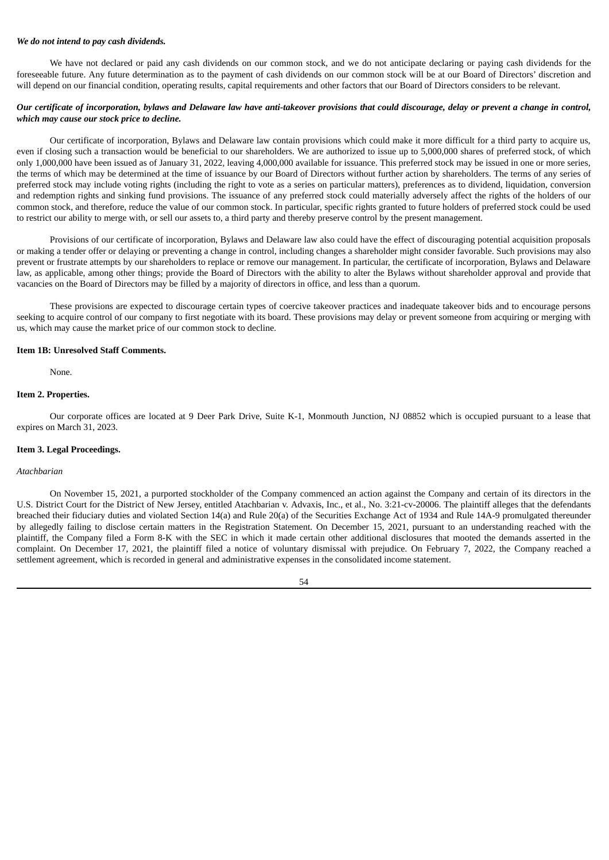### *We do not intend to pay cash dividends.*

We have not declared or paid any cash dividends on our common stock, and we do not anticipate declaring or paying cash dividends for the foreseeable future. Any future determination as to the payment of cash dividends on our common stock will be at our Board of Directors' discretion and will depend on our financial condition, operating results, capital requirements and other factors that our Board of Directors considers to be relevant.

### Our certificate of incorporation, bylaws and Delaware law have anti-takeover provisions that could discourage, delay or prevent a change in control, *which may cause our stock price to decline.*

Our certificate of incorporation, Bylaws and Delaware law contain provisions which could make it more difficult for a third party to acquire us, even if closing such a transaction would be beneficial to our shareholders. We are authorized to issue up to 5,000,000 shares of preferred stock, of which only 1,000,000 have been issued as of January 31, 2022, leaving 4,000,000 available for issuance. This preferred stock may be issued in one or more series, the terms of which may be determined at the time of issuance by our Board of Directors without further action by shareholders. The terms of any series of preferred stock may include voting rights (including the right to vote as a series on particular matters), preferences as to dividend, liquidation, conversion and redemption rights and sinking fund provisions. The issuance of any preferred stock could materially adversely affect the rights of the holders of our common stock, and therefore, reduce the value of our common stock. In particular, specific rights granted to future holders of preferred stock could be used to restrict our ability to merge with, or sell our assets to, a third party and thereby preserve control by the present management.

Provisions of our certificate of incorporation, Bylaws and Delaware law also could have the effect of discouraging potential acquisition proposals or making a tender offer or delaying or preventing a change in control, including changes a shareholder might consider favorable. Such provisions may also prevent or frustrate attempts by our shareholders to replace or remove our management. In particular, the certificate of incorporation, Bylaws and Delaware law, as applicable, among other things; provide the Board of Directors with the ability to alter the Bylaws without shareholder approval and provide that vacancies on the Board of Directors may be filled by a majority of directors in office, and less than a quorum.

These provisions are expected to discourage certain types of coercive takeover practices and inadequate takeover bids and to encourage persons seeking to acquire control of our company to first negotiate with its board. These provisions may delay or prevent someone from acquiring or merging with us, which may cause the market price of our common stock to decline.

#### **Item 1B: Unresolved Staff Comments.**

None.

#### **Item 2. Properties.**

Our corporate offices are located at 9 Deer Park Drive, Suite K-1, Monmouth Junction, NJ 08852 which is occupied pursuant to a lease that expires on March 31, 2023.

#### **Item 3. Legal Proceedings.**

#### *Atachbarian*

On November 15, 2021, a purported stockholder of the Company commenced an action against the Company and certain of its directors in the U.S. District Court for the District of New Jersey, entitled Atachbarian v. Advaxis, Inc., et al., No. 3:21-cv-20006. The plaintiff alleges that the defendants breached their fiduciary duties and violated Section 14(a) and Rule 20(a) of the Securities Exchange Act of 1934 and Rule 14A-9 promulgated thereunder by allegedly failing to disclose certain matters in the Registration Statement. On December 15, 2021, pursuant to an understanding reached with the plaintiff, the Company filed a Form 8-K with the SEC in which it made certain other additional disclosures that mooted the demands asserted in the complaint. On December 17, 2021, the plaintiff filed a notice of voluntary dismissal with prejudice. On February 7, 2022, the Company reached a settlement agreement, which is recorded in general and administrative expenses in the consolidated income statement.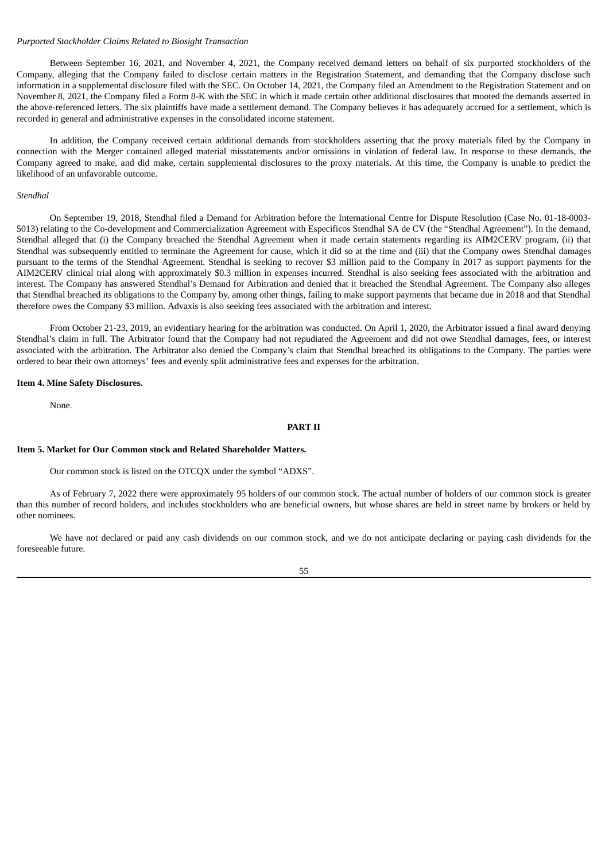### *Purported Stockholder Claims Related to Biosight Transaction*

Between September 16, 2021, and November 4, 2021, the Company received demand letters on behalf of six purported stockholders of the Company, alleging that the Company failed to disclose certain matters in the Registration Statement, and demanding that the Company disclose such information in a supplemental disclosure filed with the SEC. On October 14, 2021, the Company filed an Amendment to the Registration Statement and on November 8, 2021, the Company filed a Form 8-K with the SEC in which it made certain other additional disclosures that mooted the demands asserted in the above-referenced letters. The six plaintiffs have made a settlement demand. The Company believes it has adequately accrued for a settlement, which is recorded in general and administrative expenses in the consolidated income statement.

In addition, the Company received certain additional demands from stockholders asserting that the proxy materials filed by the Company in connection with the Merger contained alleged material misstatements and/or omissions in violation of federal law. In response to these demands, the Company agreed to make, and did make, certain supplemental disclosures to the proxy materials. At this time, the Company is unable to predict the likelihood of an unfavorable outcome.

## *Stendhal*

On September 19, 2018, Stendhal filed a Demand for Arbitration before the International Centre for Dispute Resolution (Case No. 01-18-0003- 5013) relating to the Co-development and Commercialization Agreement with Especificos Stendhal SA de CV (the "Stendhal Agreement"). In the demand, Stendhal alleged that (i) the Company breached the Stendhal Agreement when it made certain statements regarding its AIM2CERV program, (ii) that Stendhal was subsequently entitled to terminate the Agreement for cause, which it did so at the time and (iii) that the Company owes Stendhal damages pursuant to the terms of the Stendhal Agreement. Stendhal is seeking to recover \$3 million paid to the Company in 2017 as support payments for the AIM2CERV clinical trial along with approximately \$0.3 million in expenses incurred. Stendhal is also seeking fees associated with the arbitration and interest. The Company has answered Stendhal's Demand for Arbitration and denied that it breached the Stendhal Agreement. The Company also alleges that Stendhal breached its obligations to the Company by, among other things, failing to make support payments that became due in 2018 and that Stendhal therefore owes the Company \$3 million. Advaxis is also seeking fees associated with the arbitration and interest.

From October 21-23, 2019, an evidentiary hearing for the arbitration was conducted. On April 1, 2020, the Arbitrator issued a final award denying Stendhal's claim in full. The Arbitrator found that the Company had not repudiated the Agreement and did not owe Stendhal damages, fees, or interest associated with the arbitration. The Arbitrator also denied the Company's claim that Stendhal breached its obligations to the Company. The parties were ordered to bear their own attorneys' fees and evenly split administrative fees and expenses for the arbitration.

### **Item 4. Mine Safety Disclosures.**

None.

### **PART II**

#### **Item 5. Market for Our Common stock and Related Shareholder Matters.**

Our common stock is listed on the OTCQX under the symbol "ADXS".

As of February 7, 2022 there were approximately 95 holders of our common stock. The actual number of holders of our common stock is greater than this number of record holders, and includes stockholders who are beneficial owners, but whose shares are held in street name by brokers or held by other nominees.

We have not declared or paid any cash dividends on our common stock, and we do not anticipate declaring or paying cash dividends for the foreseeable future.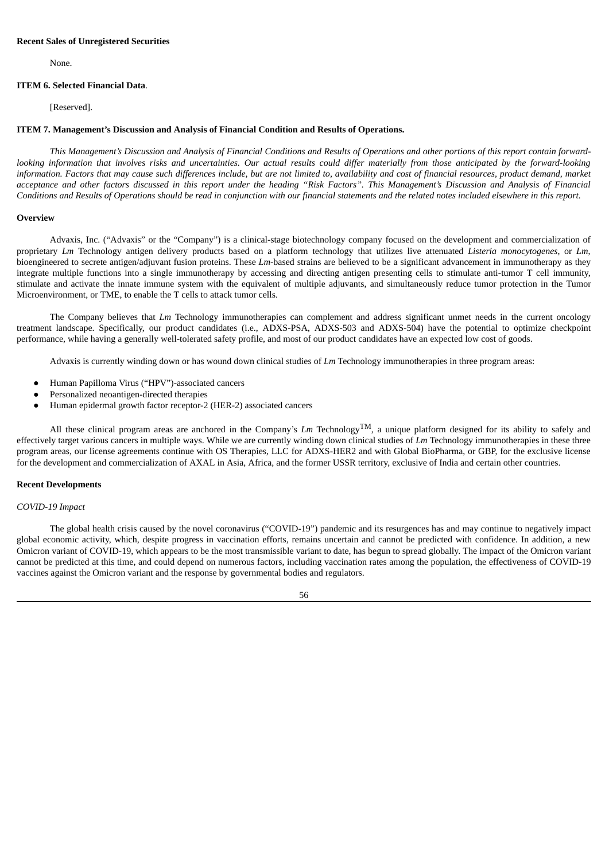### **Recent Sales of Unregistered Securities**

None.

#### **ITEM 6. Selected Financial Data**.

[Reserved].

### **ITEM 7. Management's Discussion and Analysis of Financial Condition and Results of Operations.**

This Management's Discussion and Analysis of Financial Conditions and Results of Operations and other portions of this report contain forwardlooking information that involves risks and uncertainties. Our actual results could differ materially from those anticipated by the forward-looking information. Factors that may cause such differences include, but are not limited to, availability and cost of financial resources, product demand, market acceptance and other factors discussed in this report under the heading "Risk Factors". This Management's Discussion and Analysis of Financial Conditions and Results of Operations should be read in conjunction with our financial statements and the related notes included elsewhere in this report.

### **Overview**

Advaxis, Inc. ("Advaxis" or the "Company") is a clinical-stage biotechnology company focused on the development and commercialization of proprietary *Lm* Technology antigen delivery products based on a platform technology that utilizes live attenuated *Listeria monocytogenes*, or *Lm*, bioengineered to secrete antigen/adjuvant fusion proteins. These *Lm*-based strains are believed to be a significant advancement in immunotherapy as they integrate multiple functions into a single immunotherapy by accessing and directing antigen presenting cells to stimulate anti-tumor T cell immunity, stimulate and activate the innate immune system with the equivalent of multiple adjuvants, and simultaneously reduce tumor protection in the Tumor Microenvironment, or TME, to enable the T cells to attack tumor cells.

The Company believes that *Lm* Technology immunotherapies can complement and address significant unmet needs in the current oncology treatment landscape. Specifically, our product candidates (i.e., ADXS-PSA, ADXS-503 and ADXS-504) have the potential to optimize checkpoint performance, while having a generally well-tolerated safety profile, and most of our product candidates have an expected low cost of goods.

Advaxis is currently winding down or has wound down clinical studies of *Lm* Technology immunotherapies in three program areas:

- Human Papilloma Virus ("HPV")-associated cancers
- Personalized neoantigen-directed therapies
- Human epidermal growth factor receptor-2 (HER-2) associated cancers

All these clinical program areas are anchored in the Company's  $Lm$  Technology<sup>TM</sup>, a unique platform designed for its ability to safely and effectively target various cancers in multiple ways. While we are currently winding down clinical studies of *Lm* Technology immunotherapies in these three program areas, our license agreements continue with OS Therapies, LLC for ADXS-HER2 and with Global BioPharma, or GBP, for the exclusive license for the development and commercialization of AXAL in Asia, Africa, and the former USSR territory, exclusive of India and certain other countries.

### **Recent Developments**

### *COVID-19 Impact*

The global health crisis caused by the novel coronavirus ("COVID-19") pandemic and its resurgences has and may continue to negatively impact global economic activity, which, despite progress in vaccination efforts, remains uncertain and cannot be predicted with confidence. In addition, a new Omicron variant of COVID-19, which appears to be the most transmissible variant to date, has begun to spread globally. The impact of the Omicron variant cannot be predicted at this time, and could depend on numerous factors, including vaccination rates among the population, the effectiveness of COVID-19 vaccines against the Omicron variant and the response by governmental bodies and regulators.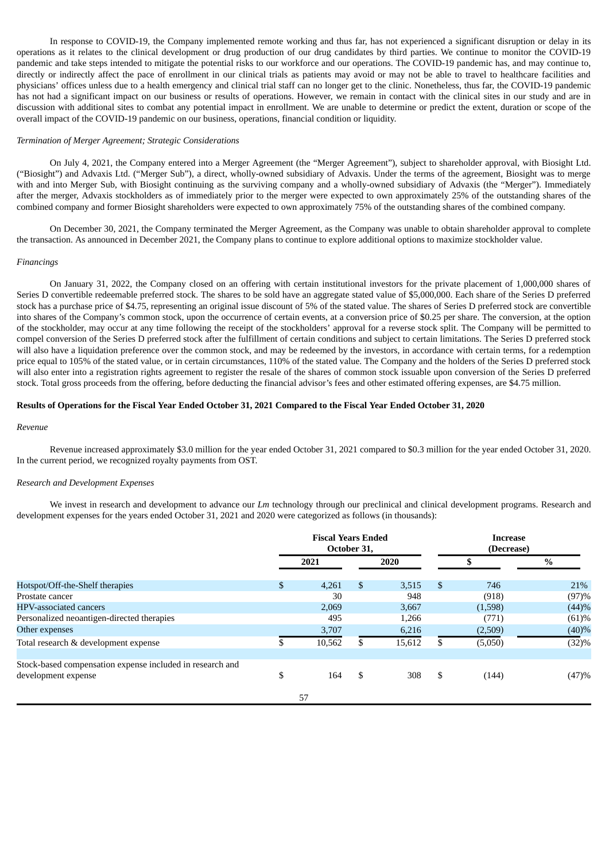In response to COVID-19, the Company implemented remote working and thus far, has not experienced a significant disruption or delay in its operations as it relates to the clinical development or drug production of our drug candidates by third parties. We continue to monitor the COVID-19 pandemic and take steps intended to mitigate the potential risks to our workforce and our operations. The COVID-19 pandemic has, and may continue to, directly or indirectly affect the pace of enrollment in our clinical trials as patients may avoid or may not be able to travel to healthcare facilities and physicians' offices unless due to a health emergency and clinical trial staff can no longer get to the clinic. Nonetheless, thus far, the COVID-19 pandemic has not had a significant impact on our business or results of operations. However, we remain in contact with the clinical sites in our study and are in discussion with additional sites to combat any potential impact in enrollment. We are unable to determine or predict the extent, duration or scope of the overall impact of the COVID-19 pandemic on our business, operations, financial condition or liquidity.

### *Termination of Merger Agreement; Strategic Considerations*

On July 4, 2021, the Company entered into a Merger Agreement (the "Merger Agreement"), subject to shareholder approval, with Biosight Ltd. ("Biosight") and Advaxis Ltd. ("Merger Sub"), a direct, wholly-owned subsidiary of Advaxis. Under the terms of the agreement, Biosight was to merge with and into Merger Sub, with Biosight continuing as the surviving company and a wholly-owned subsidiary of Advaxis (the "Merger"). Immediately after the merger, Advaxis stockholders as of immediately prior to the merger were expected to own approximately 25% of the outstanding shares of the combined company and former Biosight shareholders were expected to own approximately 75% of the outstanding shares of the combined company.

On December 30, 2021, the Company terminated the Merger Agreement, as the Company was unable to obtain shareholder approval to complete the transaction. As announced in December 2021, the Company plans to continue to explore additional options to maximize stockholder value.

#### *Financings*

On January 31, 2022, the Company closed on an offering with certain institutional investors for the private placement of 1,000,000 shares of Series D convertible redeemable preferred stock. The shares to be sold have an aggregate stated value of \$5,000,000. Each share of the Series D preferred stock has a purchase price of \$4.75, representing an original issue discount of 5% of the stated value. The shares of Series D preferred stock are convertible into shares of the Company's common stock, upon the occurrence of certain events, at a conversion price of \$0.25 per share. The conversion, at the option of the stockholder, may occur at any time following the receipt of the stockholders' approval for a reverse stock split. The Company will be permitted to compel conversion of the Series D preferred stock after the fulfillment of certain conditions and subject to certain limitations. The Series D preferred stock will also have a liquidation preference over the common stock, and may be redeemed by the investors, in accordance with certain terms, for a redemption price equal to 105% of the stated value, or in certain circumstances, 110% of the stated value. The Company and the holders of the Series D preferred stock will also enter into a registration rights agreement to register the resale of the shares of common stock issuable upon conversion of the Series D preferred stock. Total gross proceeds from the offering, before deducting the financial advisor's fees and other estimated offering expenses, are \$4.75 million.

#### Results of Operations for the Fiscal Year Ended October 31, 2021 Compared to the Fiscal Year Ended October 31, 2020

#### *Revenue*

Revenue increased approximately \$3.0 million for the year ended October 31, 2021 compared to \$0.3 million for the year ended October 31, 2020. In the current period, we recognized royalty payments from OST.

#### *Research and Development Expenses*

We invest in research and development to advance our *Lm* technology through our preclinical and clinical development programs. Research and development expenses for the years ended October 31, 2021 and 2020 were categorized as follows (in thousands):

|                                                           | <b>Fiscal Years Ended</b><br>October 31, |        |      |        | <b>Increase</b><br>(Decrease) |         |       |  |
|-----------------------------------------------------------|------------------------------------------|--------|------|--------|-------------------------------|---------|-------|--|
|                                                           | 2021                                     |        | 2020 |        |                               |         | $\%$  |  |
| Hotspot/Off-the-Shelf therapies                           | $\mathfrak{S}$                           | 4,261  | \$   | 3,515  | <sup>\$</sup>                 | 746     | 21%   |  |
| Prostate cancer                                           |                                          | 30     |      | 948    |                               | (918)   | (97)% |  |
| <b>HPV-associated cancers</b>                             |                                          | 2,069  |      | 3,667  |                               | (1,598) | (44)% |  |
| Personalized neoantigen-directed therapies                |                                          | 495    |      | 1,266  |                               | (771)   | (61)% |  |
| Other expenses                                            |                                          | 3,707  |      | 6,216  |                               | (2,509) | (40)% |  |
| Total research & development expense                      | \$                                       | 10,562 | \$   | 15,612 |                               | (5,050) | (32)% |  |
| Stock-based compensation expense included in research and |                                          |        |      |        |                               |         |       |  |
| development expense                                       | \$                                       | 164    | \$   | 308    | \$                            | (144)   | (47)% |  |
|                                                           |                                          | 57     |      |        |                               |         |       |  |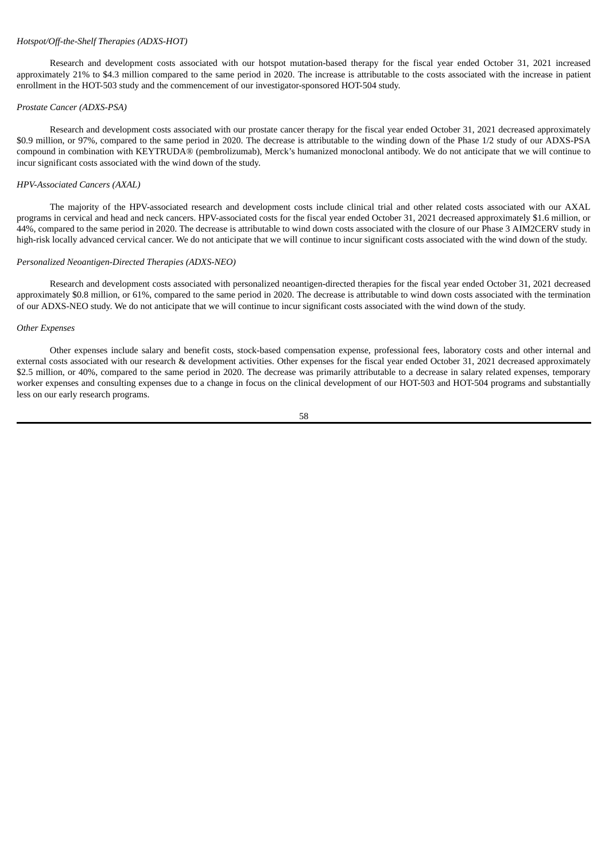### *Hotspot/Off-the-Shelf Therapies (ADXS-HOT)*

Research and development costs associated with our hotspot mutation-based therapy for the fiscal year ended October 31, 2021 increased approximately 21% to \$4.3 million compared to the same period in 2020. The increase is attributable to the costs associated with the increase in patient enrollment in the HOT-503 study and the commencement of our investigator-sponsored HOT-504 study.

### *Prostate Cancer (ADXS-PSA)*

Research and development costs associated with our prostate cancer therapy for the fiscal year ended October 31, 2021 decreased approximately \$0.9 million, or 97%, compared to the same period in 2020. The decrease is attributable to the winding down of the Phase 1/2 study of our ADXS-PSA compound in combination with KEYTRUDA® (pembrolizumab), Merck's humanized monoclonal antibody. We do not anticipate that we will continue to incur significant costs associated with the wind down of the study.

### *HPV-Associated Cancers (AXAL)*

The majority of the HPV-associated research and development costs include clinical trial and other related costs associated with our AXAL programs in cervical and head and neck cancers. HPV-associated costs for the fiscal year ended October 31, 2021 decreased approximately \$1.6 million, or 44%, compared to the same period in 2020. The decrease is attributable to wind down costs associated with the closure of our Phase 3 AIM2CERV study in high-risk locally advanced cervical cancer. We do not anticipate that we will continue to incur significant costs associated with the wind down of the study.

### *Personalized Neoantigen-Directed Therapies (ADXS-NEO)*

Research and development costs associated with personalized neoantigen-directed therapies for the fiscal year ended October 31, 2021 decreased approximately \$0.8 million, or 61%, compared to the same period in 2020. The decrease is attributable to wind down costs associated with the termination of our ADXS-NEO study. We do not anticipate that we will continue to incur significant costs associated with the wind down of the study.

### *Other Expenses*

Other expenses include salary and benefit costs, stock-based compensation expense, professional fees, laboratory costs and other internal and external costs associated with our research & development activities. Other expenses for the fiscal year ended October 31, 2021 decreased approximately \$2.5 million, or 40%, compared to the same period in 2020. The decrease was primarily attributable to a decrease in salary related expenses, temporary worker expenses and consulting expenses due to a change in focus on the clinical development of our HOT-503 and HOT-504 programs and substantially less on our early research programs.

58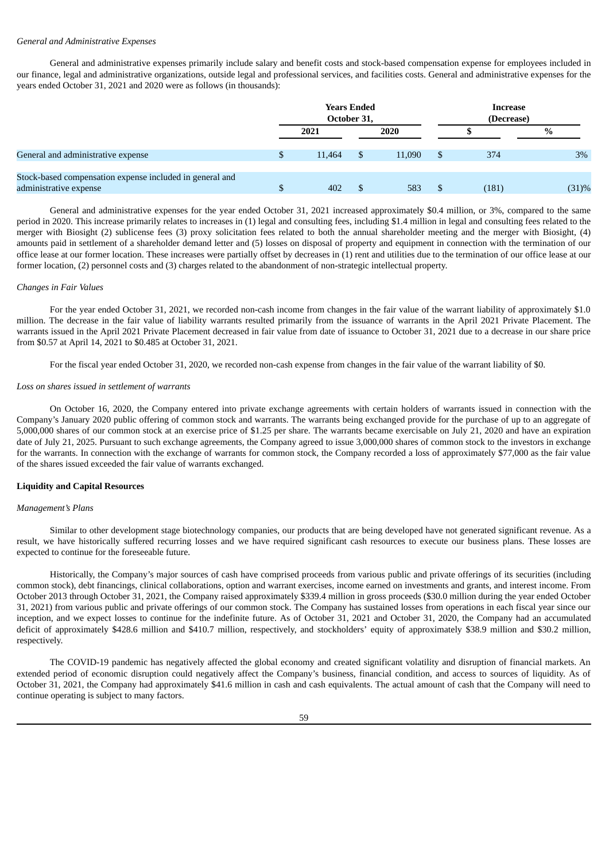### *General and Administrative Expenses*

General and administrative expenses primarily include salary and benefit costs and stock-based compensation expense for employees included in our finance, legal and administrative organizations, outside legal and professional services, and facilities costs. General and administrative expenses for the years ended October 31, 2021 and 2020 were as follows (in thousands):

|                                                                                    | <b>Years Ended</b><br>October 31, |        |  |        | <b>Increase</b><br>(Decrease) |       |       |
|------------------------------------------------------------------------------------|-----------------------------------|--------|--|--------|-------------------------------|-------|-------|
|                                                                                    |                                   | 2021   |  | 2020   |                               |       | $\%$  |
| General and administrative expense                                                 | S                                 | 11.464 |  | 11,090 |                               | 374   | 3%    |
| Stock-based compensation expense included in general and<br>administrative expense |                                   | 402    |  | 583    |                               | (181) | (31)% |

General and administrative expenses for the year ended October 31, 2021 increased approximately \$0.4 million, or 3%, compared to the same period in 2020. This increase primarily relates to increases in (1) legal and consulting fees, including \$1.4 million in legal and consulting fees related to the merger with Biosight (2) sublicense fees (3) proxy solicitation fees related to both the annual shareholder meeting and the merger with Biosight, (4) amounts paid in settlement of a shareholder demand letter and (5) losses on disposal of property and equipment in connection with the termination of our office lease at our former location. These increases were partially offset by decreases in (1) rent and utilities due to the termination of our office lease at our former location, (2) personnel costs and (3) charges related to the abandonment of non-strategic intellectual property.

#### *Changes in Fair Values*

For the year ended October 31, 2021, we recorded non-cash income from changes in the fair value of the warrant liability of approximately \$1.0 million. The decrease in the fair value of liability warrants resulted primarily from the issuance of warrants in the April 2021 Private Placement. The warrants issued in the April 2021 Private Placement decreased in fair value from date of issuance to October 31, 2021 due to a decrease in our share price from \$0.57 at April 14, 2021 to \$0.485 at October 31, 2021.

For the fiscal year ended October 31, 2020, we recorded non-cash expense from changes in the fair value of the warrant liability of \$0.

### *Loss on shares issued in settlement of warrants*

On October 16, 2020, the Company entered into private exchange agreements with certain holders of warrants issued in connection with the Company's January 2020 public offering of common stock and warrants. The warrants being exchanged provide for the purchase of up to an aggregate of 5,000,000 shares of our common stock at an exercise price of \$1.25 per share. The warrants became exercisable on July 21, 2020 and have an expiration date of July 21, 2025. Pursuant to such exchange agreements, the Company agreed to issue 3,000,000 shares of common stock to the investors in exchange for the warrants. In connection with the exchange of warrants for common stock, the Company recorded a loss of approximately \$77,000 as the fair value of the shares issued exceeded the fair value of warrants exchanged.

#### **Liquidity and Capital Resources**

### *Management's Plans*

Similar to other development stage biotechnology companies, our products that are being developed have not generated significant revenue. As a result, we have historically suffered recurring losses and we have required significant cash resources to execute our business plans. These losses are expected to continue for the foreseeable future.

Historically, the Company's major sources of cash have comprised proceeds from various public and private offerings of its securities (including common stock), debt financings, clinical collaborations, option and warrant exercises, income earned on investments and grants, and interest income. From October 2013 through October 31, 2021, the Company raised approximately \$339.4 million in gross proceeds (\$30.0 million during the year ended October 31, 2021) from various public and private offerings of our common stock. The Company has sustained losses from operations in each fiscal year since our inception, and we expect losses to continue for the indefinite future. As of October 31, 2021 and October 31, 2020, the Company had an accumulated deficit of approximately \$428.6 million and \$410.7 million, respectively, and stockholders' equity of approximately \$38.9 million and \$30.2 million, respectively.

The COVID-19 pandemic has negatively affected the global economy and created significant volatility and disruption of financial markets. An extended period of economic disruption could negatively affect the Company's business, financial condition, and access to sources of liquidity. As of October 31, 2021, the Company had approximately \$41.6 million in cash and cash equivalents. The actual amount of cash that the Company will need to continue operating is subject to many factors.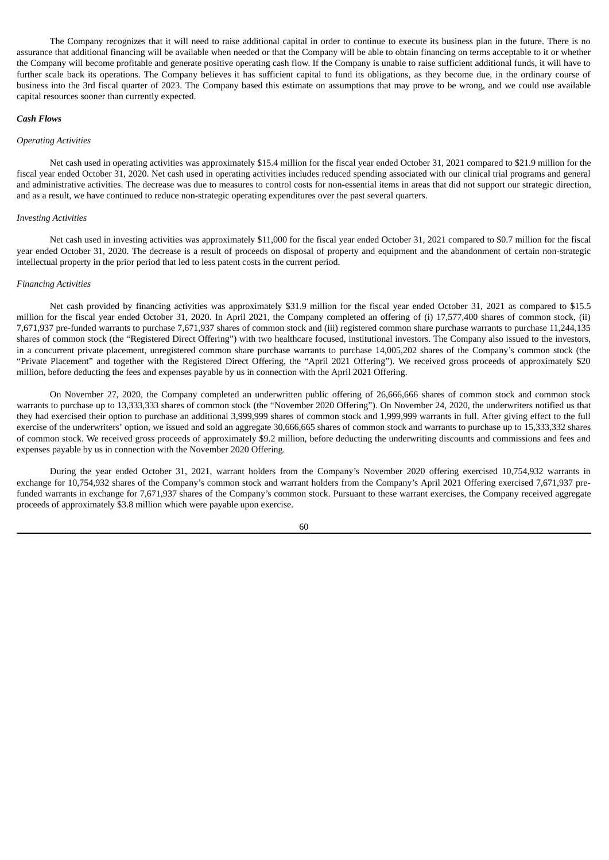The Company recognizes that it will need to raise additional capital in order to continue to execute its business plan in the future. There is no assurance that additional financing will be available when needed or that the Company will be able to obtain financing on terms acceptable to it or whether the Company will become profitable and generate positive operating cash flow. If the Company is unable to raise sufficient additional funds, it will have to further scale back its operations. The Company believes it has sufficient capital to fund its obligations, as they become due, in the ordinary course of business into the 3rd fiscal quarter of 2023. The Company based this estimate on assumptions that may prove to be wrong, and we could use available capital resources sooner than currently expected.

#### *Cash Flows*

### *Operating Activities*

Net cash used in operating activities was approximately \$15.4 million for the fiscal year ended October 31, 2021 compared to \$21.9 million for the fiscal year ended October 31, 2020. Net cash used in operating activities includes reduced spending associated with our clinical trial programs and general and administrative activities. The decrease was due to measures to control costs for non-essential items in areas that did not support our strategic direction, and as a result, we have continued to reduce non-strategic operating expenditures over the past several quarters.

## *Investing Activities*

Net cash used in investing activities was approximately \$11,000 for the fiscal year ended October 31, 2021 compared to \$0.7 million for the fiscal year ended October 31, 2020. The decrease is a result of proceeds on disposal of property and equipment and the abandonment of certain non-strategic intellectual property in the prior period that led to less patent costs in the current period.

## *Financing Activities*

Net cash provided by financing activities was approximately \$31.9 million for the fiscal year ended October 31, 2021 as compared to \$15.5 million for the fiscal year ended October 31, 2020. In April 2021, the Company completed an offering of (i) 17,577,400 shares of common stock, (ii) 7,671,937 pre-funded warrants to purchase 7,671,937 shares of common stock and (iii) registered common share purchase warrants to purchase 11,244,135 shares of common stock (the "Registered Direct Offering") with two healthcare focused, institutional investors. The Company also issued to the investors, in a concurrent private placement, unregistered common share purchase warrants to purchase 14,005,202 shares of the Company's common stock (the "Private Placement" and together with the Registered Direct Offering, the "April 2021 Offering"). We received gross proceeds of approximately \$20 million, before deducting the fees and expenses payable by us in connection with the April 2021 Offering.

On November 27, 2020, the Company completed an underwritten public offering of 26,666,666 shares of common stock and common stock warrants to purchase up to 13,333,333 shares of common stock (the "November 2020 Offering"). On November 24, 2020, the underwriters notified us that they had exercised their option to purchase an additional 3,999,999 shares of common stock and 1,999,999 warrants in full. After giving effect to the full exercise of the underwriters' option, we issued and sold an aggregate 30,666,665 shares of common stock and warrants to purchase up to 15,333,332 shares of common stock. We received gross proceeds of approximately \$9.2 million, before deducting the underwriting discounts and commissions and fees and expenses payable by us in connection with the November 2020 Offering.

During the year ended October 31, 2021, warrant holders from the Company's November 2020 offering exercised 10,754,932 warrants in exchange for 10,754,932 shares of the Company's common stock and warrant holders from the Company's April 2021 Offering exercised 7,671,937 prefunded warrants in exchange for 7,671,937 shares of the Company's common stock. Pursuant to these warrant exercises, the Company received aggregate proceeds of approximately \$3.8 million which were payable upon exercise.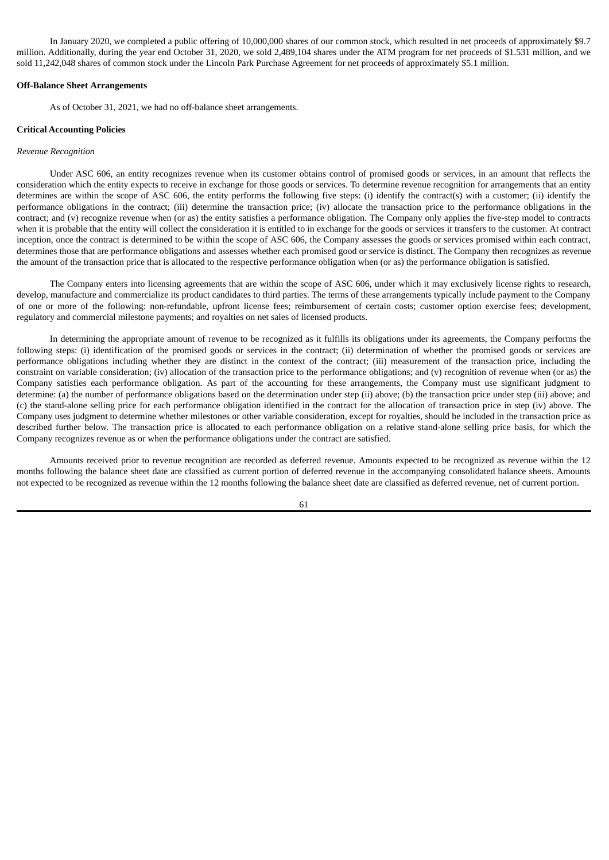In January 2020, we completed a public offering of 10,000,000 shares of our common stock, which resulted in net proceeds of approximately \$9.7 million. Additionally, during the year end October 31, 2020, we sold 2,489,104 shares under the ATM program for net proceeds of \$1.531 million, and we sold 11,242,048 shares of common stock under the Lincoln Park Purchase Agreement for net proceeds of approximately \$5.1 million.

#### **Off-Balance Sheet Arrangements**

As of October 31, 2021, we had no off-balance sheet arrangements.

#### **Critical Accounting Policies**

### *Revenue Recognition*

Under ASC 606, an entity recognizes revenue when its customer obtains control of promised goods or services, in an amount that reflects the consideration which the entity expects to receive in exchange for those goods or services. To determine revenue recognition for arrangements that an entity determines are within the scope of ASC 606, the entity performs the following five steps: (i) identify the contract(s) with a customer; (ii) identify the performance obligations in the contract; (iii) determine the transaction price; (iv) allocate the transaction price to the performance obligations in the contract; and (v) recognize revenue when (or as) the entity satisfies a performance obligation. The Company only applies the five-step model to contracts when it is probable that the entity will collect the consideration it is entitled to in exchange for the goods or services it transfers to the customer. At contract inception, once the contract is determined to be within the scope of ASC 606, the Company assesses the goods or services promised within each contract, determines those that are performance obligations and assesses whether each promised good or service is distinct. The Company then recognizes as revenue the amount of the transaction price that is allocated to the respective performance obligation when (or as) the performance obligation is satisfied.

The Company enters into licensing agreements that are within the scope of ASC 606, under which it may exclusively license rights to research, develop, manufacture and commercialize its product candidates to third parties. The terms of these arrangements typically include payment to the Company of one or more of the following: non-refundable, upfront license fees; reimbursement of certain costs; customer option exercise fees; development, regulatory and commercial milestone payments; and royalties on net sales of licensed products.

In determining the appropriate amount of revenue to be recognized as it fulfills its obligations under its agreements, the Company performs the following steps: (i) identification of the promised goods or services in the contract; (ii) determination of whether the promised goods or services are performance obligations including whether they are distinct in the context of the contract; (iii) measurement of the transaction price, including the constraint on variable consideration; (iv) allocation of the transaction price to the performance obligations; and (v) recognition of revenue when (or as) the Company satisfies each performance obligation. As part of the accounting for these arrangements, the Company must use significant judgment to determine: (a) the number of performance obligations based on the determination under step (ii) above; (b) the transaction price under step (iii) above; and (c) the stand-alone selling price for each performance obligation identified in the contract for the allocation of transaction price in step (iv) above. The Company uses judgment to determine whether milestones or other variable consideration, except for royalties, should be included in the transaction price as described further below. The transaction price is allocated to each performance obligation on a relative stand-alone selling price basis, for which the Company recognizes revenue as or when the performance obligations under the contract are satisfied.

Amounts received prior to revenue recognition are recorded as deferred revenue. Amounts expected to be recognized as revenue within the 12 months following the balance sheet date are classified as current portion of deferred revenue in the accompanying consolidated balance sheets. Amounts not expected to be recognized as revenue within the 12 months following the balance sheet date are classified as deferred revenue, net of current portion.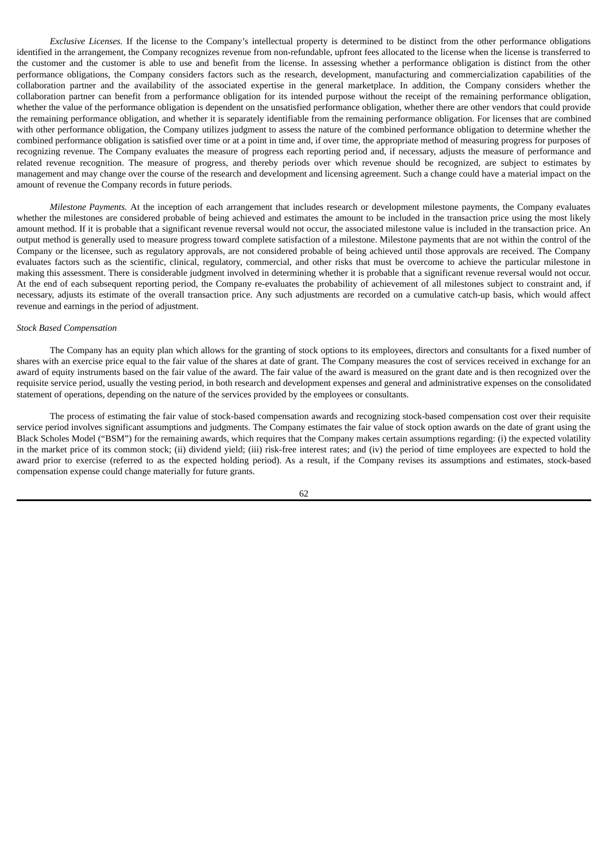*Exclusive Licenses.* If the license to the Company's intellectual property is determined to be distinct from the other performance obligations identified in the arrangement, the Company recognizes revenue from non-refundable, upfront fees allocated to the license when the license is transferred to the customer and the customer is able to use and benefit from the license. In assessing whether a performance obligation is distinct from the other performance obligations, the Company considers factors such as the research, development, manufacturing and commercialization capabilities of the collaboration partner and the availability of the associated expertise in the general marketplace. In addition, the Company considers whether the collaboration partner can benefit from a performance obligation for its intended purpose without the receipt of the remaining performance obligation, whether the value of the performance obligation is dependent on the unsatisfied performance obligation, whether there are other vendors that could provide the remaining performance obligation, and whether it is separately identifiable from the remaining performance obligation. For licenses that are combined with other performance obligation, the Company utilizes judgment to assess the nature of the combined performance obligation to determine whether the combined performance obligation is satisfied over time or at a point in time and, if over time, the appropriate method of measuring progress for purposes of recognizing revenue. The Company evaluates the measure of progress each reporting period and, if necessary, adjusts the measure of performance and related revenue recognition. The measure of progress, and thereby periods over which revenue should be recognized, are subject to estimates by management and may change over the course of the research and development and licensing agreement. Such a change could have a material impact on the amount of revenue the Company records in future periods.

*Milestone Payments.* At the inception of each arrangement that includes research or development milestone payments, the Company evaluates whether the milestones are considered probable of being achieved and estimates the amount to be included in the transaction price using the most likely amount method. If it is probable that a significant revenue reversal would not occur, the associated milestone value is included in the transaction price. An output method is generally used to measure progress toward complete satisfaction of a milestone. Milestone payments that are not within the control of the Company or the licensee, such as regulatory approvals, are not considered probable of being achieved until those approvals are received. The Company evaluates factors such as the scientific, clinical, regulatory, commercial, and other risks that must be overcome to achieve the particular milestone in making this assessment. There is considerable judgment involved in determining whether it is probable that a significant revenue reversal would not occur. At the end of each subsequent reporting period, the Company re-evaluates the probability of achievement of all milestones subject to constraint and, if necessary, adjusts its estimate of the overall transaction price. Any such adjustments are recorded on a cumulative catch-up basis, which would affect revenue and earnings in the period of adjustment.

#### *Stock Based Compensation*

The Company has an equity plan which allows for the granting of stock options to its employees, directors and consultants for a fixed number of shares with an exercise price equal to the fair value of the shares at date of grant. The Company measures the cost of services received in exchange for an award of equity instruments based on the fair value of the award. The fair value of the award is measured on the grant date and is then recognized over the requisite service period, usually the vesting period, in both research and development expenses and general and administrative expenses on the consolidated statement of operations, depending on the nature of the services provided by the employees or consultants.

The process of estimating the fair value of stock-based compensation awards and recognizing stock-based compensation cost over their requisite service period involves significant assumptions and judgments. The Company estimates the fair value of stock option awards on the date of grant using the Black Scholes Model ("BSM") for the remaining awards, which requires that the Company makes certain assumptions regarding: (i) the expected volatility in the market price of its common stock; (ii) dividend yield; (iii) risk-free interest rates; and (iv) the period of time employees are expected to hold the award prior to exercise (referred to as the expected holding period). As a result, if the Company revises its assumptions and estimates, stock-based compensation expense could change materially for future grants.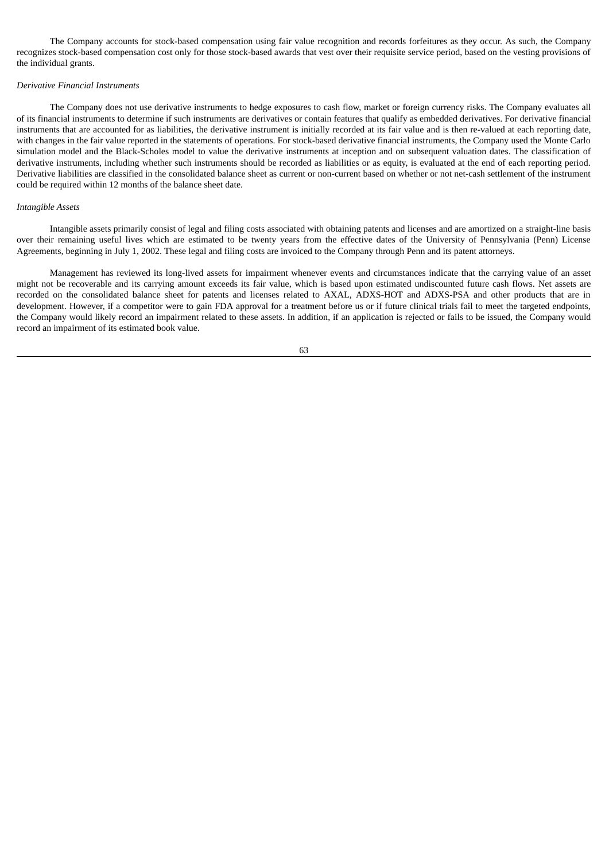The Company accounts for stock-based compensation using fair value recognition and records forfeitures as they occur. As such, the Company recognizes stock-based compensation cost only for those stock-based awards that vest over their requisite service period, based on the vesting provisions of the individual grants.

### *Derivative Financial Instruments*

The Company does not use derivative instruments to hedge exposures to cash flow, market or foreign currency risks. The Company evaluates all of its financial instruments to determine if such instruments are derivatives or contain features that qualify as embedded derivatives. For derivative financial instruments that are accounted for as liabilities, the derivative instrument is initially recorded at its fair value and is then re-valued at each reporting date, with changes in the fair value reported in the statements of operations. For stock-based derivative financial instruments, the Company used the Monte Carlo simulation model and the Black-Scholes model to value the derivative instruments at inception and on subsequent valuation dates. The classification of derivative instruments, including whether such instruments should be recorded as liabilities or as equity, is evaluated at the end of each reporting period. Derivative liabilities are classified in the consolidated balance sheet as current or non-current based on whether or not net-cash settlement of the instrument could be required within 12 months of the balance sheet date.

#### *Intangible Assets*

Intangible assets primarily consist of legal and filing costs associated with obtaining patents and licenses and are amortized on a straight-line basis over their remaining useful lives which are estimated to be twenty years from the effective dates of the University of Pennsylvania (Penn) License Agreements, beginning in July 1, 2002. These legal and filing costs are invoiced to the Company through Penn and its patent attorneys.

Management has reviewed its long-lived assets for impairment whenever events and circumstances indicate that the carrying value of an asset might not be recoverable and its carrying amount exceeds its fair value, which is based upon estimated undiscounted future cash flows. Net assets are recorded on the consolidated balance sheet for patents and licenses related to AXAL, ADXS-HOT and ADXS-PSA and other products that are in development. However, if a competitor were to gain FDA approval for a treatment before us or if future clinical trials fail to meet the targeted endpoints, the Company would likely record an impairment related to these assets. In addition, if an application is rejected or fails to be issued, the Company would record an impairment of its estimated book value.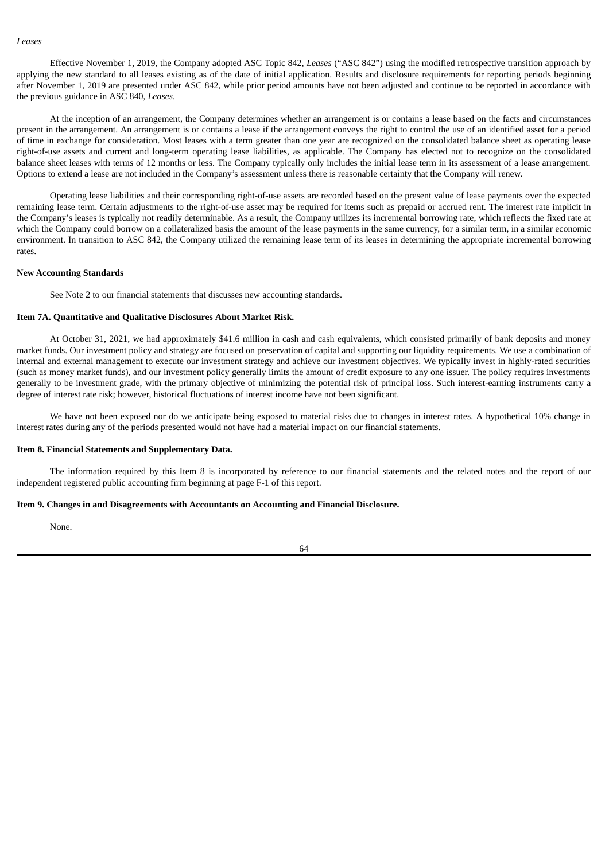### *Leases*

Effective November 1, 2019, the Company adopted ASC Topic 842, *Leases* ("ASC 842") using the modified retrospective transition approach by applying the new standard to all leases existing as of the date of initial application. Results and disclosure requirements for reporting periods beginning after November 1, 2019 are presented under ASC 842, while prior period amounts have not been adjusted and continue to be reported in accordance with the previous guidance in ASC 840, *Leases*.

At the inception of an arrangement, the Company determines whether an arrangement is or contains a lease based on the facts and circumstances present in the arrangement. An arrangement is or contains a lease if the arrangement conveys the right to control the use of an identified asset for a period of time in exchange for consideration. Most leases with a term greater than one year are recognized on the consolidated balance sheet as operating lease right-of-use assets and current and long-term operating lease liabilities, as applicable. The Company has elected not to recognize on the consolidated balance sheet leases with terms of 12 months or less. The Company typically only includes the initial lease term in its assessment of a lease arrangement. Options to extend a lease are not included in the Company's assessment unless there is reasonable certainty that the Company will renew.

Operating lease liabilities and their corresponding right-of-use assets are recorded based on the present value of lease payments over the expected remaining lease term. Certain adjustments to the right-of-use asset may be required for items such as prepaid or accrued rent. The interest rate implicit in the Company's leases is typically not readily determinable. As a result, the Company utilizes its incremental borrowing rate, which reflects the fixed rate at which the Company could borrow on a collateralized basis the amount of the lease payments in the same currency, for a similar term, in a similar economic environment. In transition to ASC 842, the Company utilized the remaining lease term of its leases in determining the appropriate incremental borrowing rates.

### **New Accounting Standards**

See Note 2 to our financial statements that discusses new accounting standards.

### **Item 7A. Quantitative and Qualitative Disclosures About Market Risk.**

At October 31, 2021, we had approximately \$41.6 million in cash and cash equivalents, which consisted primarily of bank deposits and money market funds. Our investment policy and strategy are focused on preservation of capital and supporting our liquidity requirements. We use a combination of internal and external management to execute our investment strategy and achieve our investment objectives. We typically invest in highly-rated securities (such as money market funds), and our investment policy generally limits the amount of credit exposure to any one issuer. The policy requires investments generally to be investment grade, with the primary objective of minimizing the potential risk of principal loss. Such interest-earning instruments carry a degree of interest rate risk; however, historical fluctuations of interest income have not been significant.

We have not been exposed nor do we anticipate being exposed to material risks due to changes in interest rates. A hypothetical 10% change in interest rates during any of the periods presented would not have had a material impact on our financial statements.

#### **Item 8. Financial Statements and Supplementary Data.**

The information required by this Item 8 is incorporated by reference to our financial statements and the related notes and the report of our independent registered public accounting firm beginning at page F-1 of this report.

#### **Item 9. Changes in and Disagreements with Accountants on Accounting and Financial Disclosure.**

None.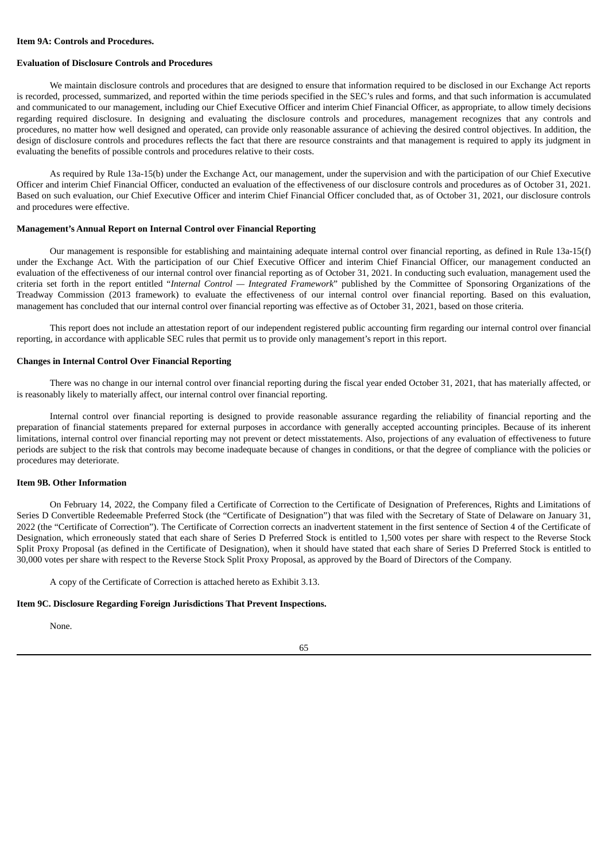## **Item 9A: Controls and Procedures.**

# **Evaluation of Disclosure Controls and Procedures**

We maintain disclosure controls and procedures that are designed to ensure that information required to be disclosed in our Exchange Act reports is recorded, processed, summarized, and reported within the time periods specified in the SEC's rules and forms, and that such information is accumulated and communicated to our management, including our Chief Executive Officer and interim Chief Financial Officer, as appropriate, to allow timely decisions regarding required disclosure. In designing and evaluating the disclosure controls and procedures, management recognizes that any controls and procedures, no matter how well designed and operated, can provide only reasonable assurance of achieving the desired control objectives. In addition, the design of disclosure controls and procedures reflects the fact that there are resource constraints and that management is required to apply its judgment in evaluating the benefits of possible controls and procedures relative to their costs.

As required by Rule 13a-15(b) under the Exchange Act, our management, under the supervision and with the participation of our Chief Executive Officer and interim Chief Financial Officer, conducted an evaluation of the effectiveness of our disclosure controls and procedures as of October 31, 2021. Based on such evaluation, our Chief Executive Officer and interim Chief Financial Officer concluded that, as of October 31, 2021, our disclosure controls and procedures were effective.

#### **Management's Annual Report on Internal Control over Financial Reporting**

Our management is responsible for establishing and maintaining adequate internal control over financial reporting, as defined in Rule 13a-15(f) under the Exchange Act. With the participation of our Chief Executive Officer and interim Chief Financial Officer, our management conducted an evaluation of the effectiveness of our internal control over financial reporting as of October 31, 2021. In conducting such evaluation, management used the criteria set forth in the report entitled "*Internal Control — Integrated Framework*" published by the Committee of Sponsoring Organizations of the Treadway Commission (2013 framework) to evaluate the effectiveness of our internal control over financial reporting. Based on this evaluation, management has concluded that our internal control over financial reporting was effective as of October 31, 2021, based on those criteria.

This report does not include an attestation report of our independent registered public accounting firm regarding our internal control over financial reporting, in accordance with applicable SEC rules that permit us to provide only management's report in this report.

### **Changes in Internal Control Over Financial Reporting**

There was no change in our internal control over financial reporting during the fiscal year ended October 31, 2021, that has materially affected, or is reasonably likely to materially affect, our internal control over financial reporting.

Internal control over financial reporting is designed to provide reasonable assurance regarding the reliability of financial reporting and the preparation of financial statements prepared for external purposes in accordance with generally accepted accounting principles. Because of its inherent limitations, internal control over financial reporting may not prevent or detect misstatements. Also, projections of any evaluation of effectiveness to future periods are subject to the risk that controls may become inadequate because of changes in conditions, or that the degree of compliance with the policies or procedures may deteriorate.

### **Item 9B. Other Information**

On February 14, 2022, the Company filed a Certificate of Correction to the Certificate of Designation of Preferences, Rights and Limitations of Series D Convertible Redeemable Preferred Stock (the "Certificate of Designation") that was filed with the Secretary of State of Delaware on January 31, 2022 (the "Certificate of Correction"). The Certificate of Correction corrects an inadvertent statement in the first sentence of Section 4 of the Certificate of Designation, which erroneously stated that each share of Series D Preferred Stock is entitled to 1,500 votes per share with respect to the Reverse Stock Split Proxy Proposal (as defined in the Certificate of Designation), when it should have stated that each share of Series D Preferred Stock is entitled to 30,000 votes per share with respect to the Reverse Stock Split Proxy Proposal, as approved by the Board of Directors of the Company.

A copy of the Certificate of Correction is attached hereto as Exhibit 3.13.

#### **Item 9C. Disclosure Regarding Foreign Jurisdictions That Prevent Inspections.**

None.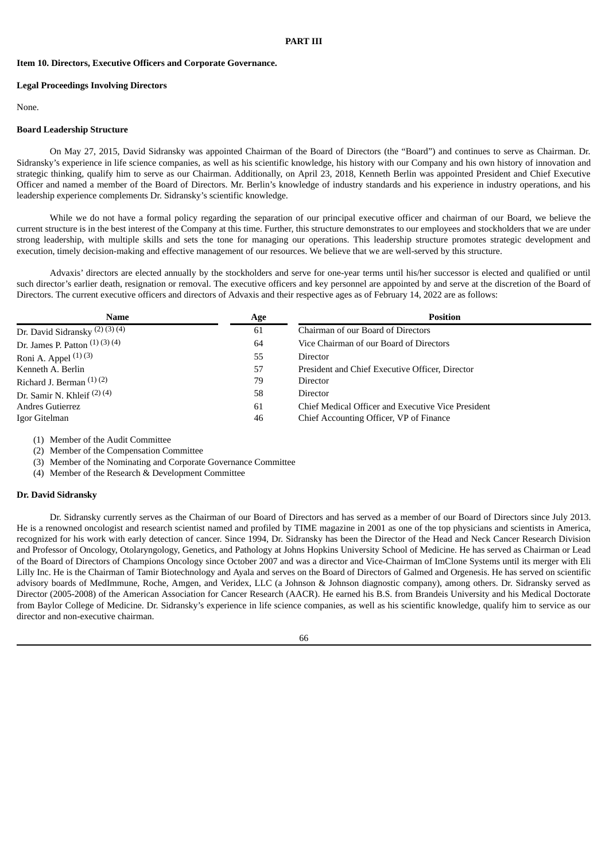## **Item 10. Directors, Executive Officers and Corporate Governance.**

### **Legal Proceedings Involving Directors**

None.

#### **Board Leadership Structure**

On May 27, 2015, David Sidransky was appointed Chairman of the Board of Directors (the "Board") and continues to serve as Chairman. Dr. Sidransky's experience in life science companies, as well as his scientific knowledge, his history with our Company and his own history of innovation and strategic thinking, qualify him to serve as our Chairman. Additionally, on April 23, 2018, Kenneth Berlin was appointed President and Chief Executive Officer and named a member of the Board of Directors. Mr. Berlin's knowledge of industry standards and his experience in industry operations, and his leadership experience complements Dr. Sidransky's scientific knowledge.

While we do not have a formal policy regarding the separation of our principal executive officer and chairman of our Board, we believe the current structure is in the best interest of the Company at this time. Further, this structure demonstrates to our employees and stockholders that we are under strong leadership, with multiple skills and sets the tone for managing our operations. This leadership structure promotes strategic development and execution, timely decision-making and effective management of our resources. We believe that we are well-served by this structure.

Advaxis' directors are elected annually by the stockholders and serve for one-year terms until his/her successor is elected and qualified or until such director's earlier death, resignation or removal. The executive officers and key personnel are appointed by and serve at the discretion of the Board of Directors. The current executive officers and directors of Advaxis and their respective ages as of February 14, 2022 are as follows:

| Name                                  | Age | <b>Position</b>                                    |
|---------------------------------------|-----|----------------------------------------------------|
| Dr. David Sidransky $(2)$ $(3)$ $(4)$ | 61  | Chairman of our Board of Directors                 |
| Dr. James P. Patton $(1)$ $(3)$ $(4)$ | 64  | Vice Chairman of our Board of Directors            |
| Roni A. Appel $(1)(3)$                | 55  | Director                                           |
| Kenneth A. Berlin                     | 57  | President and Chief Executive Officer, Director    |
| Richard J. Berman $(1)(2)$            | 79  | Director                                           |
| Dr. Samir N. Khleif $(2)$ (4)         | 58  | <b>Director</b>                                    |
| Andres Gutierrez                      | 61  | Chief Medical Officer and Executive Vice President |
| Igor Gitelman                         | 46  | Chief Accounting Officer, VP of Finance            |

(1) Member of the Audit Committee

(2) Member of the Compensation Committee

(3) Member of the Nominating and Corporate Governance Committee

(4) Member of the Research & Development Committee

#### **Dr. David Sidransky**

Dr. Sidransky currently serves as the Chairman of our Board of Directors and has served as a member of our Board of Directors since July 2013. He is a renowned oncologist and research scientist named and profiled by TIME magazine in 2001 as one of the top physicians and scientists in America, recognized for his work with early detection of cancer. Since 1994, Dr. Sidransky has been the Director of the Head and Neck Cancer Research Division and Professor of Oncology, Otolaryngology, Genetics, and Pathology at Johns Hopkins University School of Medicine. He has served as Chairman or Lead of the Board of Directors of Champions Oncology since October 2007 and was a director and Vice-Chairman of ImClone Systems until its merger with Eli Lilly Inc. He is the Chairman of Tamir Biotechnology and Ayala and serves on the Board of Directors of Galmed and Orgenesis. He has served on scientific advisory boards of MedImmune, Roche, Amgen, and Veridex, LLC (a Johnson & Johnson diagnostic company), among others. Dr. Sidransky served as Director (2005-2008) of the American Association for Cancer Research (AACR). He earned his B.S. from Brandeis University and his Medical Doctorate from Baylor College of Medicine. Dr. Sidransky's experience in life science companies, as well as his scientific knowledge, qualify him to service as our director and non-executive chairman.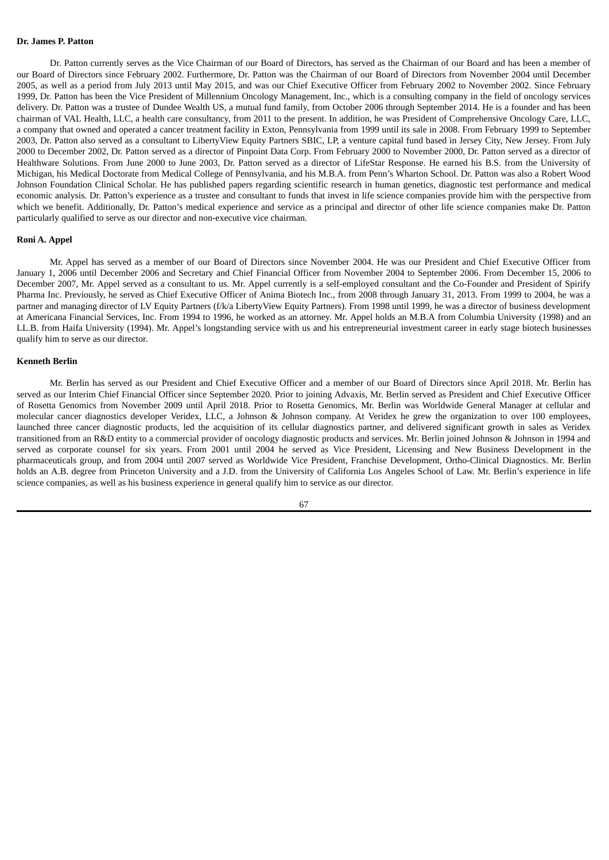### **Dr. James P. Patton**

Dr. Patton currently serves as the Vice Chairman of our Board of Directors, has served as the Chairman of our Board and has been a member of our Board of Directors since February 2002. Furthermore, Dr. Patton was the Chairman of our Board of Directors from November 2004 until December 2005, as well as a period from July 2013 until May 2015, and was our Chief Executive Officer from February 2002 to November 2002. Since February 1999, Dr. Patton has been the Vice President of Millennium Oncology Management, Inc., which is a consulting company in the field of oncology services delivery. Dr. Patton was a trustee of Dundee Wealth US, a mutual fund family, from October 2006 through September 2014. He is a founder and has been chairman of VAL Health, LLC, a health care consultancy, from 2011 to the present. In addition, he was President of Comprehensive Oncology Care, LLC, a company that owned and operated a cancer treatment facility in Exton, Pennsylvania from 1999 until its sale in 2008. From February 1999 to September 2003, Dr. Patton also served as a consultant to LibertyView Equity Partners SBIC, LP, a venture capital fund based in Jersey City, New Jersey. From July 2000 to December 2002, Dr. Patton served as a director of Pinpoint Data Corp. From February 2000 to November 2000, Dr. Patton served as a director of Healthware Solutions. From June 2000 to June 2003, Dr. Patton served as a director of LifeStar Response. He earned his B.S. from the University of Michigan, his Medical Doctorate from Medical College of Pennsylvania, and his M.B.A. from Penn's Wharton School. Dr. Patton was also a Robert Wood Johnson Foundation Clinical Scholar. He has published papers regarding scientific research in human genetics, diagnostic test performance and medical economic analysis. Dr. Patton's experience as a trustee and consultant to funds that invest in life science companies provide him with the perspective from which we benefit. Additionally, Dr. Patton's medical experience and service as a principal and director of other life science companies make Dr. Patton particularly qualified to serve as our director and non-executive vice chairman.

### **Roni A. Appel**

Mr. Appel has served as a member of our Board of Directors since November 2004. He was our President and Chief Executive Officer from January 1, 2006 until December 2006 and Secretary and Chief Financial Officer from November 2004 to September 2006. From December 15, 2006 to December 2007, Mr. Appel served as a consultant to us. Mr. Appel currently is a self-employed consultant and the Co-Founder and President of Spirify Pharma Inc. Previously, he served as Chief Executive Officer of Anima Biotech Inc., from 2008 through January 31, 2013. From 1999 to 2004, he was a partner and managing director of LV Equity Partners (f/k/a LibertyView Equity Partners). From 1998 until 1999, he was a director of business development at Americana Financial Services, Inc. From 1994 to 1996, he worked as an attorney. Mr. Appel holds an M.B.A from Columbia University (1998) and an LL.B. from Haifa University (1994). Mr. Appel's longstanding service with us and his entrepreneurial investment career in early stage biotech businesses qualify him to serve as our director.

### **Kenneth Berlin**

Mr. Berlin has served as our President and Chief Executive Officer and a member of our Board of Directors since April 2018. Mr. Berlin has served as our Interim Chief Financial Officer since September 2020. Prior to joining Advaxis, Mr. Berlin served as President and Chief Executive Officer of Rosetta Genomics from November 2009 until April 2018. Prior to Rosetta Genomics, Mr. Berlin was Worldwide General Manager at cellular and molecular cancer diagnostics developer Veridex, LLC, a Johnson & Johnson company. At Veridex he grew the organization to over 100 employees, launched three cancer diagnostic products, led the acquisition of its cellular diagnostics partner, and delivered significant growth in sales as Veridex transitioned from an R&D entity to a commercial provider of oncology diagnostic products and services. Mr. Berlin joined Johnson & Johnson in 1994 and served as corporate counsel for six years. From 2001 until 2004 he served as Vice President, Licensing and New Business Development in the pharmaceuticals group, and from 2004 until 2007 served as Worldwide Vice President, Franchise Development, Ortho-Clinical Diagnostics. Mr. Berlin holds an A.B. degree from Princeton University and a J.D. from the University of California Los Angeles School of Law. Mr. Berlin's experience in life science companies, as well as his business experience in general qualify him to service as our director.

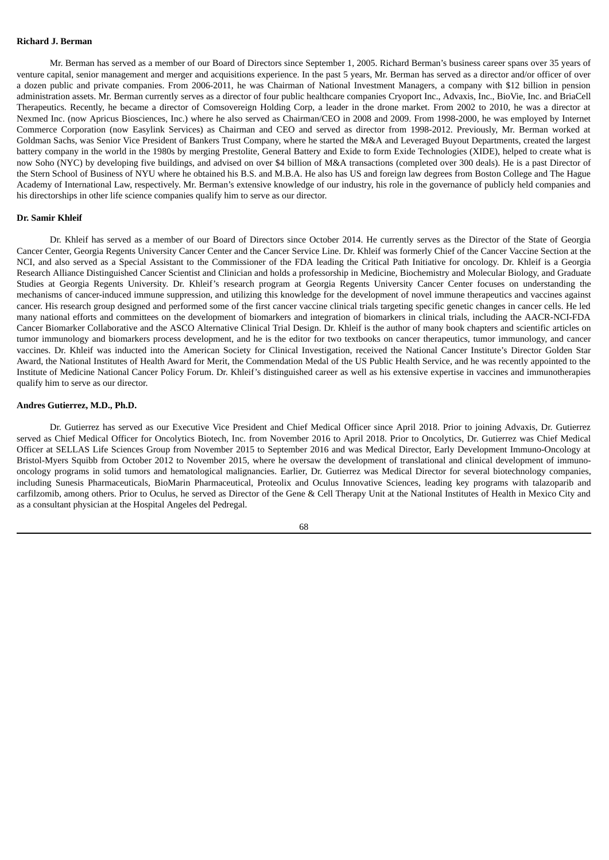### **Richard J. Berman**

Mr. Berman has served as a member of our Board of Directors since September 1, 2005. Richard Berman's business career spans over 35 years of venture capital, senior management and merger and acquisitions experience. In the past 5 years, Mr. Berman has served as a director and/or officer of over a dozen public and private companies. From 2006-2011, he was Chairman of National Investment Managers, a company with \$12 billion in pension administration assets. Mr. Berman currently serves as a director of four public healthcare companies Cryoport Inc., Advaxis, Inc., BioVie, Inc. and BriaCell Therapeutics. Recently, he became a director of Comsovereign Holding Corp, a leader in the drone market. From 2002 to 2010, he was a director at Nexmed Inc. (now Apricus Biosciences, Inc.) where he also served as Chairman/CEO in 2008 and 2009. From 1998-2000, he was employed by Internet Commerce Corporation (now Easylink Services) as Chairman and CEO and served as director from 1998-2012. Previously, Mr. Berman worked at Goldman Sachs, was Senior Vice President of Bankers Trust Company, where he started the M&A and Leveraged Buyout Departments, created the largest battery company in the world in the 1980s by merging Prestolite, General Battery and Exide to form Exide Technologies (XIDE), helped to create what is now Soho (NYC) by developing five buildings, and advised on over \$4 billion of M&A transactions (completed over 300 deals). He is a past Director of the Stern School of Business of NYU where he obtained his B.S. and M.B.A. He also has US and foreign law degrees from Boston College and The Hague Academy of International Law, respectively. Mr. Berman's extensive knowledge of our industry, his role in the governance of publicly held companies and his directorships in other life science companies qualify him to serve as our director.

### **Dr. Samir Khleif**

Dr. Khleif has served as a member of our Board of Directors since October 2014. He currently serves as the Director of the State of Georgia Cancer Center, Georgia Regents University Cancer Center and the Cancer Service Line. Dr. Khleif was formerly Chief of the Cancer Vaccine Section at the NCI, and also served as a Special Assistant to the Commissioner of the FDA leading the Critical Path Initiative for oncology. Dr. Khleif is a Georgia Research Alliance Distinguished Cancer Scientist and Clinician and holds a professorship in Medicine, Biochemistry and Molecular Biology, and Graduate Studies at Georgia Regents University. Dr. Khleif's research program at Georgia Regents University Cancer Center focuses on understanding the mechanisms of cancer-induced immune suppression, and utilizing this knowledge for the development of novel immune therapeutics and vaccines against cancer. His research group designed and performed some of the first cancer vaccine clinical trials targeting specific genetic changes in cancer cells. He led many national efforts and committees on the development of biomarkers and integration of biomarkers in clinical trials, including the AACR-NCI-FDA Cancer Biomarker Collaborative and the ASCO Alternative Clinical Trial Design. Dr. Khleif is the author of many book chapters and scientific articles on tumor immunology and biomarkers process development, and he is the editor for two textbooks on cancer therapeutics, tumor immunology, and cancer vaccines. Dr. Khleif was inducted into the American Society for Clinical Investigation, received the National Cancer Institute's Director Golden Star Award, the National Institutes of Health Award for Merit, the Commendation Medal of the US Public Health Service, and he was recently appointed to the Institute of Medicine National Cancer Policy Forum. Dr. Khleif's distinguished career as well as his extensive expertise in vaccines and immunotherapies qualify him to serve as our director.

#### **Andres Gutierrez, M.D., Ph.D.**

Dr. Gutierrez has served as our Executive Vice President and Chief Medical Officer since April 2018. Prior to joining Advaxis, Dr. Gutierrez served as Chief Medical Officer for Oncolytics Biotech, Inc. from November 2016 to April 2018. Prior to Oncolytics, Dr. Gutierrez was Chief Medical Officer at SELLAS Life Sciences Group from November 2015 to September 2016 and was Medical Director, Early Development Immuno-Oncology at Bristol-Myers Squibb from October 2012 to November 2015, where he oversaw the development of translational and clinical development of immunooncology programs in solid tumors and hematological malignancies. Earlier, Dr. Gutierrez was Medical Director for several biotechnology companies, including Sunesis Pharmaceuticals, BioMarin Pharmaceutical, Proteolix and Oculus Innovative Sciences, leading key programs with talazoparib and carfilzomib, among others. Prior to Oculus, he served as Director of the Gene & Cell Therapy Unit at the National Institutes of Health in Mexico City and as a consultant physician at the Hospital Angeles del Pedregal.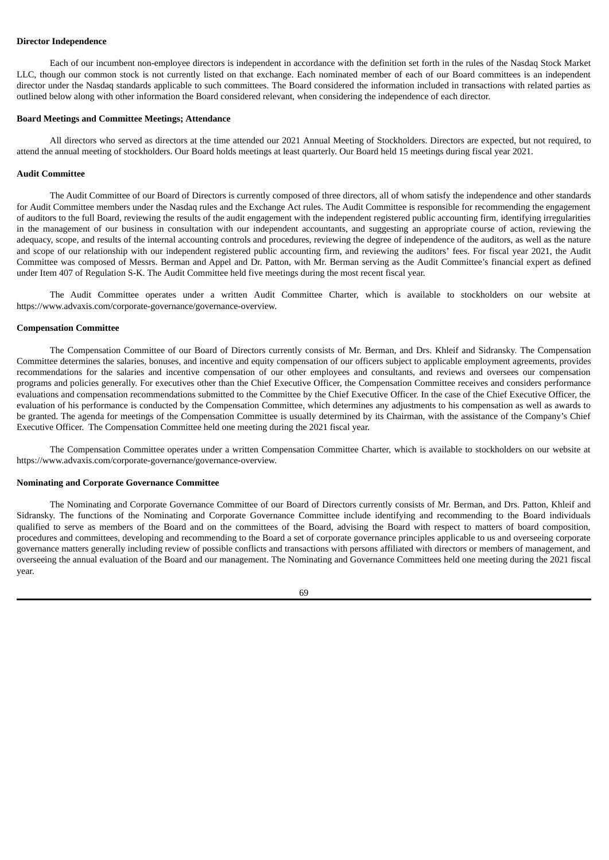### **Director Independence**

Each of our incumbent non-employee directors is independent in accordance with the definition set forth in the rules of the Nasdaq Stock Market LLC, though our common stock is not currently listed on that exchange. Each nominated member of each of our Board committees is an independent director under the Nasdaq standards applicable to such committees. The Board considered the information included in transactions with related parties as outlined below along with other information the Board considered relevant, when considering the independence of each director.

### **Board Meetings and Committee Meetings; Attendance**

All directors who served as directors at the time attended our 2021 Annual Meeting of Stockholders. Directors are expected, but not required, to attend the annual meeting of stockholders. Our Board holds meetings at least quarterly. Our Board held 15 meetings during fiscal year 2021.

### **Audit Committee**

The Audit Committee of our Board of Directors is currently composed of three directors, all of whom satisfy the independence and other standards for Audit Committee members under the Nasdaq rules and the Exchange Act rules. The Audit Committee is responsible for recommending the engagement of auditors to the full Board, reviewing the results of the audit engagement with the independent registered public accounting firm, identifying irregularities in the management of our business in consultation with our independent accountants, and suggesting an appropriate course of action, reviewing the adequacy, scope, and results of the internal accounting controls and procedures, reviewing the degree of independence of the auditors, as well as the nature and scope of our relationship with our independent registered public accounting firm, and reviewing the auditors' fees. For fiscal year 2021, the Audit Committee was composed of Messrs. Berman and Appel and Dr. Patton, with Mr. Berman serving as the Audit Committee's financial expert as defined under Item 407 of Regulation S-K. The Audit Committee held five meetings during the most recent fiscal year.

The Audit Committee operates under a written Audit Committee Charter, which is available to stockholders on our website at https://www.advaxis.com/corporate-governance/governance-overview.

#### **Compensation Committee**

The Compensation Committee of our Board of Directors currently consists of Mr. Berman, and Drs. Khleif and Sidransky. The Compensation Committee determines the salaries, bonuses, and incentive and equity compensation of our officers subject to applicable employment agreements, provides recommendations for the salaries and incentive compensation of our other employees and consultants, and reviews and oversees our compensation programs and policies generally. For executives other than the Chief Executive Officer, the Compensation Committee receives and considers performance evaluations and compensation recommendations submitted to the Committee by the Chief Executive Officer. In the case of the Chief Executive Officer, the evaluation of his performance is conducted by the Compensation Committee, which determines any adjustments to his compensation as well as awards to be granted. The agenda for meetings of the Compensation Committee is usually determined by its Chairman, with the assistance of the Company's Chief Executive Officer. The Compensation Committee held one meeting during the 2021 fiscal year.

The Compensation Committee operates under a written Compensation Committee Charter, which is available to stockholders on our website at https://www.advaxis.com/corporate-governance/governance-overview.

#### **Nominating and Corporate Governance Committee**

The Nominating and Corporate Governance Committee of our Board of Directors currently consists of Mr. Berman, and Drs. Patton, Khleif and Sidransky. The functions of the Nominating and Corporate Governance Committee include identifying and recommending to the Board individuals qualified to serve as members of the Board and on the committees of the Board, advising the Board with respect to matters of board composition, procedures and committees, developing and recommending to the Board a set of corporate governance principles applicable to us and overseeing corporate governance matters generally including review of possible conflicts and transactions with persons affiliated with directors or members of management, and overseeing the annual evaluation of the Board and our management. The Nominating and Governance Committees held one meeting during the 2021 fiscal year.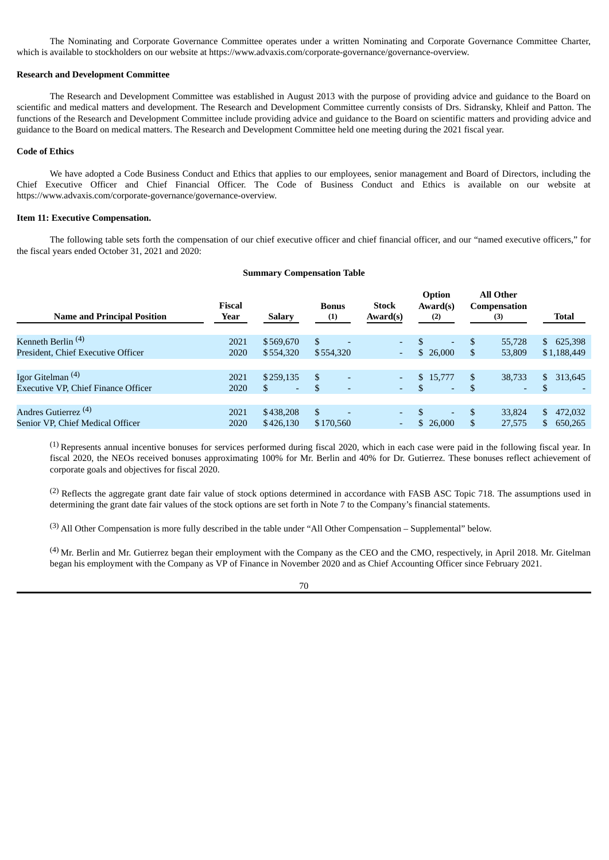The Nominating and Corporate Governance Committee operates under a written Nominating and Corporate Governance Committee Charter, which is available to stockholders on our website at https://www.advaxis.com/corporate-governance/governance-overview.

### **Research and Development Committee**

The Research and Development Committee was established in August 2013 with the purpose of providing advice and guidance to the Board on scientific and medical matters and development. The Research and Development Committee currently consists of Drs. Sidransky, Khleif and Patton. The functions of the Research and Development Committee include providing advice and guidance to the Board on scientific matters and providing advice and guidance to the Board on medical matters. The Research and Development Committee held one meeting during the 2021 fiscal year.

#### **Code of Ethics**

We have adopted a Code Business Conduct and Ethics that applies to our employees, senior management and Board of Directors, including the Chief Executive Officer and Chief Financial Officer. The Code of Business Conduct and Ethics is available on our website at https://www.advaxis.com/corporate-governance/governance-overview.

### **Item 11: Executive Compensation.**

The following table sets forth the compensation of our chief executive officer and chief financial officer, and our "named executive officers," for the fiscal years ended October 31, 2021 and 2020:

### **Summary Compensation Table**

| <b>Name and Principal Position</b>         | <b>Fiscal</b><br>Year | <b>Salary</b> | <b>Bonus</b><br>(1)             | <b>Stock</b><br>Award(s) | Option<br>Award(s)<br>(2) | <b>All Other</b><br>Compensation<br>(3) | <b>Total</b>            |
|--------------------------------------------|-----------------------|---------------|---------------------------------|--------------------------|---------------------------|-----------------------------------------|-------------------------|
| Kenneth Berlin <sup>(4)</sup>              | 2021                  | \$569,670     | \$.<br>$\overline{\phantom{0}}$ | $\sim$                   | $\overline{\phantom{0}}$  | S<br>55,728                             | 625,398<br>S.           |
| President, Chief Executive Officer         | 2020                  | \$554,320     | \$554,320                       | $\overline{\phantom{a}}$ | \$26,000                  | \$<br>53,809                            | \$1,188,449             |
|                                            |                       |               |                                 |                          |                           |                                         |                         |
| Igor Gitelman <sup>(4)</sup>               | 2021                  | \$259,135     | \$.<br>$\overline{a}$           |                          | \$15.777                  | <sup>\$</sup><br>38.733                 | 313,645<br>$\mathbf{s}$ |
| <b>Executive VP, Chief Finance Officer</b> | 2020                  | \$<br>$\sim$  | $\overline{\phantom{a}}$        | $\sim$                   | $\sim$                    | S<br>$\sim$                             | \$                      |
|                                            |                       |               |                                 |                          |                           |                                         |                         |
| Andres Gutierrez <sup>(4)</sup>            | 2021                  | \$438,208     | \$.<br>$\overline{a}$           | $\sim$                   | $\overline{a}$            | S<br>33,824                             | 472,032<br>$\mathbf{s}$ |
| Senior VP, Chief Medical Officer           | 2020                  | \$426,130     | \$170,560                       | $\overline{\phantom{a}}$ | \$26,000                  | \$<br>27,575                            | 650,265<br>\$.          |

 $<sup>(1)</sup>$  Represents annual incentive bonuses for services performed during fiscal 2020, which in each case were paid in the following fiscal year. In</sup> fiscal 2020, the NEOs received bonuses approximating 100% for Mr. Berlin and 40% for Dr. Gutierrez. These bonuses reflect achievement of corporate goals and objectives for fiscal 2020.

<sup>(2)</sup> Reflects the aggregate grant date fair value of stock options determined in accordance with FASB ASC Topic 718. The assumptions used in determining the grant date fair values of the stock options are set forth in Note 7 to the Company's financial statements.

 $(3)$  All Other Compensation is more fully described in the table under "All Other Compensation – Supplemental" below.

(4) Mr. Berlin and Mr. Gutierrez began their employment with the Company as the CEO and the CMO, respectively, in April 2018. Mr. Gitelman began his employment with the Company as VP of Finance in November 2020 and as Chief Accounting Officer since February 2021.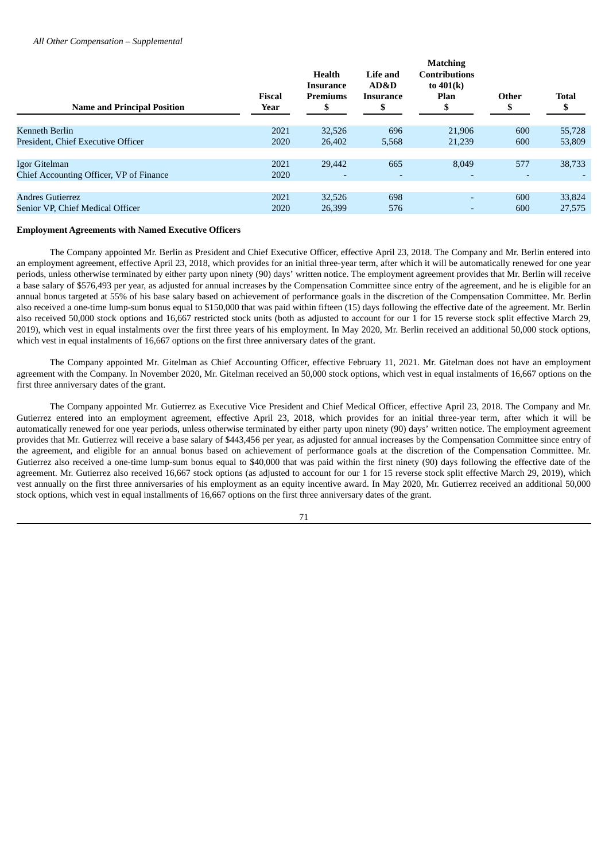| <b>Name and Principal Position</b>      | <b>Fiscal</b><br>Year | <b>Health</b><br>Insurance<br><b>Premiums</b><br>J. | Life and<br>AD&D<br>Insurance | Matching<br><b>Contributions</b><br>to $401(k)$<br>Plan<br>\$ | Other | <b>Total</b> |
|-----------------------------------------|-----------------------|-----------------------------------------------------|-------------------------------|---------------------------------------------------------------|-------|--------------|
| Kenneth Berlin                          | 2021                  | 32,526                                              | 696                           | 21,906                                                        | 600   | 55,728       |
| President, Chief Executive Officer      | 2020                  | 26,402                                              | 5,568                         | 21,239                                                        | 600   | 53,809       |
| Igor Gitelman                           | 2021                  | 29,442                                              | 665                           | 8.049                                                         | 577   | 38,733       |
| Chief Accounting Officer, VP of Finance | 2020                  |                                                     | ٠                             |                                                               |       | ٠            |
| <b>Andres Gutierrez</b>                 | 2021                  | 32.526                                              | 698                           | -                                                             | 600   | 33,824       |
| Senior VP, Chief Medical Officer        | 2020                  | 26,399                                              | 576                           |                                                               | 600   | 27.575       |

**Matching**

### **Employment Agreements with Named Executive Officers**

The Company appointed Mr. Berlin as President and Chief Executive Officer, effective April 23, 2018. The Company and Mr. Berlin entered into an employment agreement, effective April 23, 2018, which provides for an initial three-year term, after which it will be automatically renewed for one year periods, unless otherwise terminated by either party upon ninety (90) days' written notice. The employment agreement provides that Mr. Berlin will receive a base salary of \$576,493 per year, as adjusted for annual increases by the Compensation Committee since entry of the agreement, and he is eligible for an annual bonus targeted at 55% of his base salary based on achievement of performance goals in the discretion of the Compensation Committee. Mr. Berlin also received a one-time lump-sum bonus equal to \$150,000 that was paid within fifteen (15) days following the effective date of the agreement. Mr. Berlin also received 50,000 stock options and 16,667 restricted stock units (both as adjusted to account for our 1 for 15 reverse stock split effective March 29, 2019), which vest in equal instalments over the first three years of his employment. In May 2020, Mr. Berlin received an additional 50,000 stock options, which vest in equal instalments of 16,667 options on the first three anniversary dates of the grant.

The Company appointed Mr. Gitelman as Chief Accounting Officer, effective February 11, 2021. Mr. Gitelman does not have an employment agreement with the Company. In November 2020, Mr. Gitelman received an 50,000 stock options, which vest in equal instalments of 16,667 options on the first three anniversary dates of the grant.

The Company appointed Mr. Gutierrez as Executive Vice President and Chief Medical Officer, effective April 23, 2018. The Company and Mr. Gutierrez entered into an employment agreement, effective April 23, 2018, which provides for an initial three-year term, after which it will be automatically renewed for one year periods, unless otherwise terminated by either party upon ninety (90) days' written notice. The employment agreement provides that Mr. Gutierrez will receive a base salary of \$443,456 per year, as adjusted for annual increases by the Compensation Committee since entry of the agreement, and eligible for an annual bonus based on achievement of performance goals at the discretion of the Compensation Committee. Mr. Gutierrez also received a one-time lump-sum bonus equal to \$40,000 that was paid within the first ninety (90) days following the effective date of the agreement. Mr. Gutierrez also received 16,667 stock options (as adjusted to account for our 1 for 15 reverse stock split effective March 29, 2019), which vest annually on the first three anniversaries of his employment as an equity incentive award. In May 2020, Mr. Gutierrez received an additional 50,000 stock options, which vest in equal installments of 16,667 options on the first three anniversary dates of the grant.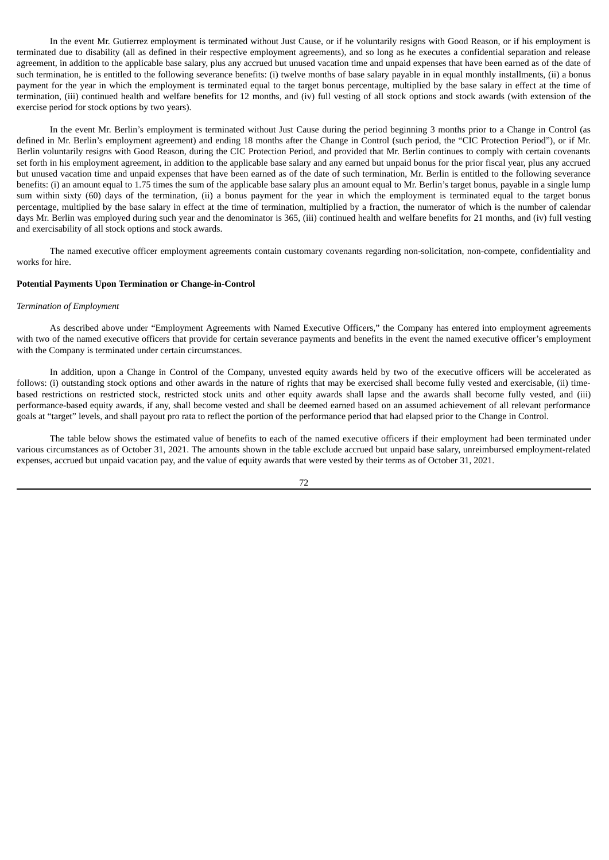In the event Mr. Gutierrez employment is terminated without Just Cause, or if he voluntarily resigns with Good Reason, or if his employment is terminated due to disability (all as defined in their respective employment agreements), and so long as he executes a confidential separation and release agreement, in addition to the applicable base salary, plus any accrued but unused vacation time and unpaid expenses that have been earned as of the date of such termination, he is entitled to the following severance benefits: (i) twelve months of base salary payable in in equal monthly installments, (ii) a bonus payment for the year in which the employment is terminated equal to the target bonus percentage, multiplied by the base salary in effect at the time of termination, (iii) continued health and welfare benefits for 12 months, and (iv) full vesting of all stock options and stock awards (with extension of the exercise period for stock options by two years).

In the event Mr. Berlin's employment is terminated without Just Cause during the period beginning 3 months prior to a Change in Control (as defined in Mr. Berlin's employment agreement) and ending 18 months after the Change in Control (such period, the "CIC Protection Period"), or if Mr. Berlin voluntarily resigns with Good Reason, during the CIC Protection Period, and provided that Mr. Berlin continues to comply with certain covenants set forth in his employment agreement, in addition to the applicable base salary and any earned but unpaid bonus for the prior fiscal year, plus any accrued but unused vacation time and unpaid expenses that have been earned as of the date of such termination, Mr. Berlin is entitled to the following severance benefits: (i) an amount equal to 1.75 times the sum of the applicable base salary plus an amount equal to Mr. Berlin's target bonus, payable in a single lump sum within sixty (60) days of the termination, (ii) a bonus payment for the year in which the employment is terminated equal to the target bonus percentage, multiplied by the base salary in effect at the time of termination, multiplied by a fraction, the numerator of which is the number of calendar days Mr. Berlin was employed during such year and the denominator is 365, (iii) continued health and welfare benefits for 21 months, and (iv) full vesting and exercisability of all stock options and stock awards.

The named executive officer employment agreements contain customary covenants regarding non-solicitation, non-compete, confidentiality and works for hire.

### **Potential Payments Upon Termination or Change-in-Control**

#### *Termination of Employment*

As described above under "Employment Agreements with Named Executive Officers," the Company has entered into employment agreements with two of the named executive officers that provide for certain severance payments and benefits in the event the named executive officer's employment with the Company is terminated under certain circumstances.

In addition, upon a Change in Control of the Company, unvested equity awards held by two of the executive officers will be accelerated as follows: (i) outstanding stock options and other awards in the nature of rights that may be exercised shall become fully vested and exercisable, (ii) timebased restrictions on restricted stock, restricted stock units and other equity awards shall lapse and the awards shall become fully vested, and (iii) performance-based equity awards, if any, shall become vested and shall be deemed earned based on an assumed achievement of all relevant performance goals at "target" levels, and shall payout pro rata to reflect the portion of the performance period that had elapsed prior to the Change in Control.

The table below shows the estimated value of benefits to each of the named executive officers if their employment had been terminated under various circumstances as of October 31, 2021. The amounts shown in the table exclude accrued but unpaid base salary, unreimbursed employment-related expenses, accrued but unpaid vacation pay, and the value of equity awards that were vested by their terms as of October 31, 2021.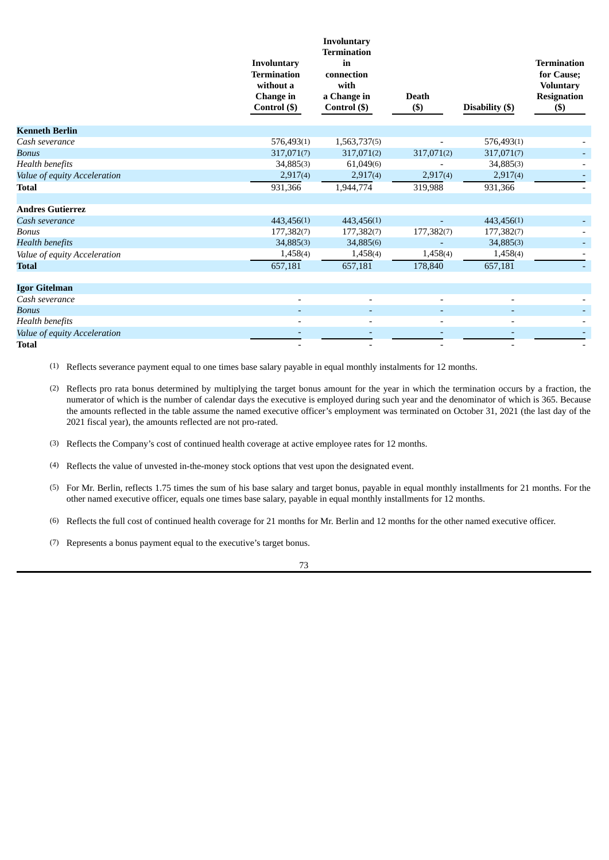|                              | <b>Involuntary</b><br><b>Termination</b><br>without a<br><b>Change</b> in<br>Control (\$) | <b>Involuntary</b><br><b>Termination</b><br>in<br>connection<br>with<br>a Change in<br>Control (\$) | <b>Death</b><br>$($)$    | Disability (\$)          | <b>Termination</b><br>for Cause;<br><b>Voluntary</b><br><b>Resignation</b><br>$($ \$ |
|------------------------------|-------------------------------------------------------------------------------------------|-----------------------------------------------------------------------------------------------------|--------------------------|--------------------------|--------------------------------------------------------------------------------------|
| <b>Kenneth Berlin</b>        |                                                                                           |                                                                                                     |                          |                          |                                                                                      |
| Cash severance               | 576,493(1)                                                                                | 1,563,737(5)                                                                                        |                          | 576,493(1)               |                                                                                      |
| <b>Bonus</b>                 | 317,071(7)                                                                                | 317,071(2)                                                                                          | 317,071(2)               | 317,071(7)               |                                                                                      |
| <b>Health benefits</b>       | 34,885(3)                                                                                 | 61,049(6)                                                                                           |                          | 34,885(3)                |                                                                                      |
| Value of equity Acceleration | 2,917(4)                                                                                  | 2,917(4)                                                                                            | 2,917(4)                 | 2,917(4)                 |                                                                                      |
| <b>Total</b>                 | 931,366                                                                                   | 1,944,774                                                                                           | 319,988                  | 931,366                  |                                                                                      |
| <b>Andres Gutierrez</b>      |                                                                                           |                                                                                                     |                          |                          |                                                                                      |
| Cash severance               | 443,456(1)                                                                                | 443,456(1)                                                                                          |                          | 443,456(1)               |                                                                                      |
| <b>Bonus</b>                 | 177,382(7)                                                                                | 177,382(7)                                                                                          | 177,382(7)               | 177,382(7)               |                                                                                      |
| <b>Health benefits</b>       | 34,885(3)                                                                                 | 34,885(6)                                                                                           |                          | 34,885(3)                |                                                                                      |
| Value of equity Acceleration | 1,458(4)                                                                                  | 1,458(4)                                                                                            | 1,458(4)                 | 1,458(4)                 |                                                                                      |
| <b>Total</b>                 | 657,181                                                                                   | 657,181                                                                                             | 178,840                  | 657,181                  |                                                                                      |
| <b>Igor Gitelman</b>         |                                                                                           |                                                                                                     |                          |                          |                                                                                      |
| Cash severance               | $\overline{\phantom{a}}$                                                                  |                                                                                                     | $\overline{\phantom{a}}$ | $\overline{\phantom{a}}$ |                                                                                      |
| <b>Bonus</b>                 |                                                                                           |                                                                                                     |                          |                          |                                                                                      |
| <b>Health benefits</b>       |                                                                                           |                                                                                                     |                          |                          |                                                                                      |
| Value of equity Acceleration |                                                                                           |                                                                                                     |                          |                          |                                                                                      |

**Total** - - - - -

(1) Reflects severance payment equal to one times base salary payable in equal monthly instalments for 12 months.

- (2) Reflects pro rata bonus determined by multiplying the target bonus amount for the year in which the termination occurs by a fraction, the numerator of which is the number of calendar days the executive is employed during such year and the denominator of which is 365. Because the amounts reflected in the table assume the named executive officer's employment was terminated on October 31, 2021 (the last day of the 2021 fiscal year), the amounts reflected are not pro-rated.
- (3) Reflects the Company's cost of continued health coverage at active employee rates for 12 months.

(4) Reflects the value of unvested in-the-money stock options that vest upon the designated event.

(5) For Mr. Berlin, reflects 1.75 times the sum of his base salary and target bonus, payable in equal monthly installments for 21 months. For the other named executive officer, equals one times base salary, payable in equal monthly installments for 12 months.

(6) Reflects the full cost of continued health coverage for 21 months for Mr. Berlin and 12 months for the other named executive officer.

(7) Represents a bonus payment equal to the executive's target bonus.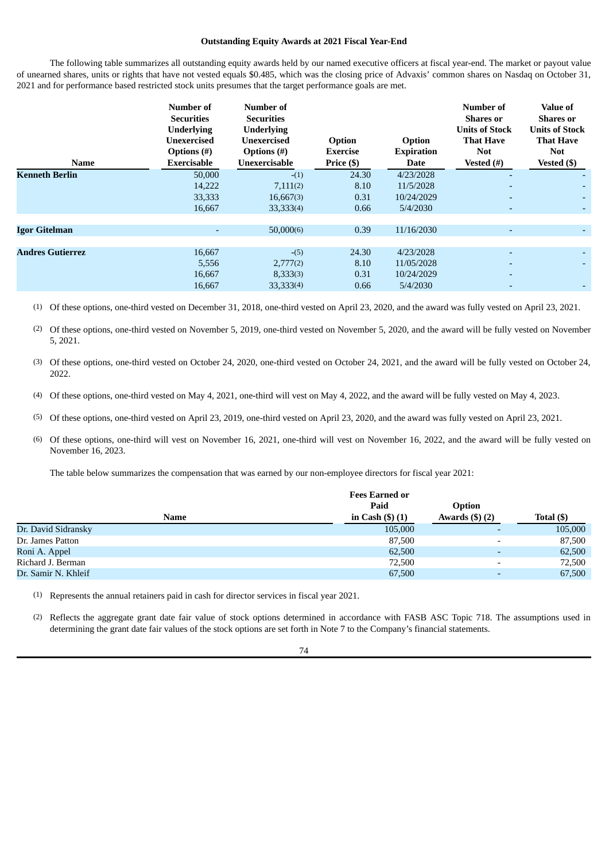#### **Outstanding Equity Awards at 2021 Fiscal Year-End**

The following table summarizes all outstanding equity awards held by our named executive officers at fiscal year-end. The market or payout value of unearned shares, units or rights that have not vested equals \$0.485, which was the closing price of Advaxis' common shares on Nasdaq on October 31, 2021 and for performance based restricted stock units presumes that the target performance goals are met.

| <b>Name</b>             | Number of<br><b>Securities</b><br><b>Underlying</b><br><b>Unexercised</b><br>Options $(\#)$<br>Exercisable | Number of<br><b>Securities</b><br><b>Underlying</b><br>Unexercised<br>Options $(\#)$<br>Unexercisable | Option<br><b>Exercise</b><br>Price (\$) | Option<br><b>Expiration</b><br>Date | <b>Number of</b><br><b>Shares</b> or<br><b>Units of Stock</b><br><b>That Have</b><br><b>Not</b><br>Vested (#) | <b>Value of</b><br><b>Shares</b> or<br><b>Units of Stock</b><br><b>That Have</b><br><b>Not</b><br>Vested (\$) |
|-------------------------|------------------------------------------------------------------------------------------------------------|-------------------------------------------------------------------------------------------------------|-----------------------------------------|-------------------------------------|---------------------------------------------------------------------------------------------------------------|---------------------------------------------------------------------------------------------------------------|
| <b>Kenneth Berlin</b>   | 50,000                                                                                                     | $-(1)$                                                                                                | 24.30                                   | 4/23/2028                           |                                                                                                               |                                                                                                               |
|                         | 14,222                                                                                                     | 7,111(2)                                                                                              | 8.10                                    | 11/5/2028                           |                                                                                                               |                                                                                                               |
|                         | 33,333                                                                                                     | 16,667(3)                                                                                             | 0.31                                    | 10/24/2029                          |                                                                                                               |                                                                                                               |
|                         | 16,667                                                                                                     | 33,333(4)                                                                                             | 0.66                                    | 5/4/2030                            |                                                                                                               | ۰.                                                                                                            |
|                         |                                                                                                            |                                                                                                       |                                         |                                     |                                                                                                               |                                                                                                               |
| <b>Igor Gitelman</b>    | $\overline{\phantom{a}}$                                                                                   | 50,000(6)                                                                                             | 0.39                                    | 11/16/2030                          |                                                                                                               |                                                                                                               |
|                         |                                                                                                            |                                                                                                       |                                         |                                     |                                                                                                               |                                                                                                               |
| <b>Andres Gutierrez</b> | 16,667                                                                                                     | $-(5)$                                                                                                | 24.30                                   | 4/23/2028                           |                                                                                                               |                                                                                                               |
|                         | 5,556                                                                                                      | 2,777(2)                                                                                              | 8.10                                    | 11/05/2028                          |                                                                                                               |                                                                                                               |
|                         | 16,667                                                                                                     | 8,333(3)                                                                                              | 0.31                                    | 10/24/2029                          | $\overline{\phantom{a}}$                                                                                      |                                                                                                               |
|                         | 16,667                                                                                                     | 33,333(4)                                                                                             | 0.66                                    | 5/4/2030                            |                                                                                                               |                                                                                                               |

(1) Of these options, one-third vested on December 31, 2018, one-third vested on April 23, 2020, and the award was fully vested on April 23, 2021.

(2) Of these options, one-third vested on November 5, 2019, one-third vested on November 5, 2020, and the award will be fully vested on November 5, 2021.

- (3) Of these options, one-third vested on October 24, 2020, one-third vested on October 24, 2021, and the award will be fully vested on October 24, 2022.
- (4) Of these options, one-third vested on May 4, 2021, one-third will vest on May 4, 2022, and the award will be fully vested on May 4, 2023.
- (5) Of these options, one-third vested on April 23, 2019, one-third vested on April 23, 2020, and the award was fully vested on April 23, 2021.
- (6) Of these options, one-third will vest on November 16, 2021, one-third will vest on November 16, 2022, and the award will be fully vested on November 16, 2023.

The table below summarizes the compensation that was earned by our non-employee directors for fiscal year 2021:

|                     | <b>Fees Earned or</b> |                          |            |
|---------------------|-----------------------|--------------------------|------------|
|                     | Paid                  | <b>Option</b>            |            |
| <b>Name</b>         | in Cash $($ ) $(1)$   | Awards $(\$)$ $(2)$      | Total (\$) |
| Dr. David Sidransky | 105,000               |                          | 105,000    |
| Dr. James Patton    | 87,500                | $\overline{\phantom{0}}$ | 87,500     |
| Roni A. Appel       | 62,500                |                          | 62,500     |
| Richard J. Berman   | 72,500                |                          | 72,500     |
| Dr. Samir N. Khleif | 67,500                |                          | 67,500     |

(1) Represents the annual retainers paid in cash for director services in fiscal year 2021.

(2) Reflects the aggregate grant date fair value of stock options determined in accordance with FASB ASC Topic 718. The assumptions used in determining the grant date fair values of the stock options are set forth in Note 7 to the Company's financial statements.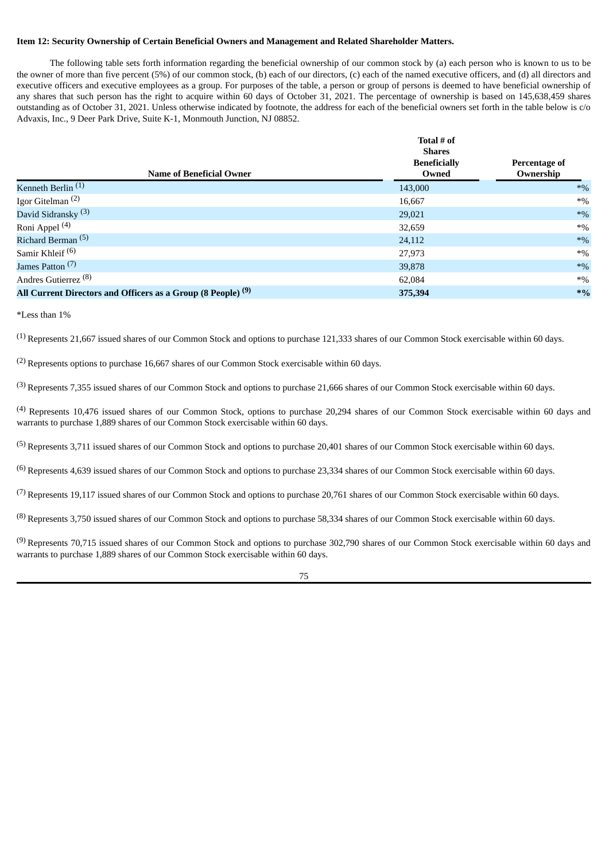## **Item 12: Security Ownership of Certain Beneficial Owners and Management and Related Shareholder Matters.**

The following table sets forth information regarding the beneficial ownership of our common stock by (a) each person who is known to us to be the owner of more than five percent (5%) of our common stock, (b) each of our directors, (c) each of the named executive officers, and (d) all directors and executive officers and executive employees as a group. For purposes of the table, a person or group of persons is deemed to have beneficial ownership of any shares that such person has the right to acquire within 60 days of October 31, 2021. The percentage of ownership is based on 145,638,459 shares outstanding as of October 31, 2021. Unless otherwise indicated by footnote, the address for each of the beneficial owners set forth in the table below is c/o Advaxis, Inc., 9 Deer Park Drive, Suite K-1, Monmouth Junction, NJ 08852.

|                                                                         | Total # of<br><b>Shares</b>  |                            |
|-------------------------------------------------------------------------|------------------------------|----------------------------|
| <b>Name of Beneficial Owner</b>                                         | <b>Beneficially</b><br>Owned | Percentage of<br>Ownership |
| Kenneth Berlin <sup>(1)</sup>                                           | 143,000                      | $*9/6$                     |
| Igor Gitelman $(2)$                                                     | 16,667                       | $*9/0$                     |
| David Sidransky <sup>(3)</sup>                                          | 29,021                       | $*9/0$                     |
| Roni Appel <sup>(4)</sup>                                               | 32,659                       | $*9/0$                     |
| Richard Berman <sup>(5)</sup>                                           | 24,112                       | $*9/0$                     |
| Samir Khleif <sup>(6)</sup>                                             | 27,973                       | $*0/0$                     |
| James Patton <sup>(7)</sup>                                             | 39,878                       | $*9/0$                     |
| Andres Gutierrez <sup>(8)</sup>                                         | 62,084                       | $*0/0$                     |
| All Current Directors and Officers as a Group (8 People) <sup>(9)</sup> | 375,394                      | $*9/6$                     |

\*Less than 1%

(1) Represents 21,667 issued shares of our Common Stock and options to purchase 121,333 shares of our Common Stock exercisable within 60 days.

(2) Represents options to purchase 16,667 shares of our Common Stock exercisable within 60 days.

(3) Represents 7,355 issued shares of our Common Stock and options to purchase 21,666 shares of our Common Stock exercisable within 60 days.

(4) Represents 10,476 issued shares of our Common Stock, options to purchase 20,294 shares of our Common Stock exercisable within 60 days and warrants to purchase 1,889 shares of our Common Stock exercisable within 60 days.

<sup>(5)</sup> Represents 3.711 issued shares of our Common Stock and options to purchase 20.401 shares of our Common Stock exercisable within 60 days.

(6) Represents 4,639 issued shares of our Common Stock and options to purchase 23,334 shares of our Common Stock exercisable within 60 days.

 $<sup>(7)</sup>$  Represents 19,117 issued shares of our Common Stock and options to purchase 20,761 shares of our Common Stock exercisable within 60 days.</sup>

(8) Represents 3,750 issued shares of our Common Stock and options to purchase 58,334 shares of our Common Stock exercisable within 60 days.

(9) Represents 70,715 issued shares of our Common Stock and options to purchase 302,790 shares of our Common Stock exercisable within 60 days and warrants to purchase 1,889 shares of our Common Stock exercisable within 60 days.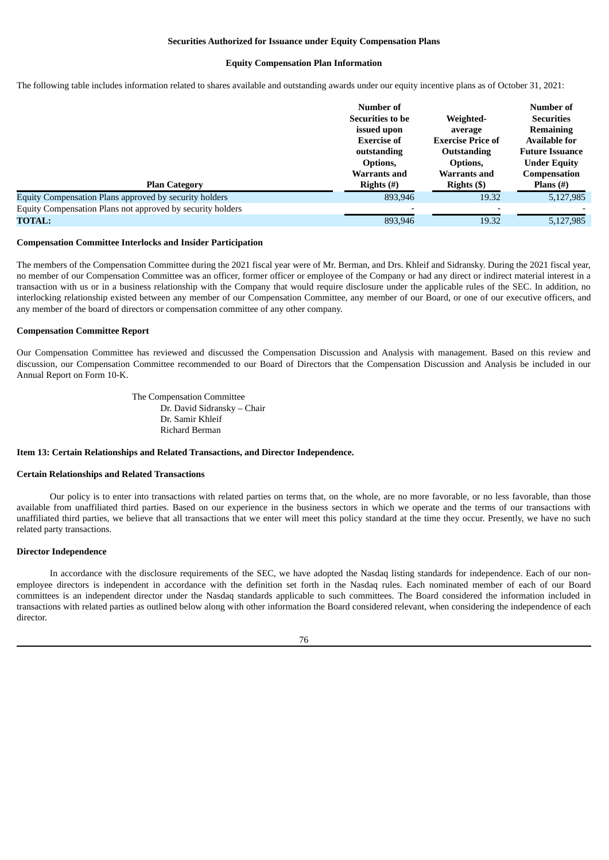#### **Securities Authorized for Issuance under Equity Compensation Plans**

#### **Equity Compensation Plan Information**

The following table includes information related to shares available and outstanding awards under our equity incentive plans as of October 31, 2021:

| <b>Plan Category</b>                                       | Number of<br><b>Securities to be</b><br>issued upon<br><b>Exercise of</b><br>outstanding<br>Options,<br><b>Warrants and</b><br>Rights $(\#)$ | Weighted-<br>average<br><b>Exercise Price of</b><br><b>Outstanding</b><br>Options,<br>Warrants and<br>Rights (\$) | Number of<br><b>Securities</b><br><b>Remaining</b><br><b>Available for</b><br><b>Future Issuance</b><br><b>Under Equity</b><br>Compensation<br>Plans $(\#)$ |
|------------------------------------------------------------|----------------------------------------------------------------------------------------------------------------------------------------------|-------------------------------------------------------------------------------------------------------------------|-------------------------------------------------------------------------------------------------------------------------------------------------------------|
| Equity Compensation Plans approved by security holders     | 893,946                                                                                                                                      | 19.32                                                                                                             | 5,127,985                                                                                                                                                   |
| Equity Compensation Plans not approved by security holders |                                                                                                                                              |                                                                                                                   |                                                                                                                                                             |
| <b>TOTAL:</b>                                              | 893,946                                                                                                                                      | 19.32                                                                                                             | 5,127,985                                                                                                                                                   |
|                                                            |                                                                                                                                              |                                                                                                                   |                                                                                                                                                             |

#### **Compensation Committee Interlocks and Insider Participation**

The members of the Compensation Committee during the 2021 fiscal year were of Mr. Berman, and Drs. Khleif and Sidransky. During the 2021 fiscal year, no member of our Compensation Committee was an officer, former officer or employee of the Company or had any direct or indirect material interest in a transaction with us or in a business relationship with the Company that would require disclosure under the applicable rules of the SEC. In addition, no interlocking relationship existed between any member of our Compensation Committee, any member of our Board, or one of our executive officers, and any member of the board of directors or compensation committee of any other company.

### **Compensation Committee Report**

Our Compensation Committee has reviewed and discussed the Compensation Discussion and Analysis with management. Based on this review and discussion, our Compensation Committee recommended to our Board of Directors that the Compensation Discussion and Analysis be included in our Annual Report on Form 10-K.

> The Compensation Committee Dr. David Sidransky – Chair Dr. Samir Khleif Richard Berman

### **Item 13: Certain Relationships and Related Transactions, and Director Independence.**

### **Certain Relationships and Related Transactions**

Our policy is to enter into transactions with related parties on terms that, on the whole, are no more favorable, or no less favorable, than those available from unaffiliated third parties. Based on our experience in the business sectors in which we operate and the terms of our transactions with unaffiliated third parties, we believe that all transactions that we enter will meet this policy standard at the time they occur. Presently, we have no such related party transactions.

#### **Director Independence**

In accordance with the disclosure requirements of the SEC, we have adopted the Nasdaq listing standards for independence. Each of our nonemployee directors is independent in accordance with the definition set forth in the Nasdaq rules. Each nominated member of each of our Board committees is an independent director under the Nasdaq standards applicable to such committees. The Board considered the information included in transactions with related parties as outlined below along with other information the Board considered relevant, when considering the independence of each director.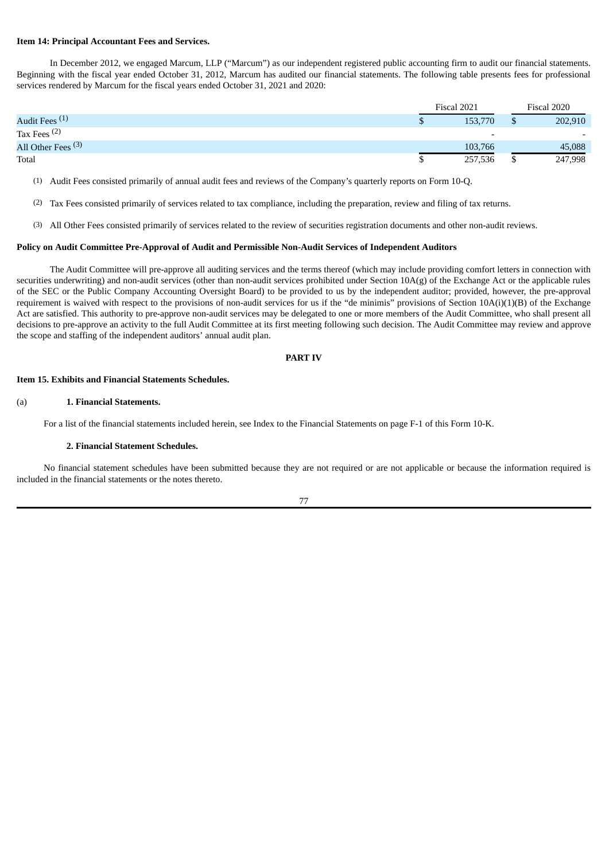### **Item 14: Principal Accountant Fees and Services.**

In December 2012, we engaged Marcum, LLP ("Marcum") as our independent registered public accounting firm to audit our financial statements. Beginning with the fiscal year ended October 31, 2012, Marcum has audited our financial statements. The following table presents fees for professional services rendered by Marcum for the fiscal years ended October 31, 2021 and 2020:

|                               | Fiscal 2021              | Fiscal 2020              |
|-------------------------------|--------------------------|--------------------------|
| Audit Fees <sup>(1)</sup>     | 153,770                  | 202,910                  |
| Tax Fees $(2)$                | $\overline{\phantom{0}}$ | $\overline{\phantom{0}}$ |
| All Other Fees <sup>(3)</sup> | 103,766                  | 45,088                   |
| Total                         | 257,536                  | 247,998                  |

(1) Audit Fees consisted primarily of annual audit fees and reviews of the Company's quarterly reports on Form 10-Q.

- (2) Tax Fees consisted primarily of services related to tax compliance, including the preparation, review and filing of tax returns.
- (3) All Other Fees consisted primarily of services related to the review of securities registration documents and other non-audit reviews.

## **Policy on Audit Committee Pre-Approval of Audit and Permissible Non-Audit Services of Independent Auditors**

The Audit Committee will pre-approve all auditing services and the terms thereof (which may include providing comfort letters in connection with securities underwriting) and non-audit services (other than non-audit services prohibited under Section  $10A(g)$  of the Exchange Act or the applicable rules of the SEC or the Public Company Accounting Oversight Board) to be provided to us by the independent auditor; provided, however, the pre-approval requirement is waived with respect to the provisions of non-audit services for us if the "de minimis" provisions of Section 10A(i)(1)(B) of the Exchange Act are satisfied. This authority to pre-approve non-audit services may be delegated to one or more members of the Audit Committee, who shall present all decisions to pre-approve an activity to the full Audit Committee at its first meeting following such decision. The Audit Committee may review and approve the scope and staffing of the independent auditors' annual audit plan.

#### **PART IV**

### **Item 15. Exhibits and Financial Statements Schedules.**

#### (a) **1. Financial Statements.**

For a list of the financial statements included herein, see Index to the Financial Statements on page F-1 of this Form 10-K.

### **2. Financial Statement Schedules.**

No financial statement schedules have been submitted because they are not required or are not applicable or because the information required is included in the financial statements or the notes thereto.

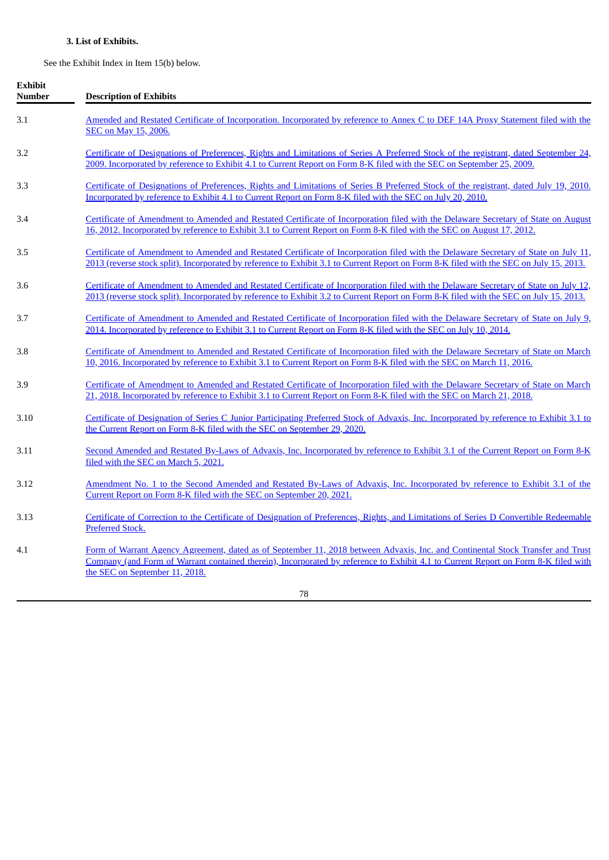# **3. List of Exhibits.**

See the Exhibit Index in Item 15(b) below.

| <b>Exhibit</b><br><b>Number</b> | <b>Description of Exhibits</b>                                                                                                                                                                                                                                                                          |
|---------------------------------|---------------------------------------------------------------------------------------------------------------------------------------------------------------------------------------------------------------------------------------------------------------------------------------------------------|
| 3.1                             | Amended and Restated Certificate of Incorporation. Incorporated by reference to Annex C to DEF 14A Proxy Statement filed with the<br>SEC on May 15, 2006.                                                                                                                                               |
| 3.2                             | Certificate of Designations of Preferences, Rights and Limitations of Series A Preferred Stock of the registrant, dated September 24,<br>2009. Incorporated by reference to Exhibit 4.1 to Current Report on Form 8-K filed with the SEC on September 25, 2009.                                         |
| 3.3                             | Certificate of Designations of Preferences, Rights and Limitations of Series B Preferred Stock of the registrant, dated July 19, 2010.<br>Incorporated by reference to Exhibit 4.1 to Current Report on Form 8-K filed with the SEC on July 20, 2010.                                                   |
| 3.4                             | Certificate of Amendment to Amended and Restated Certificate of Incorporation filed with the Delaware Secretary of State on August<br>16, 2012. Incorporated by reference to Exhibit 3.1 to Current Report on Form 8-K filed with the SEC on August 17, 2012.                                           |
| 3.5                             | Certificate of Amendment to Amended and Restated Certificate of Incorporation filed with the Delaware Secretary of State on July 11.<br>2013 (reverse stock split). Incorporated by reference to Exhibit 3.1 to Current Report on Form 8-K filed with the SEC on July 15, 2013.                         |
| 3.6                             | Certificate of Amendment to Amended and Restated Certificate of Incorporation filed with the Delaware Secretary of State on July 12,<br>2013 (reverse stock split). Incorporated by reference to Exhibit 3.2 to Current Report on Form 8-K filed with the SEC on July 15, 2013.                         |
| 3.7                             | Certificate of Amendment to Amended and Restated Certificate of Incorporation filed with the Delaware Secretary of State on July 9,<br>2014. Incorporated by reference to Exhibit 3.1 to Current Report on Form 8-K filed with the SEC on July 10, 2014.                                                |
| 3.8                             | Certificate of Amendment to Amended and Restated Certificate of Incorporation filed with the Delaware Secretary of State on March<br>10, 2016. Incorporated by reference to Exhibit 3.1 to Current Report on Form 8-K filed with the SEC on March 11, 2016.                                             |
| 3.9                             | Certificate of Amendment to Amended and Restated Certificate of Incorporation filed with the Delaware Secretary of State on March<br>21, 2018. Incorporated by reference to Exhibit 3.1 to Current Report on Form 8-K filed with the SEC on March 21, 2018.                                             |
| 3.10                            | Certificate of Designation of Series C Junior Participating Preferred Stock of Advaxis, Inc. Incorporated by reference to Exhibit 3.1 to<br>the Current Report on Form 8-K filed with the SEC on September 29, 2020.                                                                                    |
| 3.11                            | Second Amended and Restated By-Laws of Advaxis, Inc. Incorporated by reference to Exhibit 3.1 of the Current Report on Form 8-K<br>filed with the SEC on March 5, 2021.                                                                                                                                 |
| 3.12                            | Amendment No. 1 to the Second Amended and Restated By-Laws of Advaxis, Inc. Incorporated by reference to Exhibit 3.1 of the<br>Current Report on Form 8-K filed with the SEC on September 20, 2021.                                                                                                     |
| 3.13                            | Certificate of Correction to the Certificate of Designation of Preferences, Rights, and Limitations of Series D Convertible Redeemable<br><b>Preferred Stock.</b>                                                                                                                                       |
| 4.1                             | Form of Warrant Agency Agreement, dated as of September 11, 2018 between Advaxis, Inc. and Continental Stock Transfer and Trust<br>Company (and Form of Warrant contained therein), Incorporated by reference to Exhibit 4.1 to Current Report on Form 8-K filed with<br>the SEC on September 11, 2018. |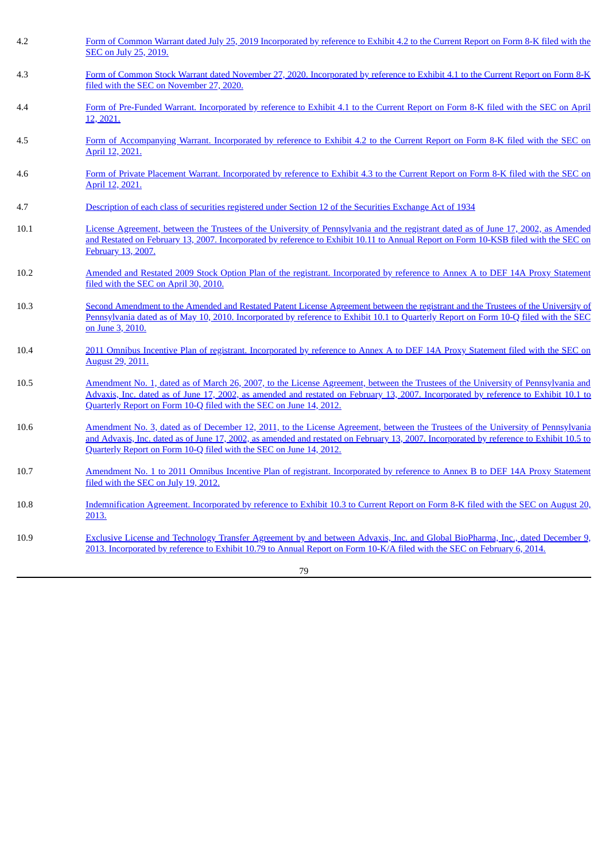| 4.2  | Form of Common Warrant dated July 25, 2019 Incorporated by reference to Exhibit 4.2 to the Current Report on Form 8-K filed with the<br>SEC on July 25, 2019.                                                                                                                                                                                     |
|------|---------------------------------------------------------------------------------------------------------------------------------------------------------------------------------------------------------------------------------------------------------------------------------------------------------------------------------------------------|
| 4.3  | Form of Common Stock Warrant dated November 27, 2020. Incorporated by reference to Exhibit 4.1 to the Current Report on Form 8-K<br>filed with the SEC on November 27, 2020.                                                                                                                                                                      |
| 4.4  | Form of Pre-Funded Warrant. Incorporated by reference to Exhibit 4.1 to the Current Report on Form 8-K filed with the SEC on April<br>12, 2021.                                                                                                                                                                                                   |
| 4.5  | Form of Accompanying Warrant. Incorporated by reference to Exhibit 4.2 to the Current Report on Form 8-K filed with the SEC on<br>April 12, 2021.                                                                                                                                                                                                 |
| 4.6  | Form of Private Placement Warrant. Incorporated by reference to Exhibit 4.3 to the Current Report on Form 8-K filed with the SEC on<br>April 12, 2021.                                                                                                                                                                                            |
| 4.7  | Description of each class of securities registered under Section 12 of the Securities Exchange Act of 1934                                                                                                                                                                                                                                        |
| 10.1 | License Agreement, between the Trustees of the University of Pennsylvania and the registrant dated as of June 17, 2002, as Amended<br>and Restated on February 13, 2007. Incorporated by reference to Exhibit 10.11 to Annual Report on Form 10-KSB filed with the SEC on<br>February 13, 2007.                                                   |
| 10.2 | Amended and Restated 2009 Stock Option Plan of the registrant. Incorporated by reference to Annex A to DEF 14A Proxy Statement<br>filed with the SEC on April 30, 2010.                                                                                                                                                                           |
| 10.3 | Second Amendment to the Amended and Restated Patent License Agreement between the registrant and the Trustees of the University of<br>Pennsylvania dated as of May 10, 2010. Incorporated by reference to Exhibit 10.1 to Quarterly Report on Form 10-Q filed with the SEC<br>on June 3, 2010.                                                    |
| 10.4 | 2011 Omnibus Incentive Plan of registrant. Incorporated by reference to Annex A to DEF 14A Proxy Statement filed with the SEC on<br><b>August 29, 2011.</b>                                                                                                                                                                                       |
| 10.5 | Amendment No. 1, dated as of March 26, 2007, to the License Agreement, between the Trustees of the University of Pennsylvania and<br>Advaxis, Inc. dated as of June 17, 2002, as amended and restated on February 13, 2007. Incorporated by reference to Exhibit 10.1 to<br>Quarterly Report on Form 10-Q filed with the SEC on June 14, 2012.    |
| 10.6 | Amendment No. 3, dated as of December 12, 2011, to the License Agreement, between the Trustees of the University of Pennsylvania<br>and Advaxis, Inc. dated as of June 17, 2002, as amended and restated on February 13, 2007. Incorporated by reference to Exhibit 10.5 to<br>Quarterly Report on Form 10-Q filed with the SEC on June 14, 2012. |
| 10.7 | Amendment No. 1 to 2011 Omnibus Incentive Plan of registrant. Incorporated by reference to Annex B to DEF 14A Proxy Statement<br>filed with the SEC on July 19, 2012.                                                                                                                                                                             |
| 10.8 | Indemnification Agreement. Incorporated by reference to Exhibit 10.3 to Current Report on Form 8-K filed with the SEC on August 20,<br>2013.                                                                                                                                                                                                      |
| 10.9 | Exclusive License and Technology Transfer Agreement by and between Advaxis, Inc. and Global BioPharma, Inc., dated December 9,<br>2013. Incorporated by reference to Exhibit 10.79 to Annual Report on Form 10-K/A filed with the SEC on February 6, 2014.                                                                                        |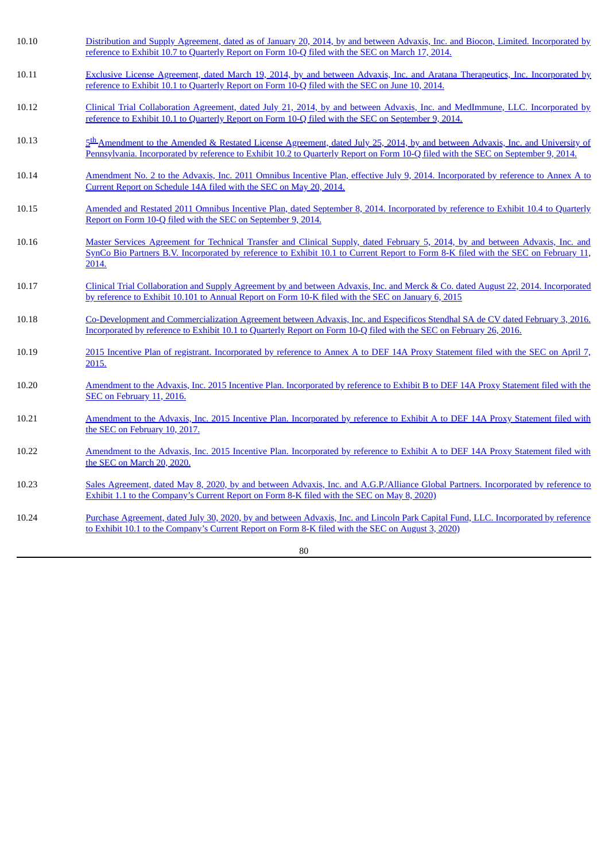- 10.10 Distribution and Supply Agreement, dated as of January 20, 2014, by and between Advaxis, Inc. and Biocon, Limited. [Incorporated](https://www.sec.gov/Archives/edgar/data/1100397/000114420414016138/v371064_ex10-7.htm) by reference to Exhibit 10.7 to Quarterly Report on Form 10-Q filed with the SEC on March 17, 2014.
- 10.11 Exclusive License Agreement, dated March 19, 2014, by and between Advaxis, Inc. and Aratana [Therapeutics,](https://www.sec.gov/Archives/edgar/data/1100397/000149315214001851/ex10-1.htm) Inc. Incorporated by reference to Exhibit 10.1 to Quarterly Report on Form 10-Q filed with the SEC on June 10, 2014.
- 10.12 Clinical Trial [Collaboration](https://www.sec.gov/Archives/edgar/data/1100397/000149315214002907/ex10-1.htm) Agreement, dated July 21, 2014, by and between Advaxis, Inc. and MedImmune, LLC. Incorporated by reference to Exhibit 10.1 to Quarterly Report on Form 10-Q filed with the SEC on September 9, 2014.
- $10.13$  $5<sup>th</sup>$ Amendment to the Amended & Restated License Agreement, dated July 25, 2014, by and between Advaxis, Inc. and University of [Pennsylvania.](https://www.sec.gov/Archives/edgar/data/1100397/000149315214002907/ex10-2.htm) Incorporated by reference to Exhibit 10.2 to Quarterly Report on Form 10-Q filed with the SEC on September 9, 2014.
- 10.14 Amendment No. 2 to the Advaxis, Inc. 2011 Omnibus Incentive Plan, effective July 9, 2014. [Incorporated](https://www.sec.gov/Archives/edgar/data/1100397/000149315214001629/defr14a.htm#a_005) by reference to Annex A to Current Report on Schedule 14A filed with the SEC on May 20, 2014.
- 10.15 Amended and Restated 2011 Omnibus Incentive Plan, dated September 8, 2014. [Incorporated](https://www.sec.gov/Archives/edgar/data/1100397/000149315214002907/ex10-4.htm) by reference to Exhibit 10.4 to Quarterly Report on Form 10-Q filed with the SEC on September 9, 2014.
- 10.16 Master Services Agreement for Technical Transfer and Clinical Supply, dated February 5, 2014, by and between Advaxis, Inc. and SynCo Bio Partners B.V. [Incorporated](https://www.sec.gov/Archives/edgar/data/1100397/000114420414007594/v367877_ex10-1.htm) by reference to Exhibit 10.1 to Current Report to Form 8-K filed with the SEC on February 11, 2014.
- 10.17 Clinical Trial [Collaboration](https://www.sec.gov/Archives/edgar/data/1100397/000149315215000050/ex10-101.htm) and Supply Agreement by and between Advaxis, Inc. and Merck & Co. dated August 22, 2014. Incorporated by reference to Exhibit 10.101 to Annual Report on Form 10-K filed with the SEC on January 6, 2015
- 10.18 Co-Development and [Commercialization](https://www.sec.gov/Archives/edgar/data/1100397/000149315216007685/ex10-1.htm) Agreement between Advaxis, Inc. and Especificos Stendhal SA de CV dated February 3, 2016. Incorporated by reference to Exhibit 10.1 to Quarterly Report on Form 10-Q filed with the SEC on February 26, 2016.
- 10.19 2015 Incentive Plan of registrant. [Incorporated](https://www.sec.gov/Archives/edgar/data/1100397/000149315215001278/def14a.htm) by reference to Annex A to DEF 14A Proxy Statement filed with the SEC on April 7, 2015.
- 10.20 Amendment to the Advaxis, Inc. 2015 Incentive Plan. [Incorporated](https://www.sec.gov/Archives/edgar/data/1100397/000149315216007316/def14a.htm) by reference to Exhibit B to DEF 14A Proxy Statement filed with the SEC on February 11, 2016.
- 10.21 Amendment to the Advaxis, Inc. 2015 Incentive Plan. [Incorporated](https://www.sec.gov/Archives/edgar/data/1100397/000149315217001334/def14a.htm) by reference to Exhibit A to DEF 14A Proxy Statement filed with the SEC on February 10, 2017.
- 10.22 Amendment to the Advaxis, Inc. 2015 Incentive Plan. [Incorporated](https://www.sec.gov/Archives/edgar/data/1100397/000149315220004431/def14a.htm) by reference to Exhibit A to DEF 14A Proxy Statement filed with the SEC on March 20, 2020.
- 10.23 Sales Agreement, dated May 8, 2020, by and between Advaxis, Inc. and [A.G.P./Alliance](https://www.sec.gov/Archives/edgar/data/1100397/000149315220008067/ex1-1.htm) Global Partners. Incorporated by reference to Exhibit 1.1 to the Company's Current Report on Form 8-K filed with the SEC on May 8, 2020)
- 10.24 Purchase Agreement, dated July 30, 2020, by and between Advaxis, Inc. and Lincoln Park Capital Fund, LLC. [Incorporated](https://www.sec.gov/Archives/edgar/data/1100397/000149315220014443/ex10-1.htm) by reference to Exhibit 10.1 to the Company's Current Report on Form 8-K filed with the SEC on August 3, 2020)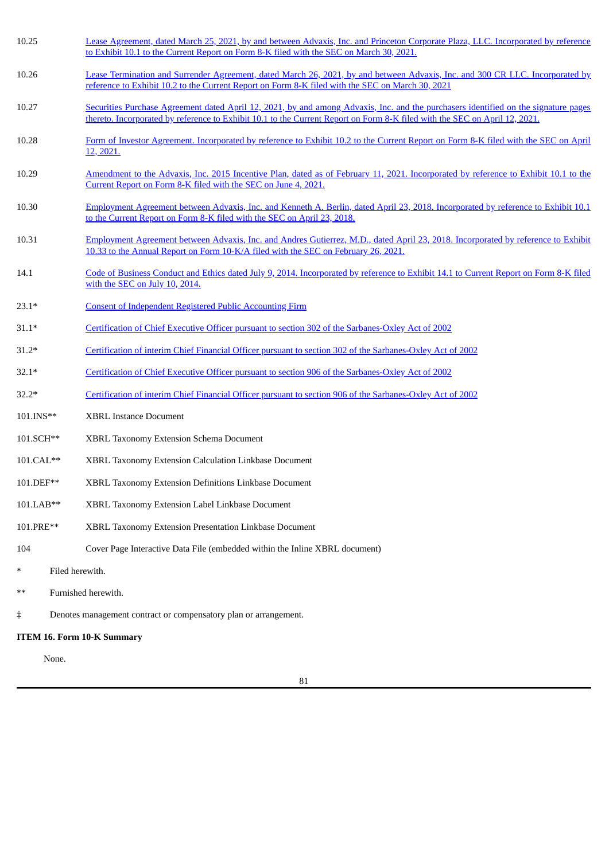| 10.25 | Lease Agreement, dated March 25, 2021, by and between Advaxis, Inc. and Princeton Corporate Plaza, LLC. Incorporated by reference |
|-------|-----------------------------------------------------------------------------------------------------------------------------------|
|       | to Exhibit 10.1 to the Current Report on Form 8-K filed with the SEC on March 30, 2021.                                           |

- 10.26 Lease Termination and Surrender Agreement, dated March 26, 2021, by and between Advaxis, Inc. and 300 CR LLC. [Incorporated](https://www.sec.gov/Archives/edgar/data/1100397/000149315221007203/ex10-2.htm) by reference to Exhibit 10.2 to the Current Report on Form 8-K filed with the SEC on March 30, 2021
- 10.27 Securities Purchase Agreement dated April 12, 2021, by and among Advaxis, Inc. and the purchasers identified on the signature pages thereto. [Incorporated](https://www.sec.gov/Archives/edgar/data/1100397/000149315221008561/ex10-1.htm) by reference to Exhibit 10.1 to the Current Report on Form 8-K filed with the SEC on April 12, 2021.
- 10.28 Form of Investor Agreement. [Incorporated](https://www.sec.gov/Archives/edgar/data/1100397/000149315221008561/ex10-2.htm) by reference to Exhibit 10.2 to the Current Report on Form 8-K filed with the SEC on April 12, 2021.
- 10.29 Amendment to the Advaxis, Inc. 2015 Incentive Plan, dated as of February 11, 2021. [Incorporated](https://www.sec.gov/Archives/edgar/data/1100397/000149315221013631/ex10-1.htm) by reference to Exhibit 10.1 to the Current Report on Form 8-K filed with the SEC on June 4, 2021.
- 10.30 [Employment](https://www.sec.gov/Archives/edgar/data/1100397/000149315218005627/ex10-1.htm) Agreement between Advaxis, Inc. and Kenneth A. Berlin, dated April 23, 2018. Incorporated by reference to Exhibit 10.1 to the Current Report on Form 8-K filed with the SEC on April 23, 2018.
- 10.31 [Employment](https://www.sec.gov/Archives/edgar/data/1100397/000149315221004926/ex10-33.htm) Agreement between Advaxis, Inc. and Andres Gutierrez, M.D., dated April 23, 2018. Incorporated by reference to Exhibit 10.33 to the Annual Report on Form 10-K/A filed with the SEC on February 26, 2021.
- 14.1 Code of Business Conduct and Ethics dated July 9, 2014. [Incorporated](https://www.sec.gov/Archives/edgar/data/1100397/000149315214002124/ex14-1.htm) by reference to Exhibit 14.1 to Current Report on Form 8-K filed with the SEC on July 10, 2014.
- 23.1\* Consent of [Independent](#page-116-0) Registered Public Accounting Firm
- 31.1\* Certification of Chief Executive Officer pursuant to section 302 of the [Sarbanes-Oxley](#page-117-0) Act of 2002
- 31.2\* Certification of interim Chief Financial Officer pursuant to section 302 of the [Sarbanes-Oxley](#page-118-0) Act of 2002
- 32.1\* Certification of Chief Executive Officer pursuant to section 906 of the [Sarbanes-Oxley](#page-119-0) Act of 2002
- 32.2\* Certification of interim Chief Financial Officer pursuant to section 906 of the [Sarbanes-Oxley](#page-120-0) Act of 2002
- 101.INS\*\* XBRL Instance Document
- 101.SCH\*\* XBRL Taxonomy Extension Schema Document
- 101.CAL\*\* XBRL Taxonomy Extension Calculation Linkbase Document
- 101.DEF\*\* XBRL Taxonomy Extension Definitions Linkbase Document
- 101.LAB\*\* XBRL Taxonomy Extension Label Linkbase Document
- 101.PRE\*\* XBRL Taxonomy Extension Presentation Linkbase Document
- 104 Cover Page Interactive Data File (embedded within the Inline XBRL document)
- Filed herewith.
- \*\* Furnished herewith.
- ‡ Denotes management contract or compensatory plan or arrangement.

## **ITEM 16. Form 10-K Summary**

None.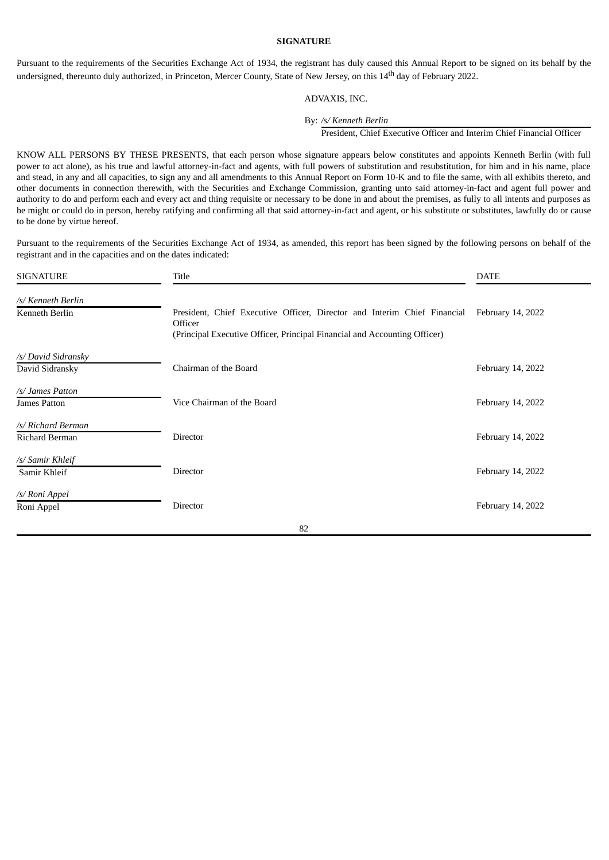### **SIGNATURE**

Pursuant to the requirements of the Securities Exchange Act of 1934, the registrant has duly caused this Annual Report to be signed on its behalf by the undersigned, thereunto duly authorized, in Princeton, Mercer County, State of New Jersey, on this 14<sup>th</sup> day of February 2022.

## ADVAXIS, INC.

#### By: */s/ Kenneth Berlin*

## President, Chief Executive Officer and Interim Chief Financial Officer

KNOW ALL PERSONS BY THESE PRESENTS, that each person whose signature appears below constitutes and appoints Kenneth Berlin (with full power to act alone), as his true and lawful attorney-in-fact and agents, with full powers of substitution and resubstitution, for him and in his name, place and stead, in any and all capacities, to sign any and all amendments to this Annual Report on Form 10-K and to file the same, with all exhibits thereto, and other documents in connection therewith, with the Securities and Exchange Commission, granting unto said attorney-in-fact and agent full power and authority to do and perform each and every act and thing requisite or necessary to be done in and about the premises, as fully to all intents and purposes as he might or could do in person, hereby ratifying and confirming all that said attorney-in-fact and agent, or his substitute or substitutes, lawfully do or cause to be done by virtue hereof.

Pursuant to the requirements of the Securities Exchange Act of 1934, as amended, this report has been signed by the following persons on behalf of the registrant and in the capacities and on the dates indicated:

| <b>SIGNATURE</b>      | Title                                                                                                                                                            | <b>DATE</b>       |
|-----------------------|------------------------------------------------------------------------------------------------------------------------------------------------------------------|-------------------|
| /s/ Kenneth Berlin    |                                                                                                                                                                  |                   |
| Kenneth Berlin        | President, Chief Executive Officer, Director and Interim Chief Financial<br>Officer<br>(Principal Executive Officer, Principal Financial and Accounting Officer) | February 14, 2022 |
| /s/ David Sidransky   |                                                                                                                                                                  |                   |
| David Sidransky       | Chairman of the Board                                                                                                                                            | February 14, 2022 |
| /s/ James Patton      |                                                                                                                                                                  |                   |
| James Patton          | Vice Chairman of the Board                                                                                                                                       | February 14, 2022 |
| /s/ Richard Berman    |                                                                                                                                                                  |                   |
| <b>Richard Berman</b> | Director                                                                                                                                                         | February 14, 2022 |
| /s/ Samir Khleif      |                                                                                                                                                                  |                   |
| Samir Khleif          | Director                                                                                                                                                         | February 14, 2022 |
| /s/ Roni Appel        |                                                                                                                                                                  |                   |
| Roni Appel            | Director                                                                                                                                                         | February 14, 2022 |
|                       | 82                                                                                                                                                               |                   |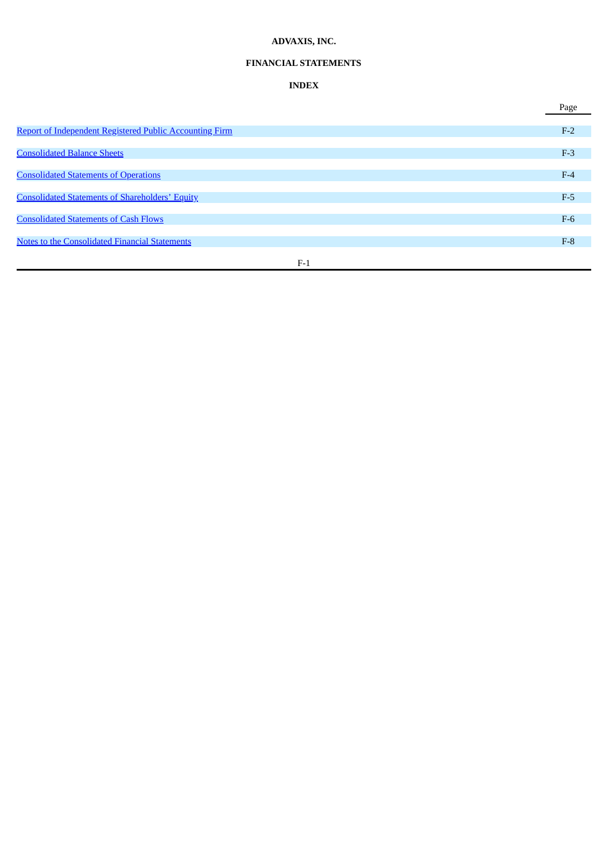# **ADVAXIS, INC.**

# **FINANCIAL STATEMENTS**

# **INDEX**

|                                                         | Page  |
|---------------------------------------------------------|-------|
| Report of Independent Registered Public Accounting Firm | $F-2$ |
|                                                         |       |
| <b>Consolidated Balance Sheets</b>                      | $F-3$ |
| <b>Consolidated Statements of Operations</b>            | $F-4$ |
|                                                         |       |
| <b>Consolidated Statements of Shareholders' Equity</b>  | $F-5$ |
| <b>Consolidated Statements of Cash Flows</b>            | $F-6$ |
| Notes to the Consolidated Financial Statements          | $F-8$ |
| $F-1$                                                   |       |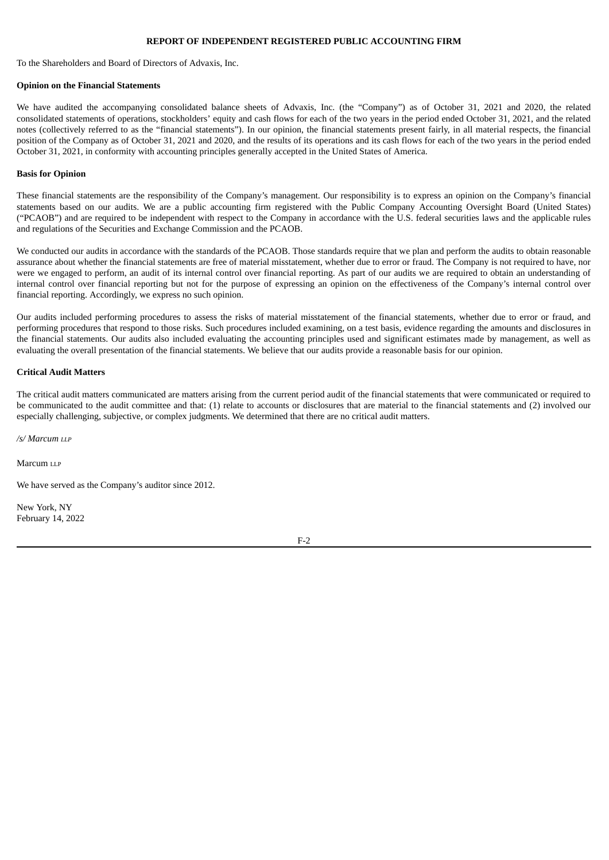## **REPORT OF INDEPENDENT REGISTERED PUBLIC ACCOUNTING FIRM**

<span id="page-84-0"></span>To the Shareholders and Board of Directors of Advaxis, Inc.

### **Opinion on the Financial Statements**

We have audited the accompanying consolidated balance sheets of Advaxis, Inc. (the "Company") as of October 31, 2021 and 2020, the related consolidated statements of operations, stockholders' equity and cash flows for each of the two years in the period ended October 31, 2021, and the related notes (collectively referred to as the "financial statements"). In our opinion, the financial statements present fairly, in all material respects, the financial position of the Company as of October 31, 2021 and 2020, and the results of its operations and its cash flows for each of the two years in the period ended October 31, 2021, in conformity with accounting principles generally accepted in the United States of America.

### **Basis for Opinion**

These financial statements are the responsibility of the Company's management. Our responsibility is to express an opinion on the Company's financial statements based on our audits. We are a public accounting firm registered with the Public Company Accounting Oversight Board (United States) ("PCAOB") and are required to be independent with respect to the Company in accordance with the U.S. federal securities laws and the applicable rules and regulations of the Securities and Exchange Commission and the PCAOB.

We conducted our audits in accordance with the standards of the PCAOB. Those standards require that we plan and perform the audits to obtain reasonable assurance about whether the financial statements are free of material misstatement, whether due to error or fraud. The Company is not required to have, nor were we engaged to perform, an audit of its internal control over financial reporting. As part of our audits we are required to obtain an understanding of internal control over financial reporting but not for the purpose of expressing an opinion on the effectiveness of the Company's internal control over financial reporting. Accordingly, we express no such opinion.

Our audits included performing procedures to assess the risks of material misstatement of the financial statements, whether due to error or fraud, and performing procedures that respond to those risks. Such procedures included examining, on a test basis, evidence regarding the amounts and disclosures in the financial statements. Our audits also included evaluating the accounting principles used and significant estimates made by management, as well as evaluating the overall presentation of the financial statements. We believe that our audits provide a reasonable basis for our opinion.

### **Critical Audit Matters**

The critical audit matters communicated are matters arising from the current period audit of the financial statements that were communicated or required to be communicated to the audit committee and that: (1) relate to accounts or disclosures that are material to the financial statements and (2) involved our especially challenging, subjective, or complex judgments. We determined that there are no critical audit matters.

*/s/ Marcum LLP*

Marcum LLP

We have served as the Company's auditor since 2012.

New York, NY February 14, 2022

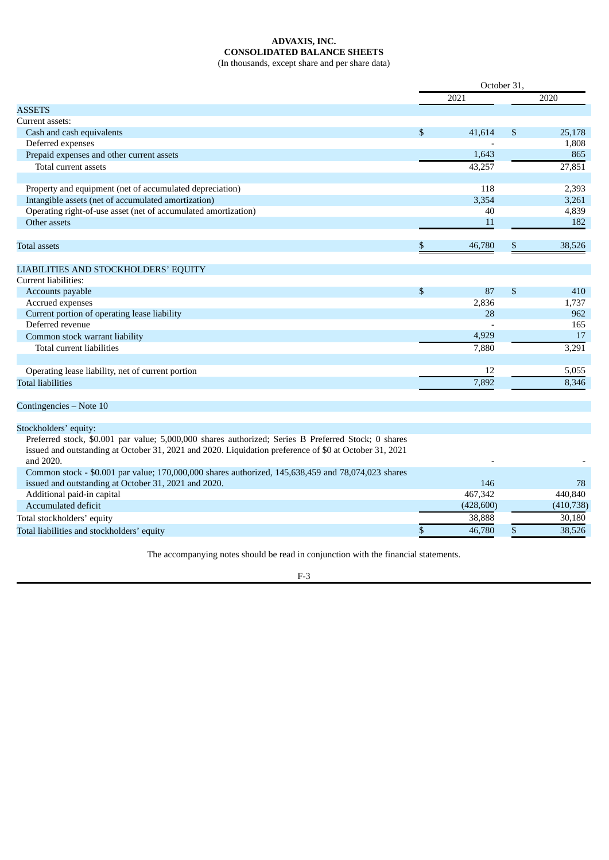# **ADVAXIS, INC. CONSOLIDATED BALANCE SHEETS**

(In thousands, except share and per share data)

<span id="page-85-0"></span>

|                                                                                                        | October 31,  |    |            |
|--------------------------------------------------------------------------------------------------------|--------------|----|------------|
|                                                                                                        | 2021         |    | 2020       |
| <b>ASSETS</b>                                                                                          |              |    |            |
| Current assets:                                                                                        |              |    |            |
| Cash and cash equivalents                                                                              | \$<br>41,614 | \$ | 25,178     |
| Deferred expenses                                                                                      |              |    | 1,808      |
| Prepaid expenses and other current assets                                                              | 1,643        |    | 865        |
| Total current assets                                                                                   | 43,257       |    | 27,851     |
|                                                                                                        |              |    |            |
| Property and equipment (net of accumulated depreciation)                                               | 118          |    | 2,393      |
| Intangible assets (net of accumulated amortization)                                                    | 3.354        |    | 3,261      |
| Operating right-of-use asset (net of accumulated amortization)                                         | 40           |    | 4,839      |
| Other assets                                                                                           | 11           |    | 182        |
|                                                                                                        |              |    |            |
| <b>Total assets</b>                                                                                    | \$<br>46.780 | \$ | 38,526     |
|                                                                                                        |              |    |            |
| LIABILITIES AND STOCKHOLDERS' EQUITY                                                                   |              |    |            |
| Current liabilities:                                                                                   |              |    |            |
| Accounts payable                                                                                       | \$<br>87     | \$ | 410        |
| Accrued expenses                                                                                       | 2,836        |    | 1,737      |
| Current portion of operating lease liability                                                           | 28           |    | 962        |
| Deferred revenue                                                                                       |              |    | 165        |
| Common stock warrant liability                                                                         | 4,929        |    | 17         |
| Total current liabilities                                                                              | 7,880        |    | 3,291      |
|                                                                                                        |              |    |            |
| Operating lease liability, net of current portion                                                      | 12           |    | 5,055      |
|                                                                                                        | 7,892        |    | 8,346      |
| <b>Total liabilities</b>                                                                               |              |    |            |
|                                                                                                        |              |    |            |
| Contingencies – Note 10                                                                                |              |    |            |
|                                                                                                        |              |    |            |
| Stockholders' equity:                                                                                  |              |    |            |
| Preferred stock, \$0.001 par value; 5,000,000 shares authorized; Series B Preferred Stock; 0 shares    |              |    |            |
| issued and outstanding at October 31, 2021 and 2020. Liquidation preference of \$0 at October 31, 2021 |              |    |            |
| and 2020.                                                                                              |              |    |            |
| Common stock - \$0.001 par value; 170,000,000 shares authorized, 145,638,459 and 78,074,023 shares     |              |    |            |
| issued and outstanding at October 31, 2021 and 2020.                                                   | 146          |    | 78         |
| Additional paid-in capital                                                                             | 467,342      |    | 440,840    |
| Accumulated deficit                                                                                    | (428, 600)   |    | (410, 738) |
| Total stockholders' equity                                                                             | 38,888       |    | 30,180     |
| Total liabilities and stockholders' equity                                                             | \$<br>46,780 | \$ | 38,526     |
|                                                                                                        |              |    |            |

The accompanying notes should be read in conjunction with the financial statements.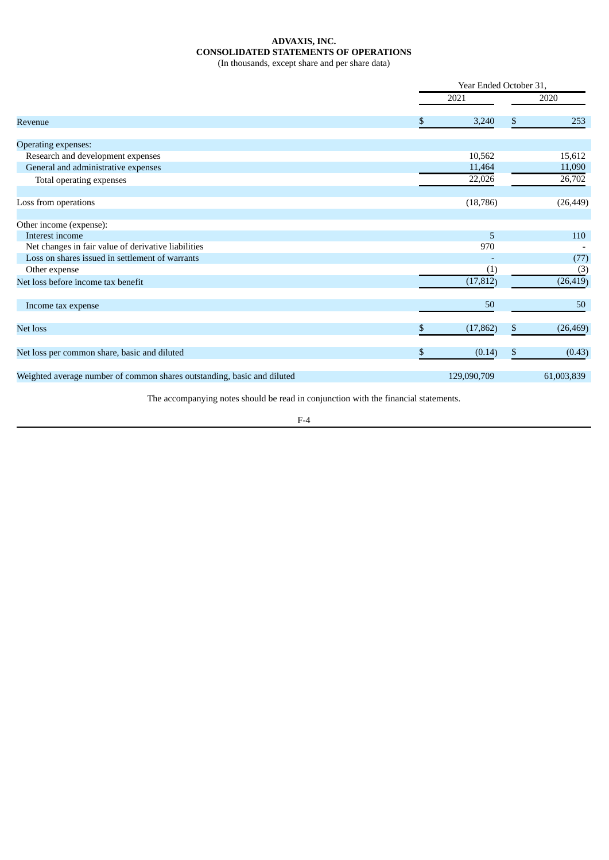# **ADVAXIS, INC. CONSOLIDATED STATEMENTS OF OPERATIONS**

(In thousands, except share and per share data)

<span id="page-86-0"></span>

|                                                                         | Year Ended October 31, |             |    |            |
|-------------------------------------------------------------------------|------------------------|-------------|----|------------|
|                                                                         |                        | 2021        |    | 2020       |
| Revenue                                                                 | \$                     | 3,240       | \$ | 253        |
| <b>Operating expenses:</b>                                              |                        |             |    |            |
| Research and development expenses                                       |                        | 10,562      |    | 15,612     |
| General and administrative expenses                                     |                        | 11,464      |    | 11,090     |
| Total operating expenses                                                |                        | 22,026      |    | 26,702     |
| Loss from operations                                                    |                        | (18, 786)   |    | (26, 449)  |
| Other income (expense):                                                 |                        |             |    |            |
| Interest income                                                         |                        | 5           |    | 110        |
| Net changes in fair value of derivative liabilities                     |                        | 970         |    |            |
| Loss on shares issued in settlement of warrants                         |                        |             |    | (77)       |
| Other expense                                                           |                        | (1)         |    | (3)        |
| Net loss before income tax benefit                                      |                        | (17, 812)   |    | (26, 419)  |
| Income tax expense                                                      |                        | 50          |    | 50         |
| Net loss                                                                | \$                     | (17, 862)   | \$ | (26, 469)  |
| Net loss per common share, basic and diluted                            | \$                     | (0.14)      | \$ | (0.43)     |
| Weighted average number of common shares outstanding, basic and diluted |                        | 129,090,709 |    | 61,003,839 |

The accompanying notes should be read in conjunction with the financial statements.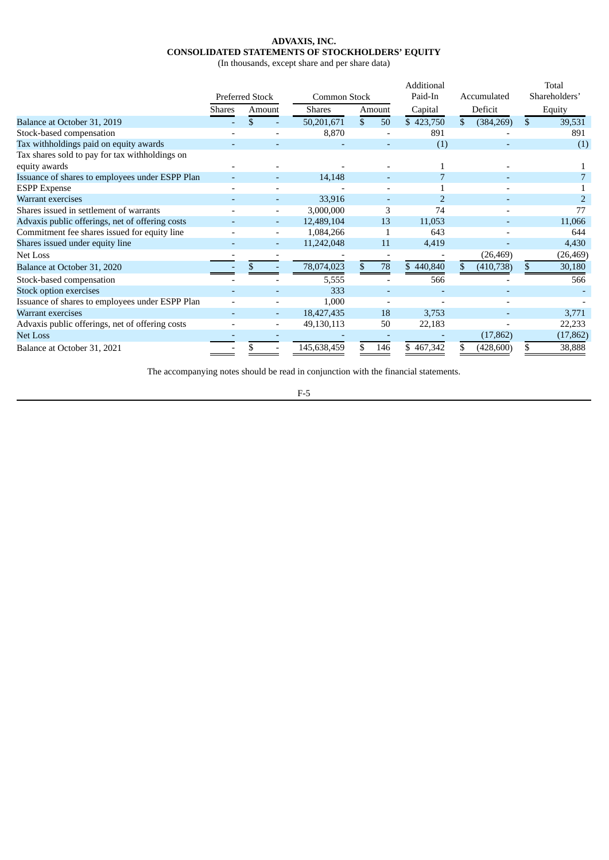# **ADVAXIS, INC. CONSOLIDATED STATEMENTS OF STOCKHOLDERS' EQUITY**

(In thousands, except share and per share data)

<span id="page-87-0"></span>

|                                                                 |        |                        |               |                    | Additional     |                  | Total         |
|-----------------------------------------------------------------|--------|------------------------|---------------|--------------------|----------------|------------------|---------------|
|                                                                 |        | <b>Preferred Stock</b> | Common Stock  |                    | Paid-In        | Accumulated      | Shareholders' |
|                                                                 | Shares | Amount                 | <b>Shares</b> | Amount             | Capital        | Deficit          | Equity        |
| Balance at October 31, 2019                                     |        | \$                     | 50,201,671    | $\mathbf{s}$<br>50 | \$423,750      | (384, 269)<br>\$ | 39,531<br>\$. |
| Stock-based compensation                                        |        |                        | 8,870         |                    | 891            |                  | 891           |
| Tax withholdings paid on equity awards                          |        |                        |               |                    | (1)            |                  | (1)           |
| Tax shares sold to pay for tax withholdings on<br>equity awards |        |                        |               |                    |                |                  |               |
| Issuance of shares to employees under ESPP Plan                 |        |                        | 14,148        |                    |                |                  |               |
| <b>ESPP Expense</b>                                             |        |                        |               |                    |                |                  |               |
| Warrant exercises                                               |        |                        | 33,916        |                    | $\overline{2}$ |                  |               |
| Shares issued in settlement of warrants                         |        |                        | 3,000,000     | 3                  | 74             |                  | 77            |
| Advaxis public offerings, net of offering costs                 |        |                        | 12,489,104    | 13                 | 11,053         |                  | 11,066        |
| Commitment fee shares issued for equity line                    |        |                        | 1,084,266     |                    | 643            |                  | 644           |
| Shares issued under equity line                                 |        |                        | 11,242,048    | 11                 | 4,419          |                  | 4,430         |
| <b>Net Loss</b>                                                 |        |                        |               |                    |                | (26, 469)        | (26, 469)     |
| Balance at October 31, 2020                                     |        |                        | 78,074,023    | 78                 | \$440,840      | (410, 738)       | 30,180        |
| Stock-based compensation                                        |        |                        | 5,555         |                    | 566            |                  | 566           |
| <b>Stock option exercises</b>                                   |        |                        | 333           |                    |                |                  |               |
| Issuance of shares to employees under ESPP Plan                 |        |                        | 1,000         |                    |                |                  |               |
| Warrant exercises                                               |        |                        | 18,427,435    | 18                 | 3,753          |                  | 3,771         |
| Advaxis public offerings, net of offering costs                 |        |                        | 49,130,113    | 50                 | 22,183         |                  | 22,233        |
| <b>Net Loss</b>                                                 |        |                        |               |                    |                | (17, 862)        | (17, 862)     |
| Balance at October 31, 2021                                     |        |                        | 145,638,459   | 146                | \$467,342      | (428,600)        | 38,888        |

The accompanying notes should be read in conjunction with the financial statements.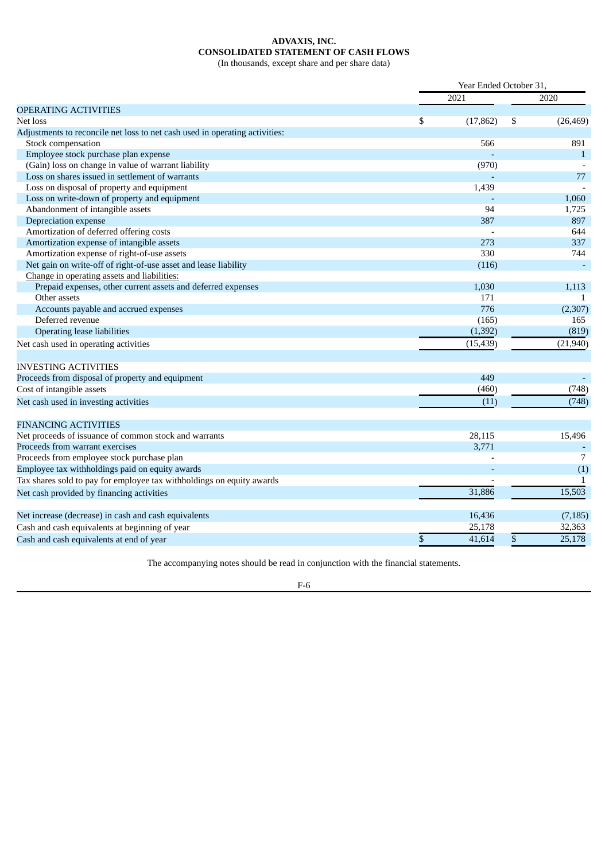# **ADVAXIS, INC. CONSOLIDATED STATEMENT OF CASH FLOWS**

(In thousands, except share and per share data)

<span id="page-88-0"></span>

|                                                                             | Year Ended October 31, |           |    |              |
|-----------------------------------------------------------------------------|------------------------|-----------|----|--------------|
|                                                                             |                        | 2021      |    | 2020         |
| <b>OPERATING ACTIVITIES</b>                                                 |                        |           |    |              |
| Net loss                                                                    | \$                     | (17, 862) | \$ | (26, 469)    |
| Adjustments to reconcile net loss to net cash used in operating activities: |                        |           |    |              |
| Stock compensation                                                          |                        | 566       |    | 891          |
| Employee stock purchase plan expense                                        |                        |           |    | $\mathbf{1}$ |
| (Gain) loss on change in value of warrant liability                         |                        | (970)     |    |              |
| Loss on shares issued in settlement of warrants                             |                        |           |    | 77           |
| Loss on disposal of property and equipment                                  |                        | 1,439     |    |              |
| Loss on write-down of property and equipment                                |                        |           |    | 1,060        |
| Abandonment of intangible assets                                            |                        | 94        |    | 1,725        |
| Depreciation expense                                                        |                        | 387       |    | 897          |
| Amortization of deferred offering costs                                     |                        |           |    | 644          |
| Amortization expense of intangible assets                                   |                        | 273       |    | 337          |
| Amortization expense of right-of-use assets                                 |                        | 330       |    | 744          |
| Net gain on write-off of right-of-use asset and lease liability             |                        | (116)     |    |              |
| Change in operating assets and liabilities:                                 |                        |           |    |              |
| Prepaid expenses, other current assets and deferred expenses                |                        | 1,030     |    | 1,113        |
| Other assets                                                                |                        | 171       |    | 1            |
| Accounts payable and accrued expenses                                       |                        | 776       |    | (2,307)      |
| Deferred revenue                                                            |                        | (165)     |    | 165          |
| Operating lease liabilities                                                 |                        | (1, 392)  |    | (819)        |
| Net cash used in operating activities                                       |                        | (15, 439) |    | (21, 940)    |
|                                                                             |                        |           |    |              |
| <b>INVESTING ACTIVITIES</b>                                                 |                        |           |    |              |
| Proceeds from disposal of property and equipment                            |                        | 449       |    |              |
| Cost of intangible assets                                                   |                        | (460)     |    | (748)        |
| Net cash used in investing activities                                       |                        | (11)      |    | (748)        |
|                                                                             |                        |           |    |              |
| <b>FINANCING ACTIVITIES</b>                                                 |                        |           |    |              |
| Net proceeds of issuance of common stock and warrants                       |                        | 28,115    |    | 15,496       |
| Proceeds from warrant exercises                                             |                        | 3,771     |    |              |
| Proceeds from employee stock purchase plan                                  |                        |           |    | 7            |
| Employee tax withholdings paid on equity awards                             |                        |           |    | (1)          |
| Tax shares sold to pay for employee tax withholdings on equity awards       |                        |           |    | $\mathbf{1}$ |
| Net cash provided by financing activities                                   |                        | 31,886    |    | 15,503       |
|                                                                             |                        |           |    |              |
| Net increase (decrease) in cash and cash equivalents                        |                        | 16,436    |    | (7, 185)     |
| Cash and cash equivalents at beginning of year                              |                        | 25,178    |    | 32,363       |
| Cash and cash equivalents at end of year                                    | \$                     | 41,614    | \$ | 25,178       |
|                                                                             |                        |           |    |              |

The accompanying notes should be read in conjunction with the financial statements.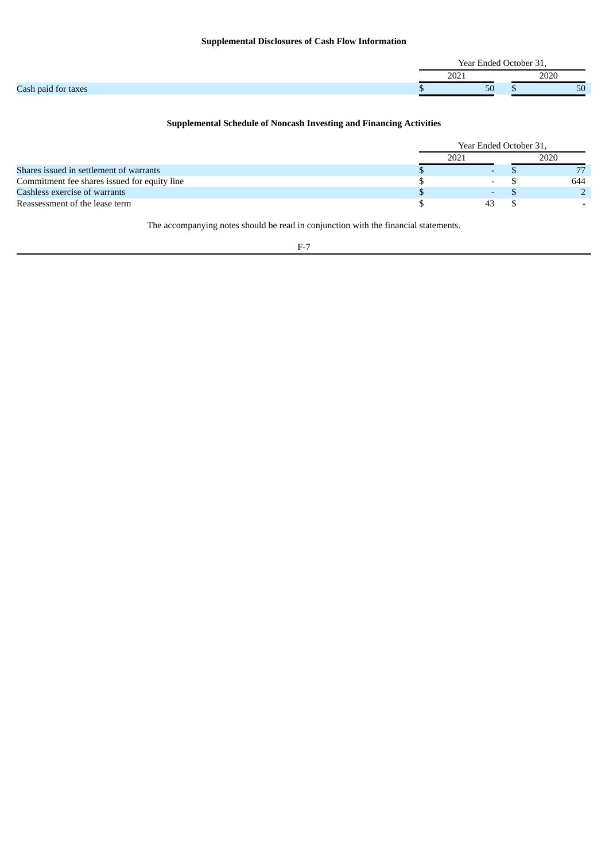# **Supplemental Disclosures of Cash Flow Information**

|                                      | $\sim$<br>Year Ended<br>' Ictober 31. |  |                |
|--------------------------------------|---------------------------------------|--|----------------|
|                                      | $\sqrt{2}$<br>ZUZ.                    |  | מרמר<br>–∪20 – |
| Cash<br><b>Dalo</b><br>TOT.<br>taxes | r c<br>υU                             |  | 50             |

# **Supplemental Schedule of Noncash Investing and Financing Activities**

|                                              |      | Year Ended October 31, |  |      |
|----------------------------------------------|------|------------------------|--|------|
|                                              | 2021 |                        |  | 2020 |
| Shares issued in settlement of warrants      |      |                        |  |      |
| Commitment fee shares issued for equity line |      |                        |  | 644  |
| Cashless exercise of warrants                |      |                        |  |      |
| Reassessment of the lease term               |      | 43                     |  |      |

The accompanying notes should be read in conjunction with the financial statements.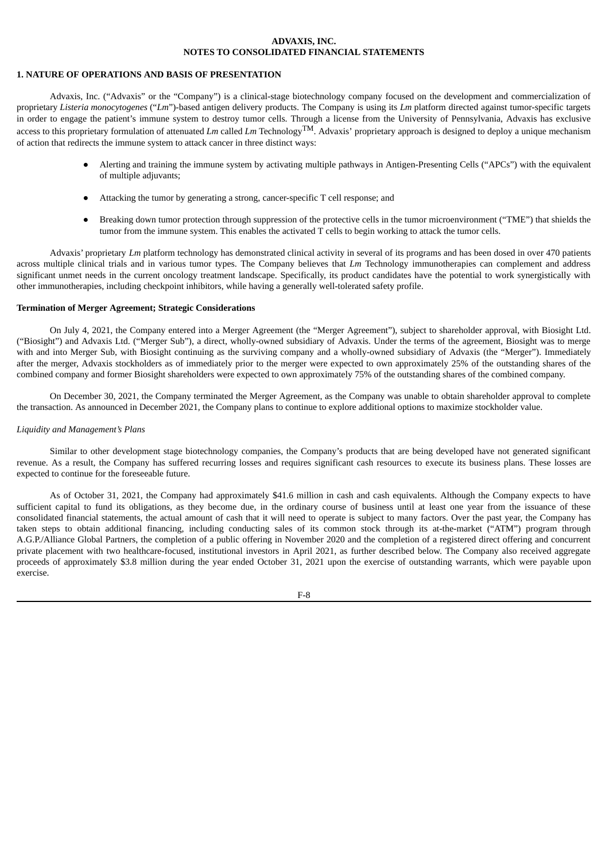### **ADVAXIS, INC. NOTES TO CONSOLIDATED FINANCIAL STATEMENTS**

### <span id="page-90-0"></span>**1. NATURE OF OPERATIONS AND BASIS OF PRESENTATION**

Advaxis, Inc. ("Advaxis" or the "Company") is a clinical-stage biotechnology company focused on the development and commercialization of proprietary *Listeria monocytogenes* ("*Lm*")-based antigen delivery products. The Company is using its *Lm* platform directed against tumor-specific targets in order to engage the patient's immune system to destroy tumor cells. Through a license from the University of Pennsylvania, Advaxis has exclusive access to this proprietary formulation of attenuated *Lm* called *Lm* TechnologyTM. Advaxis' proprietary approach is designed to deploy a unique mechanism of action that redirects the immune system to attack cancer in three distinct ways:

- Alerting and training the immune system by activating multiple pathways in Antigen-Presenting Cells ("APCs") with the equivalent of multiple adjuvants;
- Attacking the tumor by generating a strong, cancer-specific  $T$  cell response; and
- Breaking down tumor protection through suppression of the protective cells in the tumor microenvironment ("TME") that shields the tumor from the immune system. This enables the activated T cells to begin working to attack the tumor cells.

Advaxis' proprietary *Lm* platform technology has demonstrated clinical activity in several of its programs and has been dosed in over 470 patients across multiple clinical trials and in various tumor types. The Company believes that *Lm* Technology immunotherapies can complement and address significant unmet needs in the current oncology treatment landscape. Specifically, its product candidates have the potential to work synergistically with other immunotherapies, including checkpoint inhibitors, while having a generally well-tolerated safety profile.

### **Termination of Merger Agreement; Strategic Considerations**

On July 4, 2021, the Company entered into a Merger Agreement (the "Merger Agreement"), subject to shareholder approval, with Biosight Ltd. ("Biosight") and Advaxis Ltd. ("Merger Sub"), a direct, wholly-owned subsidiary of Advaxis. Under the terms of the agreement, Biosight was to merge with and into Merger Sub, with Biosight continuing as the surviving company and a wholly-owned subsidiary of Advaxis (the "Merger"). Immediately after the merger, Advaxis stockholders as of immediately prior to the merger were expected to own approximately 25% of the outstanding shares of the combined company and former Biosight shareholders were expected to own approximately 75% of the outstanding shares of the combined company.

On December 30, 2021, the Company terminated the Merger Agreement, as the Company was unable to obtain shareholder approval to complete the transaction. As announced in December 2021, the Company plans to continue to explore additional options to maximize stockholder value.

#### *Liquidity and Management's Plans*

Similar to other development stage biotechnology companies, the Company's products that are being developed have not generated significant revenue. As a result, the Company has suffered recurring losses and requires significant cash resources to execute its business plans. These losses are expected to continue for the foreseeable future.

As of October 31, 2021, the Company had approximately \$41.6 million in cash and cash equivalents. Although the Company expects to have sufficient capital to fund its obligations, as they become due, in the ordinary course of business until at least one year from the issuance of these consolidated financial statements, the actual amount of cash that it will need to operate is subject to many factors. Over the past year, the Company has taken steps to obtain additional financing, including conducting sales of its common stock through its at-the-market ("ATM") program through A.G.P./Alliance Global Partners, the completion of a public offering in November 2020 and the completion of a registered direct offering and concurrent private placement with two healthcare-focused, institutional investors in April 2021, as further described below. The Company also received aggregate proceeds of approximately \$3.8 million during the year ended October 31, 2021 upon the exercise of outstanding warrants, which were payable upon exercise.

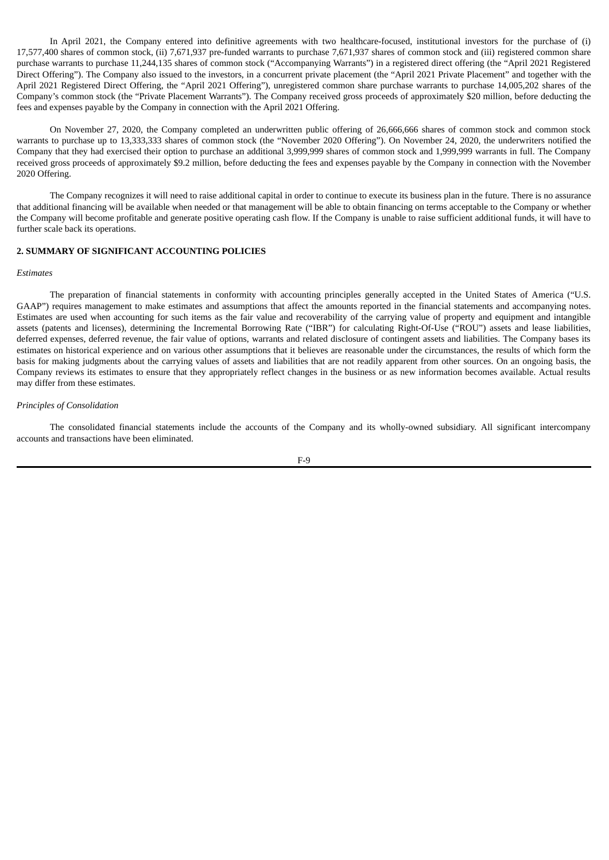In April 2021, the Company entered into definitive agreements with two healthcare-focused, institutional investors for the purchase of (i) 17,577,400 shares of common stock, (ii) 7,671,937 pre-funded warrants to purchase 7,671,937 shares of common stock and (iii) registered common share purchase warrants to purchase 11,244,135 shares of common stock ("Accompanying Warrants") in a registered direct offering (the "April 2021 Registered Direct Offering"). The Company also issued to the investors, in a concurrent private placement (the "April 2021 Private Placement" and together with the April 2021 Registered Direct Offering, the "April 2021 Offering"), unregistered common share purchase warrants to purchase 14,005,202 shares of the Company's common stock (the "Private Placement Warrants"). The Company received gross proceeds of approximately \$20 million, before deducting the fees and expenses payable by the Company in connection with the April 2021 Offering.

On November 27, 2020, the Company completed an underwritten public offering of 26,666,666 shares of common stock and common stock warrants to purchase up to 13,333,333 shares of common stock (the "November 2020 Offering"). On November 24, 2020, the underwriters notified the Company that they had exercised their option to purchase an additional 3,999,999 shares of common stock and 1,999,999 warrants in full. The Company received gross proceeds of approximately \$9.2 million, before deducting the fees and expenses payable by the Company in connection with the November 2020 Offering.

The Company recognizes it will need to raise additional capital in order to continue to execute its business plan in the future. There is no assurance that additional financing will be available when needed or that management will be able to obtain financing on terms acceptable to the Company or whether the Company will become profitable and generate positive operating cash flow. If the Company is unable to raise sufficient additional funds, it will have to further scale back its operations.

### **2. SUMMARY OF SIGNIFICANT ACCOUNTING POLICIES**

### *Estimates*

The preparation of financial statements in conformity with accounting principles generally accepted in the United States of America ("U.S. GAAP") requires management to make estimates and assumptions that affect the amounts reported in the financial statements and accompanying notes. Estimates are used when accounting for such items as the fair value and recoverability of the carrying value of property and equipment and intangible assets (patents and licenses), determining the Incremental Borrowing Rate ("IBR") for calculating Right-Of-Use ("ROU") assets and lease liabilities, deferred expenses, deferred revenue, the fair value of options, warrants and related disclosure of contingent assets and liabilities. The Company bases its estimates on historical experience and on various other assumptions that it believes are reasonable under the circumstances, the results of which form the basis for making judgments about the carrying values of assets and liabilities that are not readily apparent from other sources. On an ongoing basis, the Company reviews its estimates to ensure that they appropriately reflect changes in the business or as new information becomes available. Actual results may differ from these estimates.

#### *Principles of Consolidation*

The consolidated financial statements include the accounts of the Company and its wholly-owned subsidiary. All significant intercompany accounts and transactions have been eliminated.

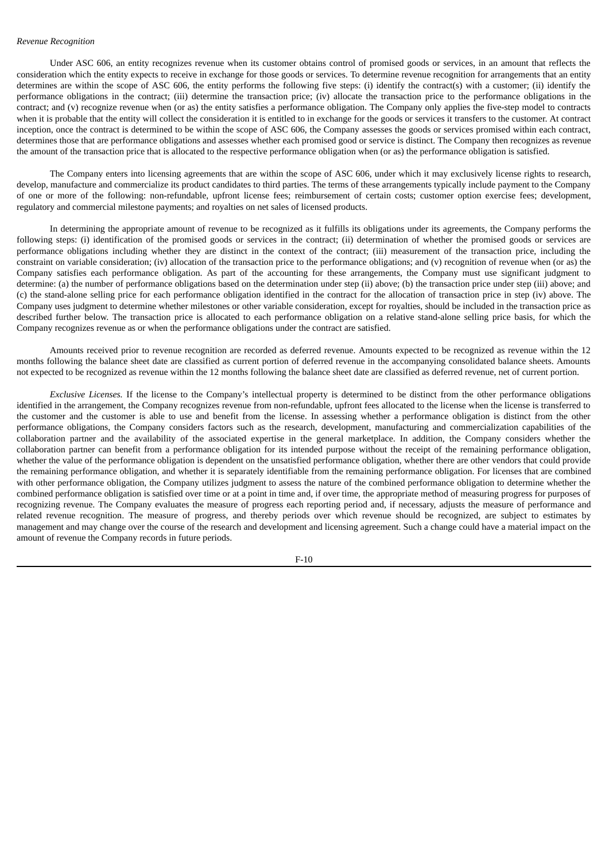#### *Revenue Recognition*

Under ASC 606, an entity recognizes revenue when its customer obtains control of promised goods or services, in an amount that reflects the consideration which the entity expects to receive in exchange for those goods or services. To determine revenue recognition for arrangements that an entity determines are within the scope of ASC 606, the entity performs the following five steps: (i) identify the contract(s) with a customer; (ii) identify the performance obligations in the contract; (iii) determine the transaction price; (iv) allocate the transaction price to the performance obligations in the contract; and (v) recognize revenue when (or as) the entity satisfies a performance obligation. The Company only applies the five-step model to contracts when it is probable that the entity will collect the consideration it is entitled to in exchange for the goods or services it transfers to the customer. At contract inception, once the contract is determined to be within the scope of ASC 606, the Company assesses the goods or services promised within each contract, determines those that are performance obligations and assesses whether each promised good or service is distinct. The Company then recognizes as revenue the amount of the transaction price that is allocated to the respective performance obligation when (or as) the performance obligation is satisfied.

The Company enters into licensing agreements that are within the scope of ASC 606, under which it may exclusively license rights to research, develop, manufacture and commercialize its product candidates to third parties. The terms of these arrangements typically include payment to the Company of one or more of the following: non-refundable, upfront license fees; reimbursement of certain costs; customer option exercise fees; development, regulatory and commercial milestone payments; and royalties on net sales of licensed products.

In determining the appropriate amount of revenue to be recognized as it fulfills its obligations under its agreements, the Company performs the following steps: (i) identification of the promised goods or services in the contract; (ii) determination of whether the promised goods or services are performance obligations including whether they are distinct in the context of the contract; (iii) measurement of the transaction price, including the constraint on variable consideration; (iv) allocation of the transaction price to the performance obligations; and (v) recognition of revenue when (or as) the Company satisfies each performance obligation. As part of the accounting for these arrangements, the Company must use significant judgment to determine: (a) the number of performance obligations based on the determination under step (ii) above; (b) the transaction price under step (iii) above; and (c) the stand-alone selling price for each performance obligation identified in the contract for the allocation of transaction price in step (iv) above. The Company uses judgment to determine whether milestones or other variable consideration, except for royalties, should be included in the transaction price as described further below. The transaction price is allocated to each performance obligation on a relative stand-alone selling price basis, for which the Company recognizes revenue as or when the performance obligations under the contract are satisfied.

Amounts received prior to revenue recognition are recorded as deferred revenue. Amounts expected to be recognized as revenue within the 12 months following the balance sheet date are classified as current portion of deferred revenue in the accompanying consolidated balance sheets. Amounts not expected to be recognized as revenue within the 12 months following the balance sheet date are classified as deferred revenue, net of current portion.

*Exclusive Licenses.* If the license to the Company's intellectual property is determined to be distinct from the other performance obligations identified in the arrangement, the Company recognizes revenue from non-refundable, upfront fees allocated to the license when the license is transferred to the customer and the customer is able to use and benefit from the license. In assessing whether a performance obligation is distinct from the other performance obligations, the Company considers factors such as the research, development, manufacturing and commercialization capabilities of the collaboration partner and the availability of the associated expertise in the general marketplace. In addition, the Company considers whether the collaboration partner can benefit from a performance obligation for its intended purpose without the receipt of the remaining performance obligation, whether the value of the performance obligation is dependent on the unsatisfied performance obligation, whether there are other vendors that could provide the remaining performance obligation, and whether it is separately identifiable from the remaining performance obligation. For licenses that are combined with other performance obligation, the Company utilizes judgment to assess the nature of the combined performance obligation to determine whether the combined performance obligation is satisfied over time or at a point in time and, if over time, the appropriate method of measuring progress for purposes of recognizing revenue. The Company evaluates the measure of progress each reporting period and, if necessary, adjusts the measure of performance and related revenue recognition. The measure of progress, and thereby periods over which revenue should be recognized, are subject to estimates by management and may change over the course of the research and development and licensing agreement. Such a change could have a material impact on the amount of revenue the Company records in future periods.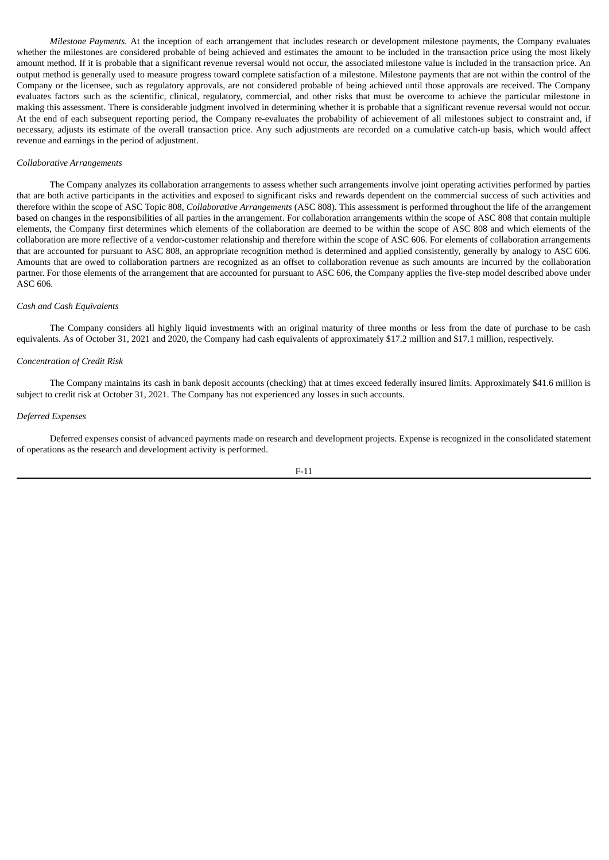*Milestone Payments.* At the inception of each arrangement that includes research or development milestone payments, the Company evaluates whether the milestones are considered probable of being achieved and estimates the amount to be included in the transaction price using the most likely amount method. If it is probable that a significant revenue reversal would not occur, the associated milestone value is included in the transaction price. An output method is generally used to measure progress toward complete satisfaction of a milestone. Milestone payments that are not within the control of the Company or the licensee, such as regulatory approvals, are not considered probable of being achieved until those approvals are received. The Company evaluates factors such as the scientific, clinical, regulatory, commercial, and other risks that must be overcome to achieve the particular milestone in making this assessment. There is considerable judgment involved in determining whether it is probable that a significant revenue reversal would not occur. At the end of each subsequent reporting period, the Company re-evaluates the probability of achievement of all milestones subject to constraint and, if necessary, adjusts its estimate of the overall transaction price. Any such adjustments are recorded on a cumulative catch-up basis, which would affect revenue and earnings in the period of adjustment.

#### *Collaborative Arrangements*

The Company analyzes its collaboration arrangements to assess whether such arrangements involve joint operating activities performed by parties that are both active participants in the activities and exposed to significant risks and rewards dependent on the commercial success of such activities and therefore within the scope of ASC Topic 808, *Collaborative Arrangements* (ASC 808). This assessment is performed throughout the life of the arrangement based on changes in the responsibilities of all parties in the arrangement. For collaboration arrangements within the scope of ASC 808 that contain multiple elements, the Company first determines which elements of the collaboration are deemed to be within the scope of ASC 808 and which elements of the collaboration are more reflective of a vendor-customer relationship and therefore within the scope of ASC 606. For elements of collaboration arrangements that are accounted for pursuant to ASC 808, an appropriate recognition method is determined and applied consistently, generally by analogy to ASC 606. Amounts that are owed to collaboration partners are recognized as an offset to collaboration revenue as such amounts are incurred by the collaboration partner. For those elements of the arrangement that are accounted for pursuant to ASC 606, the Company applies the five-step model described above under ASC 606.

#### *Cash and Cash Equivalents*

The Company considers all highly liquid investments with an original maturity of three months or less from the date of purchase to be cash equivalents. As of October 31, 2021 and 2020, the Company had cash equivalents of approximately \$17.2 million and \$17.1 million, respectively.

### *Concentration of Credit Risk*

The Company maintains its cash in bank deposit accounts (checking) that at times exceed federally insured limits. Approximately \$41.6 million is subject to credit risk at October 31, 2021. The Company has not experienced any losses in such accounts.

#### *Deferred Expenses*

Deferred expenses consist of advanced payments made on research and development projects. Expense is recognized in the consolidated statement of operations as the research and development activity is performed.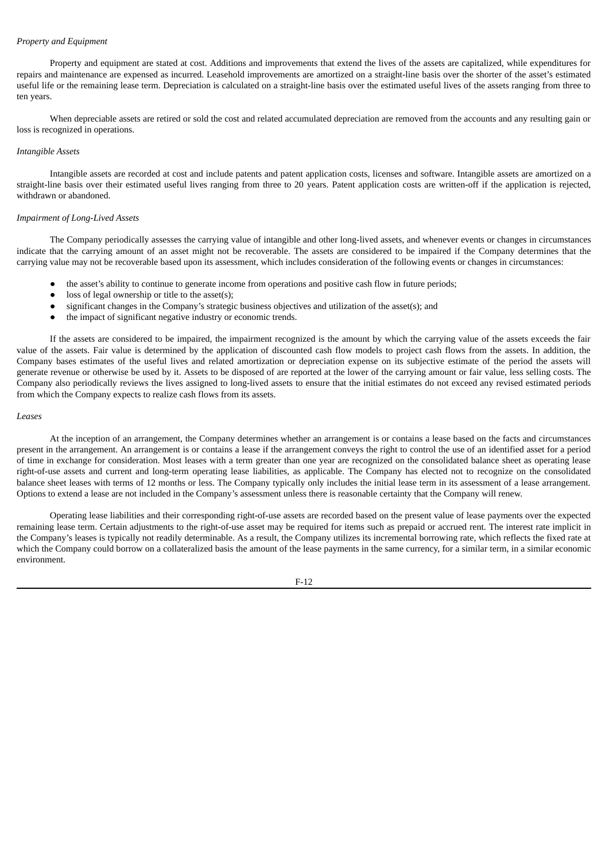### *Property and Equipment*

Property and equipment are stated at cost. Additions and improvements that extend the lives of the assets are capitalized, while expenditures for repairs and maintenance are expensed as incurred. Leasehold improvements are amortized on a straight-line basis over the shorter of the asset's estimated useful life or the remaining lease term. Depreciation is calculated on a straight-line basis over the estimated useful lives of the assets ranging from three to ten years.

When depreciable assets are retired or sold the cost and related accumulated depreciation are removed from the accounts and any resulting gain or loss is recognized in operations.

### *Intangible Assets*

Intangible assets are recorded at cost and include patents and patent application costs, licenses and software. Intangible assets are amortized on a straight-line basis over their estimated useful lives ranging from three to 20 years. Patent application costs are written-off if the application is rejected, withdrawn or abandoned.

### *Impairment of Long-Lived Assets*

The Company periodically assesses the carrying value of intangible and other long-lived assets, and whenever events or changes in circumstances indicate that the carrying amount of an asset might not be recoverable. The assets are considered to be impaired if the Company determines that the carrying value may not be recoverable based upon its assessment, which includes consideration of the following events or changes in circumstances:

- the asset's ability to continue to generate income from operations and positive cash flow in future periods;
- loss of legal ownership or title to the asset $(s)$ ;
- significant changes in the Company's strategic business objectives and utilization of the asset(s); and
- the impact of significant negative industry or economic trends.

If the assets are considered to be impaired, the impairment recognized is the amount by which the carrying value of the assets exceeds the fair value of the assets. Fair value is determined by the application of discounted cash flow models to project cash flows from the assets. In addition, the Company bases estimates of the useful lives and related amortization or depreciation expense on its subjective estimate of the period the assets will generate revenue or otherwise be used by it. Assets to be disposed of are reported at the lower of the carrying amount or fair value, less selling costs. The Company also periodically reviews the lives assigned to long-lived assets to ensure that the initial estimates do not exceed any revised estimated periods from which the Company expects to realize cash flows from its assets.

#### *Leases*

At the inception of an arrangement, the Company determines whether an arrangement is or contains a lease based on the facts and circumstances present in the arrangement. An arrangement is or contains a lease if the arrangement conveys the right to control the use of an identified asset for a period of time in exchange for consideration. Most leases with a term greater than one year are recognized on the consolidated balance sheet as operating lease right-of-use assets and current and long-term operating lease liabilities, as applicable. The Company has elected not to recognize on the consolidated balance sheet leases with terms of 12 months or less. The Company typically only includes the initial lease term in its assessment of a lease arrangement. Options to extend a lease are not included in the Company's assessment unless there is reasonable certainty that the Company will renew.

Operating lease liabilities and their corresponding right-of-use assets are recorded based on the present value of lease payments over the expected remaining lease term. Certain adjustments to the right-of-use asset may be required for items such as prepaid or accrued rent. The interest rate implicit in the Company's leases is typically not readily determinable. As a result, the Company utilizes its incremental borrowing rate, which reflects the fixed rate at which the Company could borrow on a collateralized basis the amount of the lease payments in the same currency, for a similar term, in a similar economic environment.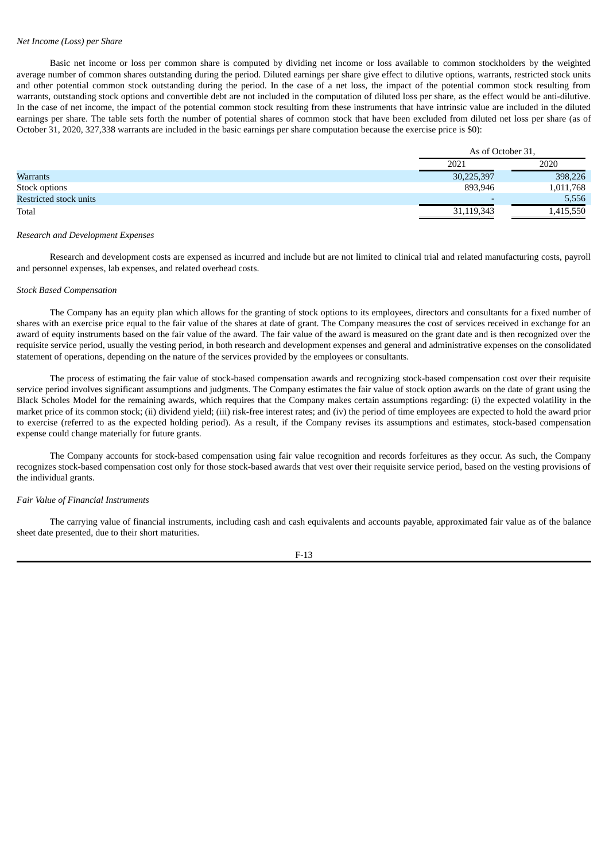### *Net Income (Loss) per Share*

Basic net income or loss per common share is computed by dividing net income or loss available to common stockholders by the weighted average number of common shares outstanding during the period. Diluted earnings per share give effect to dilutive options, warrants, restricted stock units and other potential common stock outstanding during the period. In the case of a net loss, the impact of the potential common stock resulting from warrants, outstanding stock options and convertible debt are not included in the computation of diluted loss per share, as the effect would be anti-dilutive. In the case of net income, the impact of the potential common stock resulting from these instruments that have intrinsic value are included in the diluted earnings per share. The table sets forth the number of potential shares of common stock that have been excluded from diluted net loss per share (as of October 31, 2020, 327,338 warrants are included in the basic earnings per share computation because the exercise price is \$0):

|                        | As of October 31,        |           |
|------------------------|--------------------------|-----------|
|                        | 2021                     | 2020      |
| Warrants               | 30,225,397               | 398,226   |
| Stock options          | 893.946                  | 1,011,768 |
| Restricted stock units | $\overline{\phantom{0}}$ | 5,556     |
| Total                  | 31,119,343               | 1,415,550 |

#### *Research and Development Expenses*

Research and development costs are expensed as incurred and include but are not limited to clinical trial and related manufacturing costs, payroll and personnel expenses, lab expenses, and related overhead costs.

### *Stock Based Compensation*

The Company has an equity plan which allows for the granting of stock options to its employees, directors and consultants for a fixed number of shares with an exercise price equal to the fair value of the shares at date of grant. The Company measures the cost of services received in exchange for an award of equity instruments based on the fair value of the award. The fair value of the award is measured on the grant date and is then recognized over the requisite service period, usually the vesting period, in both research and development expenses and general and administrative expenses on the consolidated statement of operations, depending on the nature of the services provided by the employees or consultants.

The process of estimating the fair value of stock-based compensation awards and recognizing stock-based compensation cost over their requisite service period involves significant assumptions and judgments. The Company estimates the fair value of stock option awards on the date of grant using the Black Scholes Model for the remaining awards, which requires that the Company makes certain assumptions regarding: (i) the expected volatility in the market price of its common stock; (ii) dividend yield; (iii) risk-free interest rates; and (iv) the period of time employees are expected to hold the award prior to exercise (referred to as the expected holding period). As a result, if the Company revises its assumptions and estimates, stock-based compensation expense could change materially for future grants.

The Company accounts for stock-based compensation using fair value recognition and records forfeitures as they occur. As such, the Company recognizes stock-based compensation cost only for those stock-based awards that vest over their requisite service period, based on the vesting provisions of the individual grants.

#### *Fair Value of Financial Instruments*

The carrying value of financial instruments, including cash and cash equivalents and accounts payable, approximated fair value as of the balance sheet date presented, due to their short maturities.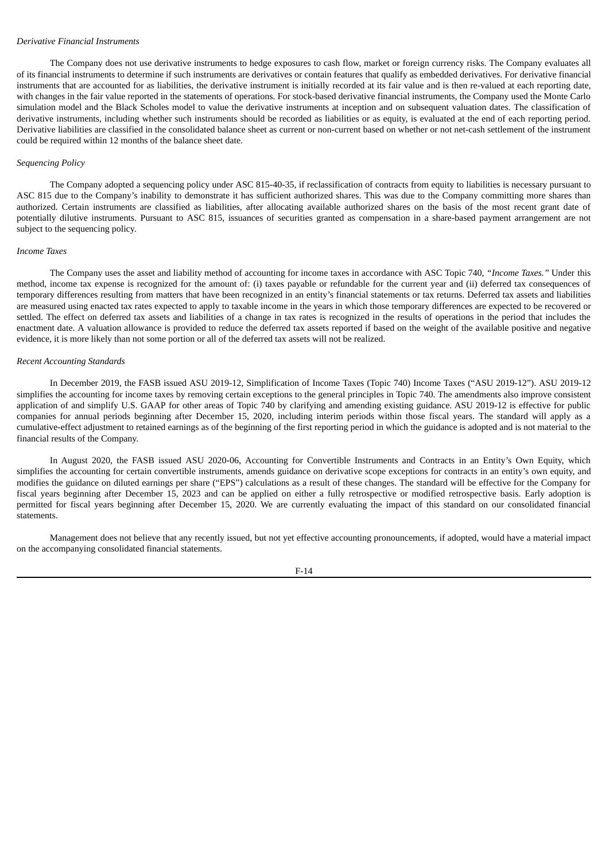### *Derivative Financial Instruments*

The Company does not use derivative instruments to hedge exposures to cash flow, market or foreign currency risks. The Company evaluates all of its financial instruments to determine if such instruments are derivatives or contain features that qualify as embedded derivatives. For derivative financial instruments that are accounted for as liabilities, the derivative instrument is initially recorded at its fair value and is then re-valued at each reporting date, with changes in the fair value reported in the statements of operations. For stock-based derivative financial instruments, the Company used the Monte Carlo simulation model and the Black Scholes model to value the derivative instruments at inception and on subsequent valuation dates. The classification of derivative instruments, including whether such instruments should be recorded as liabilities or as equity, is evaluated at the end of each reporting period. Derivative liabilities are classified in the consolidated balance sheet as current or non-current based on whether or not net-cash settlement of the instrument could be required within 12 months of the balance sheet date.

#### *Sequencing Policy*

The Company adopted a sequencing policy under ASC 815-40-35, if reclassification of contracts from equity to liabilities is necessary pursuant to ASC 815 due to the Company's inability to demonstrate it has sufficient authorized shares. This was due to the Company committing more shares than authorized. Certain instruments are classified as liabilities, after allocating available authorized shares on the basis of the most recent grant date of potentially dilutive instruments. Pursuant to ASC 815, issuances of securities granted as compensation in a share-based payment arrangement are not subject to the sequencing policy.

#### *Income Taxes*

The Company uses the asset and liability method of accounting for income taxes in accordance with ASC Topic 740, *"Income Taxes."* Under this method, income tax expense is recognized for the amount of: (i) taxes payable or refundable for the current year and (ii) deferred tax consequences of temporary differences resulting from matters that have been recognized in an entity's financial statements or tax returns. Deferred tax assets and liabilities are measured using enacted tax rates expected to apply to taxable income in the years in which those temporary differences are expected to be recovered or settled. The effect on deferred tax assets and liabilities of a change in tax rates is recognized in the results of operations in the period that includes the enactment date. A valuation allowance is provided to reduce the deferred tax assets reported if based on the weight of the available positive and negative evidence, it is more likely than not some portion or all of the deferred tax assets will not be realized.

#### *Recent Accounting Standards*

In December 2019, the FASB issued ASU 2019-12, Simplification of Income Taxes (Topic 740) Income Taxes ("ASU 2019-12"). ASU 2019-12 simplifies the accounting for income taxes by removing certain exceptions to the general principles in Topic 740. The amendments also improve consistent application of and simplify U.S. GAAP for other areas of Topic 740 by clarifying and amending existing guidance. ASU 2019-12 is effective for public companies for annual periods beginning after December 15, 2020, including interim periods within those fiscal years. The standard will apply as a cumulative-effect adjustment to retained earnings as of the beginning of the first reporting period in which the guidance is adopted and is not material to the financial results of the Company.

In August 2020, the FASB issued ASU 2020-06, Accounting for Convertible Instruments and Contracts in an Entity's Own Equity, which simplifies the accounting for certain convertible instruments, amends guidance on derivative scope exceptions for contracts in an entity's own equity, and modifies the guidance on diluted earnings per share ("EPS") calculations as a result of these changes. The standard will be effective for the Company for fiscal years beginning after December 15, 2023 and can be applied on either a fully retrospective or modified retrospective basis. Early adoption is permitted for fiscal years beginning after December 15, 2020. We are currently evaluating the impact of this standard on our consolidated financial statements.

Management does not believe that any recently issued, but not yet effective accounting pronouncements, if adopted, would have a material impact on the accompanying consolidated financial statements.

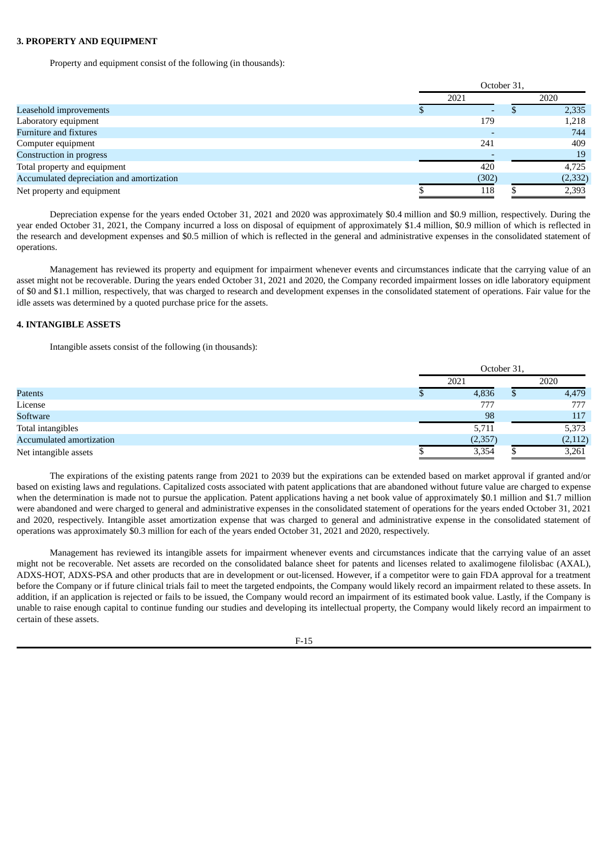## **3. PROPERTY AND EQUIPMENT**

Property and equipment consist of the following (in thousands):

|                                           | October 31, |  |          |
|-------------------------------------------|-------------|--|----------|
|                                           | 2021        |  | 2020     |
| Leasehold improvements                    |             |  | 2,335    |
| Laboratory equipment                      | 179         |  | 1,218    |
| Furniture and fixtures                    |             |  | 744      |
| Computer equipment                        | 241         |  | 409      |
| Construction in progress                  |             |  | 19       |
| Total property and equipment              | 420         |  | 4.725    |
| Accumulated depreciation and amortization | (302)       |  | (2, 332) |
| Net property and equipment                | 118         |  | 2,393    |

Depreciation expense for the years ended October 31, 2021 and 2020 was approximately \$0.4 million and \$0.9 million, respectively. During the year ended October 31, 2021, the Company incurred a loss on disposal of equipment of approximately \$1.4 million, \$0.9 million of which is reflected in the research and development expenses and \$0.5 million of which is reflected in the general and administrative expenses in the consolidated statement of operations.

Management has reviewed its property and equipment for impairment whenever events and circumstances indicate that the carrying value of an asset might not be recoverable. During the years ended October 31, 2021 and 2020, the Company recorded impairment losses on idle laboratory equipment of \$0 and \$1.1 million, respectively, that was charged to research and development expenses in the consolidated statement of operations. Fair value for the idle assets was determined by a quoted purchase price for the assets.

### **4. INTANGIBLE ASSETS**

Intangible assets consist of the following (in thousands):

|                          | October 31, |  |          |
|--------------------------|-------------|--|----------|
|                          | 2021        |  | 2020     |
| Patents                  | 4,836       |  | 4,479    |
| License                  | 777         |  | 777      |
| Software                 | 98          |  | 117      |
| Total intangibles        | 5,711       |  | 5,373    |
| Accumulated amortization | (2, 357)    |  | (2, 112) |
| Net intangible assets    | 3,354       |  | 3,261    |

The expirations of the existing patents range from 2021 to 2039 but the expirations can be extended based on market approval if granted and/or based on existing laws and regulations. Capitalized costs associated with patent applications that are abandoned without future value are charged to expense when the determination is made not to pursue the application. Patent applications having a net book value of approximately \$0.1 million and \$1.7 million were abandoned and were charged to general and administrative expenses in the consolidated statement of operations for the years ended October 31, 2021 and 2020, respectively. Intangible asset amortization expense that was charged to general and administrative expense in the consolidated statement of operations was approximately \$0.3 million for each of the years ended October 31, 2021 and 2020, respectively.

Management has reviewed its intangible assets for impairment whenever events and circumstances indicate that the carrying value of an asset might not be recoverable. Net assets are recorded on the consolidated balance sheet for patents and licenses related to axalimogene filolisbac (AXAL), ADXS-HOT, ADXS-PSA and other products that are in development or out-licensed. However, if a competitor were to gain FDA approval for a treatment before the Company or if future clinical trials fail to meet the targeted endpoints, the Company would likely record an impairment related to these assets. In addition, if an application is rejected or fails to be issued, the Company would record an impairment of its estimated book value. Lastly, if the Company is unable to raise enough capital to continue funding our studies and developing its intellectual property, the Company would likely record an impairment to certain of these assets.

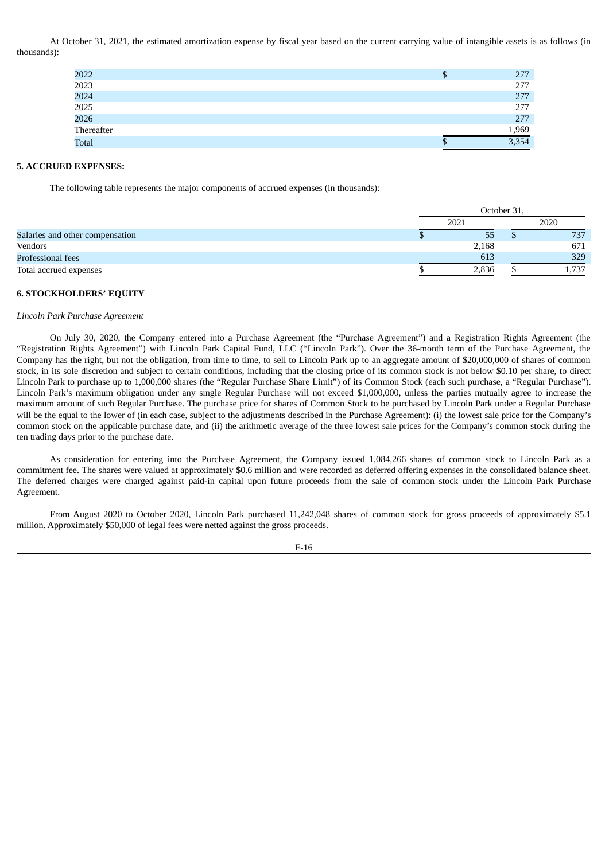At October 31, 2021, the estimated amortization expense by fiscal year based on the current carrying value of intangible assets is as follows (in thousands):

| 2022         | 277<br>۰D |  |
|--------------|-----------|--|
| 2023         | 277       |  |
| 2024         | 277       |  |
| 2025         | 277       |  |
| 2026         | 277       |  |
| Thereafter   | 1,969     |  |
| <b>Total</b> | 3,354     |  |
|              |           |  |

### **5. ACCRUED EXPENSES:**

The following table represents the major components of accrued expenses (in thousands):

|                                 | October 31, |  |       |
|---------------------------------|-------------|--|-------|
|                                 | 2021        |  | 2020  |
| Salaries and other compensation | 55          |  | 737   |
| Vendors                         | 2,168       |  | 671   |
| Professional fees               | 613         |  | 329   |
| Total accrued expenses          | 2,836       |  | 1.737 |

### **6. STOCKHOLDERS' EQUITY**

#### *Lincoln Park Purchase Agreement*

On July 30, 2020, the Company entered into a Purchase Agreement (the "Purchase Agreement") and a Registration Rights Agreement (the "Registration Rights Agreement") with Lincoln Park Capital Fund, LLC ("Lincoln Park"). Over the 36-month term of the Purchase Agreement, the Company has the right, but not the obligation, from time to time, to sell to Lincoln Park up to an aggregate amount of \$20,000,000 of shares of common stock, in its sole discretion and subject to certain conditions, including that the closing price of its common stock is not below \$0.10 per share, to direct Lincoln Park to purchase up to 1,000,000 shares (the "Regular Purchase Share Limit") of its Common Stock (each such purchase, a "Regular Purchase"). Lincoln Park's maximum obligation under any single Regular Purchase will not exceed \$1,000,000, unless the parties mutually agree to increase the maximum amount of such Regular Purchase. The purchase price for shares of Common Stock to be purchased by Lincoln Park under a Regular Purchase will be the equal to the lower of (in each case, subject to the adjustments described in the Purchase Agreement): (i) the lowest sale price for the Company's common stock on the applicable purchase date, and (ii) the arithmetic average of the three lowest sale prices for the Company's common stock during the ten trading days prior to the purchase date.

As consideration for entering into the Purchase Agreement, the Company issued 1,084,266 shares of common stock to Lincoln Park as a commitment fee. The shares were valued at approximately \$0.6 million and were recorded as deferred offering expenses in the consolidated balance sheet. The deferred charges were charged against paid-in capital upon future proceeds from the sale of common stock under the Lincoln Park Purchase Agreement.

From August 2020 to October 2020, Lincoln Park purchased 11,242,048 shares of common stock for gross proceeds of approximately \$5.1 million. Approximately \$50,000 of legal fees were netted against the gross proceeds.

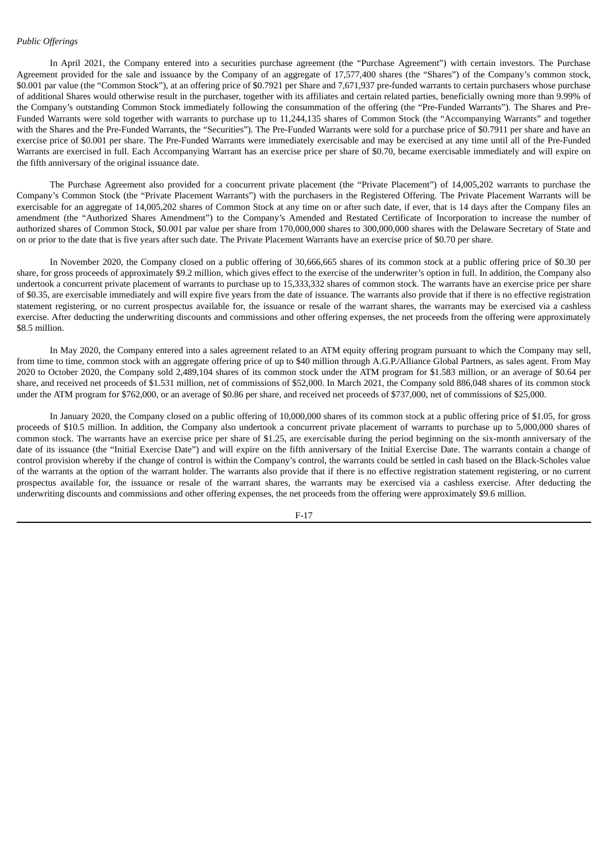# *Public Offerings*

In April 2021, the Company entered into a securities purchase agreement (the "Purchase Agreement") with certain investors. The Purchase Agreement provided for the sale and issuance by the Company of an aggregate of 17,577,400 shares (the "Shares") of the Company's common stock, \$0.001 par value (the "Common Stock"), at an offering price of \$0.7921 per Share and 7,671,937 pre-funded warrants to certain purchasers whose purchase of additional Shares would otherwise result in the purchaser, together with its affiliates and certain related parties, beneficially owning more than 9.99% of the Company's outstanding Common Stock immediately following the consummation of the offering (the "Pre-Funded Warrants"). The Shares and Pre-Funded Warrants were sold together with warrants to purchase up to 11,244,135 shares of Common Stock (the "Accompanying Warrants" and together with the Shares and the Pre-Funded Warrants, the "Securities"). The Pre-Funded Warrants were sold for a purchase price of \$0.7911 per share and have an exercise price of \$0.001 per share. The Pre-Funded Warrants were immediately exercisable and may be exercised at any time until all of the Pre-Funded Warrants are exercised in full. Each Accompanying Warrant has an exercise price per share of \$0.70, became exercisable immediately and will expire on the fifth anniversary of the original issuance date.

The Purchase Agreement also provided for a concurrent private placement (the "Private Placement") of 14,005,202 warrants to purchase the Company's Common Stock (the "Private Placement Warrants") with the purchasers in the Registered Offering. The Private Placement Warrants will be exercisable for an aggregate of 14,005,202 shares of Common Stock at any time on or after such date, if ever, that is 14 days after the Company files an amendment (the "Authorized Shares Amendment") to the Company's Amended and Restated Certificate of Incorporation to increase the number of authorized shares of Common Stock, \$0.001 par value per share from 170,000,000 shares to 300,000,000 shares with the Delaware Secretary of State and on or prior to the date that is five years after such date. The Private Placement Warrants have an exercise price of \$0.70 per share.

In November 2020, the Company closed on a public offering of 30,666,665 shares of its common stock at a public offering price of \$0.30 per share, for gross proceeds of approximately \$9.2 million, which gives effect to the exercise of the underwriter's option in full. In addition, the Company also undertook a concurrent private placement of warrants to purchase up to 15,333,332 shares of common stock. The warrants have an exercise price per share of \$0.35, are exercisable immediately and will expire five years from the date of issuance. The warrants also provide that if there is no effective registration statement registering, or no current prospectus available for, the issuance or resale of the warrant shares, the warrants may be exercised via a cashless exercise. After deducting the underwriting discounts and commissions and other offering expenses, the net proceeds from the offering were approximately \$8.5 million.

In May 2020, the Company entered into a sales agreement related to an ATM equity offering program pursuant to which the Company may sell, from time to time, common stock with an aggregate offering price of up to \$40 million through A.G.P./Alliance Global Partners, as sales agent. From May 2020 to October 2020, the Company sold 2,489,104 shares of its common stock under the ATM program for \$1.583 million, or an average of \$0.64 per share, and received net proceeds of \$1.531 million, net of commissions of \$52,000. In March 2021, the Company sold 886,048 shares of its common stock under the ATM program for \$762,000, or an average of \$0.86 per share, and received net proceeds of \$737,000, net of commissions of \$25,000.

In January 2020, the Company closed on a public offering of 10,000,000 shares of its common stock at a public offering price of \$1.05, for gross proceeds of \$10.5 million. In addition, the Company also undertook a concurrent private placement of warrants to purchase up to 5,000,000 shares of common stock. The warrants have an exercise price per share of \$1.25, are exercisable during the period beginning on the six-month anniversary of the date of its issuance (the "Initial Exercise Date") and will expire on the fifth anniversary of the Initial Exercise Date. The warrants contain a change of control provision whereby if the change of control is within the Company's control, the warrants could be settled in cash based on the Black-Scholes value of the warrants at the option of the warrant holder. The warrants also provide that if there is no effective registration statement registering, or no current prospectus available for, the issuance or resale of the warrant shares, the warrants may be exercised via a cashless exercise. After deducting the underwriting discounts and commissions and other offering expenses, the net proceeds from the offering were approximately \$9.6 million.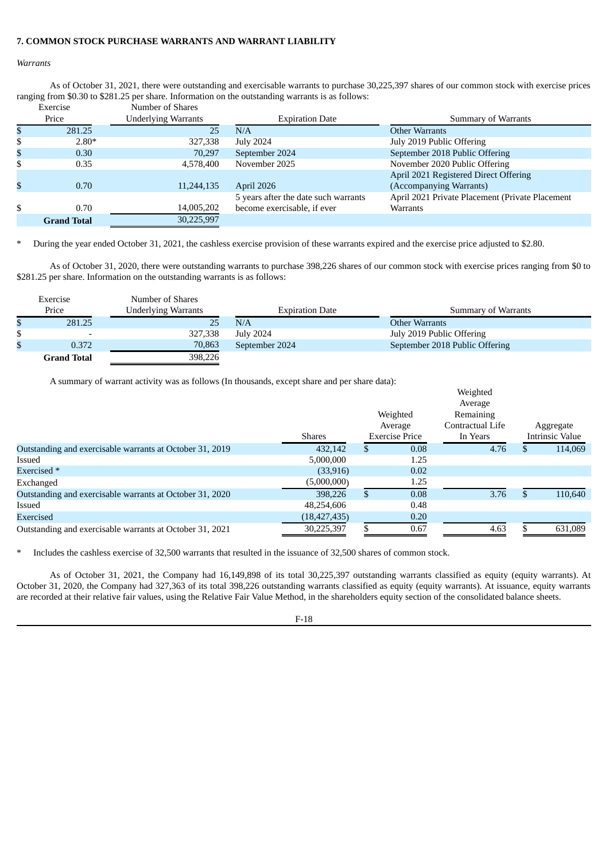### **7. COMMON STOCK PURCHASE WARRANTS AND WARRANT LIABILITY**

#### *Warrants*

As of October 31, 2021, there were outstanding and exercisable warrants to purchase 30,225,397 shares of our common stock with exercise prices ranging from \$0.30 to \$281.25 per share. Information on the outstanding warrants is as follows:

|    | Exercise           | Number of Shares    |                                      |                                                 |
|----|--------------------|---------------------|--------------------------------------|-------------------------------------------------|
|    | Price              | Underlying Warrants | <b>Expiration Date</b>               | Summary of Warrants                             |
| S  | 281.25             | 25                  | N/A                                  | Other Warrants                                  |
| \$ | $2.80*$            | 327,338             | July 2024                            | July 2019 Public Offering                       |
| \$ | 0.30               | 70,297              | September 2024                       | September 2018 Public Offering                  |
| S  | 0.35               | 4,578,400           | November 2025                        | November 2020 Public Offering                   |
|    |                    |                     |                                      | April 2021 Registered Direct Offering           |
| \$ | 0.70               | 11,244,135          | April 2026                           | (Accompanying Warrants)                         |
|    |                    |                     | 5 years after the date such warrants | April 2021 Private Placement (Private Placement |
| \$ | 0.70               | 14,005,202          | become exercisable, if ever          | <b>Warrants</b>                                 |
|    | <b>Grand Total</b> | 30,225,997          |                                      |                                                 |

\* During the year ended October 31, 2021, the cashless exercise provision of these warrants expired and the exercise price adjusted to \$2.80.

As of October 31, 2020, there were outstanding warrants to purchase 398,226 shares of our common stock with exercise prices ranging from \$0 to \$281.25 per share. Information on the outstanding warrants is as follows:

| Exercise                 | Number of Shares           |                        |                                |
|--------------------------|----------------------------|------------------------|--------------------------------|
| Price                    | <b>Underlying Warrants</b> | <b>Expiration Date</b> | Summary of Warrants            |
| 281.25                   | 25                         | N/A                    | Other Warrants                 |
| $\overline{\phantom{0}}$ | 327,338                    | <b>July 2024</b>       | July 2019 Public Offering      |
| 0.372                    | 70,863                     | September 2024         | September 2018 Public Offering |
| Grand Total              | 398,226                    |                        |                                |

A summary of warrant activity was as follows (In thousands, except share and per share data):

|                                                          | <b>Shares</b>  | Weighted<br>Average<br><b>Exercise Price</b> |      | Weighted<br>Average<br>Remaining<br>Contractual Life<br>In Years |    | Aggregate<br><b>Intrinsic Value</b> |
|----------------------------------------------------------|----------------|----------------------------------------------|------|------------------------------------------------------------------|----|-------------------------------------|
| Outstanding and exercisable warrants at October 31, 2019 | 432.142        | S.                                           | 0.08 | 4.76                                                             | аĐ | 114,069                             |
| Issued                                                   | 5,000,000      |                                              | 1.25 |                                                                  |    |                                     |
| Exercised *                                              | (33, 916)      |                                              | 0.02 |                                                                  |    |                                     |
| Exchanged                                                | (5,000,000)    |                                              | 1.25 |                                                                  |    |                                     |
| Outstanding and exercisable warrants at October 31, 2020 | 398,226        | \$                                           | 0.08 | 3.76                                                             | \$ | 110,640                             |
| Issued                                                   | 48,254,606     |                                              | 0.48 |                                                                  |    |                                     |
| <b>Exercised</b>                                         | (18, 427, 435) |                                              | 0.20 |                                                                  |    |                                     |
| Outstanding and exercisable warrants at October 31, 2021 | 30,225,397     |                                              | 0.67 | 4.63                                                             |    | 631.089                             |

\* Includes the cashless exercise of 32,500 warrants that resulted in the issuance of 32,500 shares of common stock.

As of October 31, 2021, the Company had 16,149,898 of its total 30,225,397 outstanding warrants classified as equity (equity warrants). At October 31, 2020, the Company had 327,363 of its total 398,226 outstanding warrants classified as equity (equity warrants). At issuance, equity warrants are recorded at their relative fair values, using the Relative Fair Value Method, in the shareholders equity section of the consolidated balance sheets.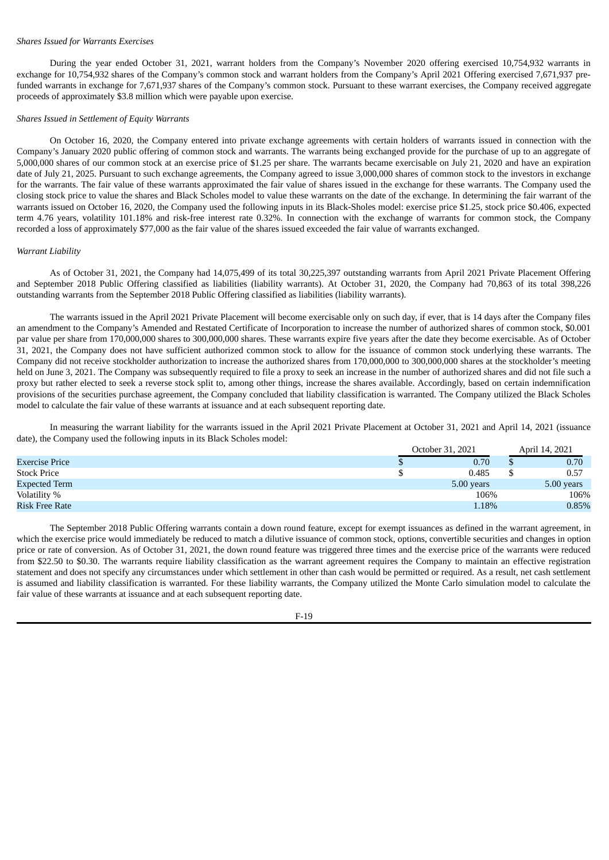#### *Shares Issued for Warrants Exercises*

During the year ended October 31, 2021, warrant holders from the Company's November 2020 offering exercised 10,754,932 warrants in exchange for 10,754,932 shares of the Company's common stock and warrant holders from the Company's April 2021 Offering exercised 7,671,937 prefunded warrants in exchange for 7,671,937 shares of the Company's common stock. Pursuant to these warrant exercises, the Company received aggregate proceeds of approximately \$3.8 million which were payable upon exercise.

### *Shares Issued in Settlement of Equity Warrants*

On October 16, 2020, the Company entered into private exchange agreements with certain holders of warrants issued in connection with the Company's January 2020 public offering of common stock and warrants. The warrants being exchanged provide for the purchase of up to an aggregate of 5,000,000 shares of our common stock at an exercise price of \$1.25 per share. The warrants became exercisable on July 21, 2020 and have an expiration date of July 21, 2025. Pursuant to such exchange agreements, the Company agreed to issue 3,000,000 shares of common stock to the investors in exchange for the warrants. The fair value of these warrants approximated the fair value of shares issued in the exchange for these warrants. The Company used the closing stock price to value the shares and Black Scholes model to value these warrants on the date of the exchange. In determining the fair warrant of the warrants issued on October 16, 2020, the Company used the following inputs in its Black-Sholes model: exercise price \$1.25, stock price \$0.406, expected term 4.76 years, volatility 101.18% and risk-free interest rate 0.32%. In connection with the exchange of warrants for common stock, the Company recorded a loss of approximately \$77,000 as the fair value of the shares issued exceeded the fair value of warrants exchanged.

#### *Warrant Liability*

As of October 31, 2021, the Company had 14,075,499 of its total 30,225,397 outstanding warrants from April 2021 Private Placement Offering and September 2018 Public Offering classified as liabilities (liability warrants). At October 31, 2020, the Company had 70,863 of its total 398,226 outstanding warrants from the September 2018 Public Offering classified as liabilities (liability warrants).

The warrants issued in the April 2021 Private Placement will become exercisable only on such day, if ever, that is 14 days after the Company files an amendment to the Company's Amended and Restated Certificate of Incorporation to increase the number of authorized shares of common stock, \$0.001 par value per share from 170,000,000 shares to 300,000,000 shares. These warrants expire five years after the date they become exercisable. As of October 31, 2021, the Company does not have sufficient authorized common stock to allow for the issuance of common stock underlying these warrants. The Company did not receive stockholder authorization to increase the authorized shares from 170,000,000 to 300,000,000 shares at the stockholder's meeting held on June 3, 2021. The Company was subsequently required to file a proxy to seek an increase in the number of authorized shares and did not file such a proxy but rather elected to seek a reverse stock split to, among other things, increase the shares available. Accordingly, based on certain indemnification provisions of the securities purchase agreement, the Company concluded that liability classification is warranted. The Company utilized the Black Scholes model to calculate the fair value of these warrants at issuance and at each subsequent reporting date.

In measuring the warrant liability for the warrants issued in the April 2021 Private Placement at October 31, 2021 and April 14, 2021 (issuance date), the Company used the following inputs in its Black Scholes model:

|                    | October 31, 2021 | April 14, 2021 |  |
|--------------------|------------------|----------------|--|
| Exercise Price     | 0.70             | 0.70           |  |
| <b>Stock Price</b> | 0.485            | 0.57           |  |
| Expected Term      | 5.00 years       | 5.00 years     |  |
| Volatility %       | 106%             | 106%           |  |
| Risk Free Rate     | 1.18%            | 0.85%          |  |

The September 2018 Public Offering warrants contain a down round feature, except for exempt issuances as defined in the warrant agreement, in which the exercise price would immediately be reduced to match a dilutive issuance of common stock, options, convertible securities and changes in option price or rate of conversion. As of October 31, 2021, the down round feature was triggered three times and the exercise price of the warrants were reduced from \$22.50 to \$0.30. The warrants require liability classification as the warrant agreement requires the Company to maintain an effective registration statement and does not specify any circumstances under which settlement in other than cash would be permitted or required. As a result, net cash settlement is assumed and liability classification is warranted. For these liability warrants, the Company utilized the Monte Carlo simulation model to calculate the fair value of these warrants at issuance and at each subsequent reporting date.

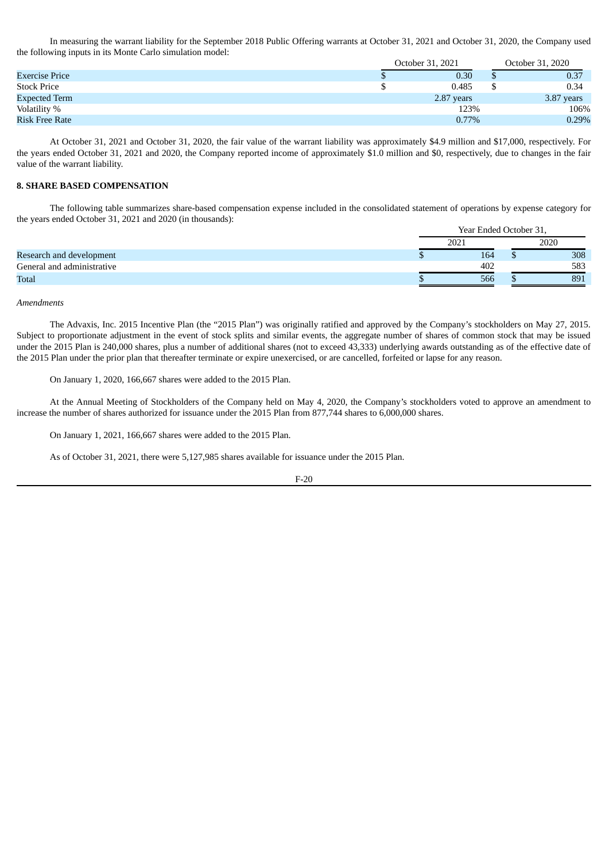In measuring the warrant liability for the September 2018 Public Offering warrants at October 31, 2021 and October 31, 2020, the Company used the following inputs in its Monte Carlo simulation model:

|                      | October 31, 2021 |            |  | October 31, 2020 |  |  |
|----------------------|------------------|------------|--|------------------|--|--|
| Exercise Price       |                  | 0.30       |  | 0.37             |  |  |
| <b>Stock Price</b>   |                  | 0.485      |  | 0.34             |  |  |
| <b>Expected Term</b> |                  | 2.87 years |  | 3.87 years       |  |  |
| Volatility %         |                  | 123%       |  | 106%             |  |  |
| Risk Free Rate       |                  | 0.77%      |  | 0.29%            |  |  |

At October 31, 2021 and October 31, 2020, the fair value of the warrant liability was approximately \$4.9 million and \$17,000, respectively. For the years ended October 31, 2021 and 2020, the Company reported income of approximately \$1.0 million and \$0, respectively, due to changes in the fair value of the warrant liability.

### **8. SHARE BASED COMPENSATION**

The following table summarizes share-based compensation expense included in the consolidated statement of operations by expense category for the years ended October 31, 2021 and 2020 (in thousands):

|                            |               | Year Ended October 31, |  |      |  |
|----------------------------|---------------|------------------------|--|------|--|
|                            | $202^{\circ}$ |                        |  | 2020 |  |
| Research and development   |               | 164                    |  | 308  |  |
| General and administrative |               | 402                    |  | 583  |  |
| <b>Total</b>               |               | 566                    |  | 891  |  |

*Amendments*

The Advaxis, Inc. 2015 Incentive Plan (the "2015 Plan") was originally ratified and approved by the Company's stockholders on May 27, 2015. Subject to proportionate adjustment in the event of stock splits and similar events, the aggregate number of shares of common stock that may be issued under the 2015 Plan is 240,000 shares, plus a number of additional shares (not to exceed 43,333) underlying awards outstanding as of the effective date of the 2015 Plan under the prior plan that thereafter terminate or expire unexercised, or are cancelled, forfeited or lapse for any reason.

On January 1, 2020, 166,667 shares were added to the 2015 Plan.

At the Annual Meeting of Stockholders of the Company held on May 4, 2020, the Company's stockholders voted to approve an amendment to increase the number of shares authorized for issuance under the 2015 Plan from 877,744 shares to 6,000,000 shares.

On January 1, 2021, 166,667 shares were added to the 2015 Plan.

As of October 31, 2021, there were 5,127,985 shares available for issuance under the 2015 Plan.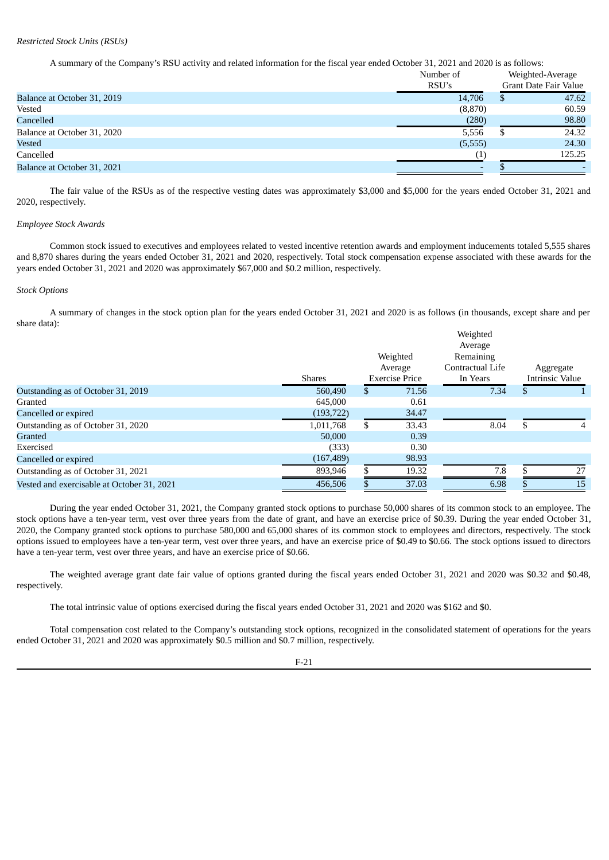A summary of the Company's RSU activity and related information for the fiscal year ended October 31, 2021 and 2020 is as follows:

|                             | Number of                | Weighted-Average |                       |
|-----------------------------|--------------------------|------------------|-----------------------|
|                             | RSU's                    |                  | Grant Date Fair Value |
| Balance at October 31, 2019 | 14,706                   |                  | 47.62                 |
| Vested                      | (8,870)                  |                  | 60.59                 |
| Cancelled                   | (280)                    |                  | 98.80                 |
| Balance at October 31, 2020 | 5,556                    |                  | 24.32                 |
| Vested                      | (5,555)                  |                  | 24.30                 |
| Cancelled                   |                          |                  | 125.25                |
| Balance at October 31, 2021 | $\overline{\phantom{0}}$ |                  |                       |

The fair value of the RSUs as of the respective vesting dates was approximately \$3,000 and \$5,000 for the years ended October 31, 2021 and 2020, respectively.

#### *Employee Stock Awards*

Common stock issued to executives and employees related to vested incentive retention awards and employment inducements totaled 5,555 shares and 8,870 shares during the years ended October 31, 2021 and 2020, respectively. Total stock compensation expense associated with these awards for the years ended October 31, 2021 and 2020 was approximately \$67,000 and \$0.2 million, respectively.

### *Stock Options*

A summary of changes in the stock option plan for the years ended October 31, 2021 and 2020 is as follows (in thousands, except share and per share data):

|                                            |               |    |                       | Weighted<br>Average |           |                        |
|--------------------------------------------|---------------|----|-----------------------|---------------------|-----------|------------------------|
|                                            |               |    | Weighted              | Remaining           |           |                        |
|                                            |               |    | Average               | Contractual Life    |           | Aggregate              |
|                                            | <b>Shares</b> |    | <b>Exercise Price</b> | In Years            |           | <b>Intrinsic Value</b> |
| Outstanding as of October 31, 2019         | 560,490       | ж. | 71.56                 | 7.34                | <b>JD</b> |                        |
| Granted                                    | 645,000       |    | 0.61                  |                     |           |                        |
| Cancelled or expired                       | (193, 722)    |    | 34.47                 |                     |           |                        |
| Outstanding as of October 31, 2020         | 1,011,768     | \$ | 33.43                 | 8.04                | \$.       | 4                      |
| Granted                                    | 50,000        |    | 0.39                  |                     |           |                        |
| Exercised                                  | (333)         |    | 0.30                  |                     |           |                        |
| Cancelled or expired                       | (167, 489)    |    | 98.93                 |                     |           |                        |
| Outstanding as of October 31, 2021         | 893,946       |    | 19.32                 | 7.8                 |           | 27                     |
| Vested and exercisable at October 31, 2021 | 456,506       |    | 37.03                 | 6.98                |           | 15                     |

During the year ended October 31, 2021, the Company granted stock options to purchase 50,000 shares of its common stock to an employee. The stock options have a ten-year term, vest over three years from the date of grant, and have an exercise price of \$0.39. During the year ended October 31, 2020, the Company granted stock options to purchase 580,000 and 65,000 shares of its common stock to employees and directors, respectively. The stock options issued to employees have a ten-year term, vest over three years, and have an exercise price of \$0.49 to \$0.66. The stock options issued to directors have a ten-year term, vest over three years, and have an exercise price of \$0.66.

The weighted average grant date fair value of options granted during the fiscal years ended October 31, 2021 and 2020 was \$0.32 and \$0.48, respectively.

The total intrinsic value of options exercised during the fiscal years ended October 31, 2021 and 2020 was \$162 and \$0.

Total compensation cost related to the Company's outstanding stock options, recognized in the consolidated statement of operations for the years ended October 31, 2021 and 2020 was approximately \$0.5 million and \$0.7 million, respectively.

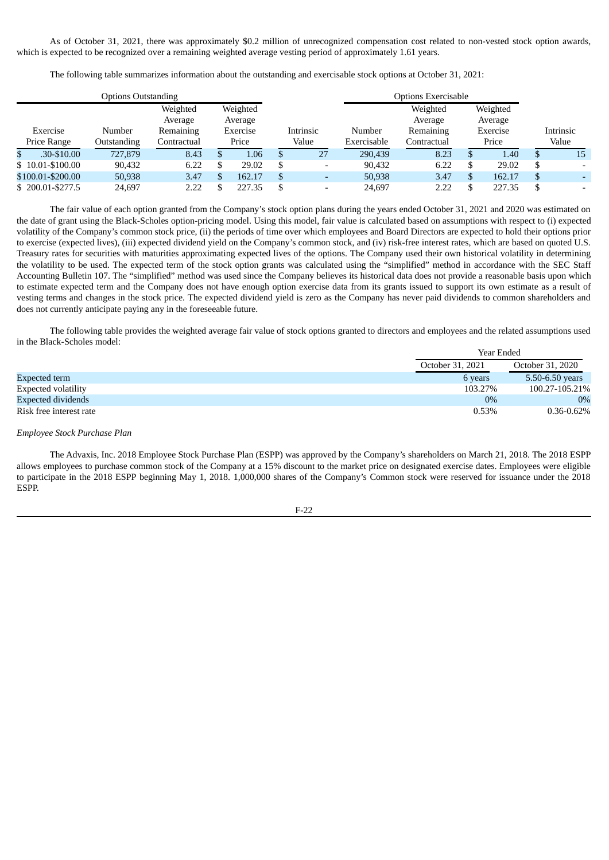As of October 31, 2021, there was approximately \$0.2 million of unrecognized compensation cost related to non-vested stock option awards, which is expected to be recognized over a remaining weighted average vesting period of approximately 1.61 years.

The following table summarizes information about the outstanding and exercisable stock options at October 31, 2021:

|   |                    | <b>Options Outstanding</b> |                     |   |                     |   |                          |             | <b>Options Exercisable</b> |                     |     |           |
|---|--------------------|----------------------------|---------------------|---|---------------------|---|--------------------------|-------------|----------------------------|---------------------|-----|-----------|
|   |                    |                            | Weighted<br>Average |   | Weighted<br>Average |   |                          |             | Weighted<br>Average        | Weighted<br>Average |     |           |
|   | Exercise           | Number                     | Remaining           |   | Exercise            |   | Intrinsic                | Number      | Remaining                  | Exercise            |     | Intrinsic |
|   | Price Range        | Outstanding                | Contractual         |   | Price               |   | Value                    | Exercisable | Contractual                | Price               |     | Value     |
| S | .30-\$10.00        | 727,879                    | 8.43                | S | 1.06                | S | 27                       | 290,439     | 8.23                       | 1.40                | D   | 15        |
|   | $$10.01 - $100.00$ | 90,432                     | 6.22                |   | 29.02               | S | $\overline{\phantom{a}}$ | 90,432      | 6.22                       | 29.02               | \$  |           |
|   | \$100.01-\$200.00  | 50,938                     | 3.47                |   | 162.17              | S | ٠                        | 50,938      | 3.47                       | 162.17              | \$. |           |
|   | $$200.01 - $277.5$ | 24,697                     | 2.22                |   | 227.35              | S | -                        | 24,697      | 2.22                       | 227.35              |     |           |

The fair value of each option granted from the Company's stock option plans during the years ended October 31, 2021 and 2020 was estimated on the date of grant using the Black-Scholes option-pricing model. Using this model, fair value is calculated based on assumptions with respect to (i) expected volatility of the Company's common stock price, (ii) the periods of time over which employees and Board Directors are expected to hold their options prior to exercise (expected lives), (iii) expected dividend yield on the Company's common stock, and (iv) risk-free interest rates, which are based on quoted U.S. Treasury rates for securities with maturities approximating expected lives of the options. The Company used their own historical volatility in determining the volatility to be used. The expected term of the stock option grants was calculated using the "simplified" method in accordance with the SEC Staff Accounting Bulletin 107. The "simplified" method was used since the Company believes its historical data does not provide a reasonable basis upon which to estimate expected term and the Company does not have enough option exercise data from its grants issued to support its own estimate as a result of vesting terms and changes in the stock price. The expected dividend yield is zero as the Company has never paid dividends to common shareholders and does not currently anticipate paying any in the foreseeable future.

The following table provides the weighted average fair value of stock options granted to directors and employees and the related assumptions used in the Black-Scholes model: Year Ended

|                           | теат спиеи       |                  |
|---------------------------|------------------|------------------|
|                           | October 31, 2021 | October 31, 2020 |
| Expected term             | 6 years          | 5.50-6.50 years  |
| Expected volatility       | 103.27%          | 100.27-105.21%   |
| <b>Expected dividends</b> | $0\%$            | $0\%$            |
| Risk free interest rate   | 0.53%            | $0.36 - 0.62\%$  |

#### *Employee Stock Purchase Plan*

The Advaxis, Inc. 2018 Employee Stock Purchase Plan (ESPP) was approved by the Company's shareholders on March 21, 2018. The 2018 ESPP allows employees to purchase common stock of the Company at a 15% discount to the market price on designated exercise dates. Employees were eligible to participate in the 2018 ESPP beginning May 1, 2018. 1,000,000 shares of the Company's Common stock were reserved for issuance under the 2018 ESPP.

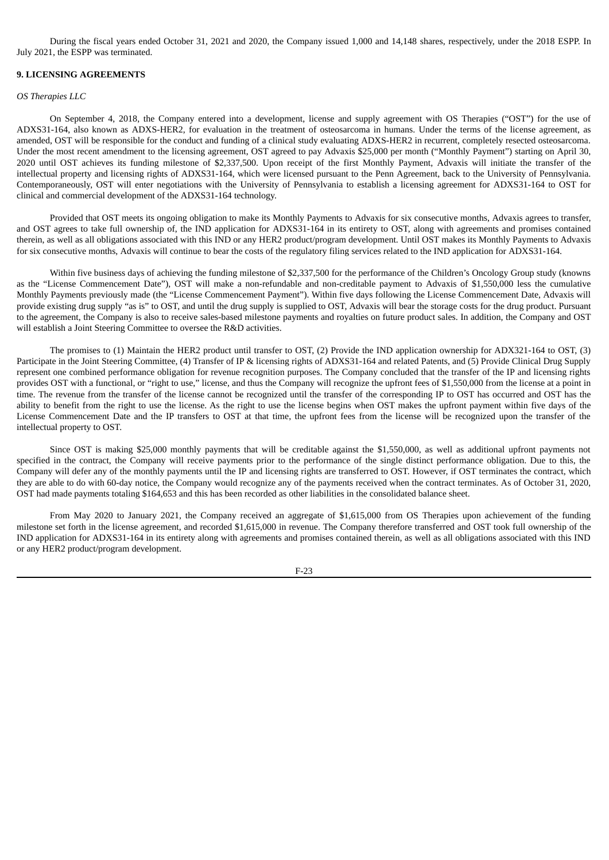During the fiscal years ended October 31, 2021 and 2020, the Company issued 1,000 and 14,148 shares, respectively, under the 2018 ESPP. In July 2021, the ESPP was terminated.

#### **9. LICENSING AGREEMENTS**

#### *OS Therapies LLC*

On September 4, 2018, the Company entered into a development, license and supply agreement with OS Therapies ("OST") for the use of ADXS31-164, also known as ADXS-HER2, for evaluation in the treatment of osteosarcoma in humans. Under the terms of the license agreement, as amended, OST will be responsible for the conduct and funding of a clinical study evaluating ADXS-HER2 in recurrent, completely resected osteosarcoma. Under the most recent amendment to the licensing agreement, OST agreed to pay Advaxis \$25,000 per month ("Monthly Payment") starting on April 30, 2020 until OST achieves its funding milestone of \$2,337,500. Upon receipt of the first Monthly Payment, Advaxis will initiate the transfer of the intellectual property and licensing rights of ADXS31-164, which were licensed pursuant to the Penn Agreement, back to the University of Pennsylvania. Contemporaneously, OST will enter negotiations with the University of Pennsylvania to establish a licensing agreement for ADXS31-164 to OST for clinical and commercial development of the ADXS31-164 technology.

Provided that OST meets its ongoing obligation to make its Monthly Payments to Advaxis for six consecutive months, Advaxis agrees to transfer, and OST agrees to take full ownership of, the IND application for ADXS31-164 in its entirety to OST, along with agreements and promises contained therein, as well as all obligations associated with this IND or any HER2 product/program development. Until OST makes its Monthly Payments to Advaxis for six consecutive months, Advaxis will continue to bear the costs of the regulatory filing services related to the IND application for ADXS31-164.

Within five business days of achieving the funding milestone of \$2,337,500 for the performance of the Children's Oncology Group study (knowns as the "License Commencement Date"), OST will make a non-refundable and non-creditable payment to Advaxis of \$1,550,000 less the cumulative Monthly Payments previously made (the "License Commencement Payment"). Within five days following the License Commencement Date, Advaxis will provide existing drug supply "as is" to OST, and until the drug supply is supplied to OST, Advaxis will bear the storage costs for the drug product. Pursuant to the agreement, the Company is also to receive sales-based milestone payments and royalties on future product sales. In addition, the Company and OST will establish a Joint Steering Committee to oversee the R&D activities.

The promises to (1) Maintain the HER2 product until transfer to OST, (2) Provide the IND application ownership for ADX321-164 to OST, (3) Participate in the Joint Steering Committee, (4) Transfer of IP & licensing rights of ADXS31-164 and related Patents, and (5) Provide Clinical Drug Supply represent one combined performance obligation for revenue recognition purposes. The Company concluded that the transfer of the IP and licensing rights provides OST with a functional, or "right to use," license, and thus the Company will recognize the upfront fees of \$1,550,000 from the license at a point in time. The revenue from the transfer of the license cannot be recognized until the transfer of the corresponding IP to OST has occurred and OST has the ability to benefit from the right to use the license. As the right to use the license begins when OST makes the upfront payment within five days of the License Commencement Date and the IP transfers to OST at that time, the upfront fees from the license will be recognized upon the transfer of the intellectual property to OST.

Since OST is making \$25,000 monthly payments that will be creditable against the \$1,550,000, as well as additional upfront payments not specified in the contract, the Company will receive payments prior to the performance of the single distinct performance obligation. Due to this, the Company will defer any of the monthly payments until the IP and licensing rights are transferred to OST. However, if OST terminates the contract, which they are able to do with 60-day notice, the Company would recognize any of the payments received when the contract terminates. As of October 31, 2020, OST had made payments totaling \$164,653 and this has been recorded as other liabilities in the consolidated balance sheet.

From May 2020 to January 2021, the Company received an aggregate of \$1,615,000 from OS Therapies upon achievement of the funding milestone set forth in the license agreement, and recorded \$1,615,000 in revenue. The Company therefore transferred and OST took full ownership of the IND application for ADXS31-164 in its entirety along with agreements and promises contained therein, as well as all obligations associated with this IND or any HER2 product/program development.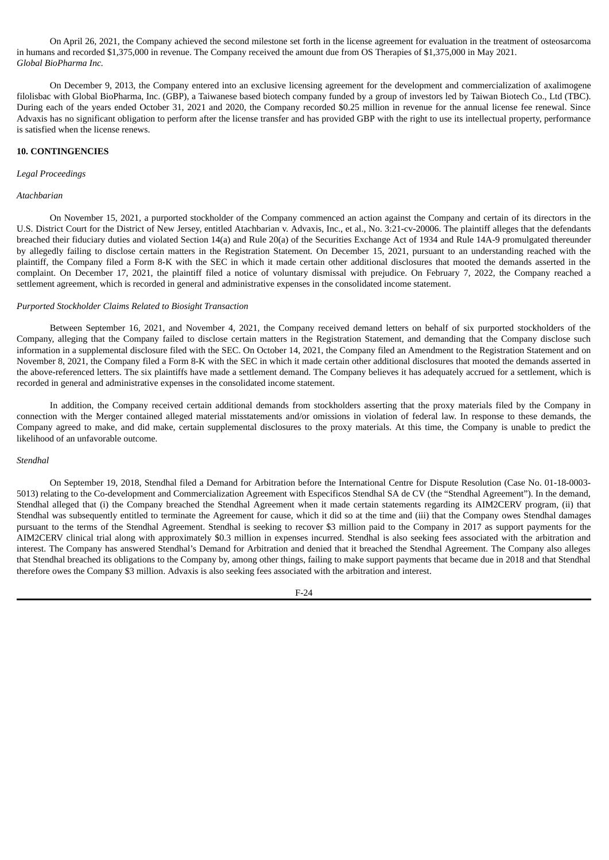On April 26, 2021, the Company achieved the second milestone set forth in the license agreement for evaluation in the treatment of osteosarcoma in humans and recorded \$1,375,000 in revenue. The Company received the amount due from OS Therapies of \$1,375,000 in May 2021. *Global BioPharma Inc.*

On December 9, 2013, the Company entered into an exclusive licensing agreement for the development and commercialization of axalimogene filolisbac with Global BioPharma, Inc. (GBP), a Taiwanese based biotech company funded by a group of investors led by Taiwan Biotech Co., Ltd (TBC). During each of the years ended October 31, 2021 and 2020, the Company recorded \$0.25 million in revenue for the annual license fee renewal. Since Advaxis has no significant obligation to perform after the license transfer and has provided GBP with the right to use its intellectual property, performance is satisfied when the license renews.

### **10. CONTINGENCIES**

### *Legal Proceedings*

### *Atachbarian*

On November 15, 2021, a purported stockholder of the Company commenced an action against the Company and certain of its directors in the U.S. District Court for the District of New Jersey, entitled Atachbarian v. Advaxis, Inc., et al., No. 3:21-cv-20006. The plaintiff alleges that the defendants breached their fiduciary duties and violated Section 14(a) and Rule 20(a) of the Securities Exchange Act of 1934 and Rule 14A-9 promulgated thereunder by allegedly failing to disclose certain matters in the Registration Statement. On December 15, 2021, pursuant to an understanding reached with the plaintiff, the Company filed a Form 8-K with the SEC in which it made certain other additional disclosures that mooted the demands asserted in the complaint. On December 17, 2021, the plaintiff filed a notice of voluntary dismissal with prejudice. On February 7, 2022, the Company reached a settlement agreement, which is recorded in general and administrative expenses in the consolidated income statement.

#### *Purported Stockholder Claims Related to Biosight Transaction*

Between September 16, 2021, and November 4, 2021, the Company received demand letters on behalf of six purported stockholders of the Company, alleging that the Company failed to disclose certain matters in the Registration Statement, and demanding that the Company disclose such information in a supplemental disclosure filed with the SEC. On October 14, 2021, the Company filed an Amendment to the Registration Statement and on November 8, 2021, the Company filed a Form 8-K with the SEC in which it made certain other additional disclosures that mooted the demands asserted in the above-referenced letters. The six plaintiffs have made a settlement demand. The Company believes it has adequately accrued for a settlement, which is recorded in general and administrative expenses in the consolidated income statement.

In addition, the Company received certain additional demands from stockholders asserting that the proxy materials filed by the Company in connection with the Merger contained alleged material misstatements and/or omissions in violation of federal law. In response to these demands, the Company agreed to make, and did make, certain supplemental disclosures to the proxy materials. At this time, the Company is unable to predict the likelihood of an unfavorable outcome.

#### *Stendhal*

On September 19, 2018, Stendhal filed a Demand for Arbitration before the International Centre for Dispute Resolution (Case No. 01-18-0003- 5013) relating to the Co-development and Commercialization Agreement with Especificos Stendhal SA de CV (the "Stendhal Agreement"). In the demand, Stendhal alleged that (i) the Company breached the Stendhal Agreement when it made certain statements regarding its AIM2CERV program, (ii) that Stendhal was subsequently entitled to terminate the Agreement for cause, which it did so at the time and (iii) that the Company owes Stendhal damages pursuant to the terms of the Stendhal Agreement. Stendhal is seeking to recover \$3 million paid to the Company in 2017 as support payments for the AIM2CERV clinical trial along with approximately \$0.3 million in expenses incurred. Stendhal is also seeking fees associated with the arbitration and interest. The Company has answered Stendhal's Demand for Arbitration and denied that it breached the Stendhal Agreement. The Company also alleges that Stendhal breached its obligations to the Company by, among other things, failing to make support payments that became due in 2018 and that Stendhal therefore owes the Company \$3 million. Advaxis is also seeking fees associated with the arbitration and interest.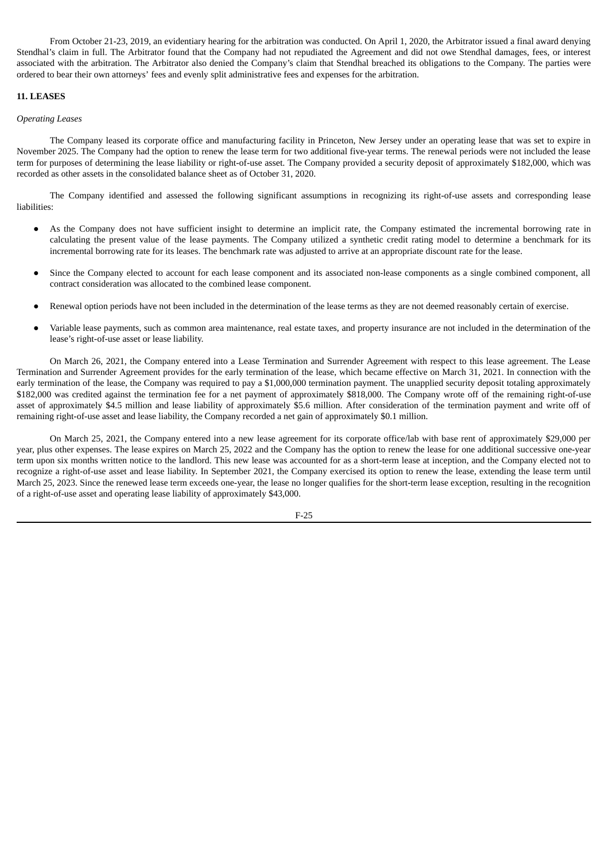From October 21-23, 2019, an evidentiary hearing for the arbitration was conducted. On April 1, 2020, the Arbitrator issued a final award denying Stendhal's claim in full. The Arbitrator found that the Company had not repudiated the Agreement and did not owe Stendhal damages, fees, or interest associated with the arbitration. The Arbitrator also denied the Company's claim that Stendhal breached its obligations to the Company. The parties were ordered to bear their own attorneys' fees and evenly split administrative fees and expenses for the arbitration.

### **11. LEASES**

### *Operating Leases*

The Company leased its corporate office and manufacturing facility in Princeton, New Jersey under an operating lease that was set to expire in November 2025. The Company had the option to renew the lease term for two additional five-year terms. The renewal periods were not included the lease term for purposes of determining the lease liability or right-of-use asset. The Company provided a security deposit of approximately \$182,000, which was recorded as other assets in the consolidated balance sheet as of October 31, 2020.

The Company identified and assessed the following significant assumptions in recognizing its right-of-use assets and corresponding lease liabilities:

- As the Company does not have sufficient insight to determine an implicit rate, the Company estimated the incremental borrowing rate in calculating the present value of the lease payments. The Company utilized a synthetic credit rating model to determine a benchmark for its incremental borrowing rate for its leases. The benchmark rate was adjusted to arrive at an appropriate discount rate for the lease.
- Since the Company elected to account for each lease component and its associated non-lease components as a single combined component, all contract consideration was allocated to the combined lease component.
- Renewal option periods have not been included in the determination of the lease terms as they are not deemed reasonably certain of exercise.
- Variable lease payments, such as common area maintenance, real estate taxes, and property insurance are not included in the determination of the lease's right-of-use asset or lease liability.

On March 26, 2021, the Company entered into a Lease Termination and Surrender Agreement with respect to this lease agreement. The Lease Termination and Surrender Agreement provides for the early termination of the lease, which became effective on March 31, 2021. In connection with the early termination of the lease, the Company was required to pay a \$1,000,000 termination payment. The unapplied security deposit totaling approximately \$182,000 was credited against the termination fee for a net payment of approximately \$818,000. The Company wrote off of the remaining right-of-use asset of approximately \$4.5 million and lease liability of approximately \$5.6 million. After consideration of the termination payment and write off of remaining right-of-use asset and lease liability, the Company recorded a net gain of approximately \$0.1 million.

On March 25, 2021, the Company entered into a new lease agreement for its corporate office/lab with base rent of approximately \$29,000 per year, plus other expenses. The lease expires on March 25, 2022 and the Company has the option to renew the lease for one additional successive one-year term upon six months written notice to the landlord. This new lease was accounted for as a short-term lease at inception, and the Company elected not to recognize a right-of-use asset and lease liability. In September 2021, the Company exercised its option to renew the lease, extending the lease term until March 25, 2023. Since the renewed lease term exceeds one-year, the lease no longer qualifies for the short-term lease exception, resulting in the recognition of a right-of-use asset and operating lease liability of approximately \$43,000.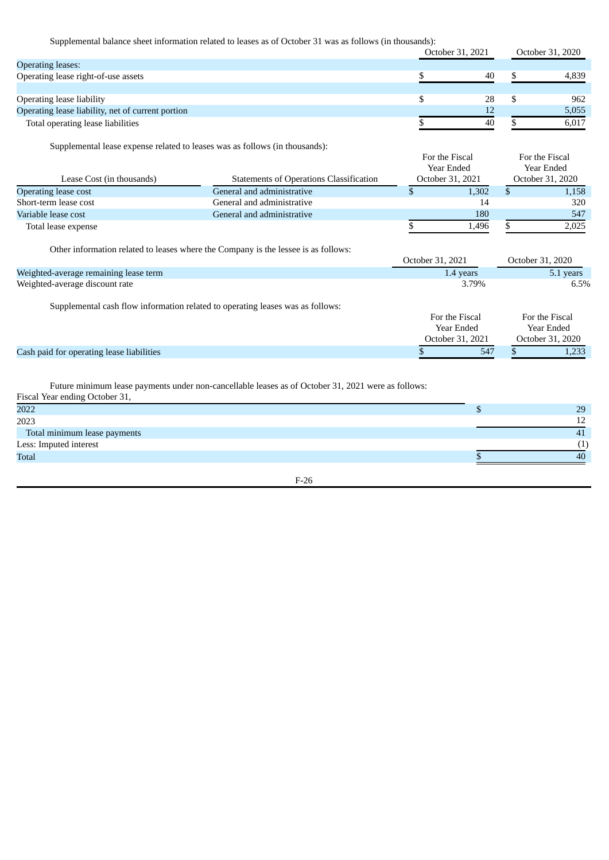Supplemental balance sheet information related to leases as of October 31 was as follows (in thousands):

|                                                   | ouppicincinui outunce siteet information related to leases as or october 51 was as follows (in thousa |                  | October 31, 2021  |                  | October 31, 2020  |
|---------------------------------------------------|-------------------------------------------------------------------------------------------------------|------------------|-------------------|------------------|-------------------|
| <b>Operating leases:</b>                          |                                                                                                       |                  |                   |                  |                   |
| Operating lease right-of-use assets               |                                                                                                       | \$               | 40                | \$               | 4,839             |
|                                                   |                                                                                                       |                  |                   |                  |                   |
| Operating lease liability                         |                                                                                                       | \$               | 28                | \$               | 962               |
| Operating lease liability, net of current portion |                                                                                                       |                  | 12                |                  | 5,055             |
| Total operating lease liabilities                 |                                                                                                       | \$               | 40                | \$               | 6,017             |
|                                                   | Supplemental lease expense related to leases was as follows (in thousands):                           |                  |                   |                  |                   |
|                                                   |                                                                                                       |                  | For the Fiscal    |                  | For the Fiscal    |
|                                                   |                                                                                                       |                  | <b>Year Ended</b> |                  | Year Ended        |
| Lease Cost (in thousands)                         | <b>Statements of Operations Classification</b>                                                        |                  | October 31, 2021  |                  | October 31, 2020  |
| Operating lease cost                              | General and administrative                                                                            | $\overline{\$}$  | 1,302             | $\overline{\$}$  | 1,158             |
| Short-term lease cost                             | General and administrative                                                                            |                  | 14                |                  | 320               |
| Variable lease cost                               | General and administrative                                                                            |                  | 180               |                  | 547               |
| Total lease expense                               |                                                                                                       | \$               | 1,496             | \$               | 2,025             |
|                                                   | Other information related to leases where the Company is the lessee is as follows:                    |                  |                   |                  |                   |
|                                                   |                                                                                                       | October 31, 2021 |                   | October 31, 2020 |                   |
| Weighted-average remaining lease term             |                                                                                                       |                  | 1.4 years         |                  | 5.1 years         |
| Weighted-average discount rate                    |                                                                                                       |                  | 3.79%             |                  | 6.5%              |
|                                                   | Supplemental cash flow information related to operating leases was as follows:                        |                  |                   |                  |                   |
|                                                   |                                                                                                       | For the Fiscal   |                   | For the Fiscal   |                   |
|                                                   |                                                                                                       |                  | <b>Year Ended</b> |                  | <b>Year Ended</b> |
|                                                   |                                                                                                       |                  | October 31, 2021  |                  | October 31, 2020  |
| Cash paid for operating lease liabilities         |                                                                                                       | \$               | 547               | \$               | 1,233             |
|                                                   |                                                                                                       |                  |                   |                  |                   |
|                                                   | Future minimum lease payments under non-cancellable leases as of October 31, 2021 were as follows:    |                  |                   |                  |                   |
| Fiscal Year ending October 31,                    |                                                                                                       |                  |                   |                  |                   |
| 2022                                              |                                                                                                       |                  | \$                |                  | 29                |
| 2023                                              |                                                                                                       |                  |                   |                  | 12                |
| Total minimum lease payments                      |                                                                                                       |                  |                   |                  | 41                |
| Less: Imputed interest                            |                                                                                                       |                  |                   |                  |                   |
|                                                   |                                                                                                       |                  |                   |                  | (1)               |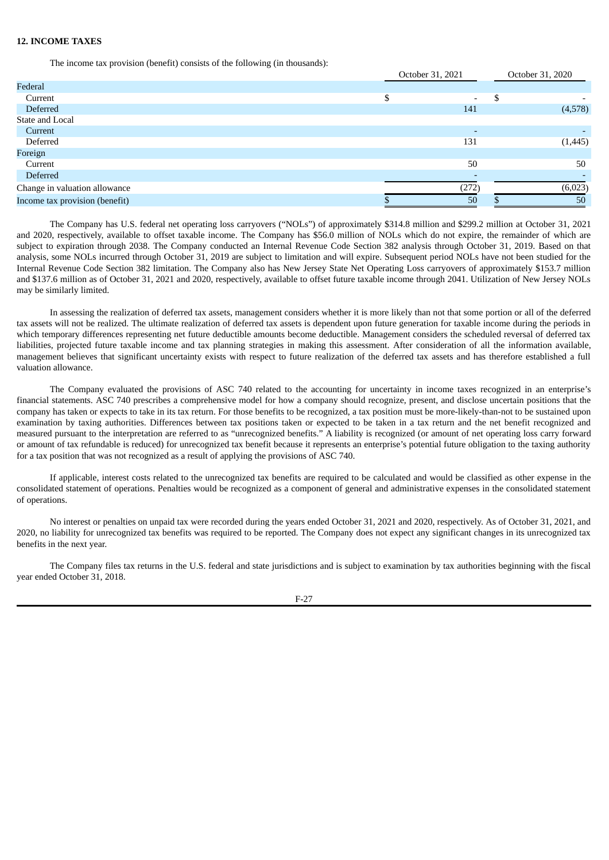# **12. INCOME TAXES**

The income tax provision (benefit) consists of the following (in thousands):

| October 31, 2021               |  |       |    | October 31, 2020 |
|--------------------------------|--|-------|----|------------------|
| Federal                        |  |       |    |                  |
| Current                        |  |       | ۵D |                  |
| Deferred                       |  | 141   |    | (4,578)          |
| State and Local                |  |       |    |                  |
| Current                        |  |       |    |                  |
| Deferred                       |  | 131   |    | (1, 445)         |
| Foreign                        |  |       |    |                  |
| Current                        |  | 50    |    | 50               |
| Deferred                       |  |       |    |                  |
| Change in valuation allowance  |  | (272) |    | (6,023)          |
| Income tax provision (benefit) |  | 50    |    | 50               |

The Company has U.S. federal net operating loss carryovers ("NOLs") of approximately \$314.8 million and \$299.2 million at October 31, 2021 and 2020, respectively, available to offset taxable income. The Company has \$56.0 million of NOLs which do not expire, the remainder of which are subject to expiration through 2038. The Company conducted an Internal Revenue Code Section 382 analysis through October 31, 2019. Based on that analysis, some NOLs incurred through October 31, 2019 are subject to limitation and will expire. Subsequent period NOLs have not been studied for the Internal Revenue Code Section 382 limitation. The Company also has New Jersey State Net Operating Loss carryovers of approximately \$153.7 million and \$137.6 million as of October 31, 2021 and 2020, respectively, available to offset future taxable income through 2041. Utilization of New Jersey NOLs may be similarly limited.

In assessing the realization of deferred tax assets, management considers whether it is more likely than not that some portion or all of the deferred tax assets will not be realized. The ultimate realization of deferred tax assets is dependent upon future generation for taxable income during the periods in which temporary differences representing net future deductible amounts become deductible. Management considers the scheduled reversal of deferred tax liabilities, projected future taxable income and tax planning strategies in making this assessment. After consideration of all the information available, management believes that significant uncertainty exists with respect to future realization of the deferred tax assets and has therefore established a full valuation allowance.

The Company evaluated the provisions of ASC 740 related to the accounting for uncertainty in income taxes recognized in an enterprise's financial statements. ASC 740 prescribes a comprehensive model for how a company should recognize, present, and disclose uncertain positions that the company has taken or expects to take in its tax return. For those benefits to be recognized, a tax position must be more-likely-than-not to be sustained upon examination by taxing authorities. Differences between tax positions taken or expected to be taken in a tax return and the net benefit recognized and measured pursuant to the interpretation are referred to as "unrecognized benefits." A liability is recognized (or amount of net operating loss carry forward or amount of tax refundable is reduced) for unrecognized tax benefit because it represents an enterprise's potential future obligation to the taxing authority for a tax position that was not recognized as a result of applying the provisions of ASC 740.

If applicable, interest costs related to the unrecognized tax benefits are required to be calculated and would be classified as other expense in the consolidated statement of operations. Penalties would be recognized as a component of general and administrative expenses in the consolidated statement of operations.

No interest or penalties on unpaid tax were recorded during the years ended October 31, 2021 and 2020, respectively. As of October 31, 2021, and 2020, no liability for unrecognized tax benefits was required to be reported. The Company does not expect any significant changes in its unrecognized tax benefits in the next year.

The Company files tax returns in the U.S. federal and state jurisdictions and is subject to examination by tax authorities beginning with the fiscal year ended October 31, 2018.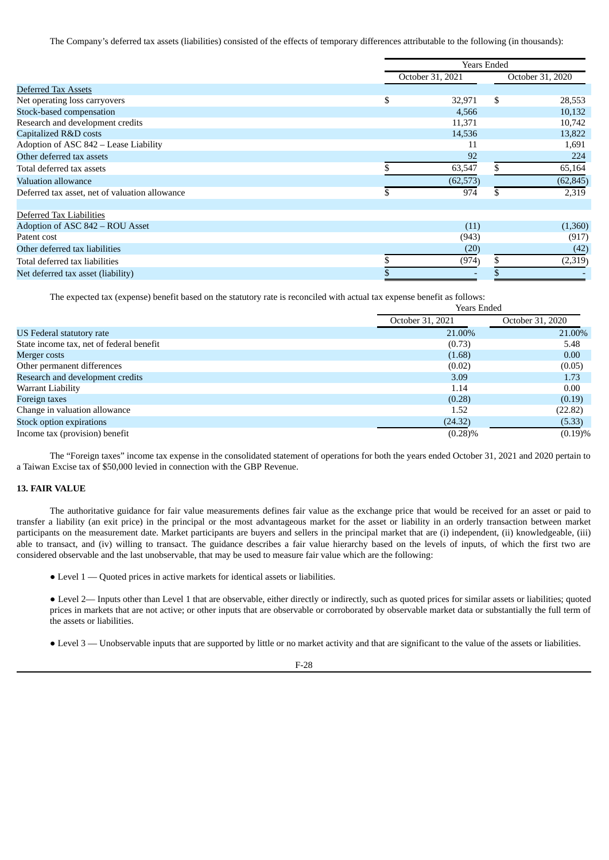The Company's deferred tax assets (liabilities) consisted of the effects of temporary differences attributable to the following (in thousands):

|                                                | Years Ended      |           |     |                  |
|------------------------------------------------|------------------|-----------|-----|------------------|
|                                                | October 31, 2021 |           |     | October 31, 2020 |
| <b>Deferred Tax Assets</b>                     |                  |           |     |                  |
| Net operating loss carryovers                  | \$               | 32,971    | \$  | 28,553           |
| Stock-based compensation                       |                  | 4,566     |     | 10,132           |
| Research and development credits               |                  | 11,371    |     | 10,742           |
| Capitalized R&D costs                          |                  | 14,536    |     | 13,822           |
| Adoption of ASC 842 - Lease Liability          |                  | 11        |     | 1,691            |
| Other deferred tax assets                      |                  | 92        |     | 224              |
| Total deferred tax assets                      |                  | 63,547    | \$. | 65,164           |
| Valuation allowance                            |                  | (62, 573) |     | (62, 845)        |
| Deferred tax asset, net of valuation allowance |                  | 974       | \$  | 2,319            |
| Deferred Tax Liabilities                       |                  |           |     |                  |
| Adoption of ASC 842 - ROU Asset                |                  | (11)      |     | (1,360)          |
| Patent cost                                    |                  | (943)     |     | (917)            |
| Other deferred tax liabilities                 |                  | (20)      |     | (42)             |
| Total deferred tax liabilities                 |                  | (974)     |     | (2,319)          |
| Net deferred tax asset (liability)             |                  |           |     |                  |

The expected tax (expense) benefit based on the statutory rate is reconciled with actual tax expense benefit as follows:

|                                          |                  | <b>Years Ended</b> |  |  |  |  |
|------------------------------------------|------------------|--------------------|--|--|--|--|
|                                          | October 31, 2021 | October 31, 2020   |  |  |  |  |
| US Federal statutory rate                | 21.00%           | 21.00%             |  |  |  |  |
| State income tax, net of federal benefit | (0.73)           | 5.48               |  |  |  |  |
| Merger costs                             | (1.68)           | 0.00               |  |  |  |  |
| Other permanent differences              | (0.02)           | (0.05)             |  |  |  |  |
| Research and development credits         | 3.09             | 1.73               |  |  |  |  |
| Warrant Liability                        | 1.14             | 0.00               |  |  |  |  |
| Foreign taxes                            | (0.28)           | (0.19)             |  |  |  |  |
| Change in valuation allowance            | 1.52             | (22.82)            |  |  |  |  |
| Stock option expirations                 | (24.32)          | (5.33)             |  |  |  |  |
| Income tax (provision) benefit           | $(0.28)\%$       | (0.19)%            |  |  |  |  |

The "Foreign taxes" income tax expense in the consolidated statement of operations for both the years ended October 31, 2021 and 2020 pertain to a Taiwan Excise tax of \$50,000 levied in connection with the GBP Revenue.

## **13. FAIR VALUE**

The authoritative guidance for fair value measurements defines fair value as the exchange price that would be received for an asset or paid to transfer a liability (an exit price) in the principal or the most advantageous market for the asset or liability in an orderly transaction between market participants on the measurement date. Market participants are buyers and sellers in the principal market that are (i) independent, (ii) knowledgeable, (iii) able to transact, and (iv) willing to transact. The guidance describes a fair value hierarchy based on the levels of inputs, of which the first two are considered observable and the last unobservable, that may be used to measure fair value which are the following:

● Level 1 — Quoted prices in active markets for identical assets or liabilities.

● Level 2— Inputs other than Level 1 that are observable, either directly or indirectly, such as quoted prices for similar assets or liabilities; quoted prices in markets that are not active; or other inputs that are observable or corroborated by observable market data or substantially the full term of the assets or liabilities.

● Level 3 — Unobservable inputs that are supported by little or no market activity and that are significant to the value of the assets or liabilities.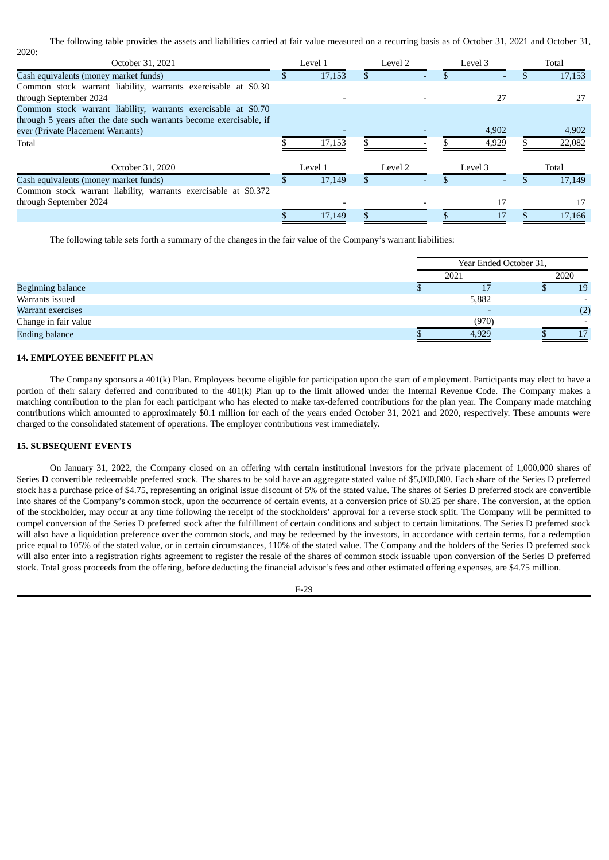The following table provides the assets and liabilities carried at fair value measured on a recurring basis as of October 31, 2021 and October 31,

| 2020:                                                               |  |         |     |         |  |         |         |       |        |
|---------------------------------------------------------------------|--|---------|-----|---------|--|---------|---------|-------|--------|
| October 31, 2021                                                    |  | Level 1 |     | Level 2 |  | Level 3 |         | Total |        |
| Cash equivalents (money market funds)                               |  | 17,153  |     |         |  |         |         |       | 17,153 |
| Common stock warrant liability, warrants exercisable at \$0.30      |  |         |     |         |  |         |         |       |        |
| through September 2024                                              |  |         |     |         |  |         | 27      |       | 27     |
| Common stock warrant liability, warrants exercisable at \$0.70      |  |         |     |         |  |         |         |       |        |
| through 5 years after the date such warrants become exercisable, if |  |         |     |         |  |         |         |       |        |
| ever (Private Placement Warrants)                                   |  |         |     |         |  |         | 4,902   |       | 4,902  |
| Total                                                               |  | 17,153  |     |         |  |         | 4,929   |       | 22,082 |
| October 31, 2020                                                    |  | Level 1 |     | Level 2 |  |         | Level 3 |       | Total  |
| Cash equivalents (money market funds)                               |  | 17.149  | \$. |         |  |         |         |       | 17.149 |
| Common stock warrant liability, warrants exercisable at \$0.372     |  |         |     |         |  |         |         |       |        |
| through September 2024                                              |  |         |     |         |  |         |         |       |        |
|                                                                     |  | 17.149  |     |         |  |         |         |       | 17.166 |

The following table sets forth a summary of the changes in the fair value of the Company's warrant liabilities:

|                          | Year Ended October 31, |      |     |  |  |  |
|--------------------------|------------------------|------|-----|--|--|--|
|                          | 2021                   | 2020 |     |  |  |  |
| <b>Beginning balance</b> |                        |      | 19  |  |  |  |
| Warrants issued          | 5,882                  |      |     |  |  |  |
| Warrant exercises        |                        |      | (2) |  |  |  |
| Change in fair value     | (970)                  |      |     |  |  |  |
| <b>Ending balance</b>    | 4,929                  |      | 17  |  |  |  |

## **14. EMPLOYEE BENEFIT PLAN**

The Company sponsors a 401(k) Plan. Employees become eligible for participation upon the start of employment. Participants may elect to have a portion of their salary deferred and contributed to the 401(k) Plan up to the limit allowed under the Internal Revenue Code. The Company makes a matching contribution to the plan for each participant who has elected to make tax-deferred contributions for the plan year. The Company made matching contributions which amounted to approximately \$0.1 million for each of the years ended October 31, 2021 and 2020, respectively. These amounts were charged to the consolidated statement of operations. The employer contributions vest immediately.

## **15. SUBSEQUENT EVENTS**

On January 31, 2022, the Company closed on an offering with certain institutional investors for the private placement of 1,000,000 shares of Series D convertible redeemable preferred stock. The shares to be sold have an aggregate stated value of \$5,000,000. Each share of the Series D preferred stock has a purchase price of \$4.75, representing an original issue discount of 5% of the stated value. The shares of Series D preferred stock are convertible into shares of the Company's common stock, upon the occurrence of certain events, at a conversion price of \$0.25 per share. The conversion, at the option of the stockholder, may occur at any time following the receipt of the stockholders' approval for a reverse stock split. The Company will be permitted to compel conversion of the Series D preferred stock after the fulfillment of certain conditions and subject to certain limitations. The Series D preferred stock will also have a liquidation preference over the common stock, and may be redeemed by the investors, in accordance with certain terms, for a redemption price equal to 105% of the stated value, or in certain circumstances, 110% of the stated value. The Company and the holders of the Series D preferred stock will also enter into a registration rights agreement to register the resale of the shares of common stock issuable upon conversion of the Series D preferred stock. Total gross proceeds from the offering, before deducting the financial advisor's fees and other estimated offering expenses, are \$4.75 million.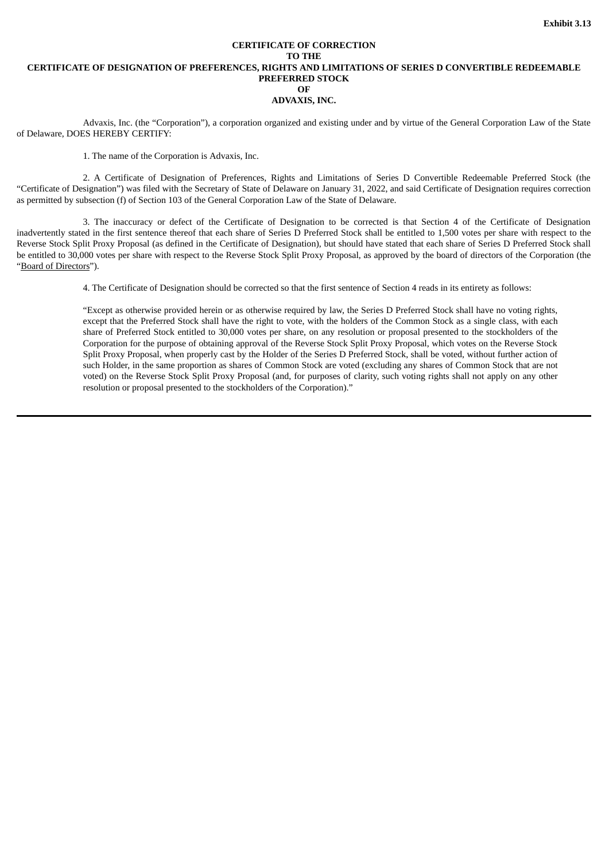## **CERTIFICATE OF CORRECTION TO THE CERTIFICATE OF DESIGNATION OF PREFERENCES, RIGHTS AND LIMITATIONS OF SERIES D CONVERTIBLE REDEEMABLE PREFERRED STOCK OF ADVAXIS, INC.**

Advaxis, Inc. (the "Corporation"), a corporation organized and existing under and by virtue of the General Corporation Law of the State of Delaware, DOES HEREBY CERTIFY:

1. The name of the Corporation is Advaxis, Inc.

2. A Certificate of Designation of Preferences, Rights and Limitations of Series D Convertible Redeemable Preferred Stock (the "Certificate of Designation") was filed with the Secretary of State of Delaware on January 31, 2022, and said Certificate of Designation requires correction as permitted by subsection (f) of Section 103 of the General Corporation Law of the State of Delaware.

3. The inaccuracy or defect of the Certificate of Designation to be corrected is that Section 4 of the Certificate of Designation inadvertently stated in the first sentence thereof that each share of Series D Preferred Stock shall be entitled to 1,500 votes per share with respect to the Reverse Stock Split Proxy Proposal (as defined in the Certificate of Designation), but should have stated that each share of Series D Preferred Stock shall be entitled to 30,000 votes per share with respect to the Reverse Stock Split Proxy Proposal, as approved by the board of directors of the Corporation (the "Board of Directors").

4. The Certificate of Designation should be corrected so that the first sentence of Section 4 reads in its entirety as follows:

"Except as otherwise provided herein or as otherwise required by law, the Series D Preferred Stock shall have no voting rights, except that the Preferred Stock shall have the right to vote, with the holders of the Common Stock as a single class, with each share of Preferred Stock entitled to 30,000 votes per share, on any resolution or proposal presented to the stockholders of the Corporation for the purpose of obtaining approval of the Reverse Stock Split Proxy Proposal, which votes on the Reverse Stock Split Proxy Proposal, when properly cast by the Holder of the Series D Preferred Stock, shall be voted, without further action of such Holder, in the same proportion as shares of Common Stock are voted (excluding any shares of Common Stock that are not voted) on the Reverse Stock Split Proxy Proposal (and, for purposes of clarity, such voting rights shall not apply on any other resolution or proposal presented to the stockholders of the Corporation)."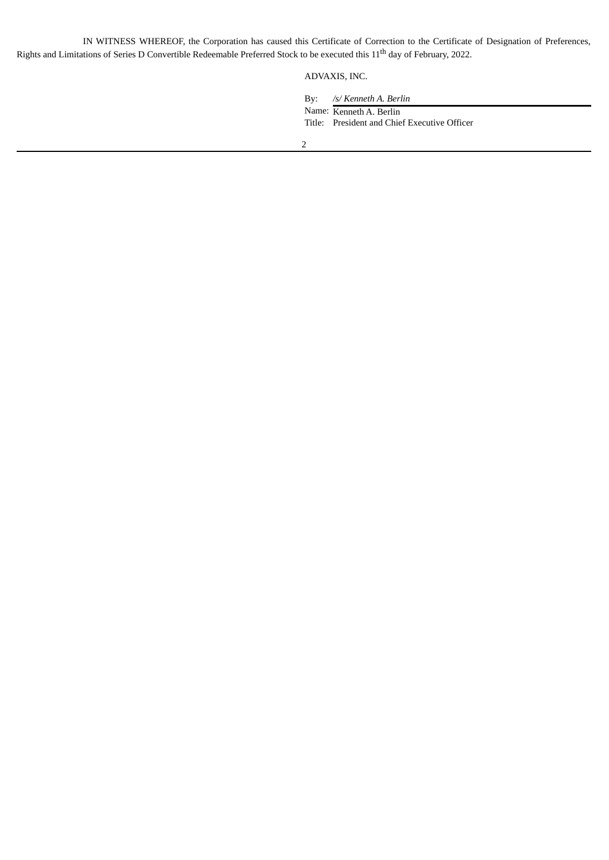IN WITNESS WHEREOF, the Corporation has caused this Certificate of Correction to the Certificate of Designation of Preferences, Rights and Limitations of Series D Convertible Redeemable Preferred Stock to be executed this 11<sup>th</sup> day of February, 2022.

# ADVAXIS, INC.

By: */s/ Kenneth A. Berlin*

Name: Kenneth A. Berlin Title: President and Chief Executive Officer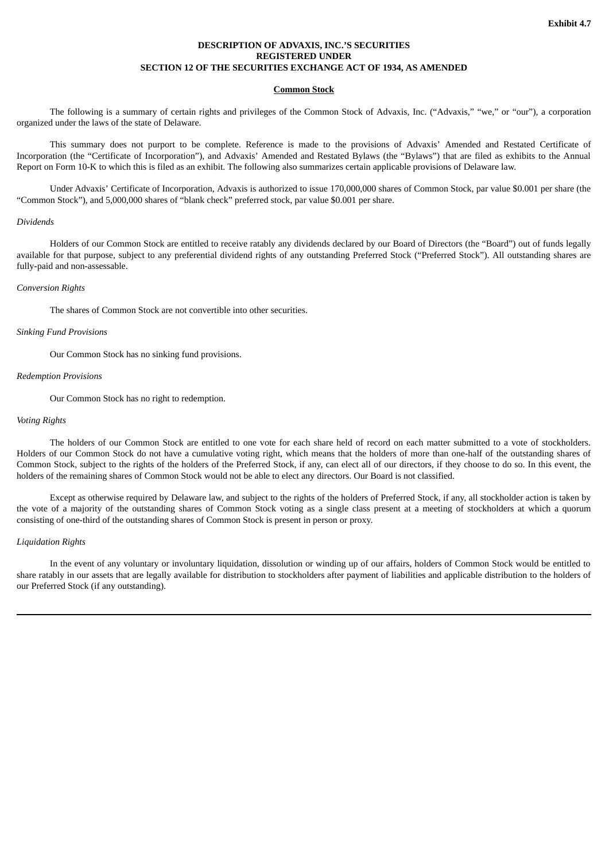## **DESCRIPTION OF ADVAXIS, INC.'S SECURITIES REGISTERED UNDER SECTION 12 OF THE SECURITIES EXCHANGE ACT OF 1934, AS AMENDED**

#### **Common Stock**

The following is a summary of certain rights and privileges of the Common Stock of Advaxis, Inc. ("Advaxis," "we," or "our"), a corporation organized under the laws of the state of Delaware.

This summary does not purport to be complete. Reference is made to the provisions of Advaxis' Amended and Restated Certificate of Incorporation (the "Certificate of Incorporation"), and Advaxis' Amended and Restated Bylaws (the "Bylaws") that are filed as exhibits to the Annual Report on Form 10-K to which this is filed as an exhibit. The following also summarizes certain applicable provisions of Delaware law.

Under Advaxis' Certificate of Incorporation, Advaxis is authorized to issue 170,000,000 shares of Common Stock, par value \$0.001 per share (the "Common Stock"), and 5,000,000 shares of "blank check" preferred stock, par value \$0.001 per share.

#### *Dividends*

Holders of our Common Stock are entitled to receive ratably any dividends declared by our Board of Directors (the "Board") out of funds legally available for that purpose, subject to any preferential dividend rights of any outstanding Preferred Stock ("Preferred Stock"). All outstanding shares are fully-paid and non-assessable.

#### *Conversion Rights*

The shares of Common Stock are not convertible into other securities.

#### *Sinking Fund Provisions*

Our Common Stock has no sinking fund provisions.

#### *Redemption Provisions*

Our Common Stock has no right to redemption.

## *Voting Rights*

The holders of our Common Stock are entitled to one vote for each share held of record on each matter submitted to a vote of stockholders. Holders of our Common Stock do not have a cumulative voting right, which means that the holders of more than one-half of the outstanding shares of Common Stock, subject to the rights of the holders of the Preferred Stock, if any, can elect all of our directors, if they choose to do so. In this event, the holders of the remaining shares of Common Stock would not be able to elect any directors. Our Board is not classified.

Except as otherwise required by Delaware law, and subject to the rights of the holders of Preferred Stock, if any, all stockholder action is taken by the vote of a majority of the outstanding shares of Common Stock voting as a single class present at a meeting of stockholders at which a quorum consisting of one-third of the outstanding shares of Common Stock is present in person or proxy.

#### *Liquidation Rights*

In the event of any voluntary or involuntary liquidation, dissolution or winding up of our affairs, holders of Common Stock would be entitled to share ratably in our assets that are legally available for distribution to stockholders after payment of liabilities and applicable distribution to the holders of our Preferred Stock (if any outstanding).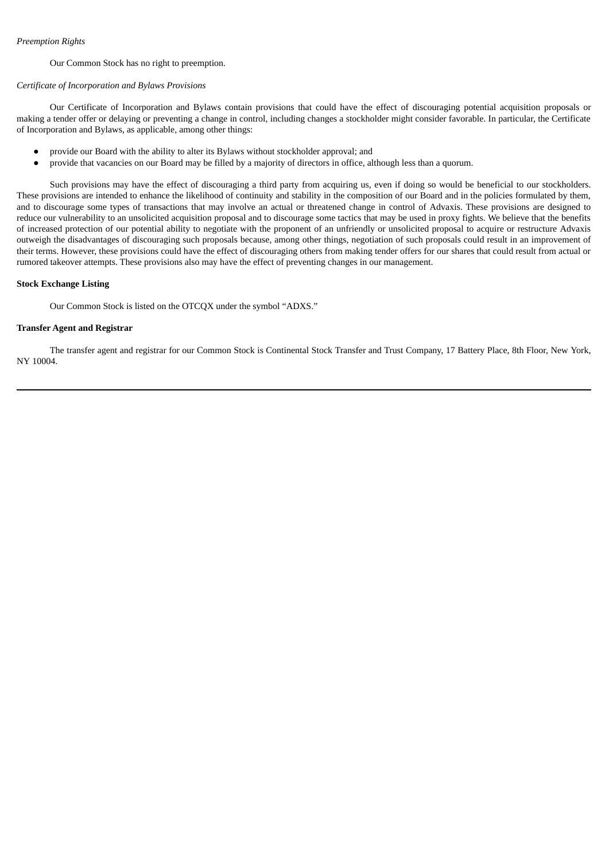## Our Common Stock has no right to preemption.

#### *Certificate of Incorporation and Bylaws Provisions*

Our Certificate of Incorporation and Bylaws contain provisions that could have the effect of discouraging potential acquisition proposals or making a tender offer or delaying or preventing a change in control, including changes a stockholder might consider favorable. In particular, the Certificate of Incorporation and Bylaws, as applicable, among other things:

- provide our Board with the ability to alter its Bylaws without stockholder approval; and
- provide that vacancies on our Board may be filled by a majority of directors in office, although less than a quorum.

Such provisions may have the effect of discouraging a third party from acquiring us, even if doing so would be beneficial to our stockholders. These provisions are intended to enhance the likelihood of continuity and stability in the composition of our Board and in the policies formulated by them, and to discourage some types of transactions that may involve an actual or threatened change in control of Advaxis. These provisions are designed to reduce our vulnerability to an unsolicited acquisition proposal and to discourage some tactics that may be used in proxy fights. We believe that the benefits of increased protection of our potential ability to negotiate with the proponent of an unfriendly or unsolicited proposal to acquire or restructure Advaxis outweigh the disadvantages of discouraging such proposals because, among other things, negotiation of such proposals could result in an improvement of their terms. However, these provisions could have the effect of discouraging others from making tender offers for our shares that could result from actual or rumored takeover attempts. These provisions also may have the effect of preventing changes in our management.

## **Stock Exchange Listing**

Our Common Stock is listed on the OTCQX under the symbol "ADXS."

### **Transfer Agent and Registrar**

The transfer agent and registrar for our Common Stock is Continental Stock Transfer and Trust Company, 17 Battery Place, 8th Floor, New York, NY 10004.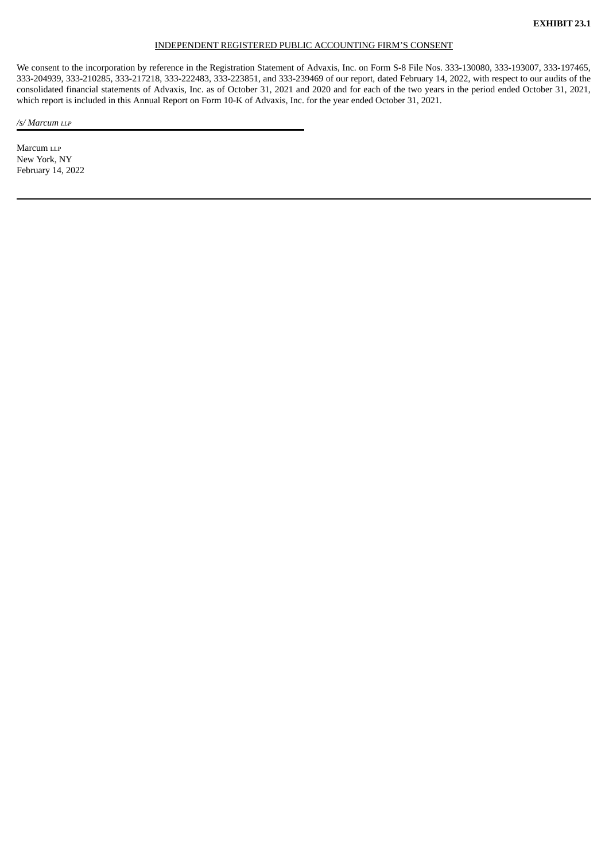#### INDEPENDENT REGISTERED PUBLIC ACCOUNTING FIRM'S CONSENT

We consent to the incorporation by reference in the Registration Statement of Advaxis, Inc. on Form S-8 File Nos. 333-130080, 333-193007, 333-197465, 333-204939, 333-210285, 333-217218, 333-222483, 333-223851, and 333-239469 of our report, dated February 14, 2022, with respect to our audits of the consolidated financial statements of Advaxis, Inc. as of October 31, 2021 and 2020 and for each of the two years in the period ended October 31, 2021, which report is included in this Annual Report on Form 10-K of Advaxis, Inc. for the year ended October 31, 2021.

*/s/ Marcum LLP*

Marcum LLP New York, NY February 14, 2022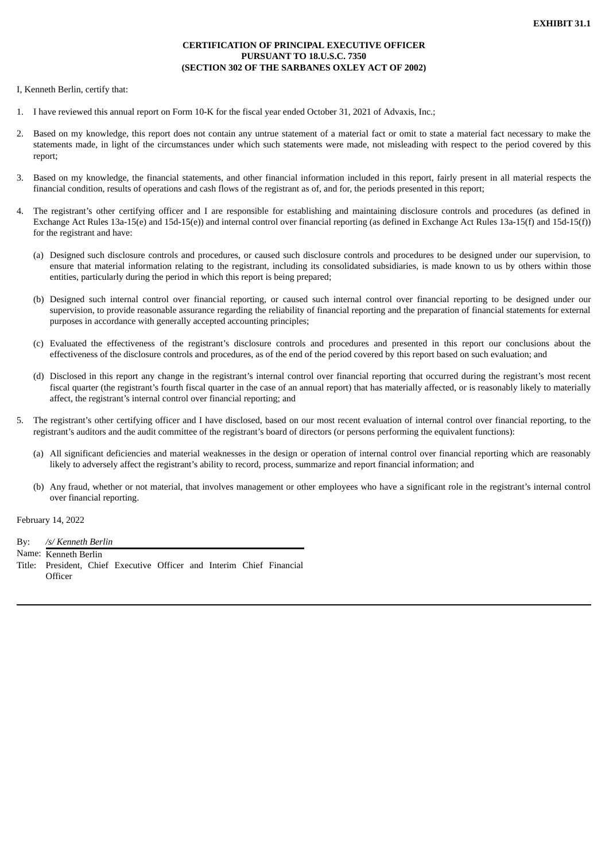# **CERTIFICATION OF PRINCIPAL EXECUTIVE OFFICER PURSUANT TO 18.U.S.C. 7350 (SECTION 302 OF THE SARBANES OXLEY ACT OF 2002)**

I, Kenneth Berlin, certify that:

- 1. I have reviewed this annual report on Form 10-K for the fiscal year ended October 31, 2021 of Advaxis, Inc.;
- 2. Based on my knowledge, this report does not contain any untrue statement of a material fact or omit to state a material fact necessary to make the statements made, in light of the circumstances under which such statements were made, not misleading with respect to the period covered by this report;
- 3. Based on my knowledge, the financial statements, and other financial information included in this report, fairly present in all material respects the financial condition, results of operations and cash flows of the registrant as of, and for, the periods presented in this report;
- 4. The registrant's other certifying officer and I are responsible for establishing and maintaining disclosure controls and procedures (as defined in Exchange Act Rules 13a-15(e) and 15d-15(e)) and internal control over financial reporting (as defined in Exchange Act Rules 13a-15(f) and 15d-15(f)) for the registrant and have:
	- (a) Designed such disclosure controls and procedures, or caused such disclosure controls and procedures to be designed under our supervision, to ensure that material information relating to the registrant, including its consolidated subsidiaries, is made known to us by others within those entities, particularly during the period in which this report is being prepared;
	- (b) Designed such internal control over financial reporting, or caused such internal control over financial reporting to be designed under our supervision, to provide reasonable assurance regarding the reliability of financial reporting and the preparation of financial statements for external purposes in accordance with generally accepted accounting principles;
	- (c) Evaluated the effectiveness of the registrant's disclosure controls and procedures and presented in this report our conclusions about the effectiveness of the disclosure controls and procedures, as of the end of the period covered by this report based on such evaluation; and
	- (d) Disclosed in this report any change in the registrant's internal control over financial reporting that occurred during the registrant's most recent fiscal quarter (the registrant's fourth fiscal quarter in the case of an annual report) that has materially affected, or is reasonably likely to materially affect, the registrant's internal control over financial reporting; and
- 5. The registrant's other certifying officer and I have disclosed, based on our most recent evaluation of internal control over financial reporting, to the registrant's auditors and the audit committee of the registrant's board of directors (or persons performing the equivalent functions):
	- (a) All significant deficiencies and material weaknesses in the design or operation of internal control over financial reporting which are reasonably likely to adversely affect the registrant's ability to record, process, summarize and report financial information; and
	- (b) Any fraud, whether or not material, that involves management or other employees who have a significant role in the registrant's internal control over financial reporting.

February 14, 2022

By: */s/ Kenneth Berlin* Name: Kenneth Berlin Title: President, Chief Executive Officer and Interim Chief Financial **Officer**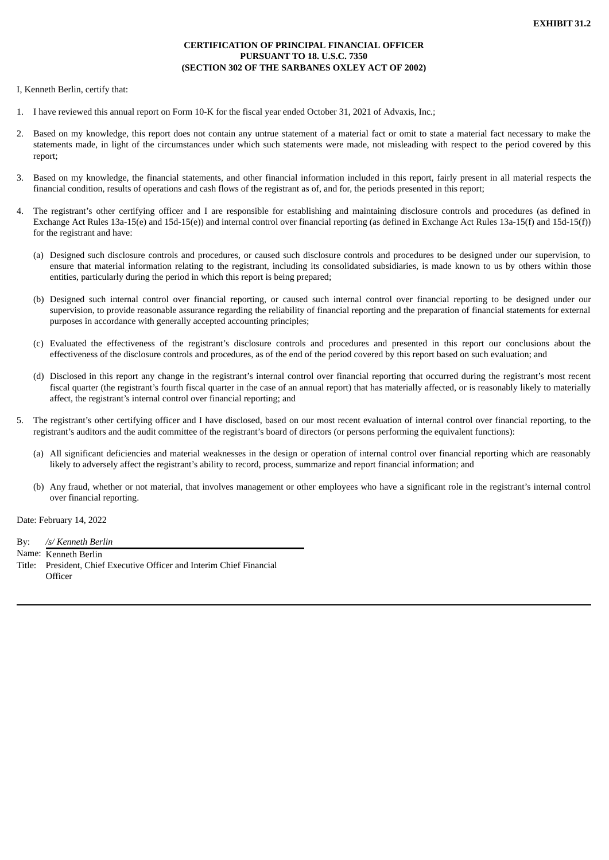# **CERTIFICATION OF PRINCIPAL FINANCIAL OFFICER PURSUANT TO 18. U.S.C. 7350 (SECTION 302 OF THE SARBANES OXLEY ACT OF 2002)**

I, Kenneth Berlin, certify that:

- 1. I have reviewed this annual report on Form 10-K for the fiscal year ended October 31, 2021 of Advaxis, Inc.;
- 2. Based on my knowledge, this report does not contain any untrue statement of a material fact or omit to state a material fact necessary to make the statements made, in light of the circumstances under which such statements were made, not misleading with respect to the period covered by this report;
- 3. Based on my knowledge, the financial statements, and other financial information included in this report, fairly present in all material respects the financial condition, results of operations and cash flows of the registrant as of, and for, the periods presented in this report;
- 4. The registrant's other certifying officer and I are responsible for establishing and maintaining disclosure controls and procedures (as defined in Exchange Act Rules 13a-15(e) and 15d-15(e)) and internal control over financial reporting (as defined in Exchange Act Rules 13a-15(f) and 15d-15(f)) for the registrant and have:
	- (a) Designed such disclosure controls and procedures, or caused such disclosure controls and procedures to be designed under our supervision, to ensure that material information relating to the registrant, including its consolidated subsidiaries, is made known to us by others within those entities, particularly during the period in which this report is being prepared;
	- (b) Designed such internal control over financial reporting, or caused such internal control over financial reporting to be designed under our supervision, to provide reasonable assurance regarding the reliability of financial reporting and the preparation of financial statements for external purposes in accordance with generally accepted accounting principles;
	- (c) Evaluated the effectiveness of the registrant's disclosure controls and procedures and presented in this report our conclusions about the effectiveness of the disclosure controls and procedures, as of the end of the period covered by this report based on such evaluation; and
	- (d) Disclosed in this report any change in the registrant's internal control over financial reporting that occurred during the registrant's most recent fiscal quarter (the registrant's fourth fiscal quarter in the case of an annual report) that has materially affected, or is reasonably likely to materially affect, the registrant's internal control over financial reporting; and
- 5. The registrant's other certifying officer and I have disclosed, based on our most recent evaluation of internal control over financial reporting, to the registrant's auditors and the audit committee of the registrant's board of directors (or persons performing the equivalent functions):
	- (a) All significant deficiencies and material weaknesses in the design or operation of internal control over financial reporting which are reasonably likely to adversely affect the registrant's ability to record, process, summarize and report financial information; and
	- (b) Any fraud, whether or not material, that involves management or other employees who have a significant role in the registrant's internal control over financial reporting.

Date: February 14, 2022

By: */s/ Kenneth Berlin*

Name: Kenneth Berlin

Title: President, Chief Executive Officer and Interim Chief Financial **Officer**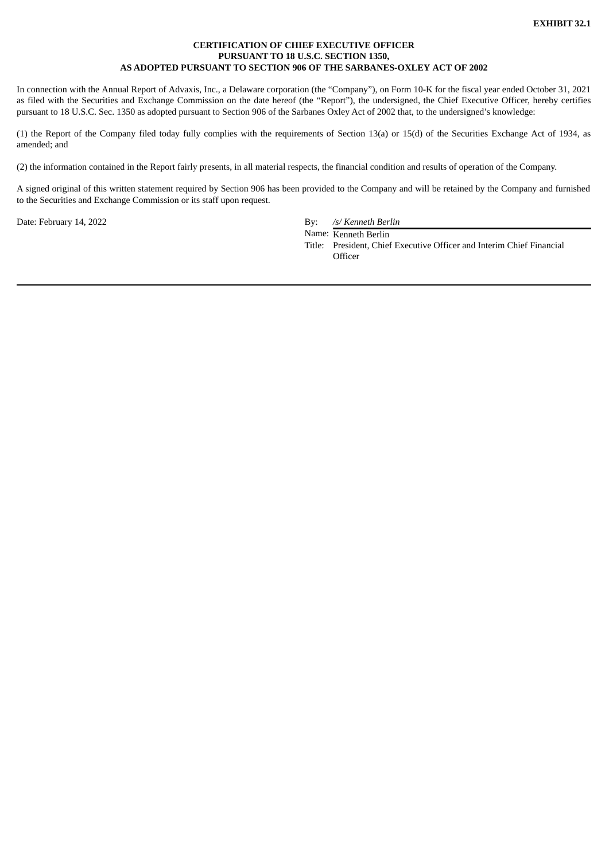## **CERTIFICATION OF CHIEF EXECUTIVE OFFICER PURSUANT TO 18 U.S.C. SECTION 1350, AS ADOPTED PURSUANT TO SECTION 906 OF THE SARBANES-OXLEY ACT OF 2002**

In connection with the Annual Report of Advaxis, Inc., a Delaware corporation (the "Company"), on Form 10-K for the fiscal year ended October 31, 2021 as filed with the Securities and Exchange Commission on the date hereof (the "Report"), the undersigned, the Chief Executive Officer, hereby certifies pursuant to 18 U.S.C. Sec. 1350 as adopted pursuant to Section 906 of the Sarbanes Oxley Act of 2002 that, to the undersigned's knowledge:

(1) the Report of the Company filed today fully complies with the requirements of Section 13(a) or 15(d) of the Securities Exchange Act of 1934, as amended; and

(2) the information contained in the Report fairly presents, in all material respects, the financial condition and results of operation of the Company.

A signed original of this written statement required by Section 906 has been provided to the Company and will be retained by the Company and furnished to the Securities and Exchange Commission or its staff upon request.

Date: February 14, 2022 By: */s/ Kenneth Berlin*

Name: Kenneth Berlin

Title: President, Chief Executive Officer and Interim Chief Financial **Officer**